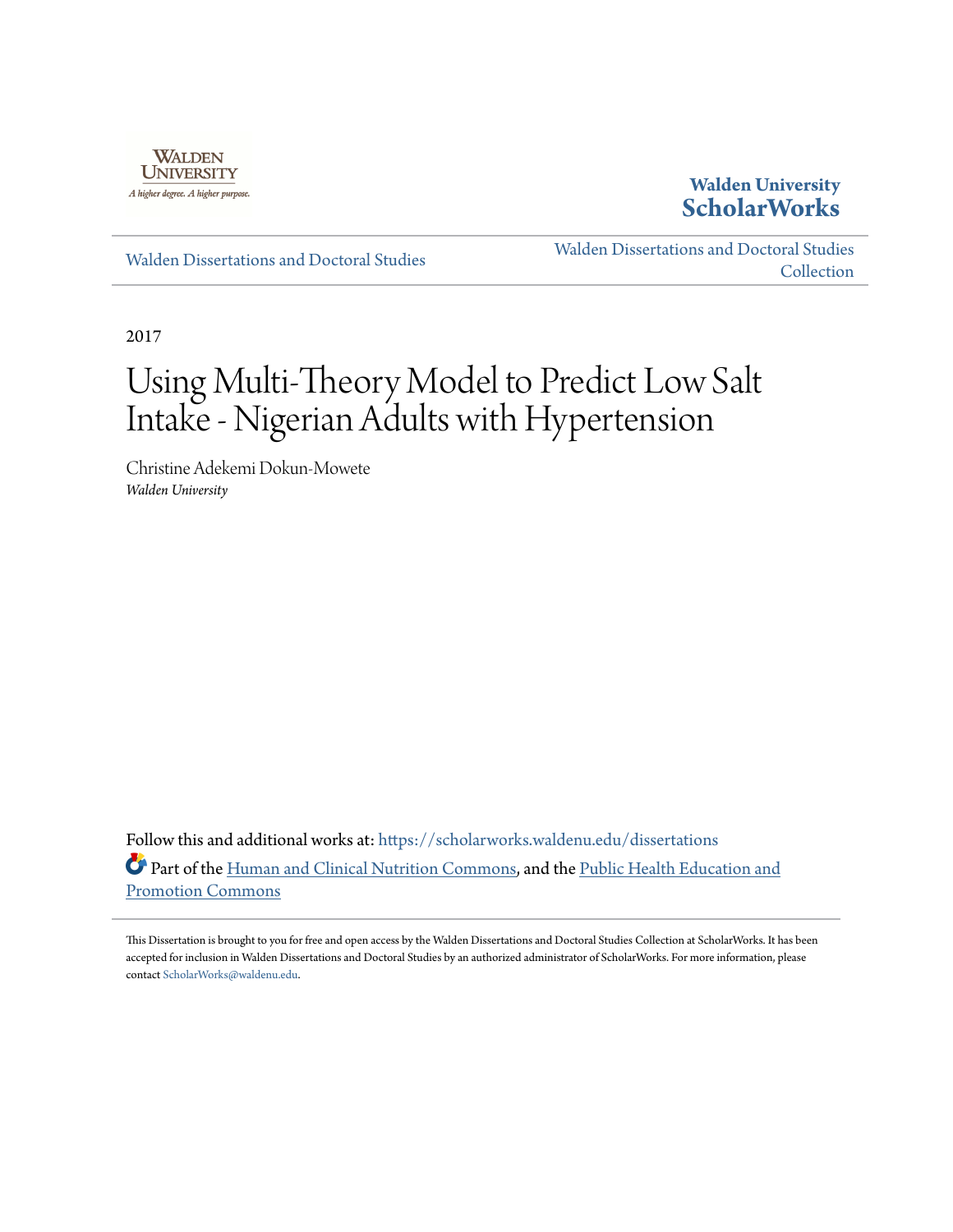

**Walden University [ScholarWorks](https://scholarworks.waldenu.edu?utm_source=scholarworks.waldenu.edu%2Fdissertations%2F4279&utm_medium=PDF&utm_campaign=PDFCoverPages)**

[Walden Dissertations and Doctoral Studies](https://scholarworks.waldenu.edu/dissertations?utm_source=scholarworks.waldenu.edu%2Fdissertations%2F4279&utm_medium=PDF&utm_campaign=PDFCoverPages)

[Walden Dissertations and Doctoral Studies](https://scholarworks.waldenu.edu/dissanddoc?utm_source=scholarworks.waldenu.edu%2Fdissertations%2F4279&utm_medium=PDF&utm_campaign=PDFCoverPages) **[Collection](https://scholarworks.waldenu.edu/dissanddoc?utm_source=scholarworks.waldenu.edu%2Fdissertations%2F4279&utm_medium=PDF&utm_campaign=PDFCoverPages)** 

2017

# Using Multi-Theory Model to Predict Low Salt Intake - Nigerian Adults with Hypertension

Christine Adekemi Dokun-Mowete *Walden University*

Follow this and additional works at: [https://scholarworks.waldenu.edu/dissertations](https://scholarworks.waldenu.edu/dissertations?utm_source=scholarworks.waldenu.edu%2Fdissertations%2F4279&utm_medium=PDF&utm_campaign=PDFCoverPages) Part of the [Human and Clinical Nutrition Commons,](http://network.bepress.com/hgg/discipline/97?utm_source=scholarworks.waldenu.edu%2Fdissertations%2F4279&utm_medium=PDF&utm_campaign=PDFCoverPages) and the [Public Health Education and](http://network.bepress.com/hgg/discipline/743?utm_source=scholarworks.waldenu.edu%2Fdissertations%2F4279&utm_medium=PDF&utm_campaign=PDFCoverPages) [Promotion Commons](http://network.bepress.com/hgg/discipline/743?utm_source=scholarworks.waldenu.edu%2Fdissertations%2F4279&utm_medium=PDF&utm_campaign=PDFCoverPages)

This Dissertation is brought to you for free and open access by the Walden Dissertations and Doctoral Studies Collection at ScholarWorks. It has been accepted for inclusion in Walden Dissertations and Doctoral Studies by an authorized administrator of ScholarWorks. For more information, please contact [ScholarWorks@waldenu.edu](mailto:ScholarWorks@waldenu.edu).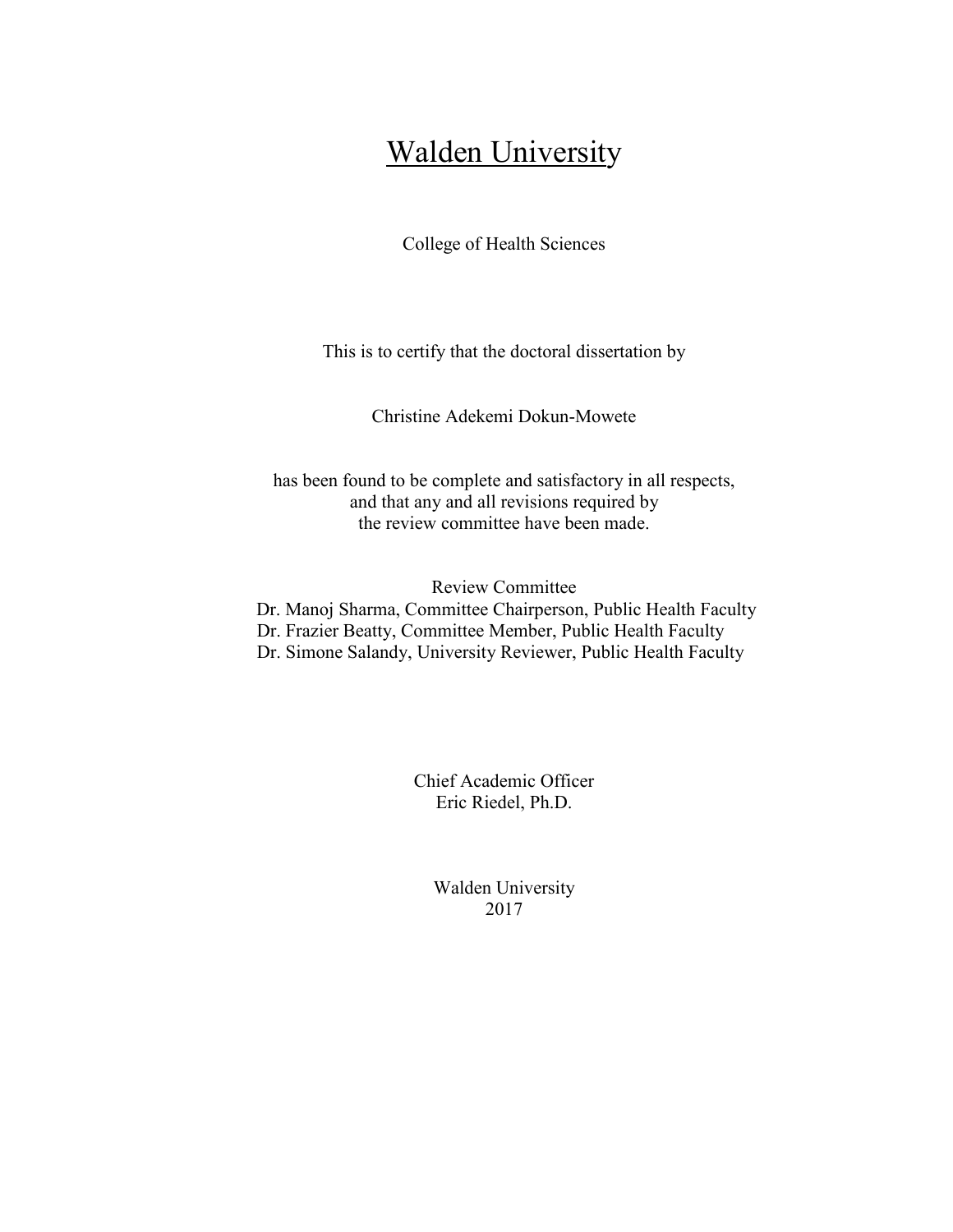## **Walden University**

College of Health Sciences

This is to certify that the doctoral dissertation by

Christine Adekemi Dokun-Mowete

has been found to be complete and satisfactory in all respects, and that any and all revisions required by the review committee have been made.

Review Committee Dr. Manoj Sharma, Committee Chairperson, Public Health Faculty Dr. Frazier Beatty, Committee Member, Public Health Faculty Dr. Simone Salandy, University Reviewer, Public Health Faculty

> Chief Academic Officer Eric Riedel, Ph.D.

> > Walden University 2017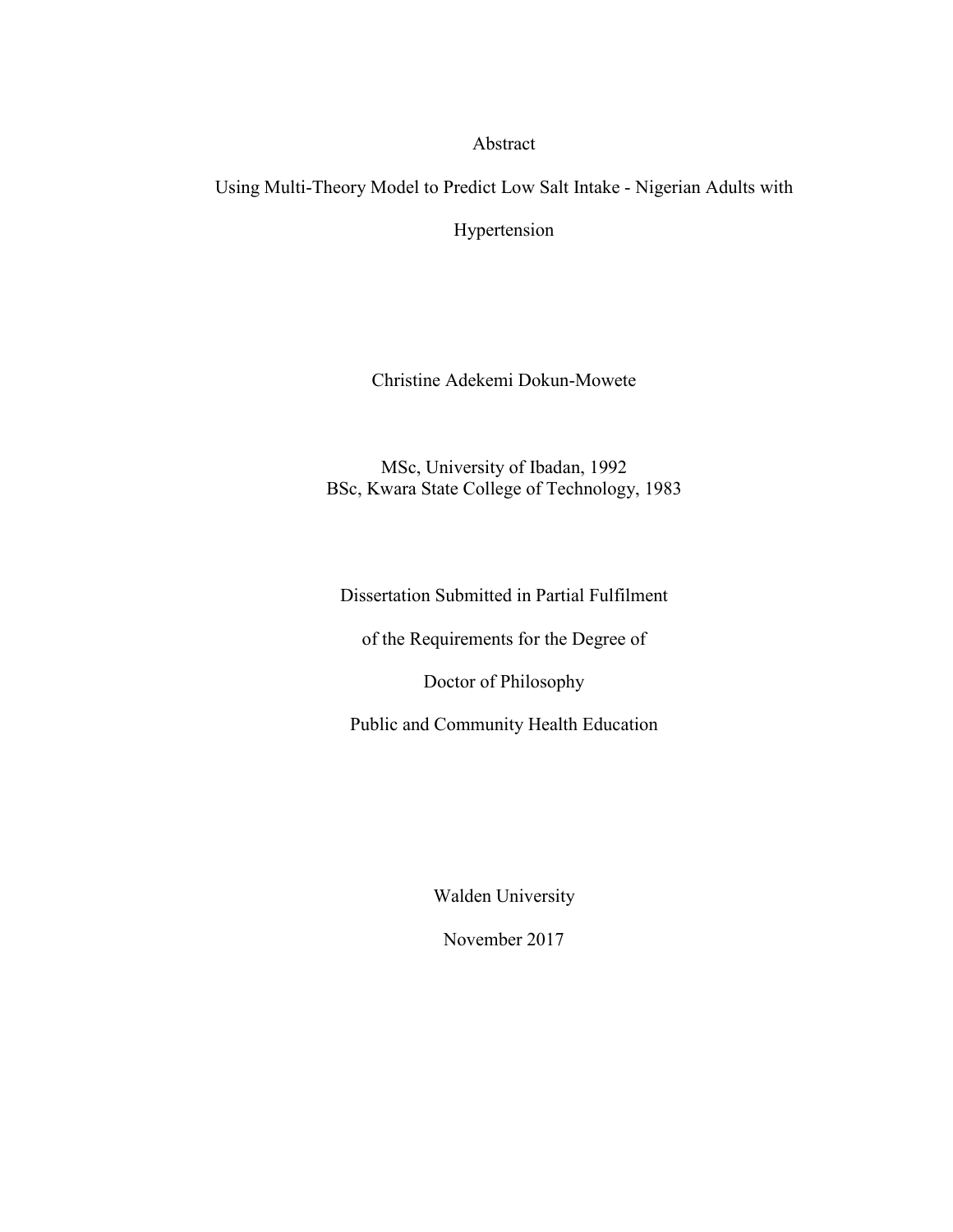#### Abstract

Using Multi-Theory Model to Predict Low Salt Intake - Nigerian Adults with

Hypertension

Christine Adekemi Dokun-Mowete

MSc, University of Ibadan, 1992 BSc, Kwara State College of Technology, 1983

Dissertation Submitted in Partial Fulfilment

of the Requirements for the Degree of

Doctor of Philosophy

Public and Community Health Education

Walden University

November 2017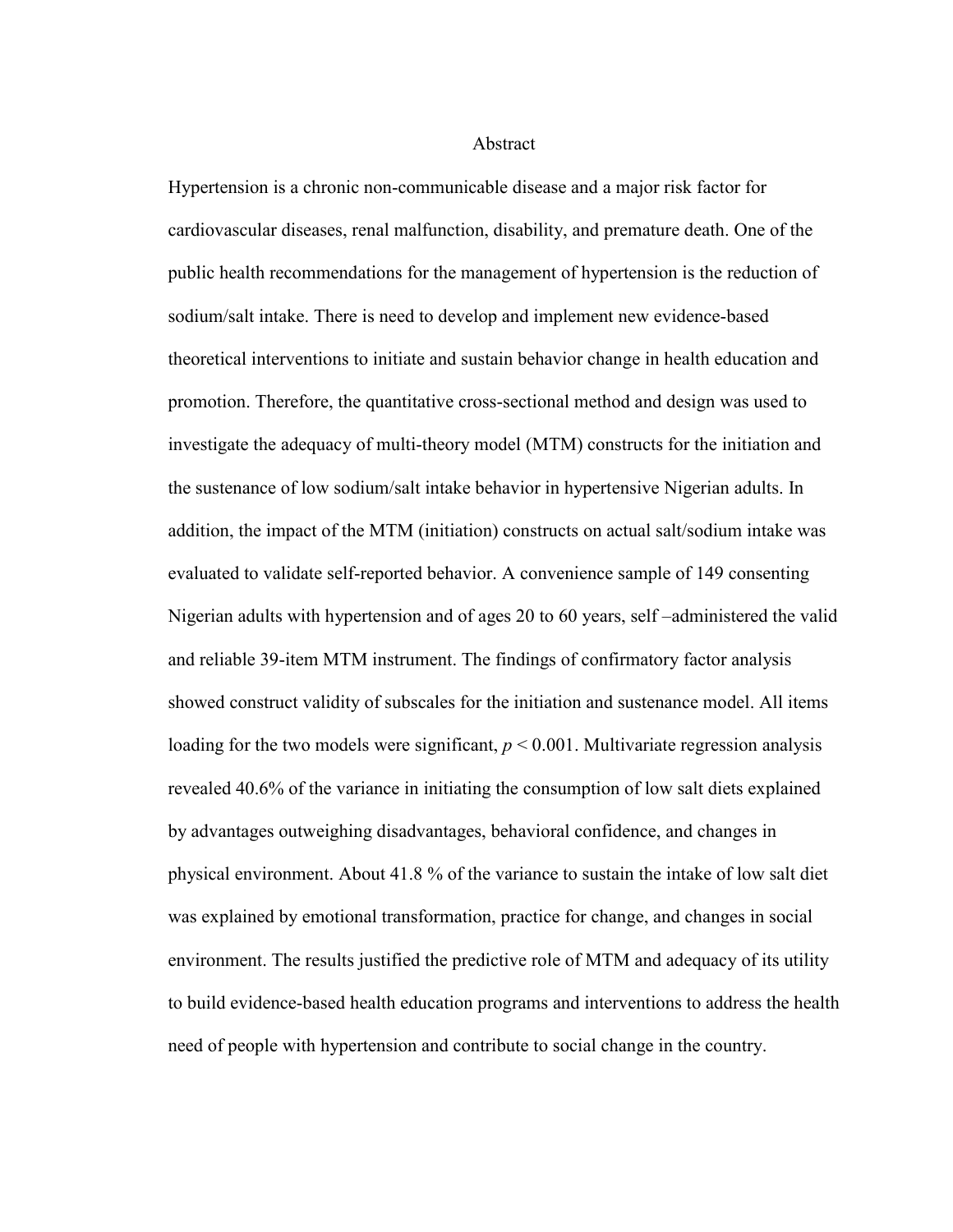#### **Abstract**

Hypertension is a chronic non-communicable disease and a major risk factor for cardiovascular diseases, renal malfunction, disability, and premature death. One of the public health recommendations for the management of hypertension is the reduction of sodium/salt intake. There is need to develop and implement new evidence-based theoretical interventions to initiate and sustain behavior change in health education and promotion. Therefore, the quantitative cross-sectional method and design was used to investigate the adequacy of multi-theory model (MTM) constructs for the initiation and the sustenance of low sodium/salt intake behavior in hypertensive Nigerian adults. In addition, the impact of the MTM (initiation) constructs on actual salt/sodium intake was evaluated to validate self-reported behavior. A convenience sample of 149 consenting Nigerian adults with hypertension and of ages 20 to 60 years, self –administered the valid and reliable 39-item MTM instrument. The findings of confirmatory factor analysis showed construct validity of subscales for the initiation and sustenance model. All items loading for the two models were significant,  $p < 0.001$ . Multivariate regression analysis revealed 40.6% of the variance in initiating the consumption of low salt diets explained by advantages outweighing disadvantages, behavioral confidence, and changes in physical environment. About 41.8 % of the variance to sustain the intake of low salt diet was explained by emotional transformation, practice for change, and changes in social environment. The results justified the predictive role of MTM and adequacy of its utility to build evidence-based health education programs and interventions to address the health need of people with hypertension and contribute to social change in the country.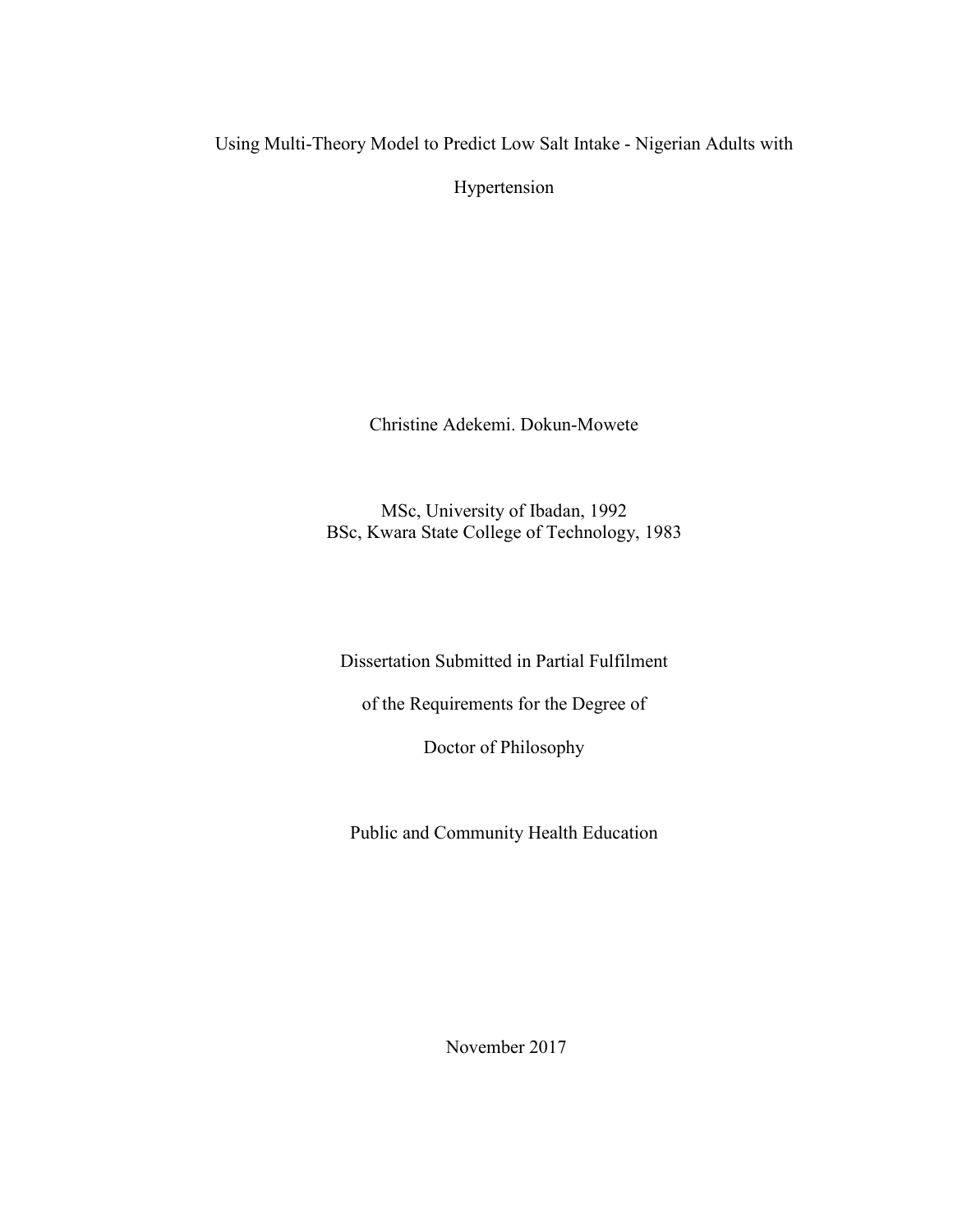Using Multi-Theory Model to Predict Low Salt Intake - Nigerian Adults with

Hypertension

Christine Adekemi. Dokun-Mowete

MSc, University of Ibadan, 1992 BSc, Kwara State College of Technology, 1983

Dissertation Submitted in Partial Fulfilment

of the Requirements for the Degree of

Doctor of Philosophy

Public and Community Health Education

November 2017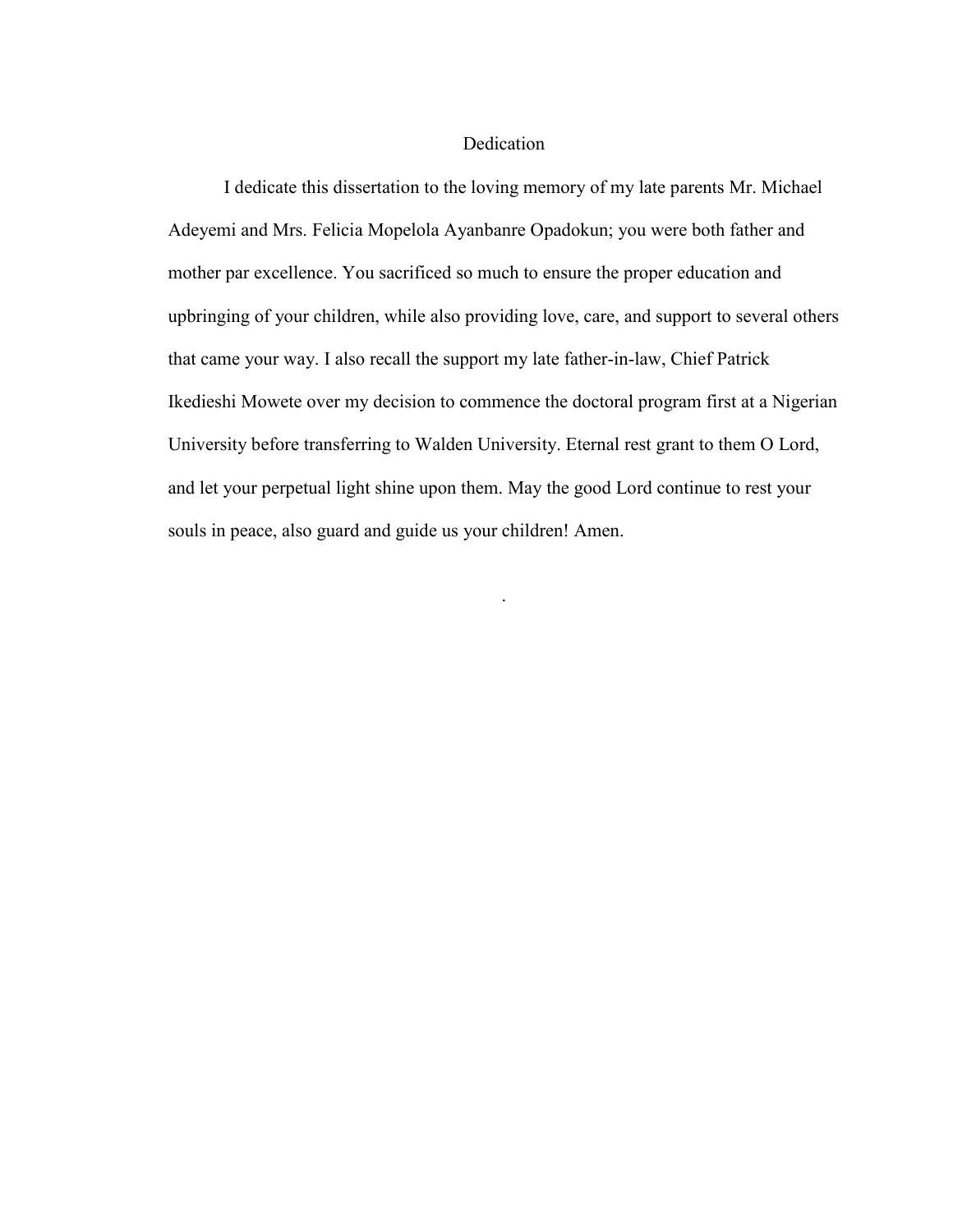#### Dedication

I dedicate this dissertation to the loving memory of my late parents Mr. Michael Adeyemi and Mrs. Felicia Mopelola Ayanbanre Opadokun; you were both father and mother par excellence. You sacrificed so much to ensure the proper education and upbringing of your children, while also providing love, care, and support to several others that came your way. I also recall the support my late father-in-law, Chief Patrick Ikedieshi Mowete over my decision to commence the doctoral program first at a Nigerian University before transferring to Walden University. Eternal rest grant to them O Lord, and let your perpetual light shine upon them. May the good Lord continue to rest your souls in peace, also guard and guide us your children! Amen.

.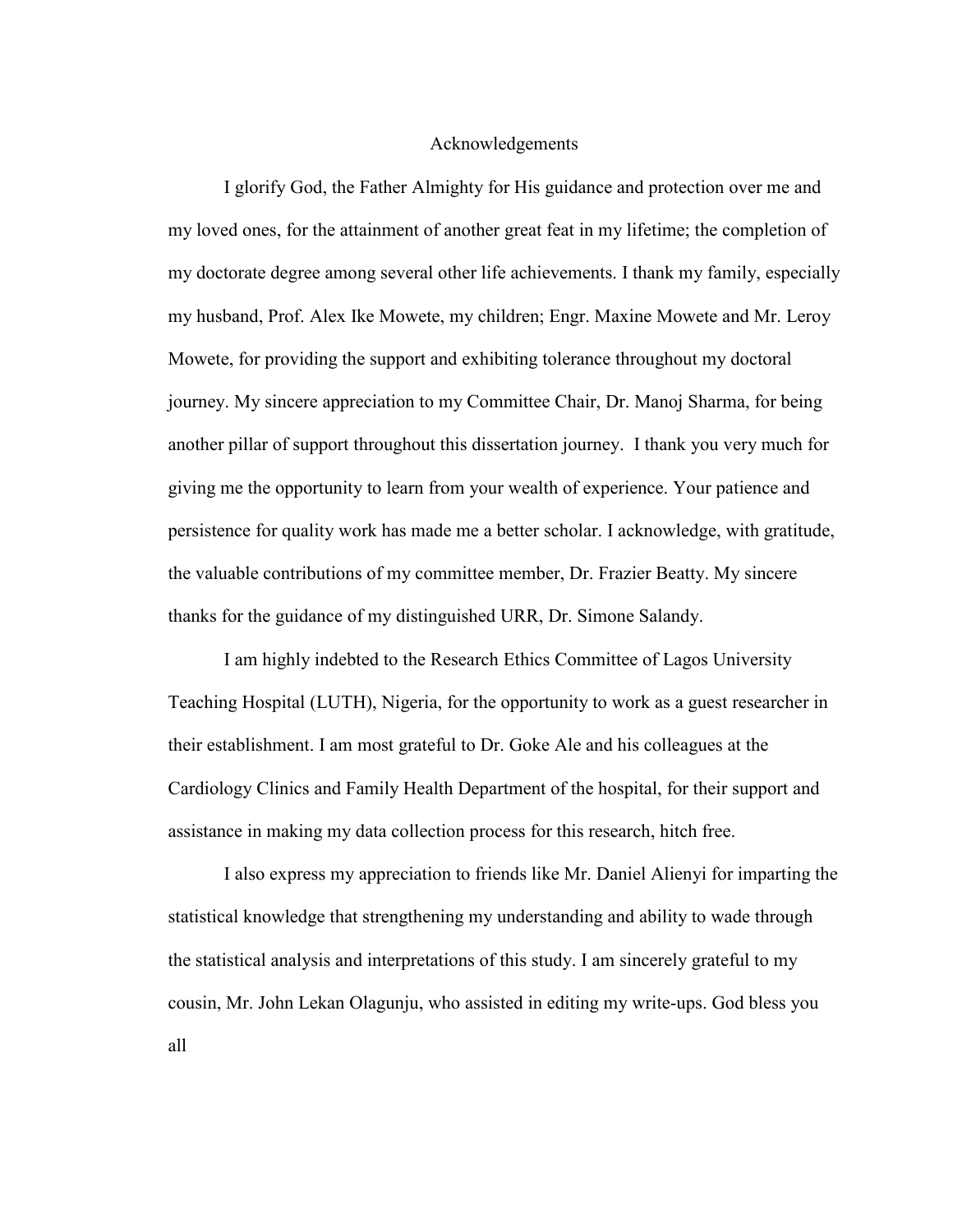#### Acknowledgements

I glorify God, the Father Almighty for His guidance and protection over me and my loved ones, for the attainment of another great feat in my lifetime; the completion of my doctorate degree among several other life achievements. I thank my family, especially my husband, Prof. Alex Ike Mowete, my children; Engr. Maxine Mowete and Mr. Leroy Mowete, for providing the support and exhibiting tolerance throughout my doctoral journey. My sincere appreciation to my Committee Chair, Dr. Manoj Sharma, for being another pillar of support throughout this dissertation journey. I thank you very much for giving me the opportunity to learn from your wealth of experience. Your patience and persistence for quality work has made me a better scholar. I acknowledge, with gratitude, the valuable contributions of my committee member, Dr. Frazier Beatty. My sincere thanks for the guidance of my distinguished URR, Dr. Simone Salandy.

I am highly indebted to the Research Ethics Committee of Lagos University Teaching Hospital (LUTH), Nigeria, for the opportunity to work as a guest researcher in their establishment. I am most grateful to Dr. Goke Ale and his colleagues at the Cardiology Clinics and Family Health Department of the hospital, for their support and assistance in making my data collection process for this research, hitch free.

I also express my appreciation to friends like Mr. Daniel Alienyi for imparting the statistical knowledge that strengthening my understanding and ability to wade through the statistical analysis and interpretations of this study. I am sincerely grateful to my cousin, Mr. John Lekan Olagunju, who assisted in editing my write-ups. God bless you all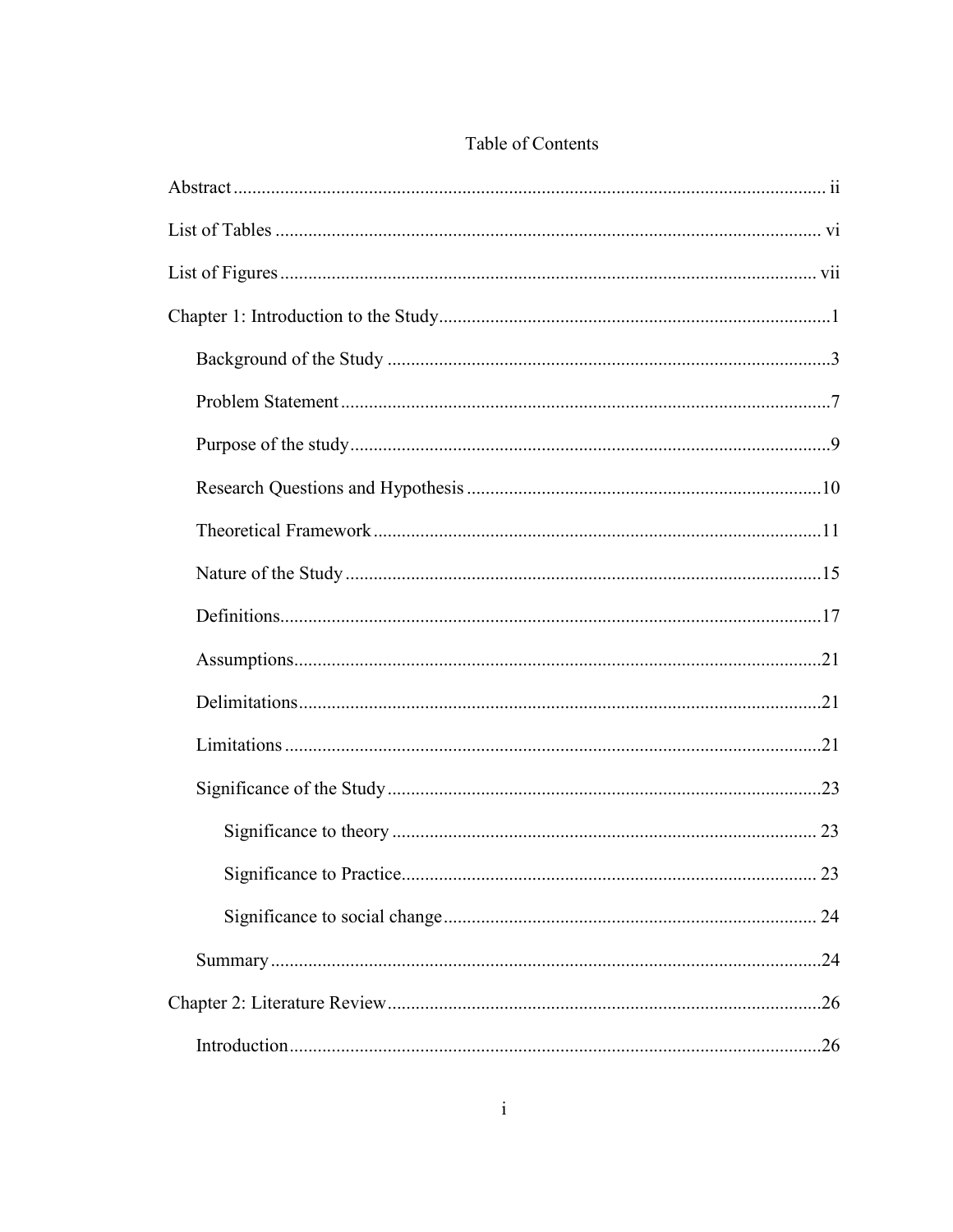| .23 |
|-----|
|     |
| .24 |
|     |
|     |

### Table of Contents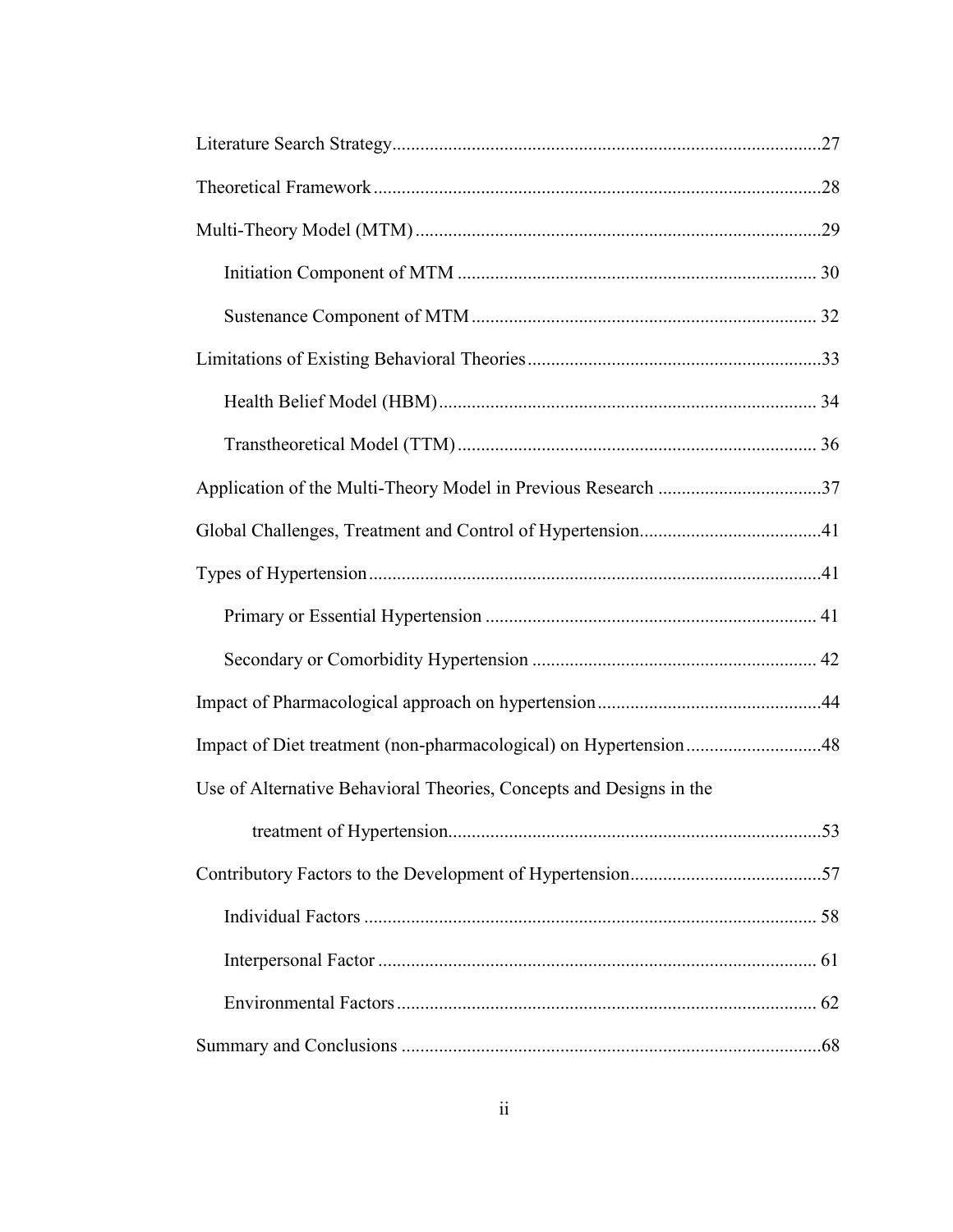| Impact of Diet treatment (non-pharmacological) on Hypertension48    |  |
|---------------------------------------------------------------------|--|
| Use of Alternative Behavioral Theories, Concepts and Designs in the |  |
|                                                                     |  |
|                                                                     |  |
|                                                                     |  |
|                                                                     |  |
|                                                                     |  |
|                                                                     |  |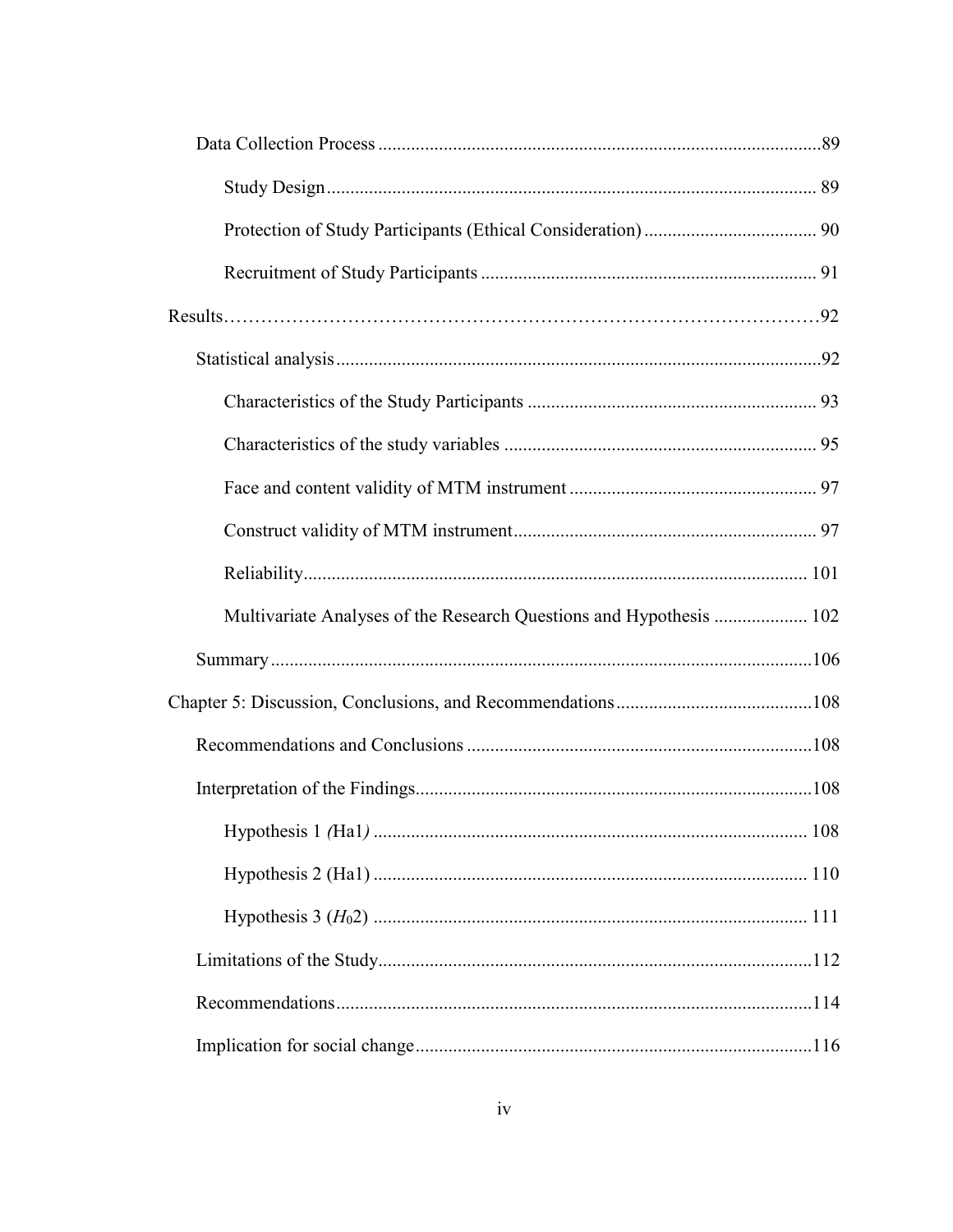| Multivariate Analyses of the Research Questions and Hypothesis  102 |  |
|---------------------------------------------------------------------|--|
|                                                                     |  |
|                                                                     |  |
|                                                                     |  |
|                                                                     |  |
|                                                                     |  |
|                                                                     |  |
|                                                                     |  |
|                                                                     |  |
|                                                                     |  |
|                                                                     |  |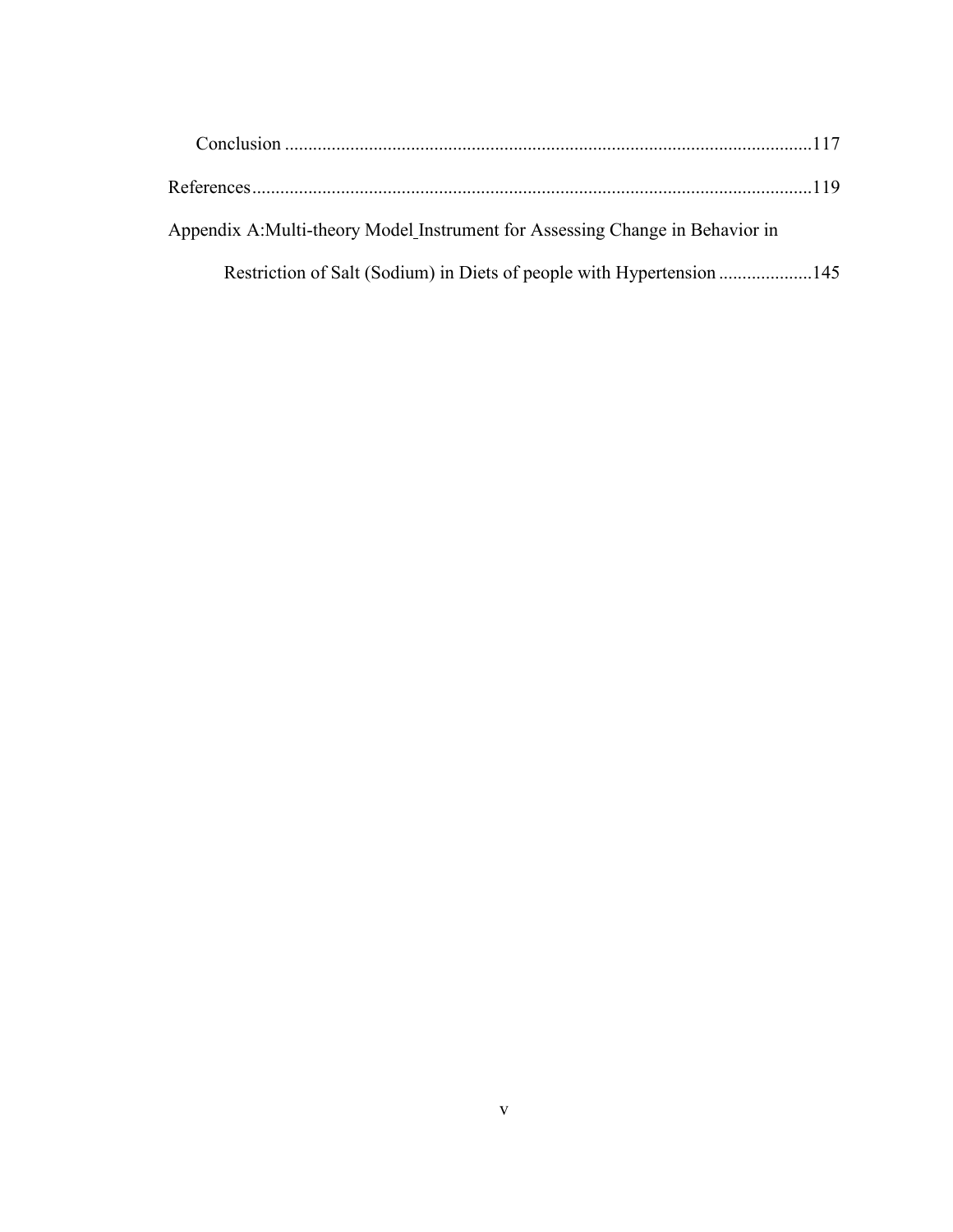| Appendix A: Multi-theory Model Instrument for Assessing Change in Behavior in |  |
|-------------------------------------------------------------------------------|--|
|                                                                               |  |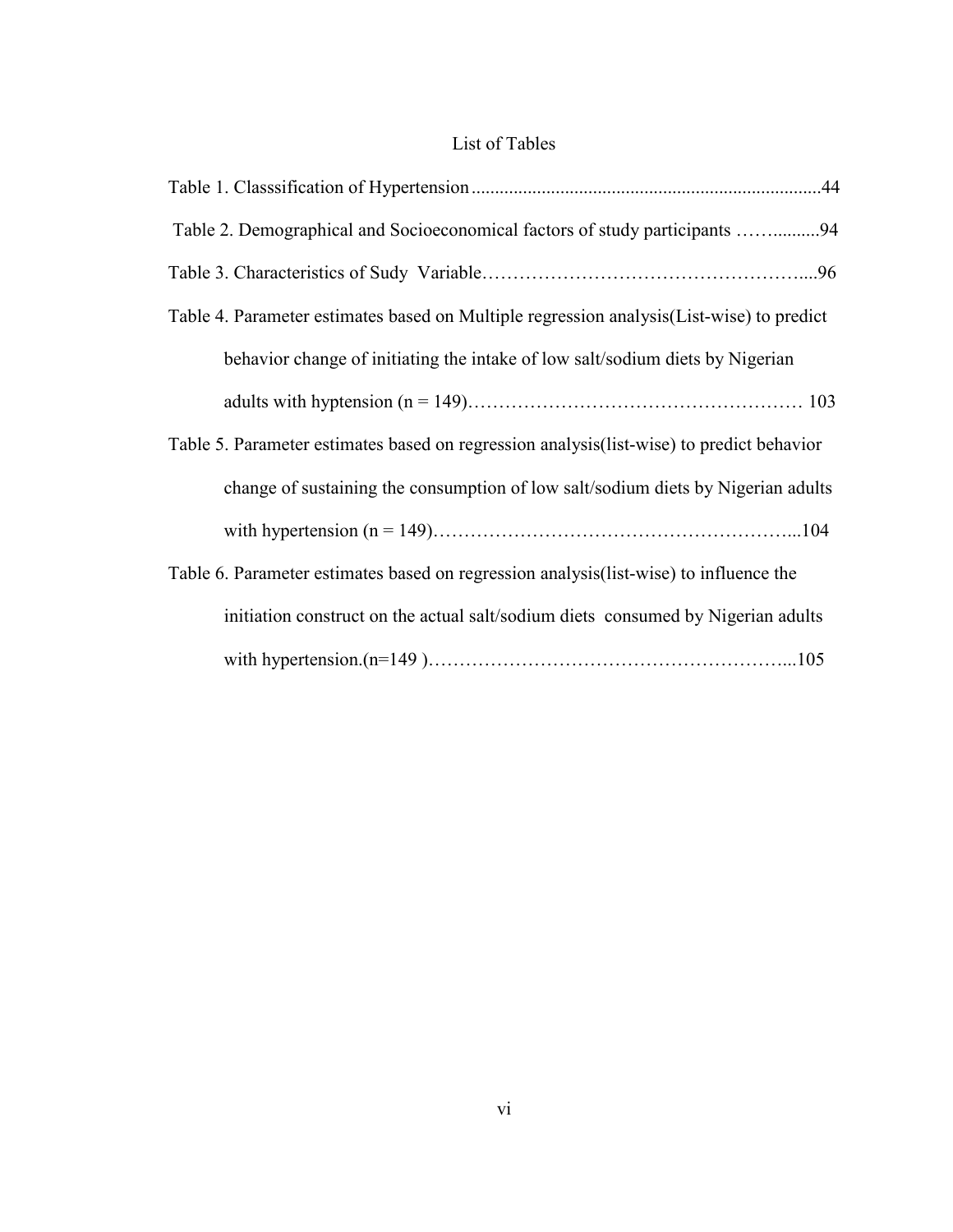### List of Tables

| Table 2. Demographical and Socioeconomical factors of study participants 94               |
|-------------------------------------------------------------------------------------------|
|                                                                                           |
| Table 4. Parameter estimates based on Multiple regression analysis (List-wise) to predict |
| behavior change of initiating the intake of low salt/sodium diets by Nigerian             |
|                                                                                           |
| Table 5. Parameter estimates based on regression analysis (list-wise) to predict behavior |
| change of sustaining the consumption of low salt/sodium diets by Nigerian adults          |
|                                                                                           |
| Table 6. Parameter estimates based on regression analysis (list-wise) to influence the    |
| initiation construct on the actual salt/sodium diets consumed by Nigerian adults          |
|                                                                                           |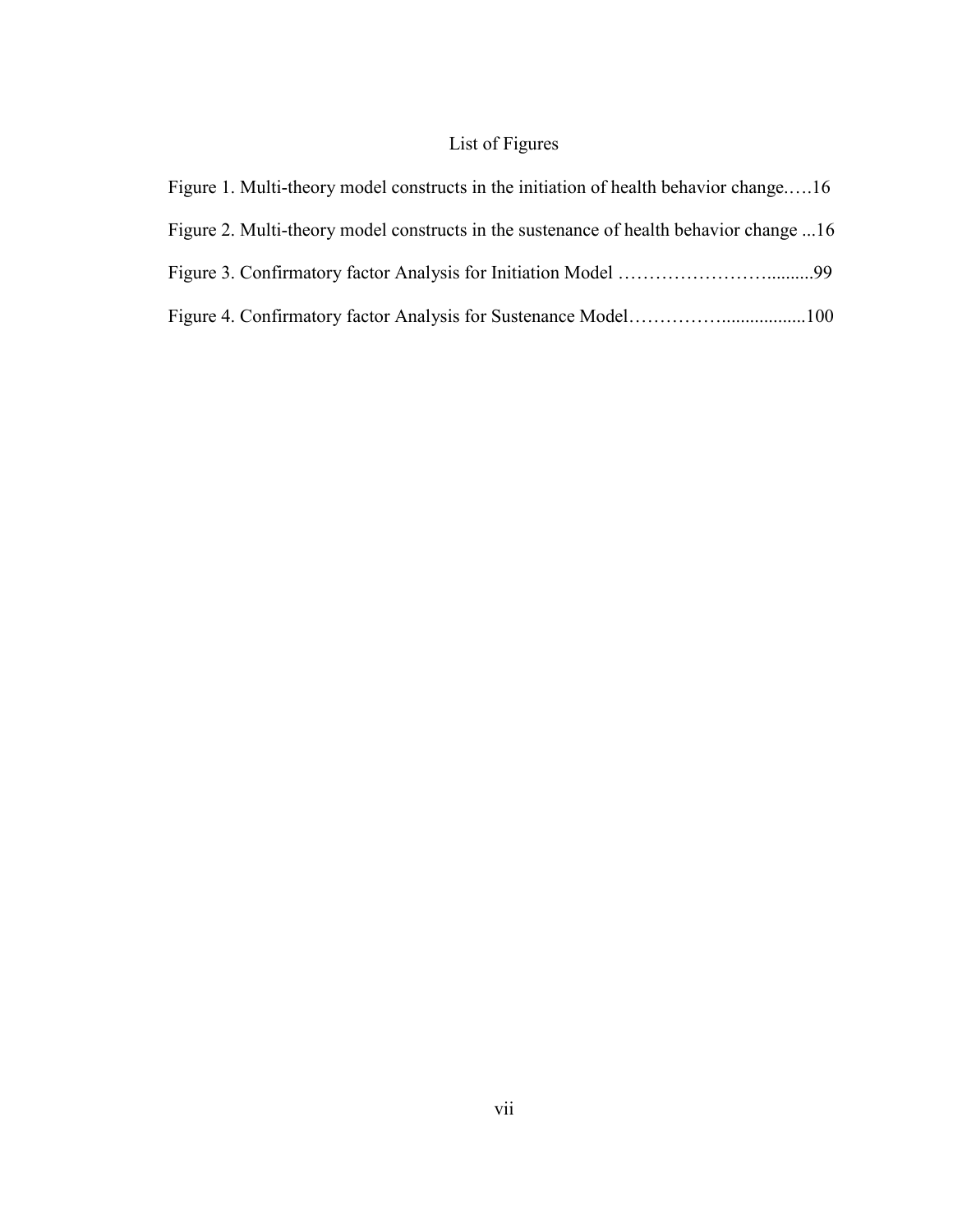## List of Figures

| Figure 1. Multi-theory model constructs in the initiation of health behavior change16  |  |
|----------------------------------------------------------------------------------------|--|
| Figure 2. Multi-theory model constructs in the sustenance of health behavior change 16 |  |
|                                                                                        |  |
|                                                                                        |  |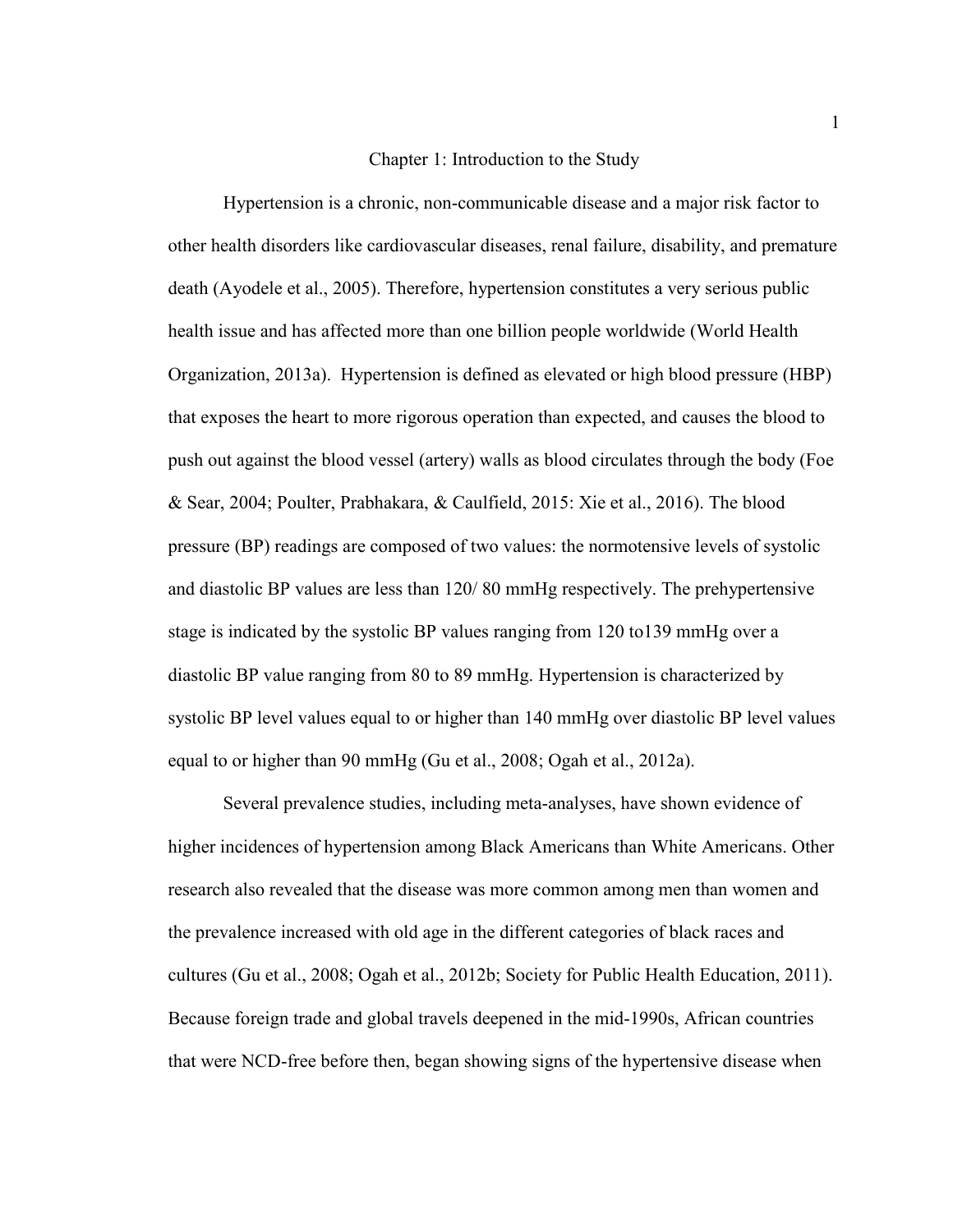#### Chapter 1: Introduction to the Study

Hypertension is a chronic, non-communicable disease and a major risk factor to other health disorders like cardiovascular diseases, renal failure, disability, and premature death (Ayodele et al., 2005). Therefore, hypertension constitutes a very serious public health issue and has affected more than one billion people worldwide (World Health Organization, 2013a). Hypertension is defined as elevated or high blood pressure (HBP) that exposes the heart to more rigorous operation than expected, and causes the blood to push out against the blood vessel (artery) walls as blood circulates through the body (Foe & Sear, 2004; Poulter, Prabhakara, & Caulfield, 2015: Xie et al., 2016). The blood pressure (BP) readings are composed of two values: the normotensive levels of systolic and diastolic BP values are less than 120/ 80 mmHg respectively. The prehypertensive stage is indicated by the systolic BP values ranging from 120 to139 mmHg over a diastolic BP value ranging from 80 to 89 mmHg. Hypertension is characterized by systolic BP level values equal to or higher than 140 mmHg over diastolic BP level values equal to or higher than 90 mmHg (Gu et al., 2008; Ogah et al., 2012a).

Several prevalence studies, including meta-analyses, have shown evidence of higher incidences of hypertension among Black Americans than White Americans. Other research also revealed that the disease was more common among men than women and the prevalence increased with old age in the different categories of black races and cultures (Gu et al., 2008; Ogah et al., 2012b; Society for Public Health Education, 2011). Because foreign trade and global travels deepened in the mid-1990s, African countries that were NCD-free before then, began showing signs of the hypertensive disease when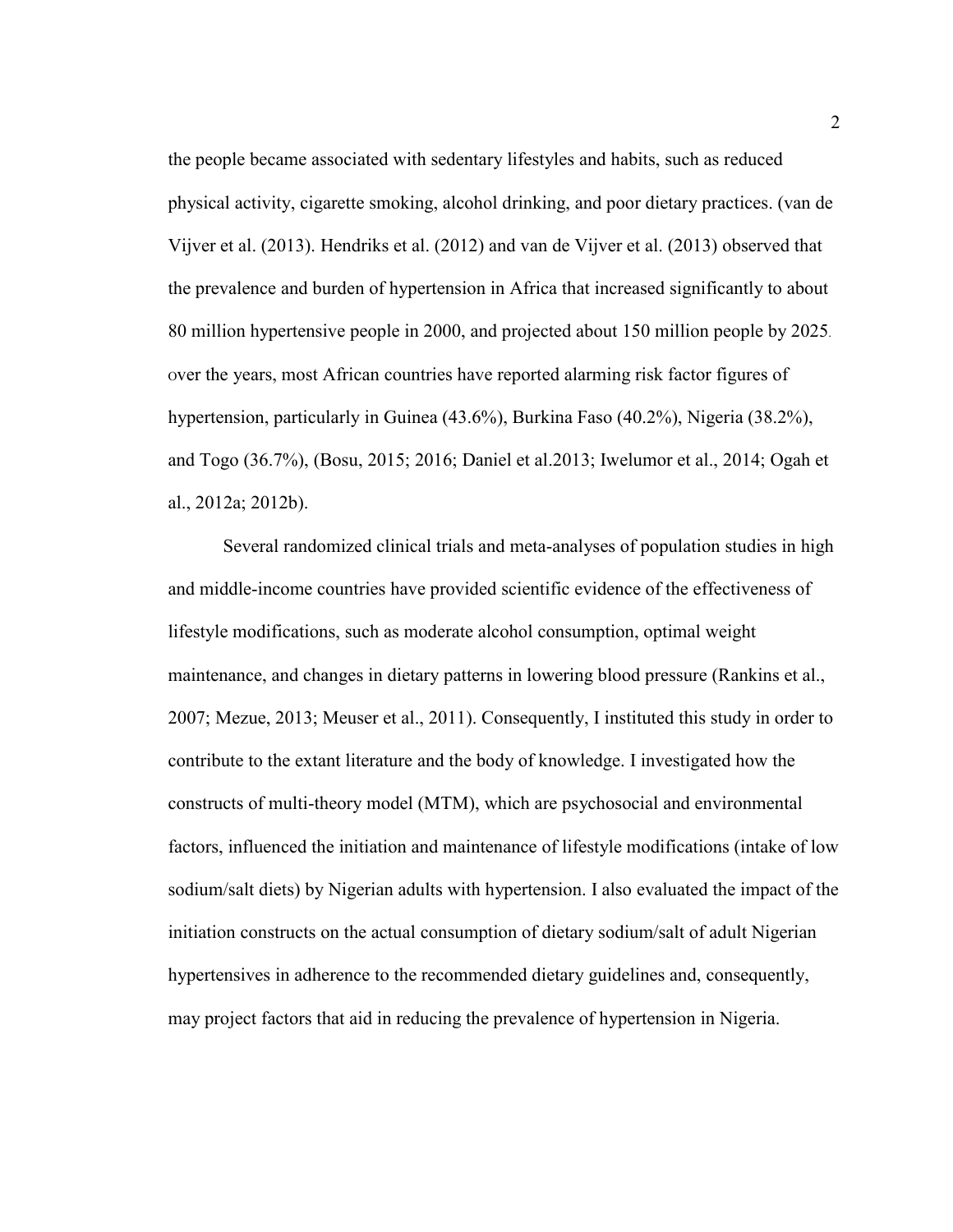the people became associated with sedentary lifestyles and habits, such as reduced physical activity, cigarette smoking, alcohol drinking, and poor dietary practices. (van de Vijver et al. (2013). Hendriks et al. (2012) and van de Vijver et al. (2013) observed that the prevalence and burden of hypertension in Africa that increased significantly to about 80 million hypertensive people in 2000, and projected about 150 million people by 2025. <sup>O</sup>ver the years, most African countries have reported alarming risk factor figures of hypertension, particularly in Guinea (43.6%), Burkina Faso (40.2%), Nigeria (38.2%), and Togo (36.7%), (Bosu, 2015; 2016; Daniel et al.2013; Iwelumor et al., 2014; Ogah et al., 2012a; 2012b).

Several randomized clinical trials and meta-analyses of population studies in high and middle-income countries have provided scientific evidence of the effectiveness of lifestyle modifications, such as moderate alcohol consumption, optimal weight maintenance, and changes in dietary patterns in lowering blood pressure (Rankins et al., 2007; Mezue, 2013; Meuser et al., 2011). Consequently, I instituted this study in order to contribute to the extant literature and the body of knowledge. I investigated how the constructs of multi-theory model (MTM), which are psychosocial and environmental factors, influenced the initiation and maintenance of lifestyle modifications (intake of low sodium/salt diets) by Nigerian adults with hypertension. I also evaluated the impact of the initiation constructs on the actual consumption of dietary sodium/salt of adult Nigerian hypertensives in adherence to the recommended dietary guidelines and, consequently, may project factors that aid in reducing the prevalence of hypertension in Nigeria.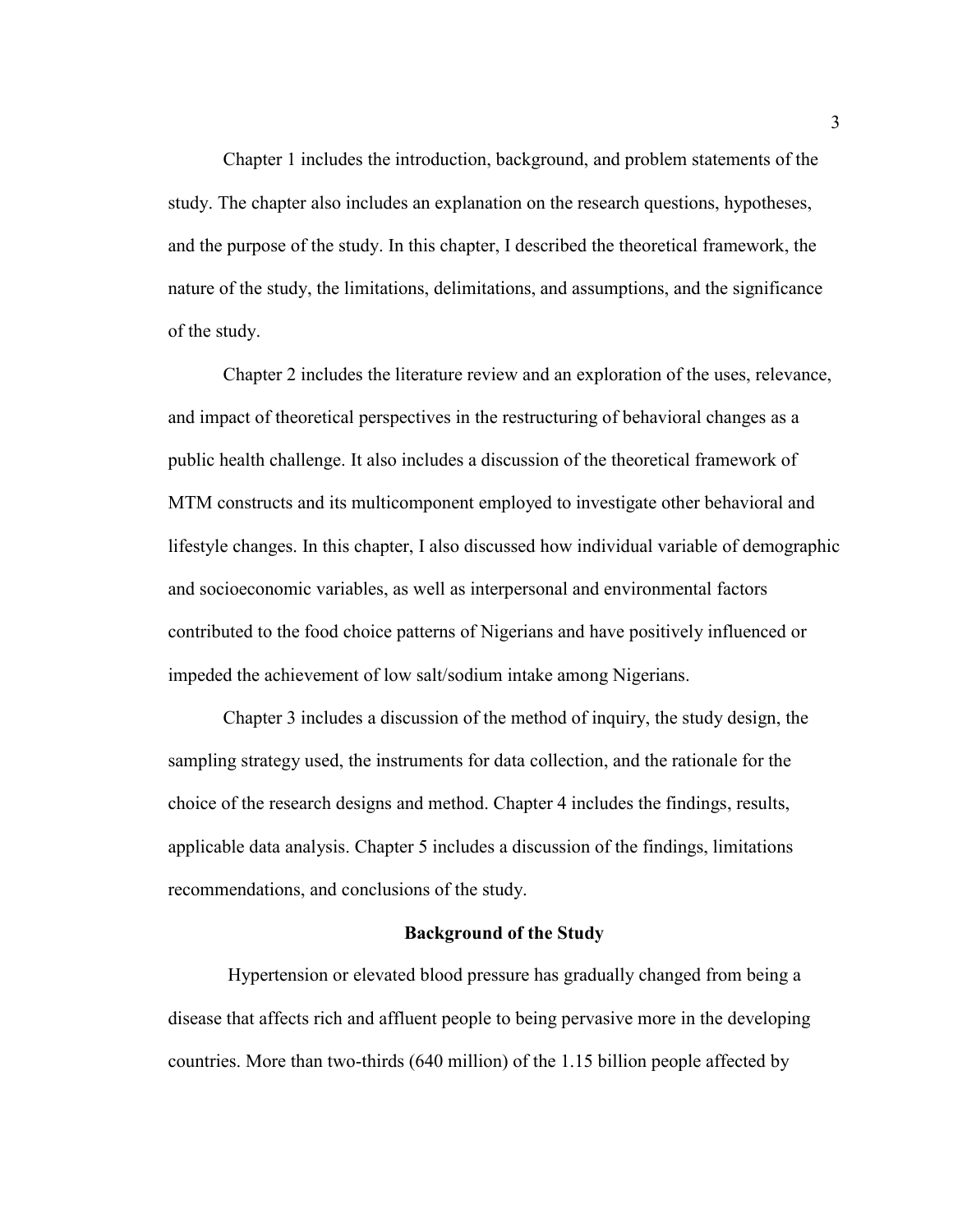Chapter 1 includes the introduction, background, and problem statements of the study. The chapter also includes an explanation on the research questions, hypotheses, and the purpose of the study. In this chapter, I described the theoretical framework, the nature of the study, the limitations, delimitations, and assumptions, and the significance of the study.

Chapter 2 includes the literature review and an exploration of the uses, relevance, and impact of theoretical perspectives in the restructuring of behavioral changes as a public health challenge. It also includes a discussion of the theoretical framework of MTM constructs and its multicomponent employed to investigate other behavioral and lifestyle changes. In this chapter, I also discussed how individual variable of demographic and socioeconomic variables, as well as interpersonal and environmental factors contributed to the food choice patterns of Nigerians and have positively influenced or impeded the achievement of low salt/sodium intake among Nigerians.

Chapter 3 includes a discussion of the method of inquiry, the study design, the sampling strategy used, the instruments for data collection, and the rationale for the choice of the research designs and method. Chapter 4 includes the findings, results, applicable data analysis. Chapter 5 includes a discussion of the findings, limitations recommendations, and conclusions of the study.

#### **Background of the Study**

 Hypertension or elevated blood pressure has gradually changed from being a disease that affects rich and affluent people to being pervasive more in the developing countries. More than two-thirds (640 million) of the 1.15 billion people affected by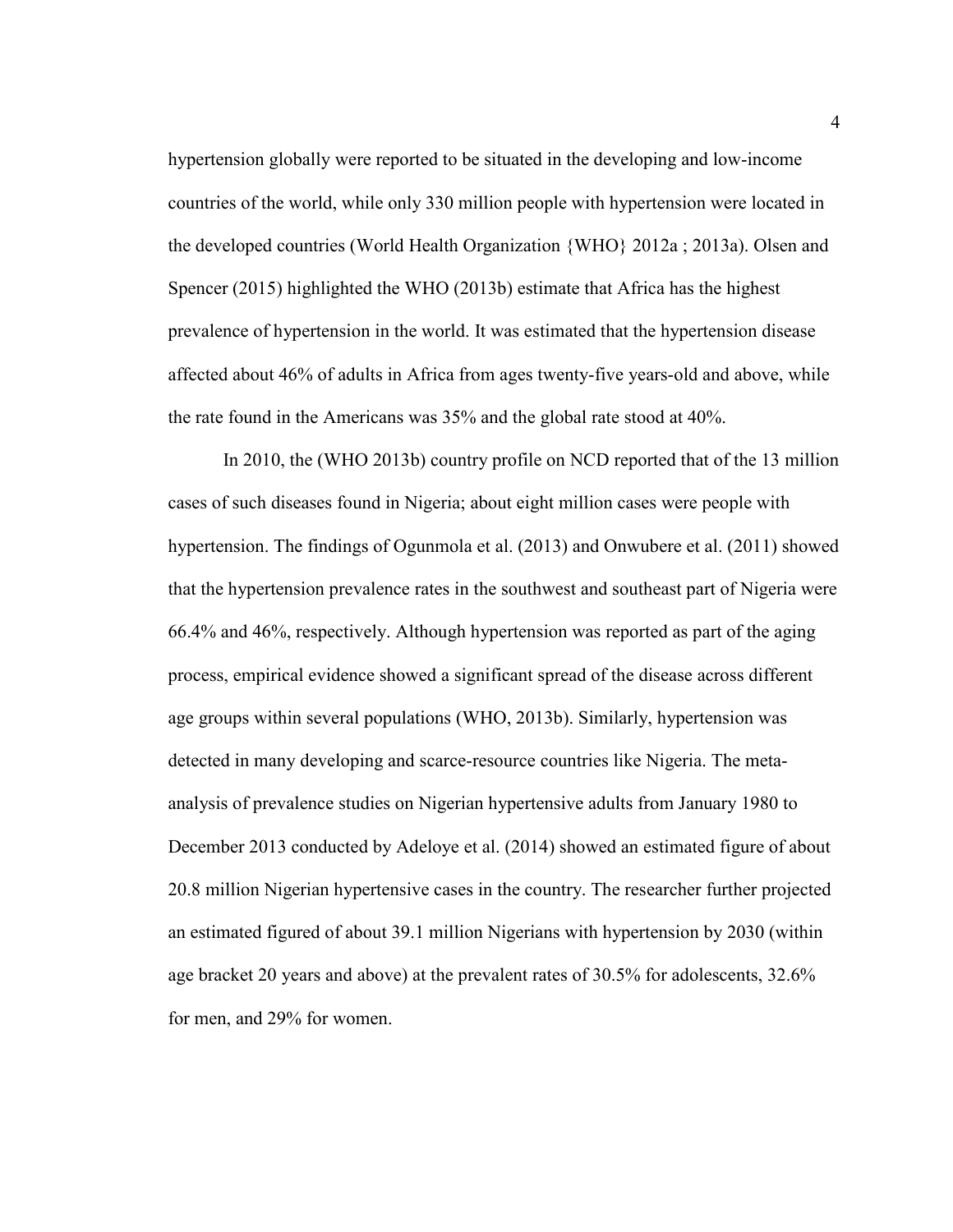hypertension globally were reported to be situated in the developing and low-income countries of the world, while only 330 million people with hypertension were located in the developed countries (World Health Organization {WHO} 2012a ; 2013a). Olsen and Spencer (2015) highlighted the WHO (2013b) estimate that Africa has the highest prevalence of hypertension in the world. It was estimated that the hypertension disease affected about 46% of adults in Africa from ages twenty-five years-old and above, while the rate found in the Americans was 35% and the global rate stood at 40%.

In 2010, the (WHO 2013b) country profile on NCD reported that of the 13 million cases of such diseases found in Nigeria; about eight million cases were people with hypertension. The findings of Ogunmola et al. (2013) and Onwubere et al. (2011) showed that the hypertension prevalence rates in the southwest and southeast part of Nigeria were 66.4% and 46%, respectively. Although hypertension was reported as part of the aging process, empirical evidence showed a significant spread of the disease across different age groups within several populations (WHO, 2013b). Similarly, hypertension was detected in many developing and scarce-resource countries like Nigeria. The metaanalysis of prevalence studies on Nigerian hypertensive adults from January 1980 to December 2013 conducted by Adeloye et al. (2014) showed an estimated figure of about 20.8 million Nigerian hypertensive cases in the country. The researcher further projected an estimated figured of about 39.1 million Nigerians with hypertension by 2030 (within age bracket 20 years and above) at the prevalent rates of 30.5% for adolescents, 32.6% for men, and 29% for women.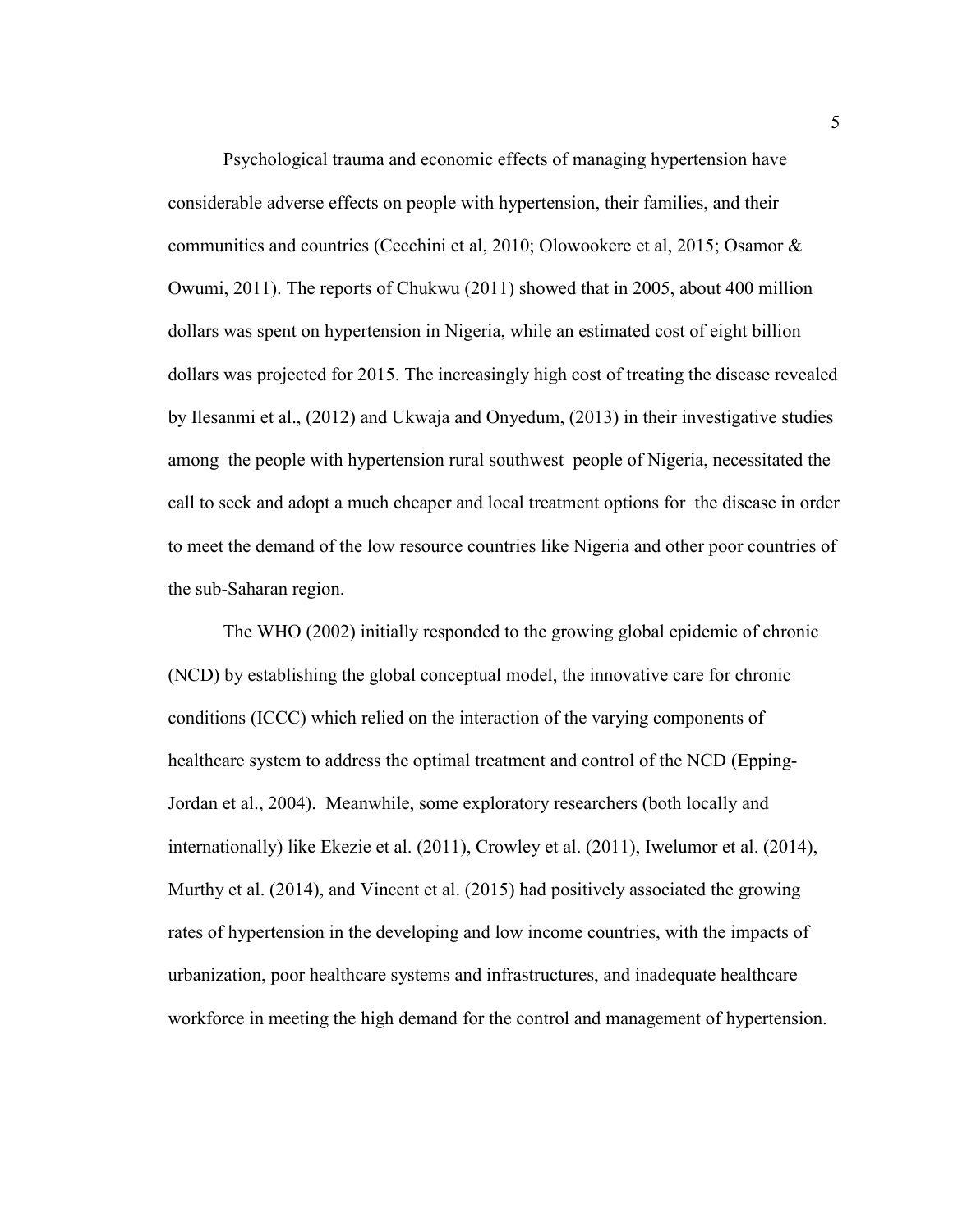Psychological trauma and economic effects of managing hypertension have considerable adverse effects on people with hypertension, their families, and their communities and countries (Cecchini et al, 2010; Olowookere et al, 2015; Osamor & Owumi, 2011). The reports of Chukwu (2011) showed that in 2005, about 400 million dollars was spent on hypertension in Nigeria, while an estimated cost of eight billion dollars was projected for 2015. The increasingly high cost of treating the disease revealed by Ilesanmi et al., (2012) and Ukwaja and Onyedum, (2013) in their investigative studies among the people with hypertension rural southwest people of Nigeria, necessitated the call to seek and adopt a much cheaper and local treatment options for the disease in order to meet the demand of the low resource countries like Nigeria and other poor countries of the sub-Saharan region.

The WHO (2002) initially responded to the growing global epidemic of chronic (NCD) by establishing the global conceptual model, the innovative care for chronic conditions (ICCC) which relied on the interaction of the varying components of healthcare system to address the optimal treatment and control of the NCD (Epping-Jordan et al., 2004). Meanwhile, some exploratory researchers (both locally and internationally) like Ekezie et al. (2011), Crowley et al. (2011), Iwelumor et al. (2014), Murthy et al. (2014), and Vincent et al. (2015) had positively associated the growing rates of hypertension in the developing and low income countries, with the impacts of urbanization, poor healthcare systems and infrastructures, and inadequate healthcare workforce in meeting the high demand for the control and management of hypertension.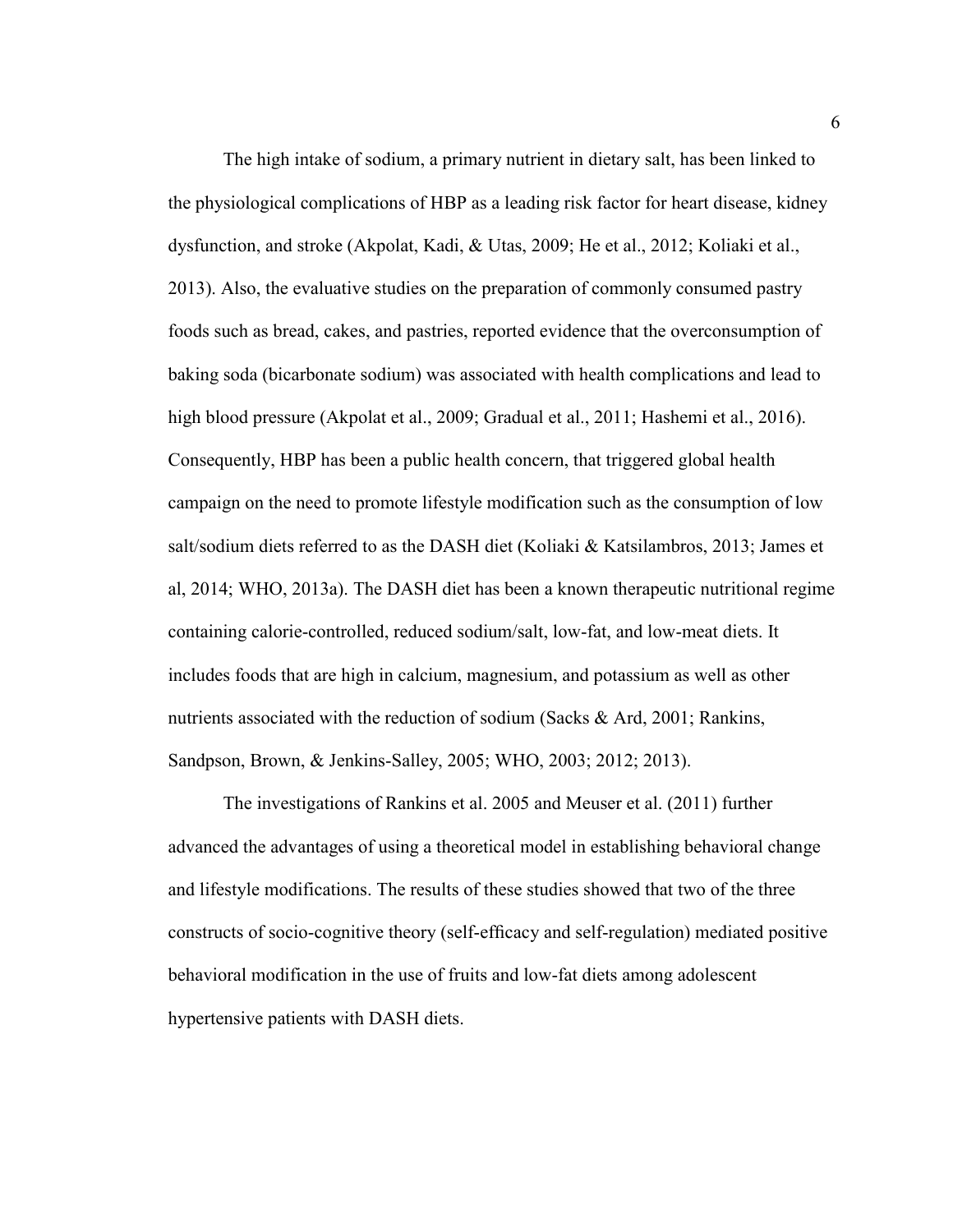The high intake of sodium, a primary nutrient in dietary salt, has been linked to the physiological complications of HBP as a leading risk factor for heart disease, kidney dysfunction, and stroke (Akpolat, Kadi, & Utas, 2009; He et al., 2012; Koliaki et al., 2013). Also, the evaluative studies on the preparation of commonly consumed pastry foods such as bread, cakes, and pastries, reported evidence that the overconsumption of baking soda (bicarbonate sodium) was associated with health complications and lead to high blood pressure (Akpolat et al., 2009; Gradual et al., 2011; Hashemi et al., 2016). Consequently, HBP has been a public health concern, that triggered global health campaign on the need to promote lifestyle modification such as the consumption of low salt/sodium diets referred to as the DASH diet (Koliaki & Katsilambros, 2013; James et al, 2014; WHO, 2013a). The DASH diet has been a known therapeutic nutritional regime containing calorie-controlled, reduced sodium/salt, low-fat, and low-meat diets. It includes foods that are high in calcium, magnesium, and potassium as well as other nutrients associated with the reduction of sodium (Sacks & Ard, 2001; Rankins, Sandpson, Brown, & Jenkins-Salley, 2005; WHO, 2003; 2012; 2013).

The investigations of Rankins et al. 2005 and Meuser et al. (2011) further advanced the advantages of using a theoretical model in establishing behavioral change and lifestyle modifications. The results of these studies showed that two of the three constructs of socio-cognitive theory (self-efficacy and self-regulation) mediated positive behavioral modification in the use of fruits and low-fat diets among adolescent hypertensive patients with DASH diets.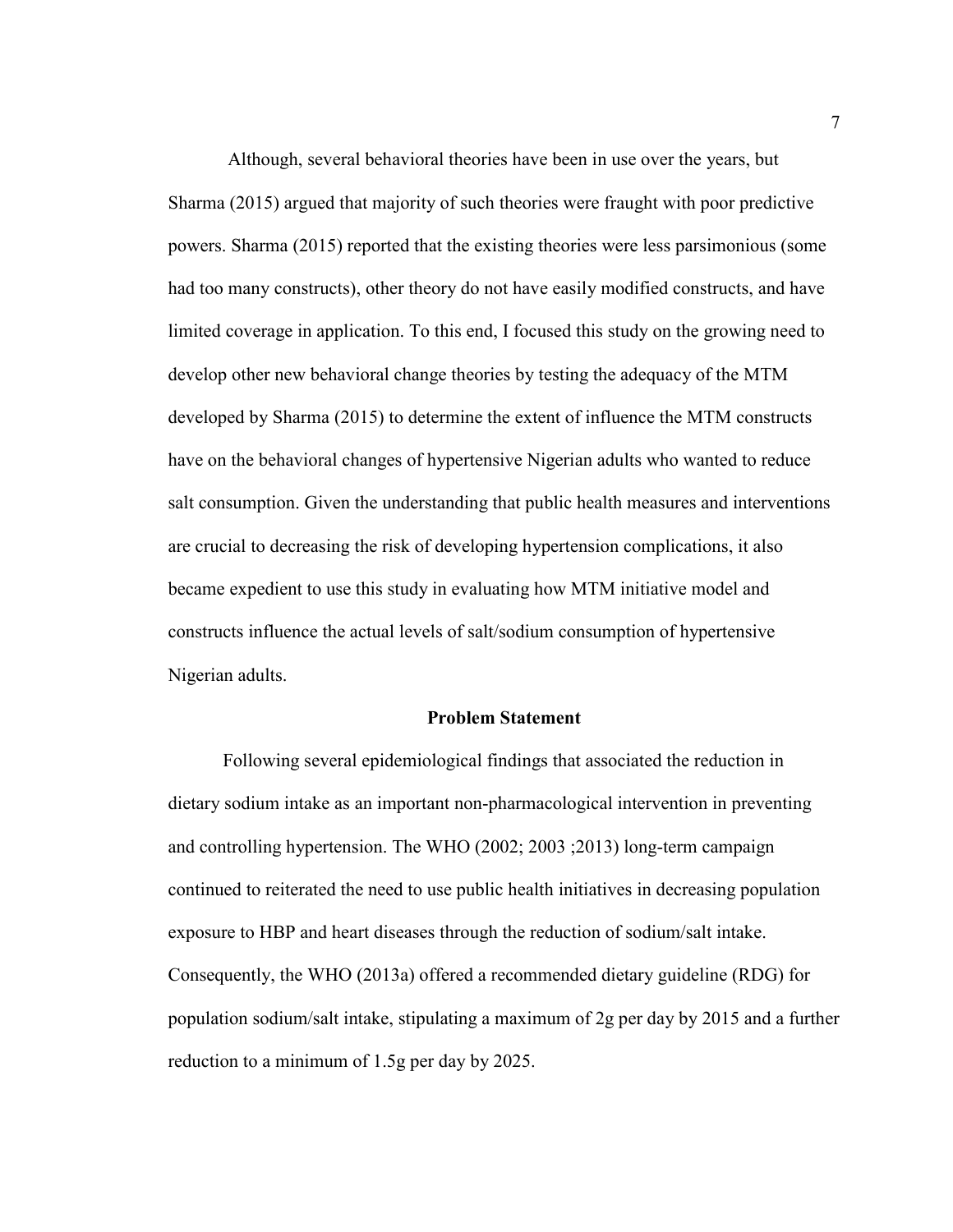Although, several behavioral theories have been in use over the years, but Sharma (2015) argued that majority of such theories were fraught with poor predictive powers. Sharma (2015) reported that the existing theories were less parsimonious (some had too many constructs), other theory do not have easily modified constructs, and have limited coverage in application. To this end, I focused this study on the growing need to develop other new behavioral change theories by testing the adequacy of the MTM developed by Sharma (2015) to determine the extent of influence the MTM constructs have on the behavioral changes of hypertensive Nigerian adults who wanted to reduce salt consumption. Given the understanding that public health measures and interventions are crucial to decreasing the risk of developing hypertension complications, it also became expedient to use this study in evaluating how MTM initiative model and constructs influence the actual levels of salt/sodium consumption of hypertensive Nigerian adults.

#### **Problem Statement**

Following several epidemiological findings that associated the reduction in dietary sodium intake as an important non-pharmacological intervention in preventing and controlling hypertension. The WHO (2002; 2003 ;2013) long-term campaign continued to reiterated the need to use public health initiatives in decreasing population exposure to HBP and heart diseases through the reduction of sodium/salt intake. Consequently, the WHO (2013a) offered a recommended dietary guideline (RDG) for population sodium/salt intake, stipulating a maximum of 2g per day by 2015 and a further reduction to a minimum of 1.5g per day by 2025.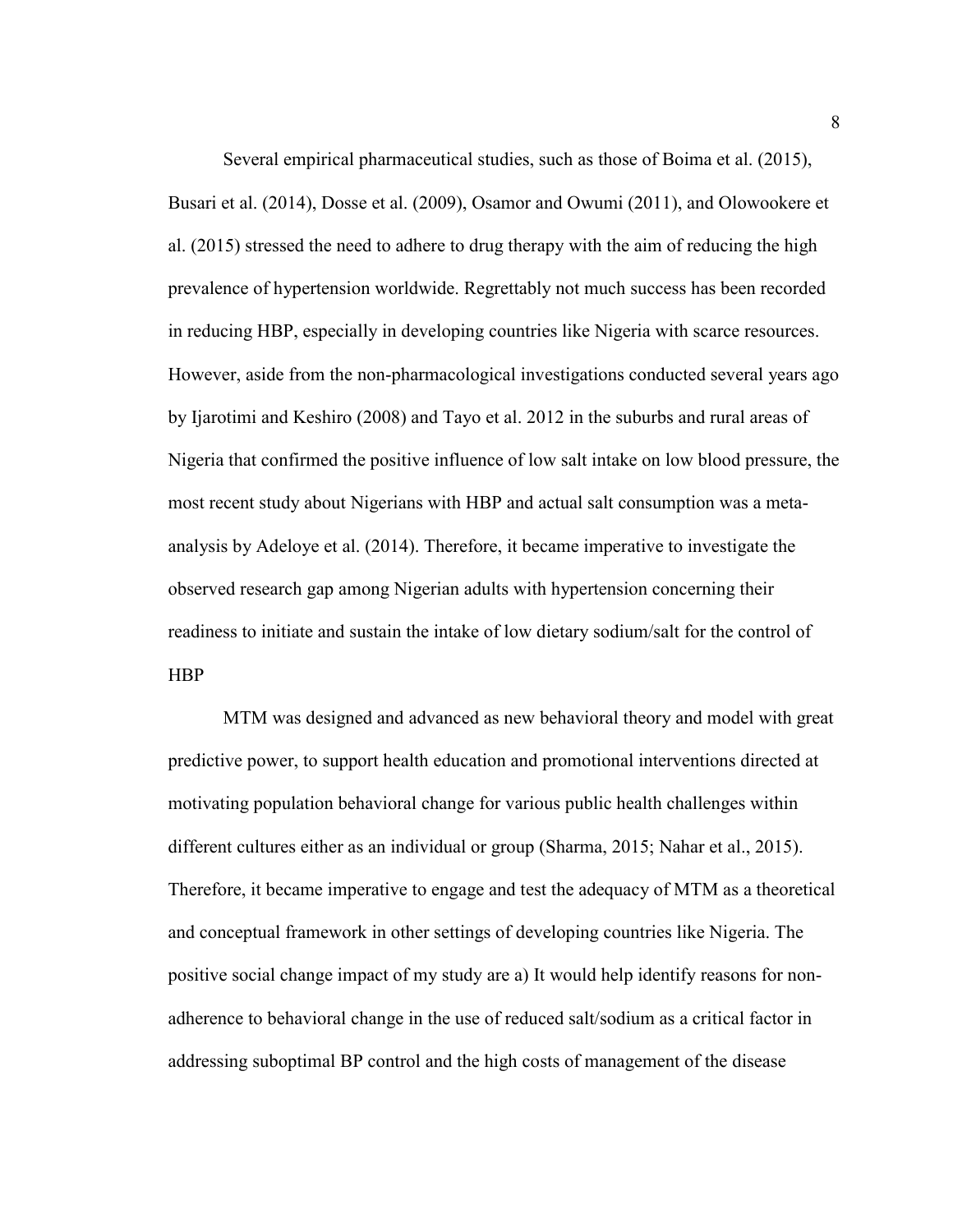Several empirical pharmaceutical studies, such as those of Boima et al. (2015), Busari et al. (2014), Dosse et al. (2009), Osamor and Owumi (2011), and Olowookere et al. (2015) stressed the need to adhere to drug therapy with the aim of reducing the high prevalence of hypertension worldwide. Regrettably not much success has been recorded in reducing HBP, especially in developing countries like Nigeria with scarce resources. However, aside from the non-pharmacological investigations conducted several years ago by Ijarotimi and Keshiro (2008) and Tayo et al. 2012 in the suburbs and rural areas of Nigeria that confirmed the positive influence of low salt intake on low blood pressure, the most recent study about Nigerians with HBP and actual salt consumption was a metaanalysis by Adeloye et al. (2014). Therefore, it became imperative to investigate the observed research gap among Nigerian adults with hypertension concerning their readiness to initiate and sustain the intake of low dietary sodium/salt for the control of HBP

MTM was designed and advanced as new behavioral theory and model with great predictive power, to support health education and promotional interventions directed at motivating population behavioral change for various public health challenges within different cultures either as an individual or group (Sharma, 2015; Nahar et al., 2015). Therefore, it became imperative to engage and test the adequacy of MTM as a theoretical and conceptual framework in other settings of developing countries like Nigeria. The positive social change impact of my study are a) It would help identify reasons for nonadherence to behavioral change in the use of reduced salt/sodium as a critical factor in addressing suboptimal BP control and the high costs of management of the disease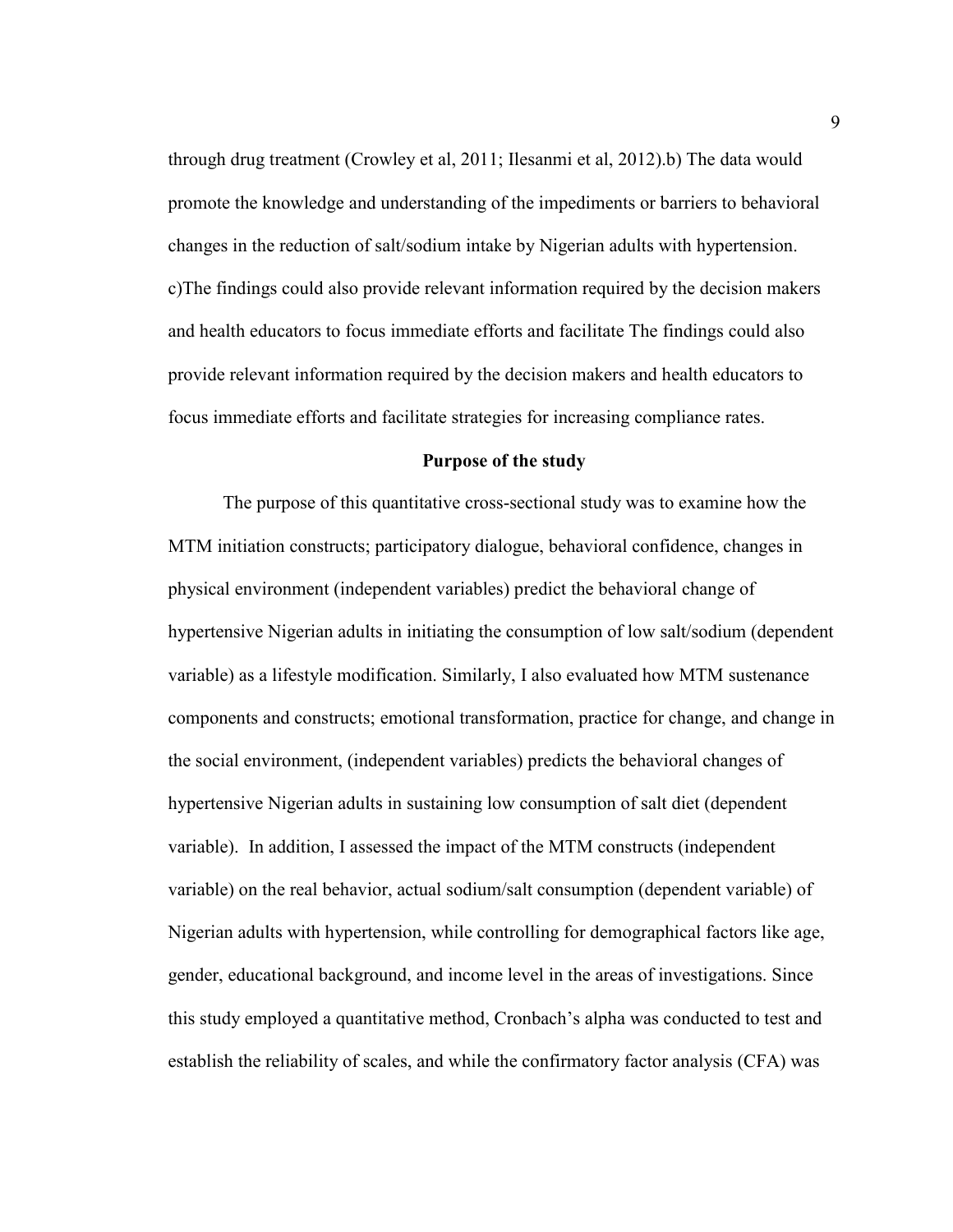through drug treatment (Crowley et al, 2011; Ilesanmi et al, 2012).b) The data would promote the knowledge and understanding of the impediments or barriers to behavioral changes in the reduction of salt/sodium intake by Nigerian adults with hypertension. c)The findings could also provide relevant information required by the decision makers and health educators to focus immediate efforts and facilitate The findings could also provide relevant information required by the decision makers and health educators to focus immediate efforts and facilitate strategies for increasing compliance rates.

#### **Purpose of the study**

The purpose of this quantitative cross-sectional study was to examine how the MTM initiation constructs; participatory dialogue, behavioral confidence, changes in physical environment (independent variables) predict the behavioral change of hypertensive Nigerian adults in initiating the consumption of low salt/sodium (dependent variable) as a lifestyle modification. Similarly, I also evaluated how MTM sustenance components and constructs; emotional transformation, practice for change, and change in the social environment, (independent variables) predicts the behavioral changes of hypertensive Nigerian adults in sustaining low consumption of salt diet (dependent variable). In addition, I assessed the impact of the MTM constructs (independent variable) on the real behavior, actual sodium/salt consumption (dependent variable) of Nigerian adults with hypertension, while controlling for demographical factors like age, gender, educational background, and income level in the areas of investigations. Since this study employed a quantitative method, Cronbach's alpha was conducted to test and establish the reliability of scales, and while the confirmatory factor analysis (CFA) was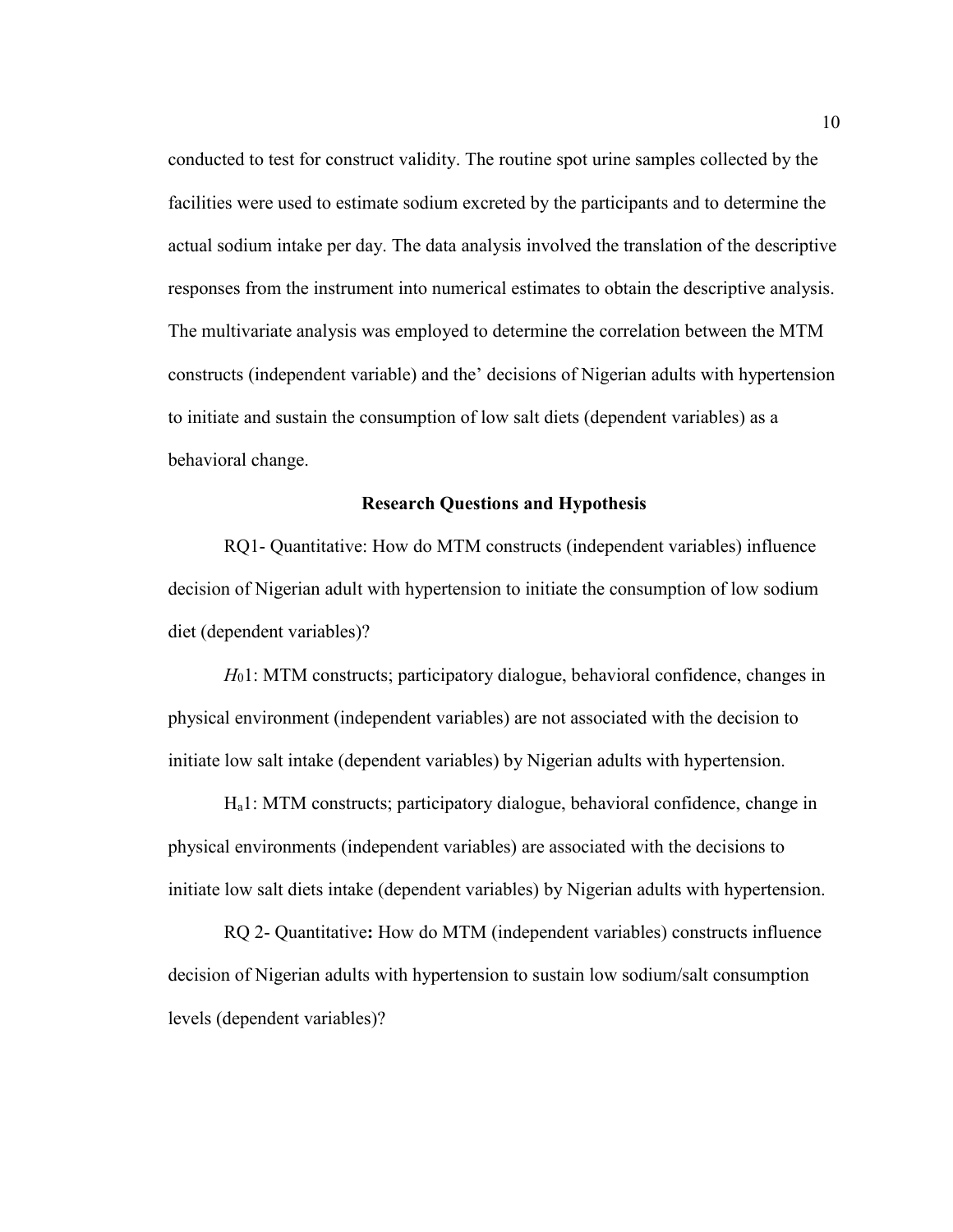conducted to test for construct validity. The routine spot urine samples collected by the facilities were used to estimate sodium excreted by the participants and to determine the actual sodium intake per day. The data analysis involved the translation of the descriptive responses from the instrument into numerical estimates to obtain the descriptive analysis. The multivariate analysis was employed to determine the correlation between the MTM constructs (independent variable) and the' decisions of Nigerian adults with hypertension to initiate and sustain the consumption of low salt diets (dependent variables) as a behavioral change.

#### **Research Questions and Hypothesis**

RQ1- Quantitative: How do MTM constructs (independent variables) influence decision of Nigerian adult with hypertension to initiate the consumption of low sodium diet (dependent variables)?

*H*01: MTM constructs; participatory dialogue, behavioral confidence, changes in physical environment (independent variables) are not associated with the decision to initiate low salt intake (dependent variables) by Nigerian adults with hypertension.

 Ha1: MTM constructs; participatory dialogue, behavioral confidence, change in physical environments (independent variables) are associated with the decisions to initiate low salt diets intake (dependent variables) by Nigerian adults with hypertension.

RQ 2- Quantitative**:** How do MTM (independent variables) constructs influence decision of Nigerian adults with hypertension to sustain low sodium/salt consumption levels (dependent variables)?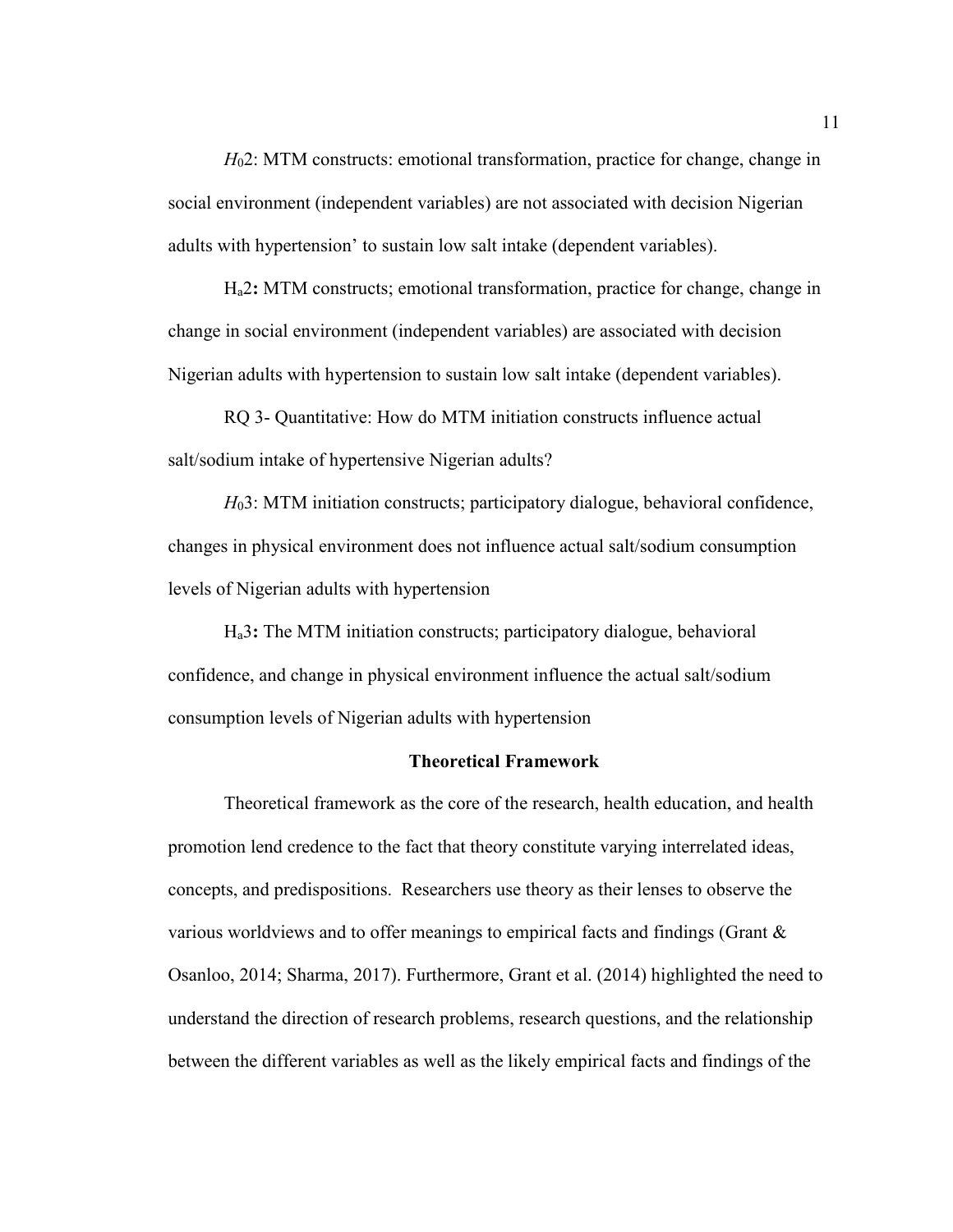*H*<sub>0</sub>2: MTM constructs: emotional transformation, practice for change, change in social environment (independent variables) are not associated with decision Nigerian adults with hypertension' to sustain low salt intake (dependent variables).

Ha2**:** MTM constructs; emotional transformation, practice for change, change in change in social environment (independent variables) are associated with decision Nigerian adults with hypertension to sustain low salt intake (dependent variables).

RQ 3- Quantitative: How do MTM initiation constructs influence actual salt/sodium intake of hypertensive Nigerian adults?

*H*<sub>0</sub>3: MTM initiation constructs; participatory dialogue, behavioral confidence, changes in physical environment does not influence actual salt/sodium consumption levels of Nigerian adults with hypertension

Ha3**:** The MTM initiation constructs; participatory dialogue, behavioral confidence, and change in physical environment influence the actual salt/sodium consumption levels of Nigerian adults with hypertension

#### **Theoretical Framework**

Theoretical framework as the core of the research, health education, and health promotion lend credence to the fact that theory constitute varying interrelated ideas, concepts, and predispositions. Researchers use theory as their lenses to observe the various worldviews and to offer meanings to empirical facts and findings (Grant & Osanloo, 2014; Sharma, 2017). Furthermore, Grant et al. (2014) highlighted the need to understand the direction of research problems, research questions, and the relationship between the different variables as well as the likely empirical facts and findings of the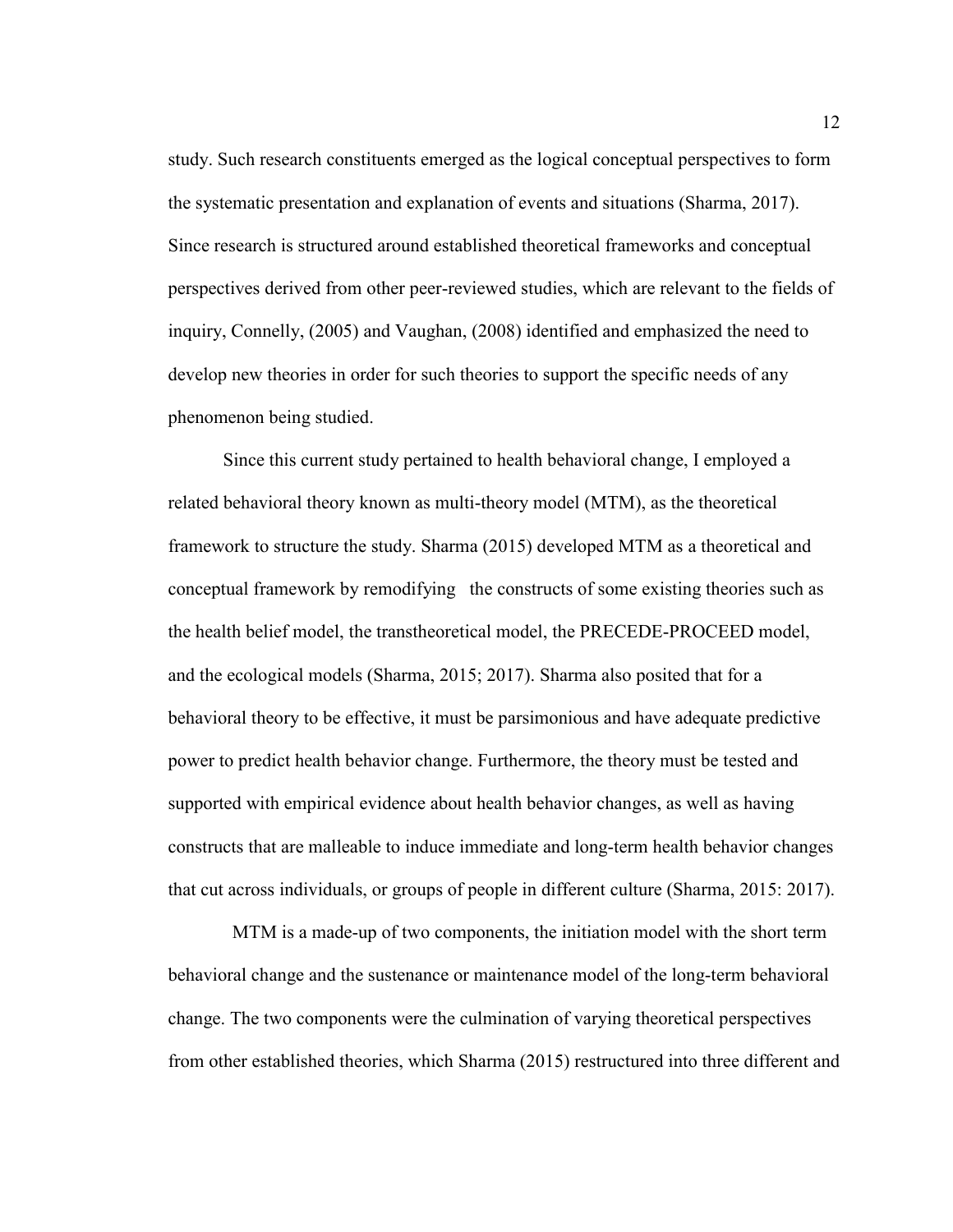study. Such research constituents emerged as the logical conceptual perspectives to form the systematic presentation and explanation of events and situations (Sharma, 2017). Since research is structured around established theoretical frameworks and conceptual perspectives derived from other peer-reviewed studies, which are relevant to the fields of inquiry, Connelly, (2005) and Vaughan, (2008) identified and emphasized the need to develop new theories in order for such theories to support the specific needs of any phenomenon being studied.

Since this current study pertained to health behavioral change, I employed a related behavioral theory known as multi-theory model (MTM), as the theoretical framework to structure the study. Sharma (2015) developed MTM as a theoretical and conceptual framework by remodifying the constructs of some existing theories such as the health belief model, the transtheoretical model, the PRECEDE-PROCEED model, and the ecological models (Sharma, 2015; 2017). Sharma also posited that for a behavioral theory to be effective, it must be parsimonious and have adequate predictive power to predict health behavior change. Furthermore, the theory must be tested and supported with empirical evidence about health behavior changes, as well as having constructs that are malleable to induce immediate and long-term health behavior changes that cut across individuals, or groups of people in different culture (Sharma, 2015: 2017).

 MTM is a made-up of two components, the initiation model with the short term behavioral change and the sustenance or maintenance model of the long-term behavioral change. The two components were the culmination of varying theoretical perspectives from other established theories, which Sharma (2015) restructured into three different and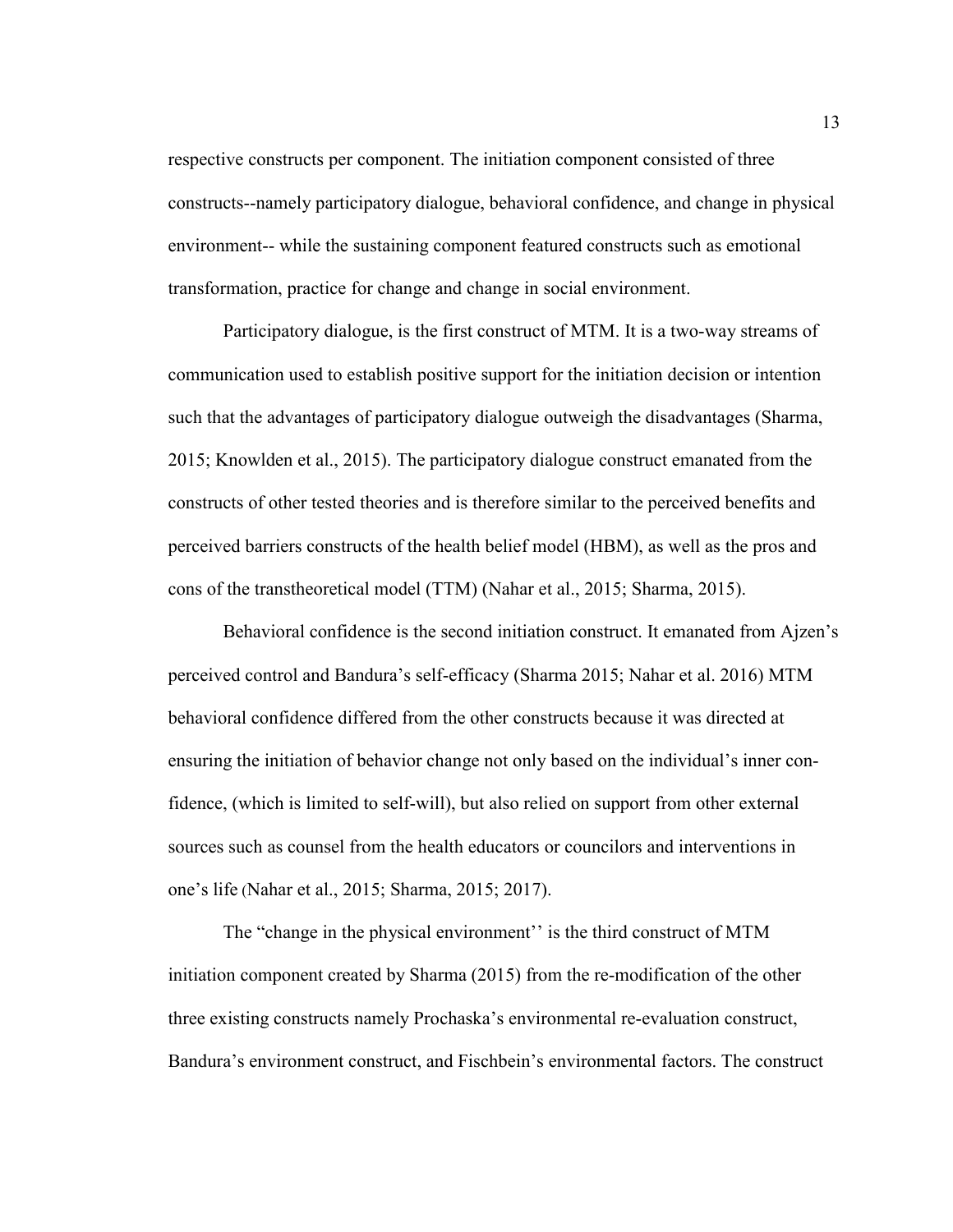respective constructs per component. The initiation component consisted of three constructs--namely participatory dialogue, behavioral confidence, and change in physical environment-- while the sustaining component featured constructs such as emotional transformation, practice for change and change in social environment.

Participatory dialogue, is the first construct of MTM. It is a two-way streams of communication used to establish positive support for the initiation decision or intention such that the advantages of participatory dialogue outweigh the disadvantages (Sharma, 2015; Knowlden et al., 2015). The participatory dialogue construct emanated from the constructs of other tested theories and is therefore similar to the perceived benefits and perceived barriers constructs of the health belief model (HBM), as well as the pros and cons of the transtheoretical model (TTM) (Nahar et al., 2015; Sharma, 2015).

Behavioral confidence is the second initiation construct. It emanated from Ajzen's perceived control and Bandura's self-efficacy (Sharma 2015; Nahar et al. 2016) MTM behavioral confidence differed from the other constructs because it was directed at ensuring the initiation of behavior change not only based on the individual's inner confidence, (which is limited to self-will), but also relied on support from other external sources such as counsel from the health educators or councilors and interventions in one's life (Nahar et al., 2015; Sharma, 2015; 2017).

The "change in the physical environment'' is the third construct of MTM initiation component created by Sharma (2015) from the re-modification of the other three existing constructs namely Prochaska's environmental re-evaluation construct, Bandura's environment construct, and Fischbein's environmental factors. The construct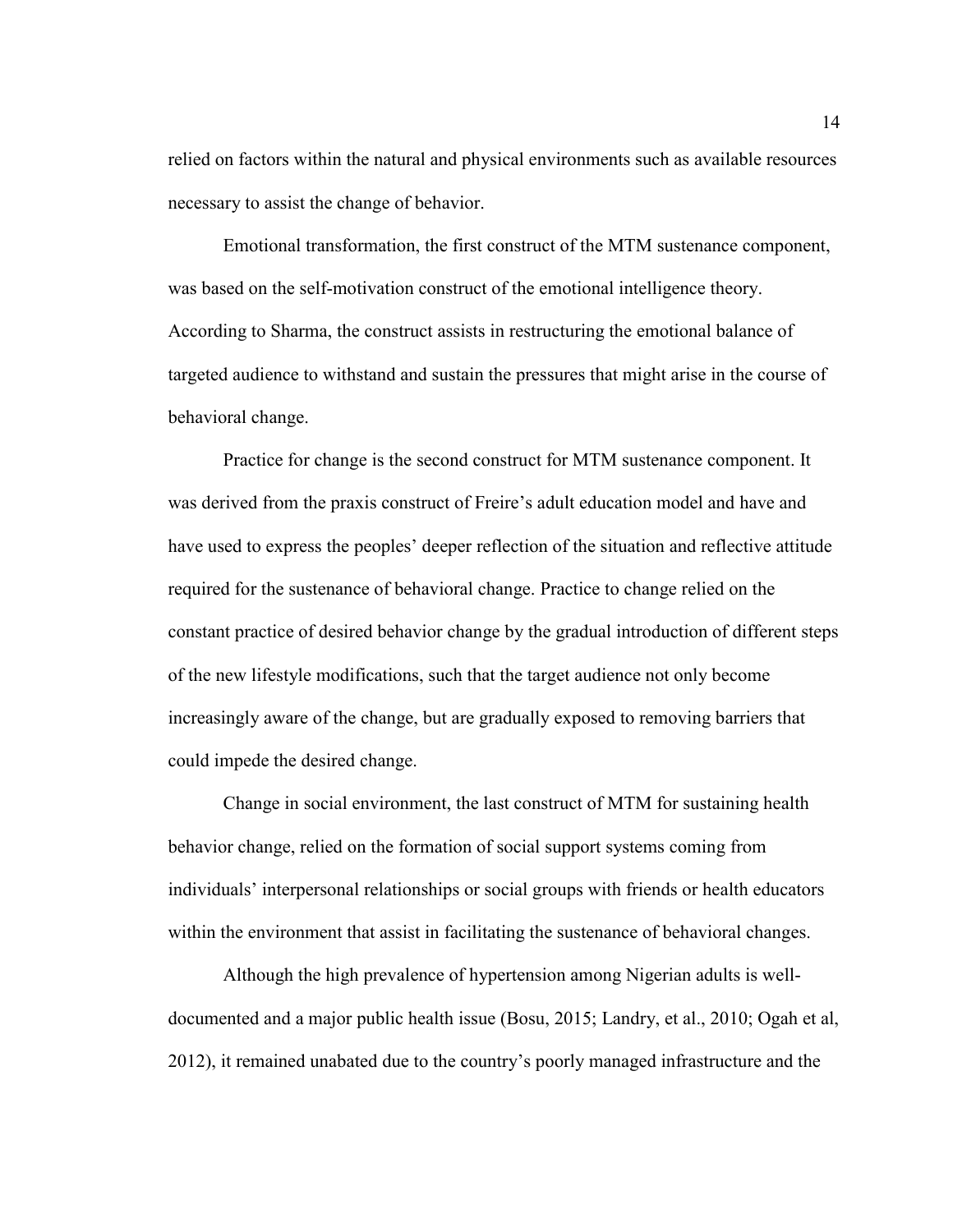relied on factors within the natural and physical environments such as available resources necessary to assist the change of behavior.

Emotional transformation, the first construct of the MTM sustenance component, was based on the self-motivation construct of the emotional intelligence theory. According to Sharma, the construct assists in restructuring the emotional balance of targeted audience to withstand and sustain the pressures that might arise in the course of behavioral change.

Practice for change is the second construct for MTM sustenance component. It was derived from the praxis construct of Freire's adult education model and have and have used to express the peoples' deeper reflection of the situation and reflective attitude required for the sustenance of behavioral change. Practice to change relied on the constant practice of desired behavior change by the gradual introduction of different steps of the new lifestyle modifications, such that the target audience not only become increasingly aware of the change, but are gradually exposed to removing barriers that could impede the desired change.

Change in social environment, the last construct of MTM for sustaining health behavior change, relied on the formation of social support systems coming from individuals' interpersonal relationships or social groups with friends or health educators within the environment that assist in facilitating the sustenance of behavioral changes.

Although the high prevalence of hypertension among Nigerian adults is welldocumented and a major public health issue (Bosu, 2015; Landry, et al., 2010; Ogah et al, 2012), it remained unabated due to the country's poorly managed infrastructure and the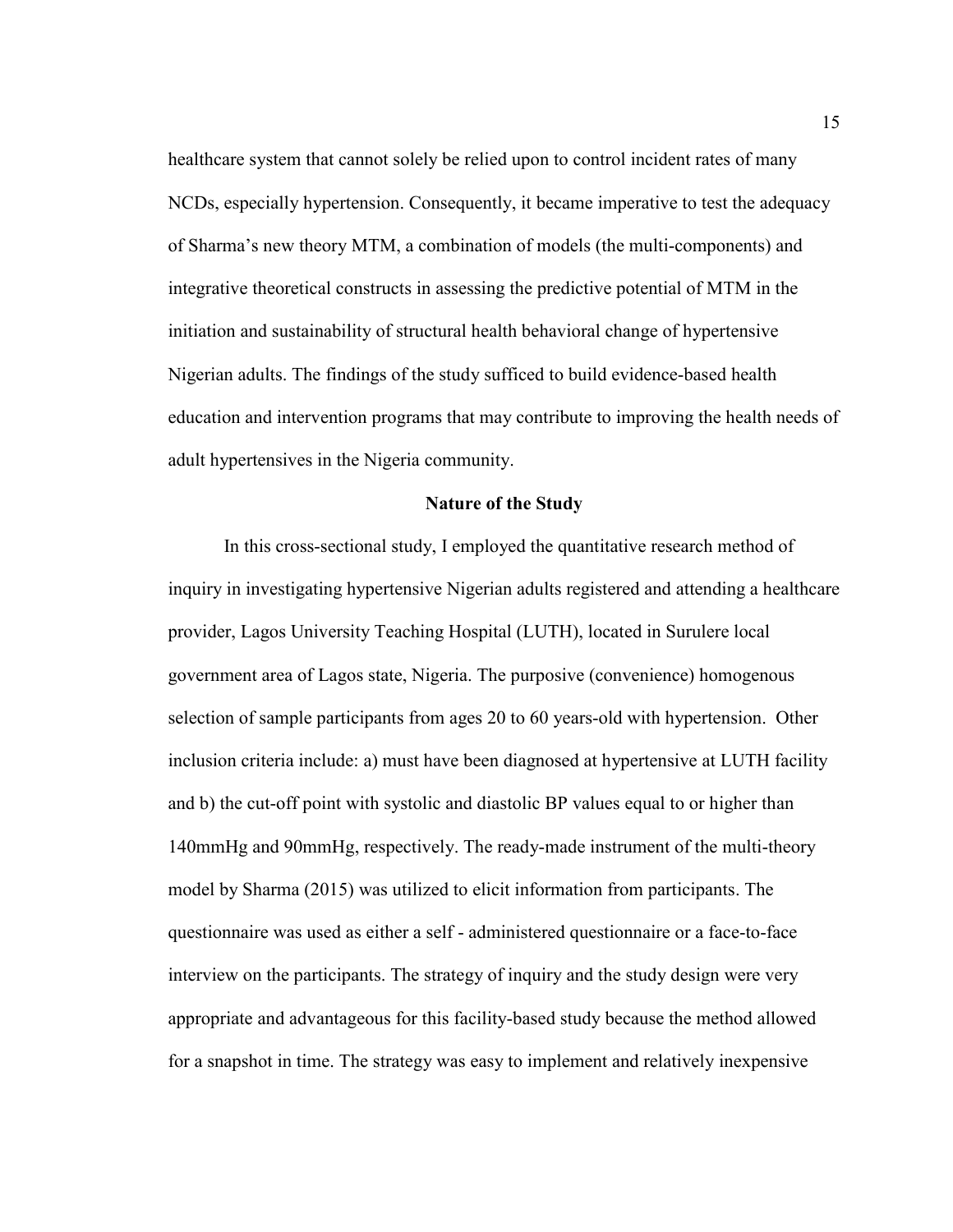healthcare system that cannot solely be relied upon to control incident rates of many NCDs, especially hypertension. Consequently, it became imperative to test the adequacy of Sharma's new theory MTM, a combination of models (the multi-components) and integrative theoretical constructs in assessing the predictive potential of MTM in the initiation and sustainability of structural health behavioral change of hypertensive Nigerian adults. The findings of the study sufficed to build evidence-based health education and intervention programs that may contribute to improving the health needs of adult hypertensives in the Nigeria community.

#### **Nature of the Study**

In this cross-sectional study, I employed the quantitative research method of inquiry in investigating hypertensive Nigerian adults registered and attending a healthcare provider, Lagos University Teaching Hospital (LUTH), located in Surulere local government area of Lagos state, Nigeria. The purposive (convenience) homogenous selection of sample participants from ages 20 to 60 years-old with hypertension. Other inclusion criteria include: a) must have been diagnosed at hypertensive at LUTH facility and b) the cut-off point with systolic and diastolic BP values equal to or higher than 140mmHg and 90mmHg, respectively. The ready-made instrument of the multi-theory model by Sharma (2015) was utilized to elicit information from participants. The questionnaire was used as either a self - administered questionnaire or a face-to-face interview on the participants. The strategy of inquiry and the study design were very appropriate and advantageous for this facility-based study because the method allowed for a snapshot in time. The strategy was easy to implement and relatively inexpensive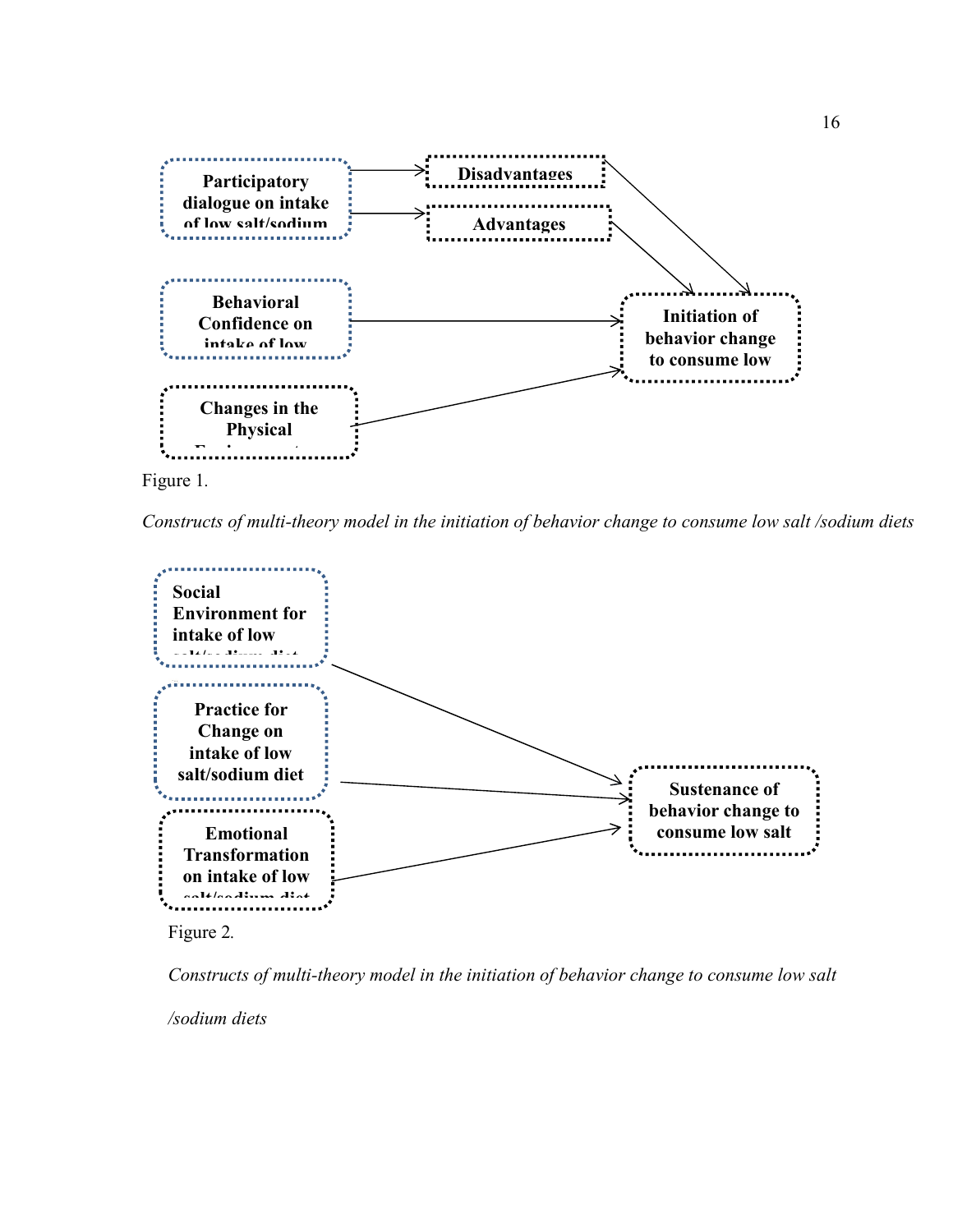

*Constructs of multi-theory model in the initiation of behavior change to consume low salt /sodium diets*



Figure 2*.* 

*Constructs of multi-theory model in the initiation of behavior change to consume low salt* 

*/sodium diets*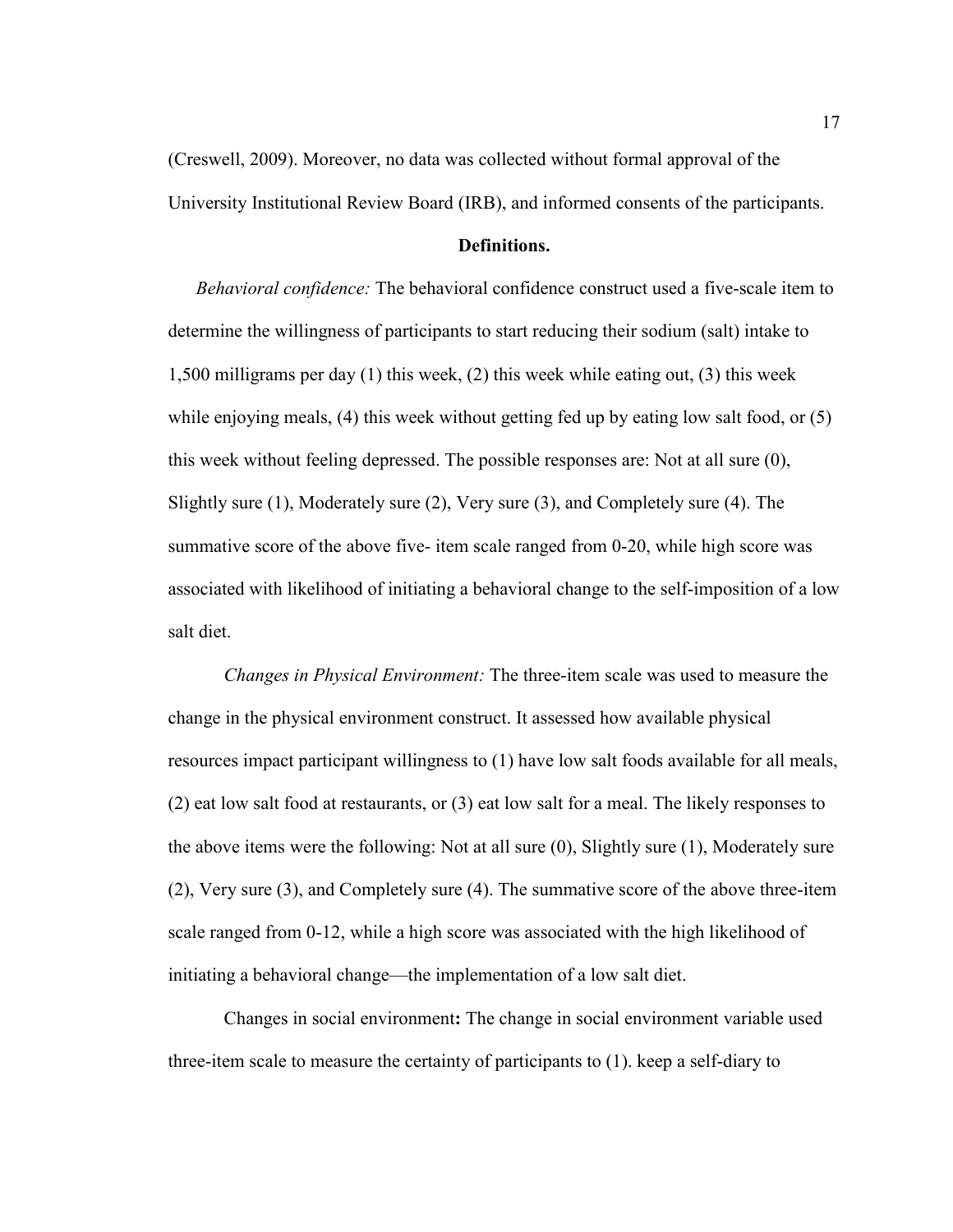(Creswell, 2009). Moreover, no data was collected without formal approval of the University Institutional Review Board (IRB), and informed consents of the participants.

#### **Definitions.**

*Behavioral confidence:* The behavioral confidence construct used a five-scale item to determine the willingness of participants to start reducing their sodium (salt) intake to 1,500 milligrams per day (1) this week, (2) this week while eating out, (3) this week while enjoying meals, (4) this week without getting fed up by eating low salt food, or (5) this week without feeling depressed. The possible responses are: Not at all sure (0), Slightly sure (1), Moderately sure (2), Very sure (3), and Completely sure (4). The summative score of the above five- item scale ranged from 0-20, while high score was associated with likelihood of initiating a behavioral change to the self-imposition of a low salt diet.

*Changes in Physical Environment:* The three-item scale was used to measure the change in the physical environment construct. It assessed how available physical resources impact participant willingness to (1) have low salt foods available for all meals, (2) eat low salt food at restaurants, or (3) eat low salt for a meal. The likely responses to the above items were the following: Not at all sure (0), Slightly sure (1), Moderately sure (2), Very sure (3), and Completely sure (4). The summative score of the above three-item scale ranged from 0-12, while a high score was associated with the high likelihood of initiating a behavioral change—the implementation of a low salt diet.

Changes in social environment**:** The change in social environment variable used three-item scale to measure the certainty of participants to (1). keep a self-diary to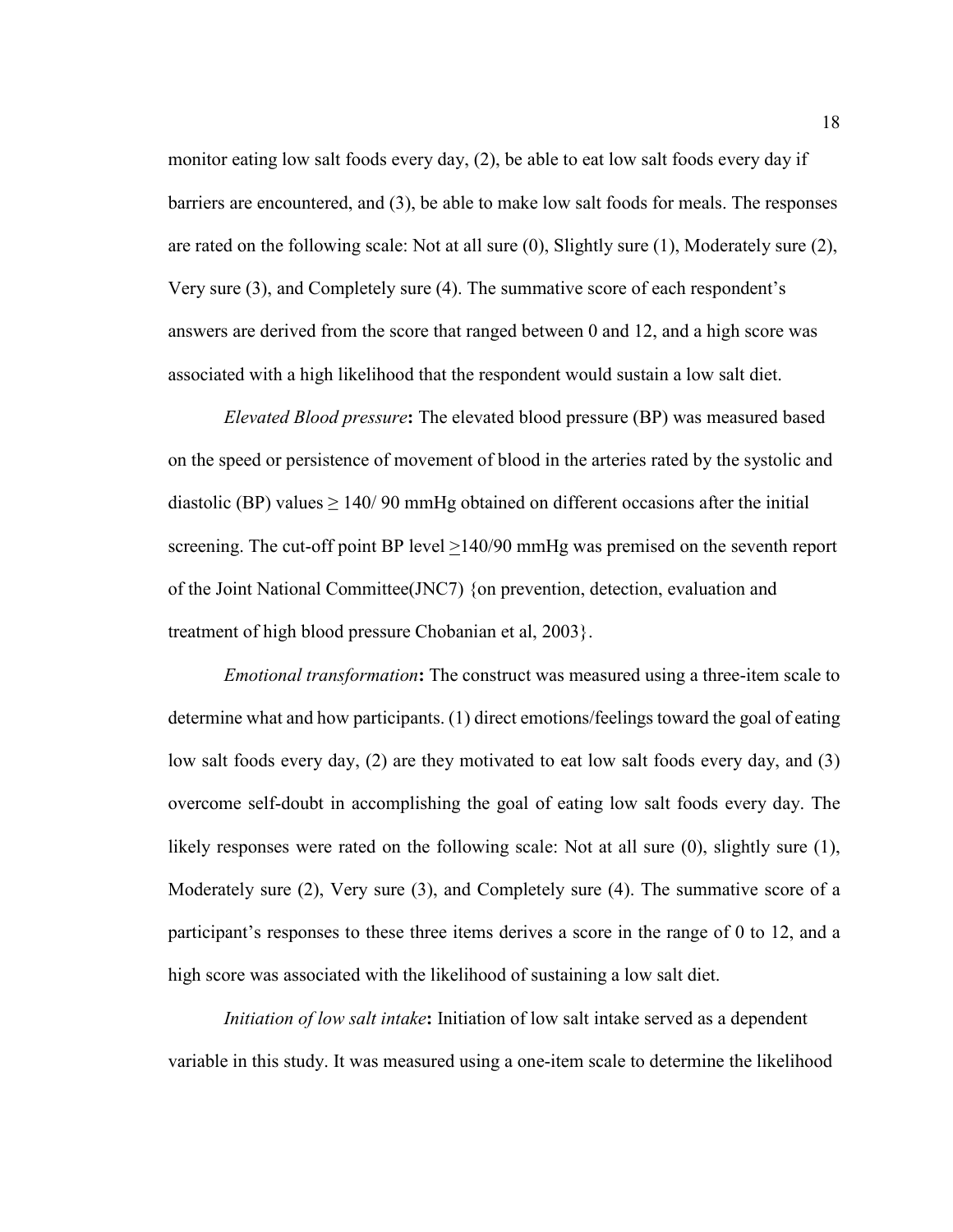monitor eating low salt foods every day, (2), be able to eat low salt foods every day if barriers are encountered, and (3), be able to make low salt foods for meals. The responses are rated on the following scale: Not at all sure (0), Slightly sure (1), Moderately sure (2), Very sure (3), and Completely sure (4). The summative score of each respondent's answers are derived from the score that ranged between 0 and 12, and a high score was associated with a high likelihood that the respondent would sustain a low salt diet.

*Elevated Blood pressure***:** The elevated blood pressure (BP) was measured based on the speed or persistence of movement of blood in the arteries rated by the systolic and diastolic (BP) values  $\geq 140/90$  mmHg obtained on different occasions after the initial screening. The cut-off point BP level >140/90 mmHg was premised on the seventh report of the Joint National Committee(JNC7) {on prevention, detection, evaluation and treatment of high blood pressure Chobanian et al, 2003}.

*Emotional transformation***:** The construct was measured using a three-item scale to determine what and how participants. (1) direct emotions/feelings toward the goal of eating low salt foods every day, (2) are they motivated to eat low salt foods every day, and (3) overcome self-doubt in accomplishing the goal of eating low salt foods every day. The likely responses were rated on the following scale: Not at all sure (0), slightly sure (1), Moderately sure (2), Very sure (3), and Completely sure (4). The summative score of a participant's responses to these three items derives a score in the range of 0 to 12, and a high score was associated with the likelihood of sustaining a low salt diet.

*Initiation of low salt intake***:** Initiation of low salt intake served as a dependent variable in this study. It was measured using a one-item scale to determine the likelihood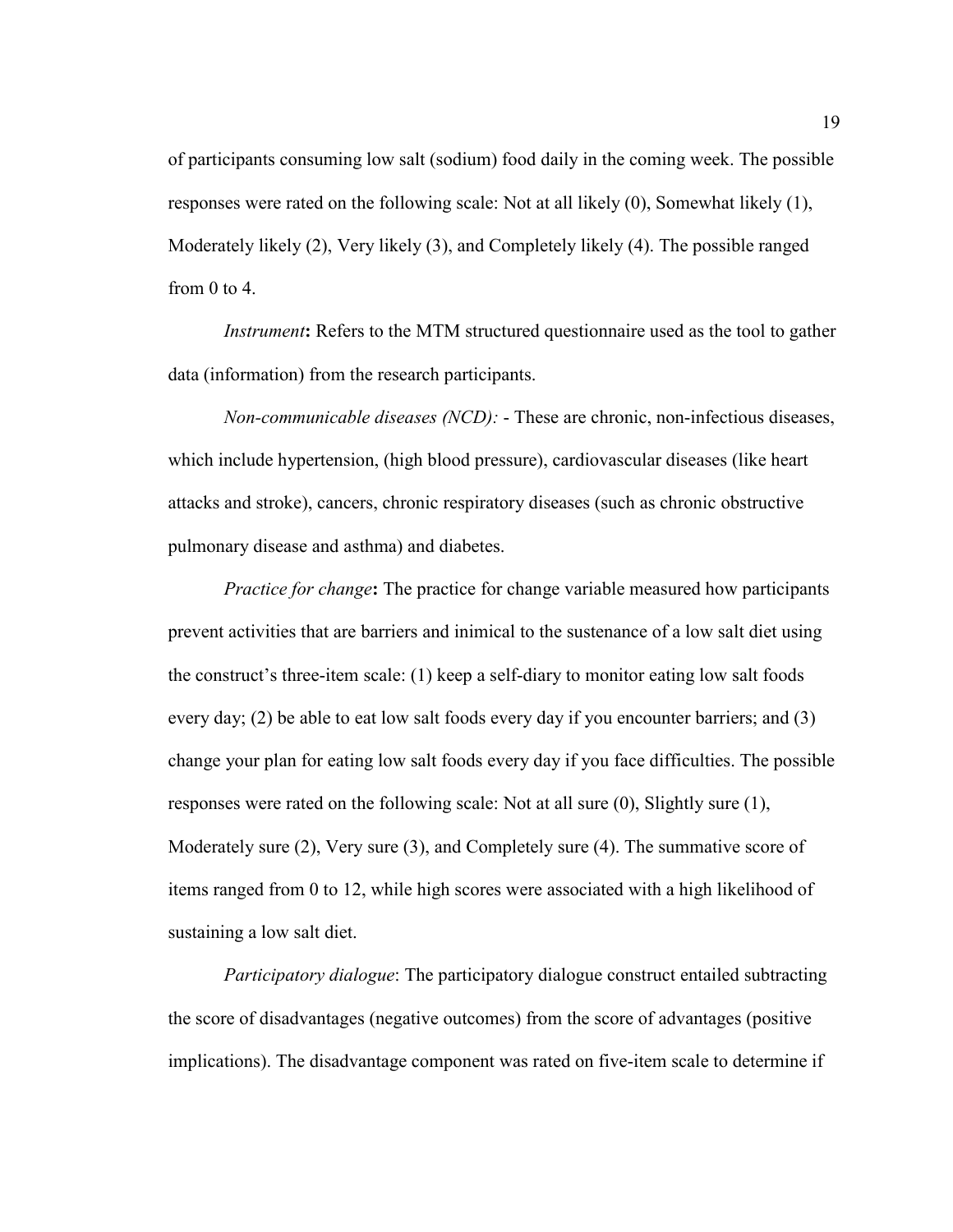of participants consuming low salt (sodium) food daily in the coming week. The possible responses were rated on the following scale: Not at all likely (0), Somewhat likely (1), Moderately likely (2), Very likely (3), and Completely likely (4). The possible ranged from 0 to 4.

*Instrument*: Refers to the MTM structured questionnaire used as the tool to gather data (information) from the research participants.

*Non-communicable diseases (NCD):* - These are chronic, non-infectious diseases, which include hypertension, (high blood pressure), cardiovascular diseases (like heart attacks and stroke), cancers, chronic respiratory diseases (such as chronic obstructive pulmonary disease and asthma) and diabetes.

*Practice for change***:** The practice for change variable measured how participants prevent activities that are barriers and inimical to the sustenance of a low salt diet using the construct's three-item scale: (1) keep a self-diary to monitor eating low salt foods every day; (2) be able to eat low salt foods every day if you encounter barriers; and (3) change your plan for eating low salt foods every day if you face difficulties. The possible responses were rated on the following scale: Not at all sure (0), Slightly sure (1), Moderately sure (2), Very sure (3), and Completely sure (4). The summative score of items ranged from 0 to 12, while high scores were associated with a high likelihood of sustaining a low salt diet.

*Participatory dialogue*: The participatory dialogue construct entailed subtracting the score of disadvantages (negative outcomes) from the score of advantages (positive implications). The disadvantage component was rated on five-item scale to determine if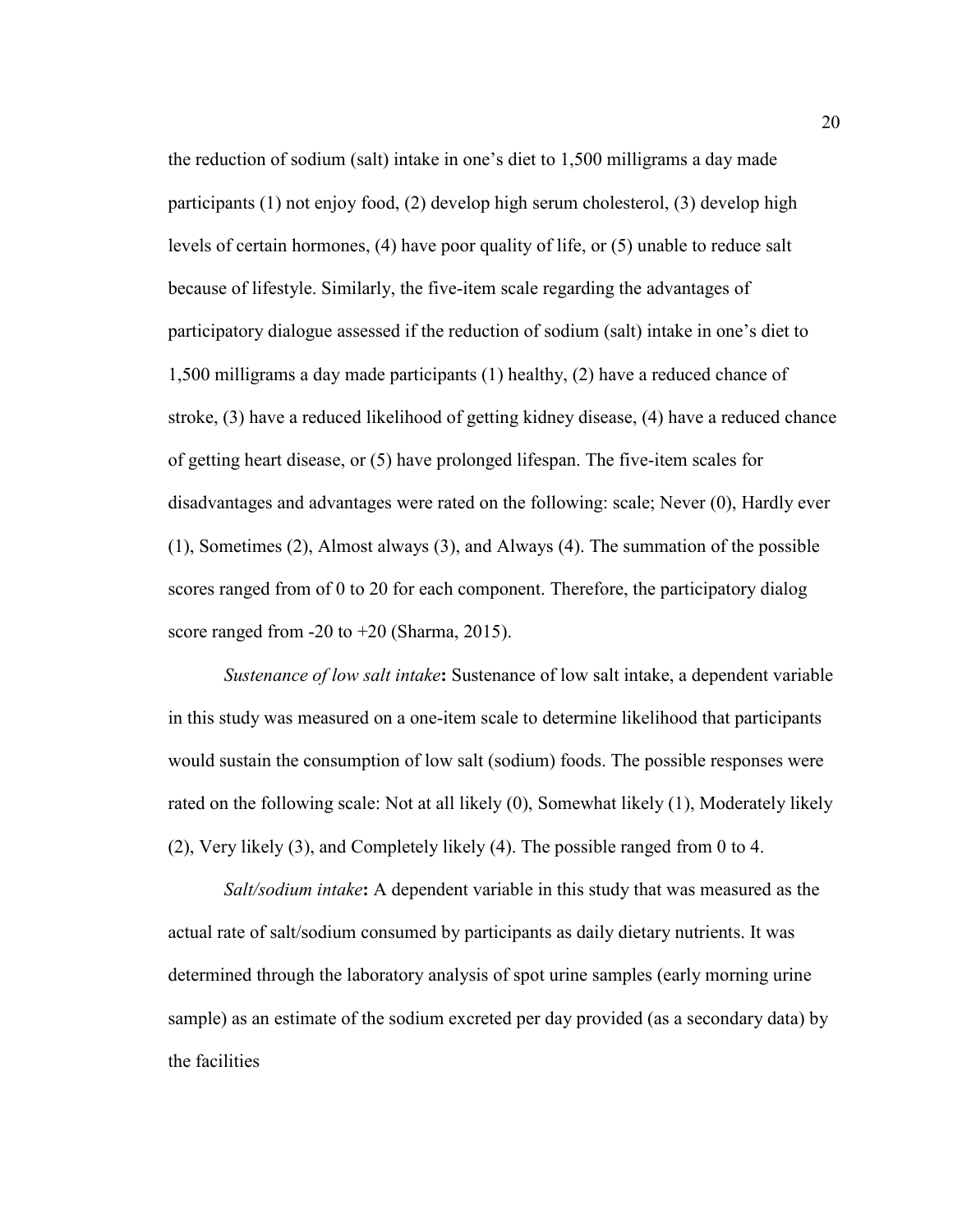the reduction of sodium (salt) intake in one's diet to 1,500 milligrams a day made participants (1) not enjoy food, (2) develop high serum cholesterol, (3) develop high levels of certain hormones, (4) have poor quality of life, or (5) unable to reduce salt because of lifestyle. Similarly, the five-item scale regarding the advantages of participatory dialogue assessed if the reduction of sodium (salt) intake in one's diet to 1,500 milligrams a day made participants (1) healthy, (2) have a reduced chance of stroke, (3) have a reduced likelihood of getting kidney disease, (4) have a reduced chance of getting heart disease, or (5) have prolonged lifespan. The five-item scales for disadvantages and advantages were rated on the following: scale; Never (0), Hardly ever (1), Sometimes (2), Almost always (3), and Always (4). The summation of the possible scores ranged from of 0 to 20 for each component. Therefore, the participatory dialog score ranged from -20 to +20 (Sharma, 2015).

*Sustenance of low salt intake***:** Sustenance of low salt intake, a dependent variable in this study was measured on a one-item scale to determine likelihood that participants would sustain the consumption of low salt (sodium) foods. The possible responses were rated on the following scale: Not at all likely (0), Somewhat likely (1), Moderately likely (2), Very likely (3), and Completely likely (4). The possible ranged from 0 to 4.

*Salt/sodium intake***:** A dependent variable in this study that was measured as the actual rate of salt/sodium consumed by participants as daily dietary nutrients. It was determined through the laboratory analysis of spot urine samples (early morning urine sample) as an estimate of the sodium excreted per day provided (as a secondary data) by the facilities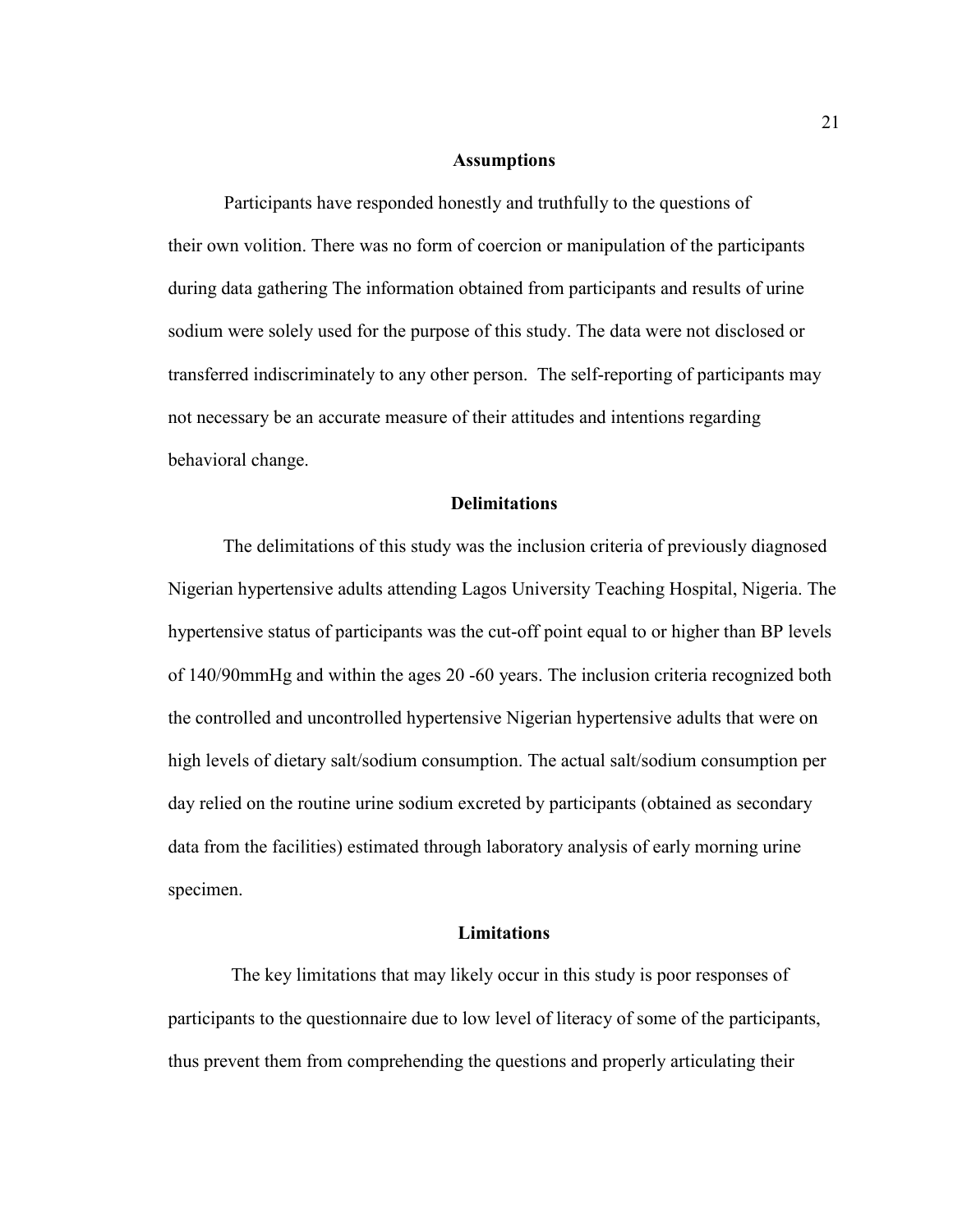#### **Assumptions**

Participants have responded honestly and truthfully to the questions of their own volition. There was no form of coercion or manipulation of the participants during data gathering The information obtained from participants and results of urine sodium were solely used for the purpose of this study. The data were not disclosed or transferred indiscriminately to any other person. The self-reporting of participants may not necessary be an accurate measure of their attitudes and intentions regarding behavioral change.

#### **Delimitations**

The delimitations of this study was the inclusion criteria of previously diagnosed Nigerian hypertensive adults attending Lagos University Teaching Hospital, Nigeria. The hypertensive status of participants was the cut-off point equal to or higher than BP levels of 140/90mmHg and within the ages 20 -60 years. The inclusion criteria recognized both the controlled and uncontrolled hypertensive Nigerian hypertensive adults that were on high levels of dietary salt/sodium consumption. The actual salt/sodium consumption per day relied on the routine urine sodium excreted by participants (obtained as secondary data from the facilities) estimated through laboratory analysis of early morning urine specimen.

#### **Limitations**

The key limitations that may likely occur in this study is poor responses of participants to the questionnaire due to low level of literacy of some of the participants, thus prevent them from comprehending the questions and properly articulating their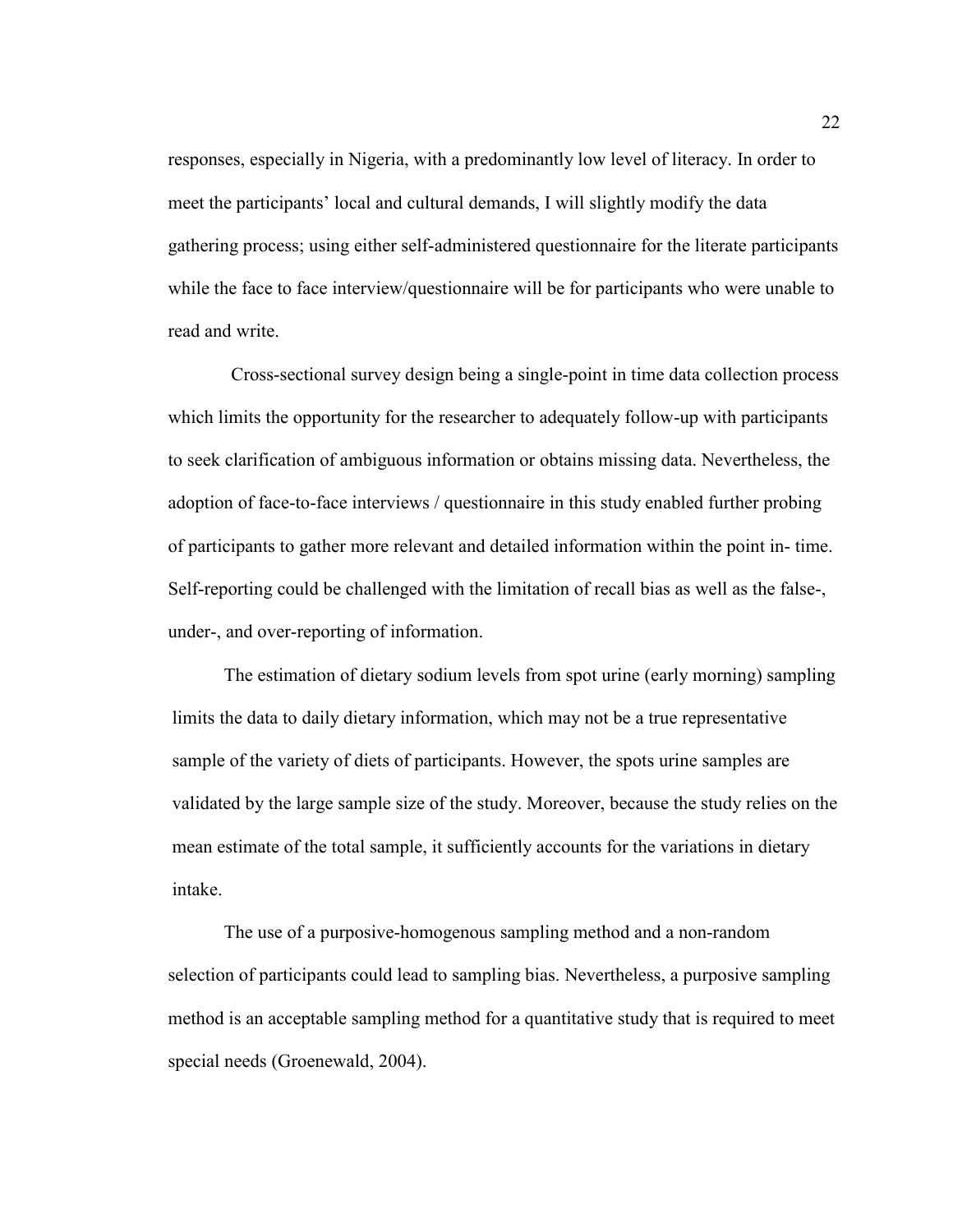responses, especially in Nigeria, with a predominantly low level of literacy. In order to meet the participants' local and cultural demands, I will slightly modify the data gathering process; using either self-administered questionnaire for the literate participants while the face to face interview/questionnaire will be for participants who were unable to read and write.

Cross-sectional survey design being a single-point in time data collection process which limits the opportunity for the researcher to adequately follow-up with participants to seek clarification of ambiguous information or obtains missing data. Nevertheless, the adoption of face-to-face interviews / questionnaire in this study enabled further probing of participants to gather more relevant and detailed information within the point in- time. Self-reporting could be challenged with the limitation of recall bias as well as the false-, under-, and over-reporting of information.

The estimation of dietary sodium levels from spot urine (early morning) sampling limits the data to daily dietary information, which may not be a true representative sample of the variety of diets of participants. However, the spots urine samples are validated by the large sample size of the study. Moreover, because the study relies on the mean estimate of the total sample, it sufficiently accounts for the variations in dietary intake.

The use of a purposive-homogenous sampling method and a non-random selection of participants could lead to sampling bias. Nevertheless, a purposive sampling method is an acceptable sampling method for a quantitative study that is required to meet special needs (Groenewald, 2004).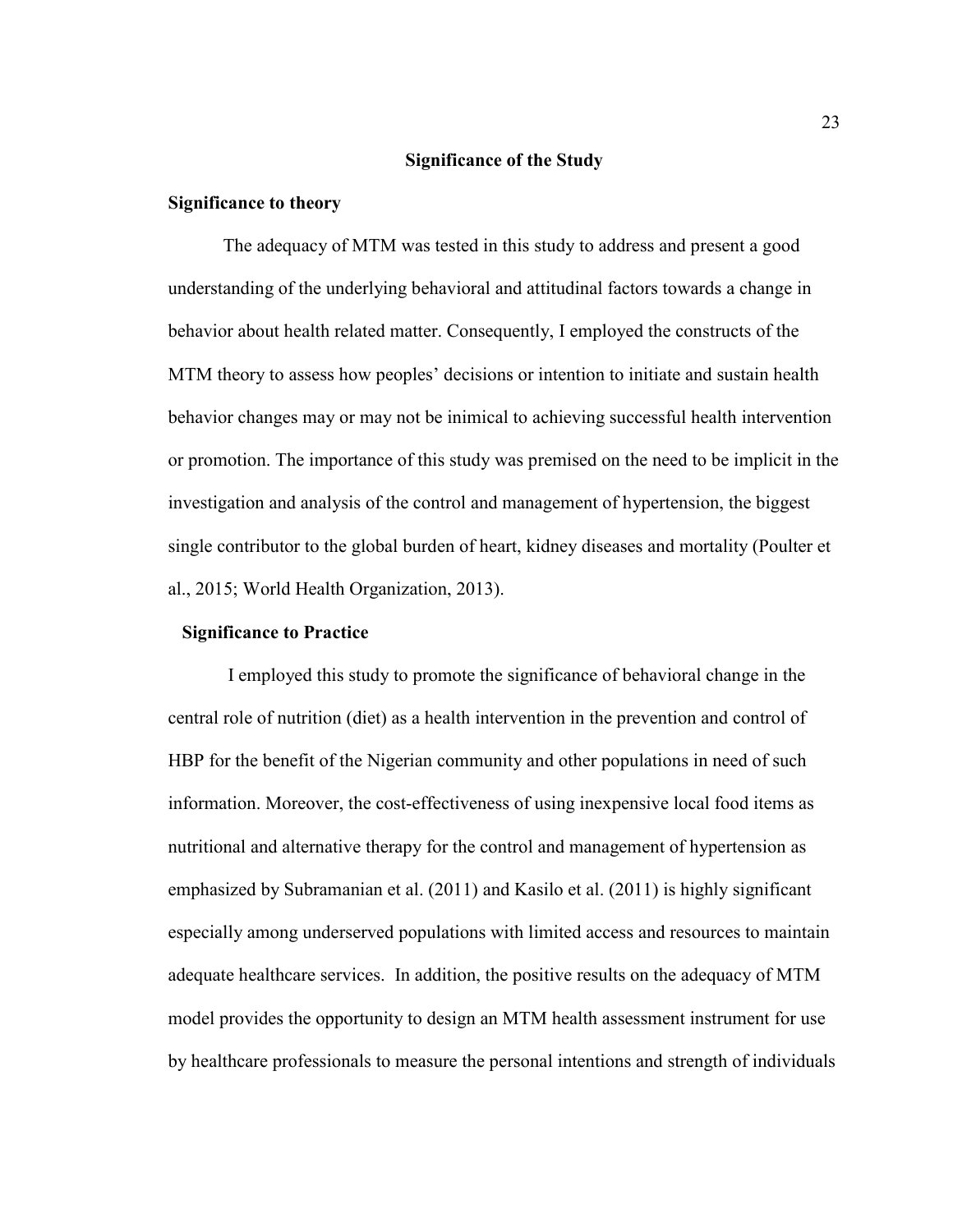#### **Significance of the Study**

#### **Significance to theory**

The adequacy of MTM was tested in this study to address and present a good understanding of the underlying behavioral and attitudinal factors towards a change in behavior about health related matter. Consequently, I employed the constructs of the MTM theory to assess how peoples' decisions or intention to initiate and sustain health behavior changes may or may not be inimical to achieving successful health intervention or promotion. The importance of this study was premised on the need to be implicit in the investigation and analysis of the control and management of hypertension, the biggest single contributor to the global burden of heart, kidney diseases and mortality (Poulter et al., 2015; World Health Organization, 2013).

#### **Significance to Practice**

 I employed this study to promote the significance of behavioral change in the central role of nutrition (diet) as a health intervention in the prevention and control of HBP for the benefit of the Nigerian community and other populations in need of such information. Moreover, the cost-effectiveness of using inexpensive local food items as nutritional and alternative therapy for the control and management of hypertension as emphasized by Subramanian et al. (2011) and Kasilo et al. (2011) is highly significant especially among underserved populations with limited access and resources to maintain adequate healthcare services. In addition, the positive results on the adequacy of MTM model provides the opportunity to design an MTM health assessment instrument for use by healthcare professionals to measure the personal intentions and strength of individuals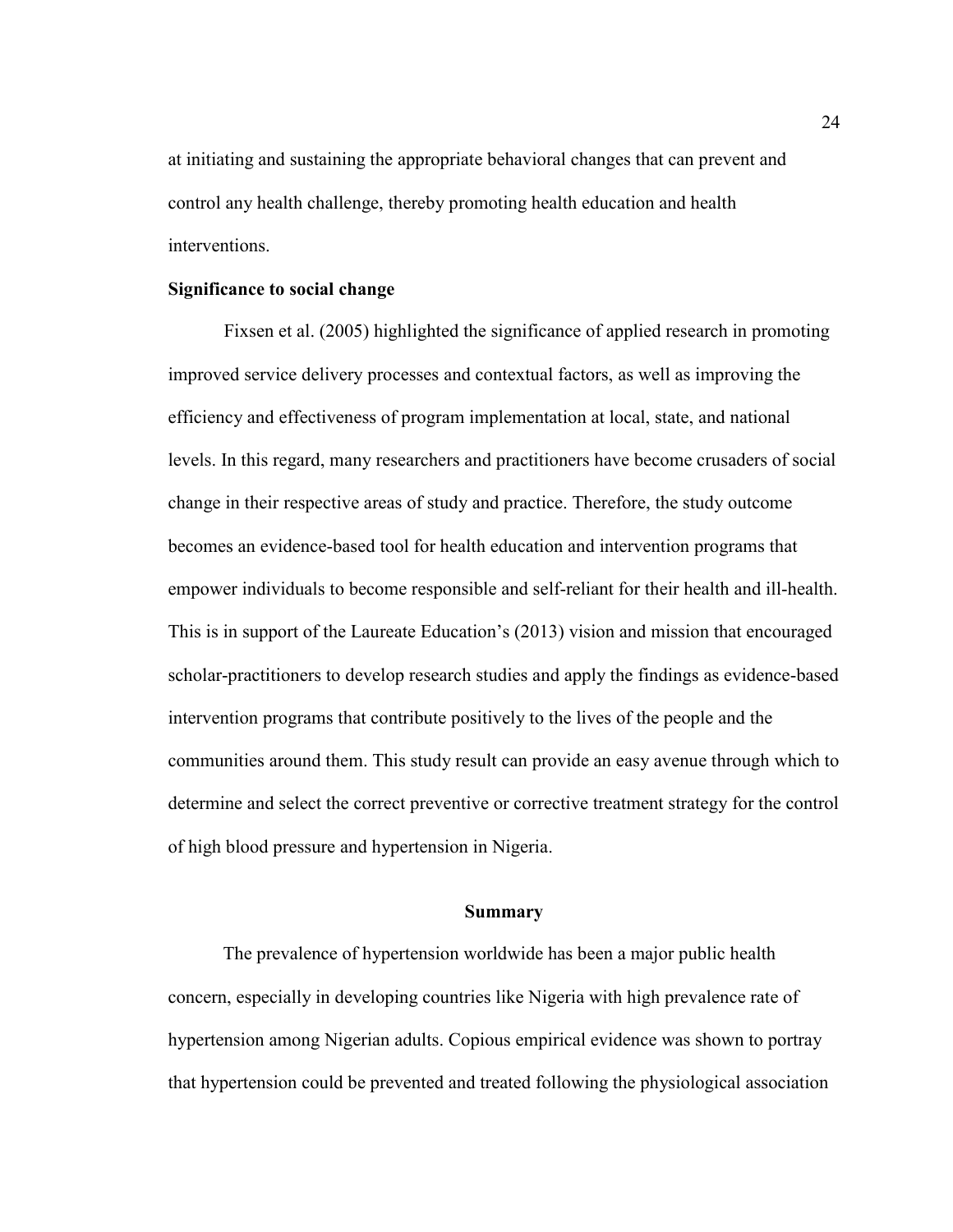at initiating and sustaining the appropriate behavioral changes that can prevent and control any health challenge, thereby promoting health education and health interventions.

#### **Significance to social change**

Fixsen et al. (2005) highlighted the significance of applied research in promoting improved service delivery processes and contextual factors, as well as improving the efficiency and effectiveness of program implementation at local, state, and national levels. In this regard, many researchers and practitioners have become crusaders of social change in their respective areas of study and practice. Therefore, the study outcome becomes an evidence-based tool for health education and intervention programs that empower individuals to become responsible and self-reliant for their health and ill-health. This is in support of the Laureate Education's (2013) vision and mission that encouraged scholar-practitioners to develop research studies and apply the findings as evidence-based intervention programs that contribute positively to the lives of the people and the communities around them. This study result can provide an easy avenue through which to determine and select the correct preventive or corrective treatment strategy for the control of high blood pressure and hypertension in Nigeria.

#### **Summary**

The prevalence of hypertension worldwide has been a major public health concern, especially in developing countries like Nigeria with high prevalence rate of hypertension among Nigerian adults. Copious empirical evidence was shown to portray that hypertension could be prevented and treated following the physiological association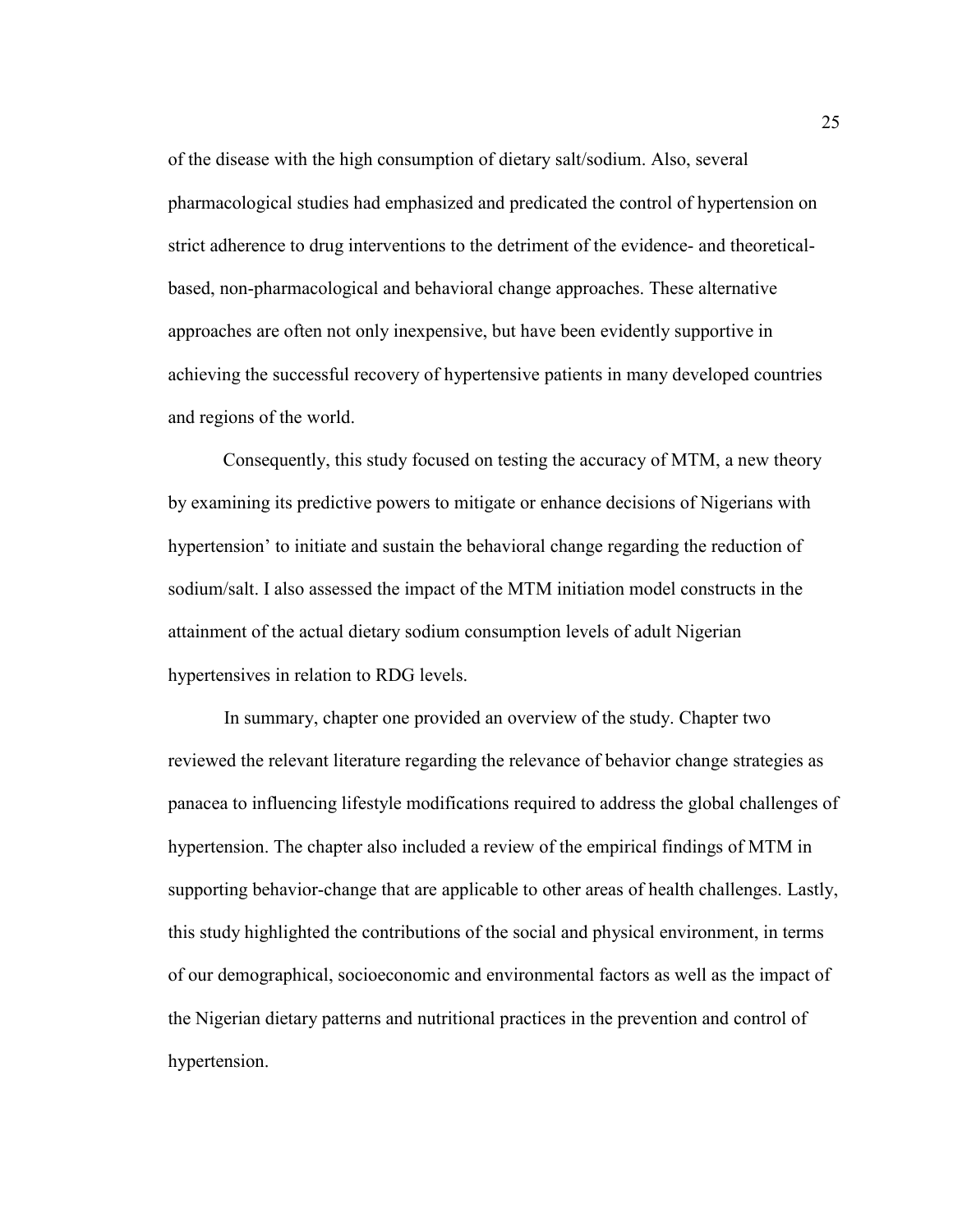of the disease with the high consumption of dietary salt/sodium. Also, several pharmacological studies had emphasized and predicated the control of hypertension on strict adherence to drug interventions to the detriment of the evidence- and theoreticalbased, non-pharmacological and behavioral change approaches. These alternative approaches are often not only inexpensive, but have been evidently supportive in achieving the successful recovery of hypertensive patients in many developed countries and regions of the world.

Consequently, this study focused on testing the accuracy of MTM, a new theory by examining its predictive powers to mitigate or enhance decisions of Nigerians with hypertension' to initiate and sustain the behavioral change regarding the reduction of sodium/salt. I also assessed the impact of the MTM initiation model constructs in the attainment of the actual dietary sodium consumption levels of adult Nigerian hypertensives in relation to RDG levels.

In summary, chapter one provided an overview of the study. Chapter two reviewed the relevant literature regarding the relevance of behavior change strategies as panacea to influencing lifestyle modifications required to address the global challenges of hypertension. The chapter also included a review of the empirical findings of MTM in supporting behavior-change that are applicable to other areas of health challenges. Lastly, this study highlighted the contributions of the social and physical environment, in terms of our demographical, socioeconomic and environmental factors as well as the impact of the Nigerian dietary patterns and nutritional practices in the prevention and control of hypertension.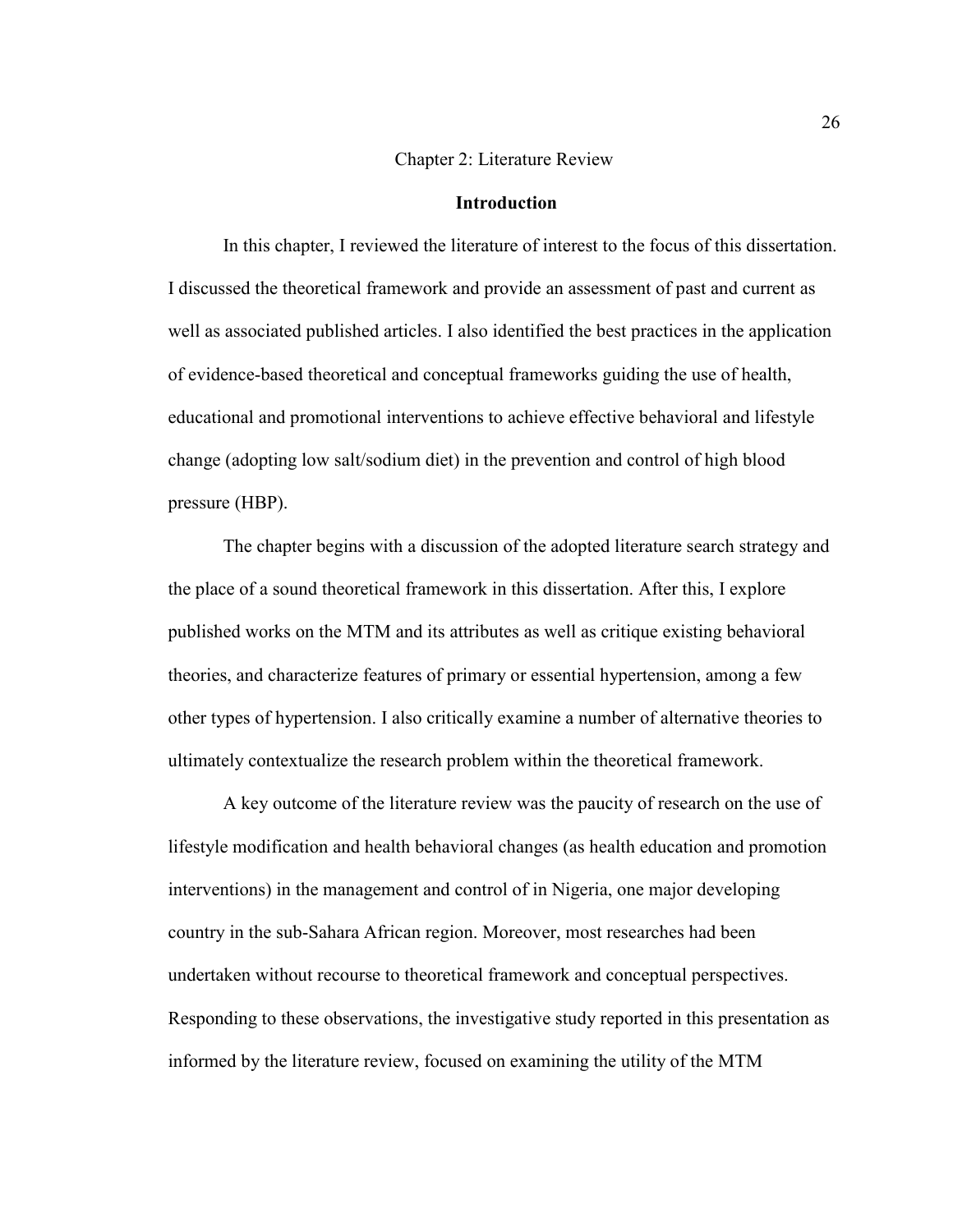#### Chapter 2: Literature Review

#### **Introduction**

In this chapter, I reviewed the literature of interest to the focus of this dissertation. I discussed the theoretical framework and provide an assessment of past and current as well as associated published articles. I also identified the best practices in the application of evidence-based theoretical and conceptual frameworks guiding the use of health, educational and promotional interventions to achieve effective behavioral and lifestyle change (adopting low salt/sodium diet) in the prevention and control of high blood pressure (HBP).

The chapter begins with a discussion of the adopted literature search strategy and the place of a sound theoretical framework in this dissertation. After this, I explore published works on the MTM and its attributes as well as critique existing behavioral theories, and characterize features of primary or essential hypertension, among a few other types of hypertension. I also critically examine a number of alternative theories to ultimately contextualize the research problem within the theoretical framework.

A key outcome of the literature review was the paucity of research on the use of lifestyle modification and health behavioral changes (as health education and promotion interventions) in the management and control of in Nigeria, one major developing country in the sub-Sahara African region. Moreover, most researches had been undertaken without recourse to theoretical framework and conceptual perspectives. Responding to these observations, the investigative study reported in this presentation as informed by the literature review, focused on examining the utility of the MTM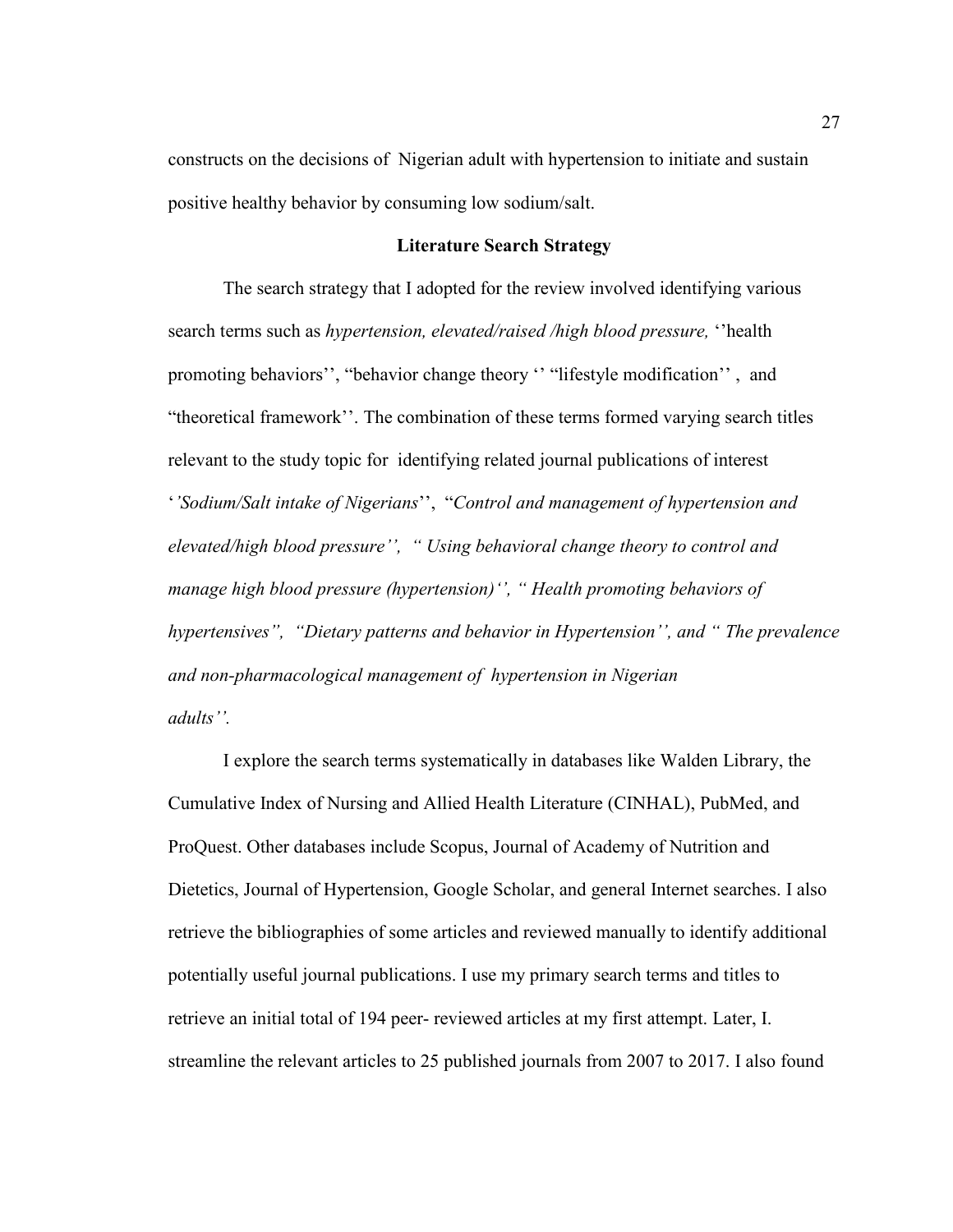constructs on the decisions of Nigerian adult with hypertension to initiate and sustain positive healthy behavior by consuming low sodium/salt.

#### **Literature Search Strategy**

The search strategy that I adopted for the review involved identifying various search terms such as *hypertension, elevated/raised /high blood pressure,* ''health promoting behaviors'', "behavior change theory '' "lifestyle modification'' , and "theoretical framework''. The combination of these terms formed varying search titles relevant to the study topic for identifying related journal publications of interest '*'Sodium/Salt intake of Nigerians*'', "*Control and management of hypertension and elevated/high blood pressure'', " Using behavioral change theory to control and manage high blood pressure (hypertension)'', " Health promoting behaviors of hypertensives", "Dietary patterns and behavior in Hypertension'', and " The prevalence and non-pharmacological management of hypertension in Nigerian adults''.* 

I explore the search terms systematically in databases like Walden Library, the Cumulative Index of Nursing and Allied Health Literature (CINHAL), PubMed, and ProQuest. Other databases include Scopus, Journal of Academy of Nutrition and Dietetics, Journal of Hypertension, Google Scholar, and general Internet searches. I also retrieve the bibliographies of some articles and reviewed manually to identify additional potentially useful journal publications. I use my primary search terms and titles to retrieve an initial total of 194 peer- reviewed articles at my first attempt. Later, I. streamline the relevant articles to 25 published journals from 2007 to 2017. I also found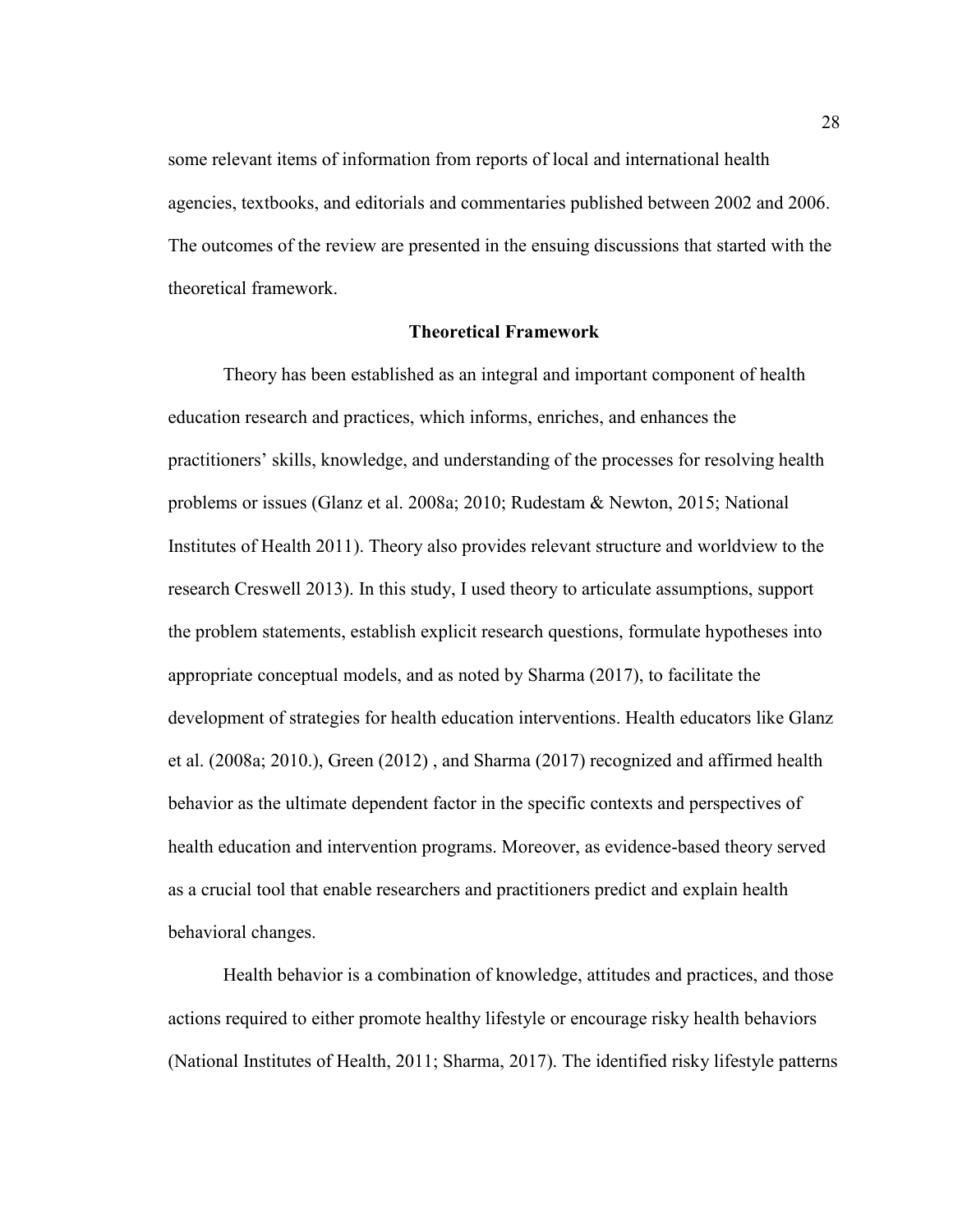some relevant items of information from reports of local and international health agencies, textbooks, and editorials and commentaries published between 2002 and 2006. The outcomes of the review are presented in the ensuing discussions that started with the theoretical framework.

#### **Theoretical Framework**

Theory has been established as an integral and important component of health education research and practices, which informs, enriches, and enhances the practitioners' skills, knowledge, and understanding of the processes for resolving health problems or issues (Glanz et al. 2008a; 2010; Rudestam & Newton, 2015; National Institutes of Health 2011). Theory also provides relevant structure and worldview to the research Creswell 2013). In this study, I used theory to articulate assumptions, support the problem statements, establish explicit research questions, formulate hypotheses into appropriate conceptual models, and as noted by Sharma (2017), to facilitate the development of strategies for health education interventions. Health educators like Glanz et al. (2008a; 2010.), Green (2012) , and Sharma (2017) recognized and affirmed health behavior as the ultimate dependent factor in the specific contexts and perspectives of health education and intervention programs. Moreover, as evidence-based theory served as a crucial tool that enable researchers and practitioners predict and explain health behavioral changes.

Health behavior is a combination of knowledge, attitudes and practices, and those actions required to either promote healthy lifestyle or encourage risky health behaviors (National Institutes of Health, 2011; Sharma, 2017). The identified risky lifestyle patterns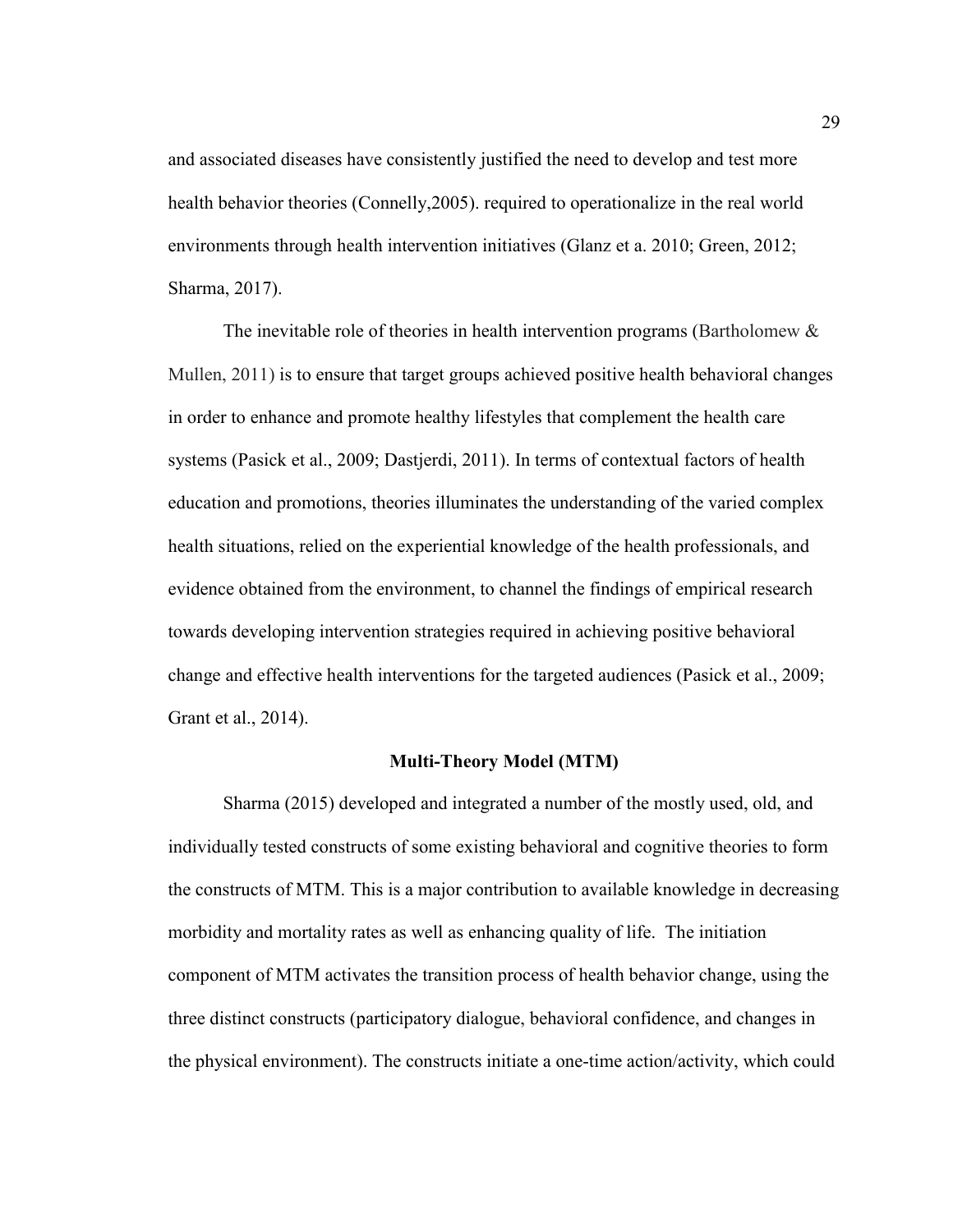and associated diseases have consistently justified the need to develop and test more health behavior theories (Connelly,2005). required to operationalize in the real world environments through health intervention initiatives (Glanz et a. 2010; Green, 2012; Sharma, 2017).

The inevitable role of theories in health intervention programs (Bartholomew & Mullen, 2011) is to ensure that target groups achieved positive health behavioral changes in order to enhance and promote healthy lifestyles that complement the health care systems (Pasick et al., 2009; Dastjerdi, 2011). In terms of contextual factors of health education and promotions, theories illuminates the understanding of the varied complex health situations, relied on the experiential knowledge of the health professionals, and evidence obtained from the environment, to channel the findings of empirical research towards developing intervention strategies required in achieving positive behavioral change and effective health interventions for the targeted audiences (Pasick et al., 2009; Grant et al., 2014).

## **Multi-Theory Model (MTM)**

Sharma (2015) developed and integrated a number of the mostly used, old, and individually tested constructs of some existing behavioral and cognitive theories to form the constructs of MTM. This is a major contribution to available knowledge in decreasing morbidity and mortality rates as well as enhancing quality of life. The initiation component of MTM activates the transition process of health behavior change, using the three distinct constructs (participatory dialogue, behavioral confidence, and changes in the physical environment). The constructs initiate a one-time action/activity, which could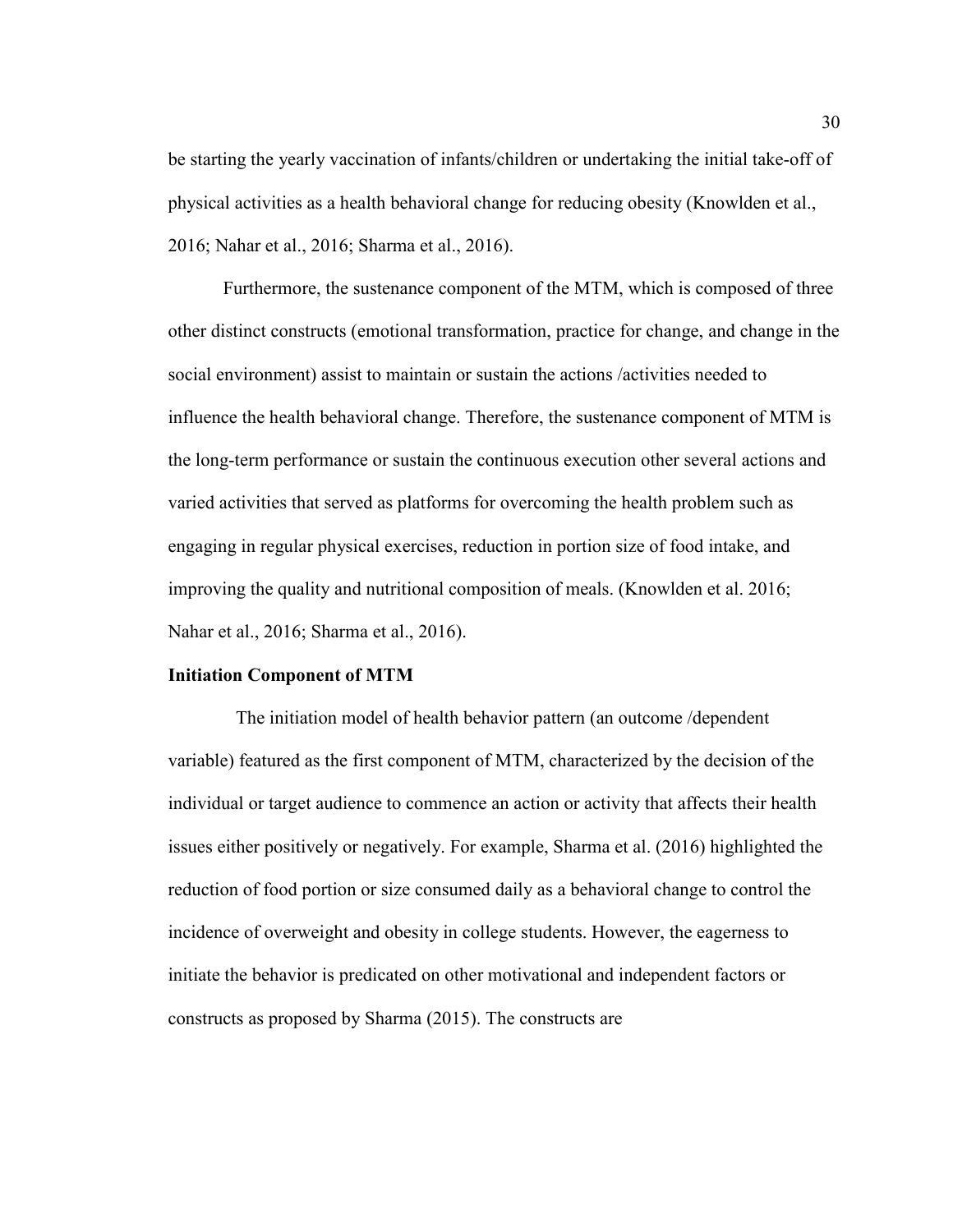be starting the yearly vaccination of infants/children or undertaking the initial take-off of physical activities as a health behavioral change for reducing obesity (Knowlden et al., 2016; Nahar et al., 2016; Sharma et al., 2016).

Furthermore, the sustenance component of the MTM, which is composed of three other distinct constructs (emotional transformation, practice for change, and change in the social environment) assist to maintain or sustain the actions /activities needed to influence the health behavioral change. Therefore, the sustenance component of MTM is the long-term performance or sustain the continuous execution other several actions and varied activities that served as platforms for overcoming the health problem such as engaging in regular physical exercises, reduction in portion size of food intake, and improving the quality and nutritional composition of meals. (Knowlden et al. 2016; Nahar et al., 2016; Sharma et al., 2016).

#### **Initiation Component of MTM**

 The initiation model of health behavior pattern (an outcome /dependent variable) featured as the first component of MTM, characterized by the decision of the individual or target audience to commence an action or activity that affects their health issues either positively or negatively. For example, Sharma et al. (2016) highlighted the reduction of food portion or size consumed daily as a behavioral change to control the incidence of overweight and obesity in college students. However, the eagerness to initiate the behavior is predicated on other motivational and independent factors or constructs as proposed by Sharma (2015). The constructs are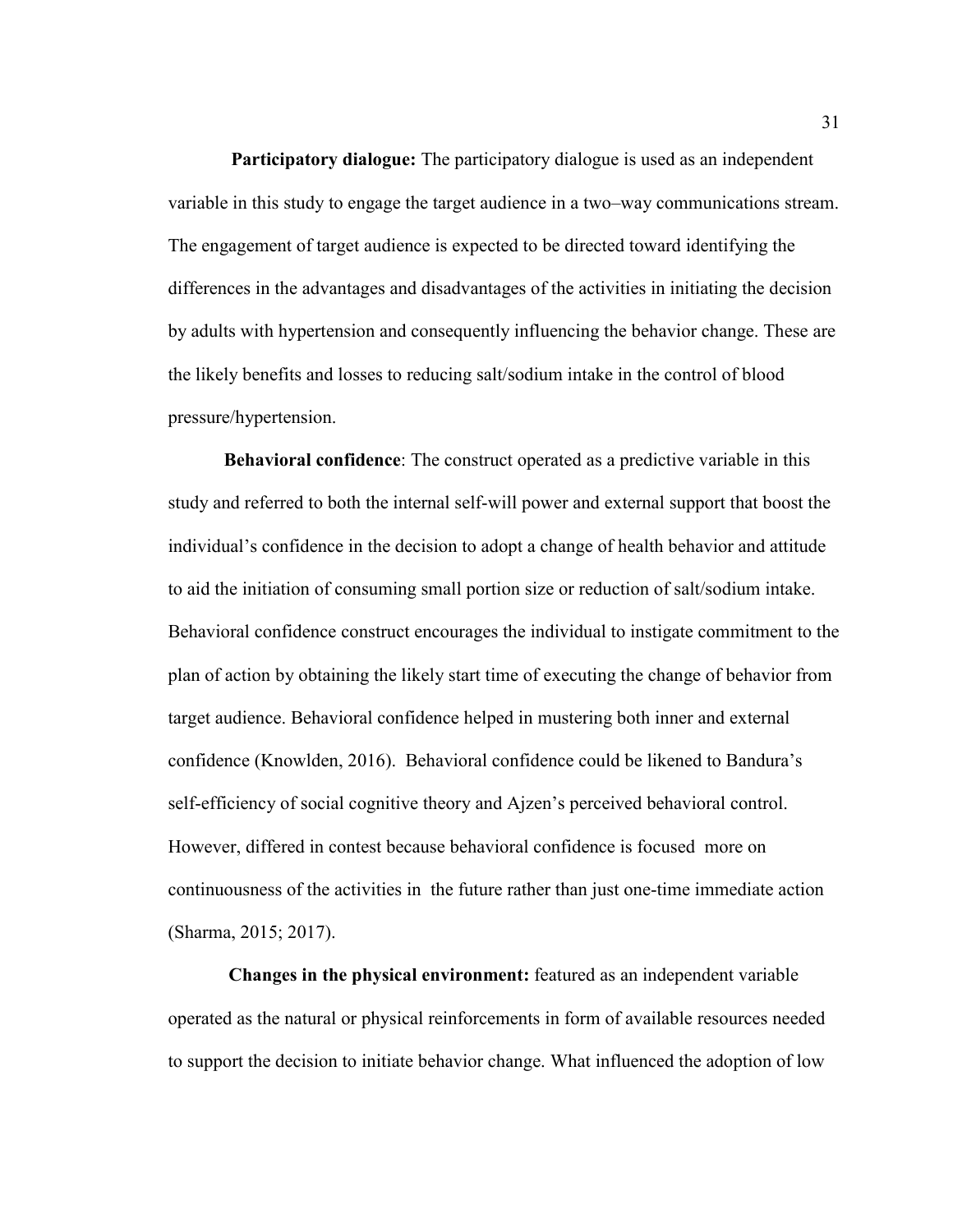**Participatory dialogue:** The participatory dialogue is used as an independent variable in this study to engage the target audience in a two–way communications stream. The engagement of target audience is expected to be directed toward identifying the differences in the advantages and disadvantages of the activities in initiating the decision by adults with hypertension and consequently influencing the behavior change. These are the likely benefits and losses to reducing salt/sodium intake in the control of blood pressure/hypertension.

**Behavioral confidence**: The construct operated as a predictive variable in this study and referred to both the internal self-will power and external support that boost the individual's confidence in the decision to adopt a change of health behavior and attitude to aid the initiation of consuming small portion size or reduction of salt/sodium intake. Behavioral confidence construct encourages the individual to instigate commitment to the plan of action by obtaining the likely start time of executing the change of behavior from target audience. Behavioral confidence helped in mustering both inner and external confidence (Knowlden, 2016). Behavioral confidence could be likened to Bandura's self-efficiency of social cognitive theory and Ajzen's perceived behavioral control. However, differed in contest because behavioral confidence is focused more on continuousness of the activities in the future rather than just one-time immediate action (Sharma, 2015; 2017).

**Changes in the physical environment:** featured as an independent variable operated as the natural or physical reinforcements in form of available resources needed to support the decision to initiate behavior change. What influenced the adoption of low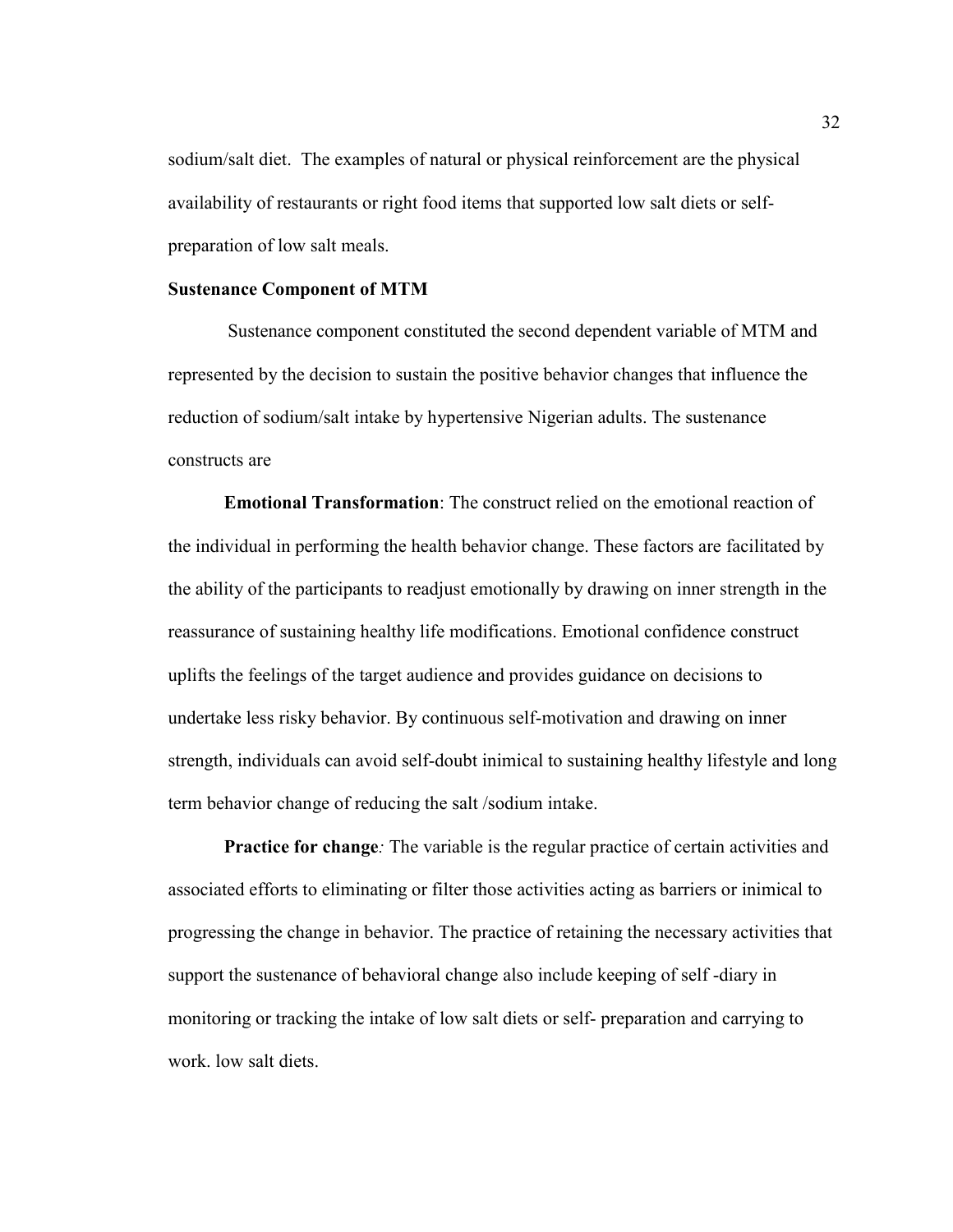sodium/salt diet. The examples of natural or physical reinforcement are the physical availability of restaurants or right food items that supported low salt diets or selfpreparation of low salt meals.

#### **Sustenance Component of MTM**

Sustenance component constituted the second dependent variable of MTM and represented by the decision to sustain the positive behavior changes that influence the reduction of sodium/salt intake by hypertensive Nigerian adults. The sustenance constructs are

**Emotional Transformation**: The construct relied on the emotional reaction of the individual in performing the health behavior change. These factors are facilitated by the ability of the participants to readjust emotionally by drawing on inner strength in the reassurance of sustaining healthy life modifications. Emotional confidence construct uplifts the feelings of the target audience and provides guidance on decisions to undertake less risky behavior. By continuous self-motivation and drawing on inner strength, individuals can avoid self-doubt inimical to sustaining healthy lifestyle and long term behavior change of reducing the salt /sodium intake.

**Practice for change:** The variable is the regular practice of certain activities and associated efforts to eliminating or filter those activities acting as barriers or inimical to progressing the change in behavior. The practice of retaining the necessary activities that support the sustenance of behavioral change also include keeping of self -diary in monitoring or tracking the intake of low salt diets or self- preparation and carrying to work. low salt diets.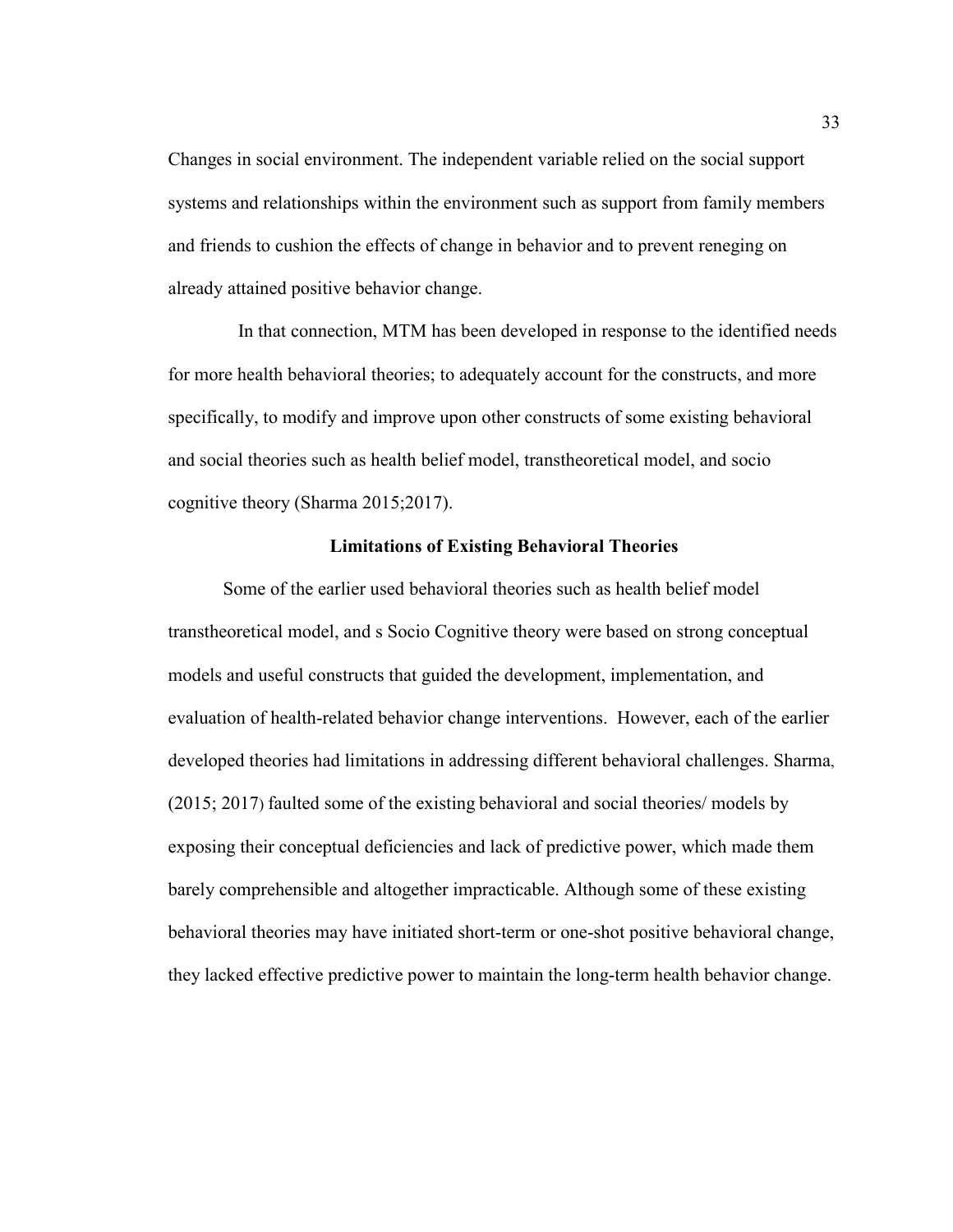Changes in social environment. The independent variable relied on the social support systems and relationships within the environment such as support from family members and friends to cushion the effects of change in behavior and to prevent reneging on already attained positive behavior change.

 In that connection, MTM has been developed in response to the identified needs for more health behavioral theories; to adequately account for the constructs, and more specifically, to modify and improve upon other constructs of some existing behavioral and social theories such as health belief model, transtheoretical model, and socio cognitive theory (Sharma 2015;2017).

#### **Limitations of Existing Behavioral Theories**

Some of the earlier used behavioral theories such as health belief model transtheoretical model, and s Socio Cognitive theory were based on strong conceptual models and useful constructs that guided the development, implementation, and evaluation of health-related behavior change interventions. However, each of the earlier developed theories had limitations in addressing different behavioral challenges. Sharma, (2015; 2017) faulted some of the existing behavioral and social theories/ models by exposing their conceptual deficiencies and lack of predictive power, which made them barely comprehensible and altogether impracticable. Although some of these existing behavioral theories may have initiated short-term or one-shot positive behavioral change, they lacked effective predictive power to maintain the long-term health behavior change.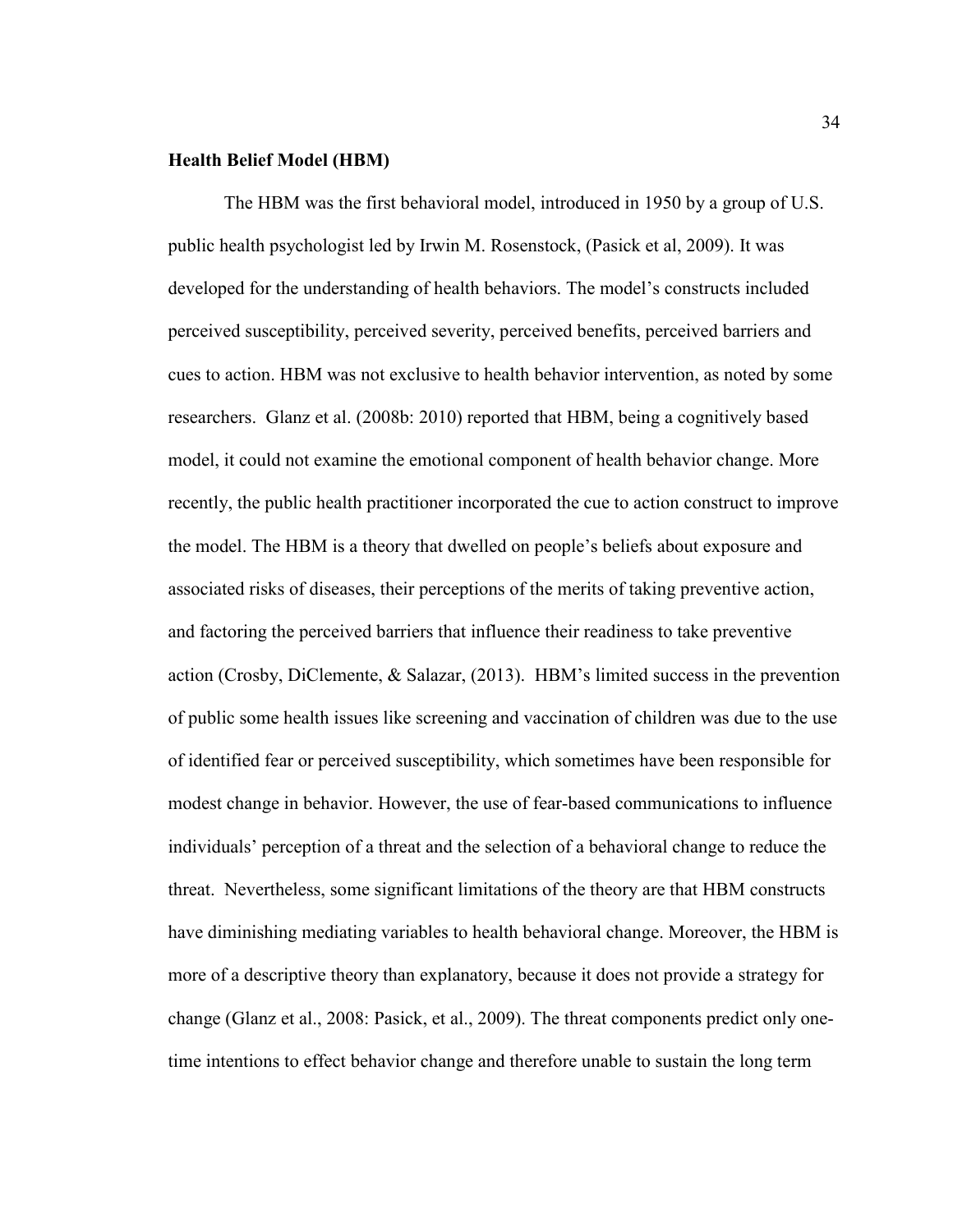#### **Health Belief Model (HBM)**

The HBM was the first behavioral model, introduced in 1950 by a group of U.S. public health psychologist led by Irwin M. Rosenstock, (Pasick et al, 2009). It was developed for the understanding of health behaviors. The model's constructs included perceived susceptibility, perceived severity, perceived benefits, perceived barriers and cues to action. HBM was not exclusive to health behavior intervention, as noted by some researchers. Glanz et al. (2008b: 2010) reported that HBM, being a cognitively based model, it could not examine the emotional component of health behavior change. More recently, the public health practitioner incorporated the cue to action construct to improve the model. The HBM is a theory that dwelled on people's beliefs about exposure and associated risks of diseases, their perceptions of the merits of taking preventive action, and factoring the perceived barriers that influence their readiness to take preventive action (Crosby, DiClemente, & Salazar, (2013). HBM's limited success in the prevention of public some health issues like screening and vaccination of children was due to the use of identified fear or perceived susceptibility, which sometimes have been responsible for modest change in behavior. However, the use of fear-based communications to influence individuals' perception of a threat and the selection of a behavioral change to reduce the threat. Nevertheless, some significant limitations of the theory are that HBM constructs have diminishing mediating variables to health behavioral change. Moreover, the HBM is more of a descriptive theory than explanatory, because it does not provide a strategy for change (Glanz et al., 2008: Pasick, et al., 2009). The threat components predict only onetime intentions to effect behavior change and therefore unable to sustain the long term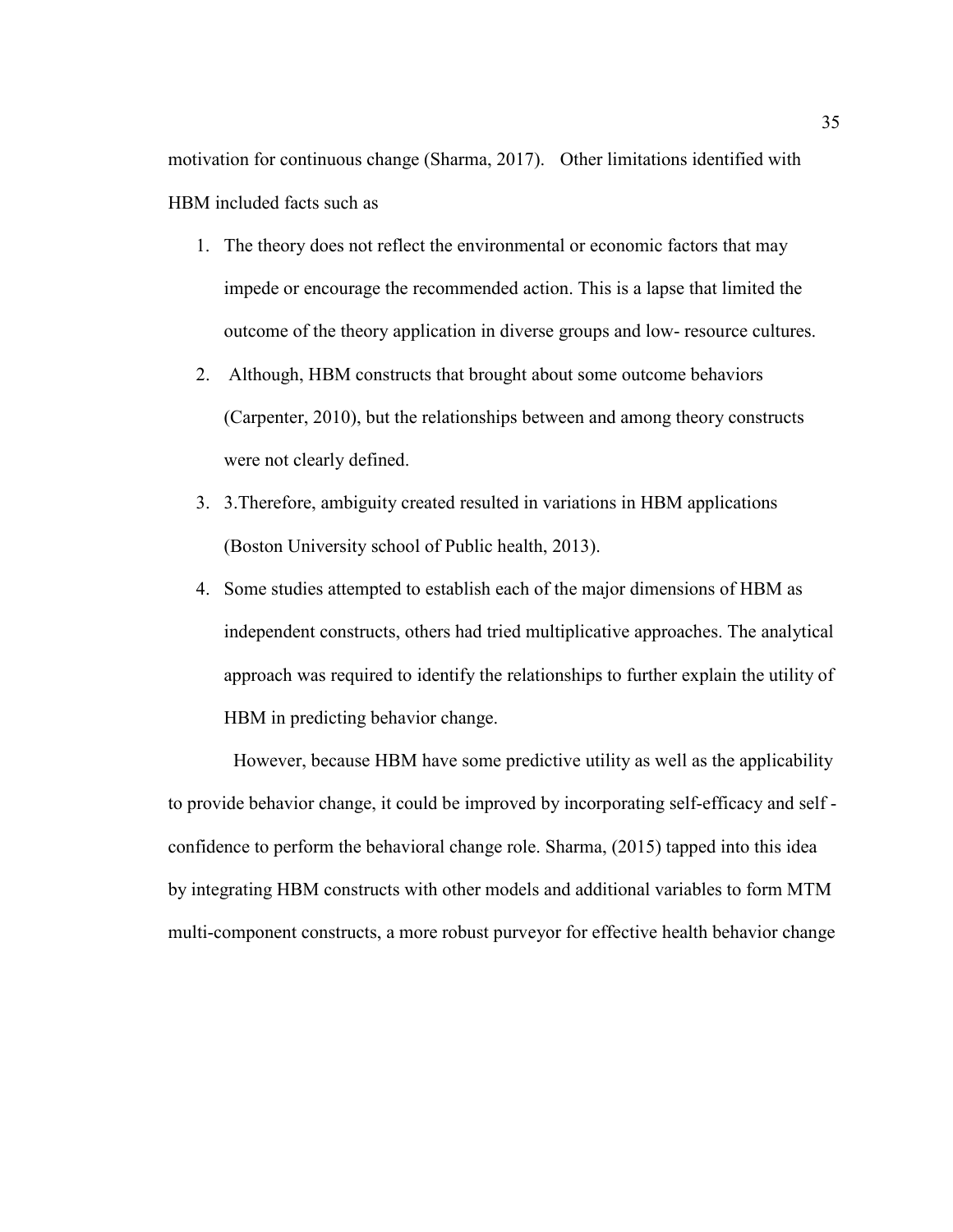motivation for continuous change (Sharma, 2017). Other limitations identified with HBM included facts such as

- 1. The theory does not reflect the environmental or economic factors that may impede or encourage the recommended action. This is a lapse that limited the outcome of the theory application in diverse groups and low- resource cultures.
- 2. Although, HBM constructs that brought about some outcome behaviors (Carpenter, 2010), but the relationships between and among theory constructs were not clearly defined.
- 3. 3.Therefore, ambiguity created resulted in variations in HBM applications (Boston University school of Public health, 2013).
- 4. Some studies attempted to establish each of the major dimensions of HBM as independent constructs, others had tried multiplicative approaches. The analytical approach was required to identify the relationships to further explain the utility of HBM in predicting behavior change.

 However, because HBM have some predictive utility as well as the applicability to provide behavior change, it could be improved by incorporating self-efficacy and self confidence to perform the behavioral change role. Sharma, (2015) tapped into this idea by integrating HBM constructs with other models and additional variables to form MTM multi-component constructs, a more robust purveyor for effective health behavior change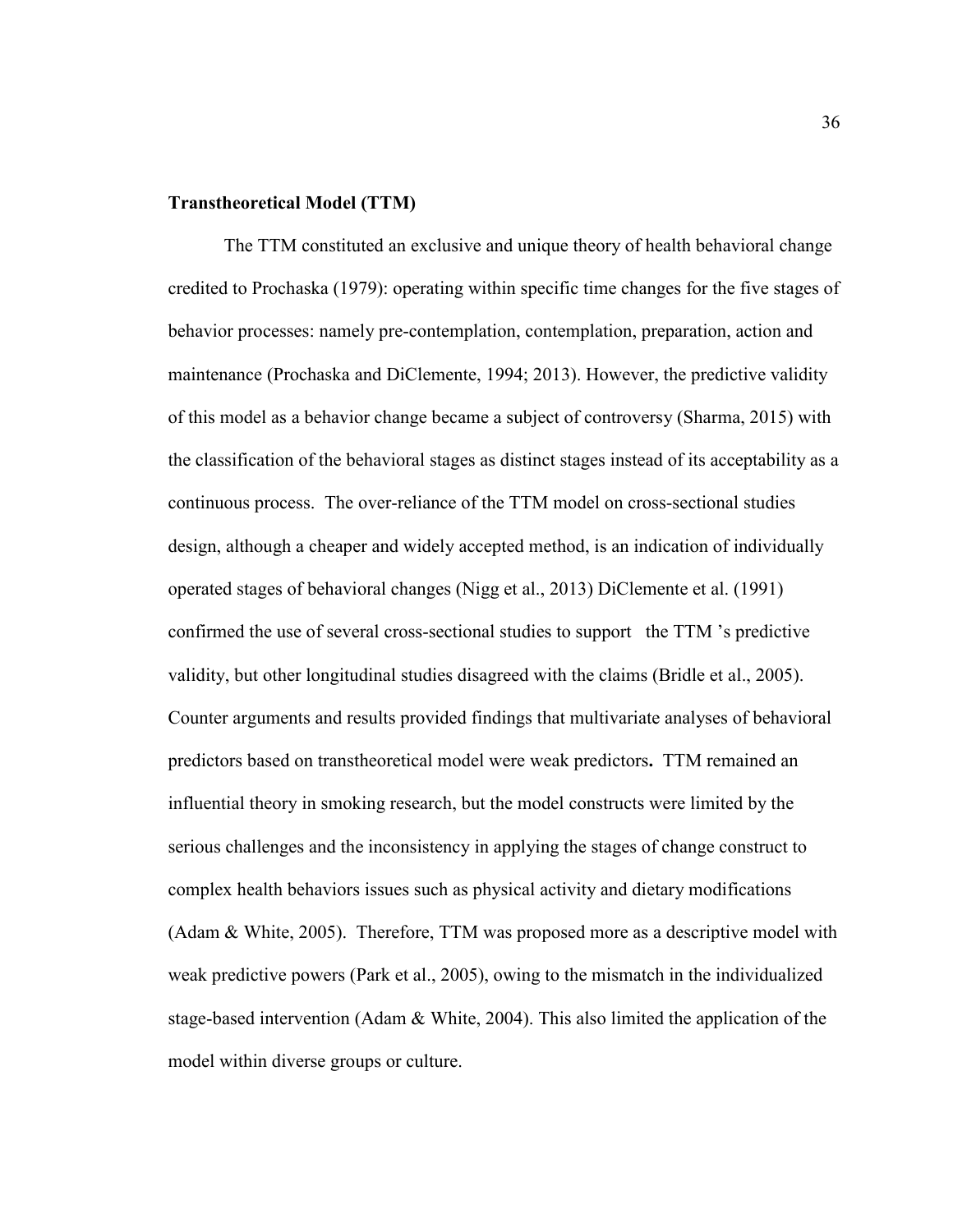#### **Transtheoretical Model (TTM)**

The TTM constituted an exclusive and unique theory of health behavioral change credited to Prochaska (1979): operating within specific time changes for the five stages of behavior processes: namely pre-contemplation, contemplation, preparation, action and maintenance (Prochaska and DiClemente, 1994; 2013). However, the predictive validity of this model as a behavior change became a subject of controversy (Sharma, 2015) with the classification of the behavioral stages as distinct stages instead of its acceptability as a continuous process. The over-reliance of the TTM model on cross-sectional studies design, although a cheaper and widely accepted method, is an indication of individually operated stages of behavioral changes (Nigg et al., 2013) DiClemente et al. (1991) confirmed the use of several cross-sectional studies to support the TTM 's predictive validity, but other longitudinal studies disagreed with the claims (Bridle et al., 2005). Counter arguments and results provided findings that multivariate analyses of behavioral predictors based on transtheoretical model were weak predictors**.** TTM remained an influential theory in smoking research, but the model constructs were limited by the serious challenges and the inconsistency in applying the stages of change construct to complex health behaviors issues such as physical activity and dietary modifications (Adam & White, 2005). Therefore, TTM was proposed more as a descriptive model with weak predictive powers (Park et al., 2005), owing to the mismatch in the individualized stage-based intervention (Adam & White, 2004). This also limited the application of the model within diverse groups or culture.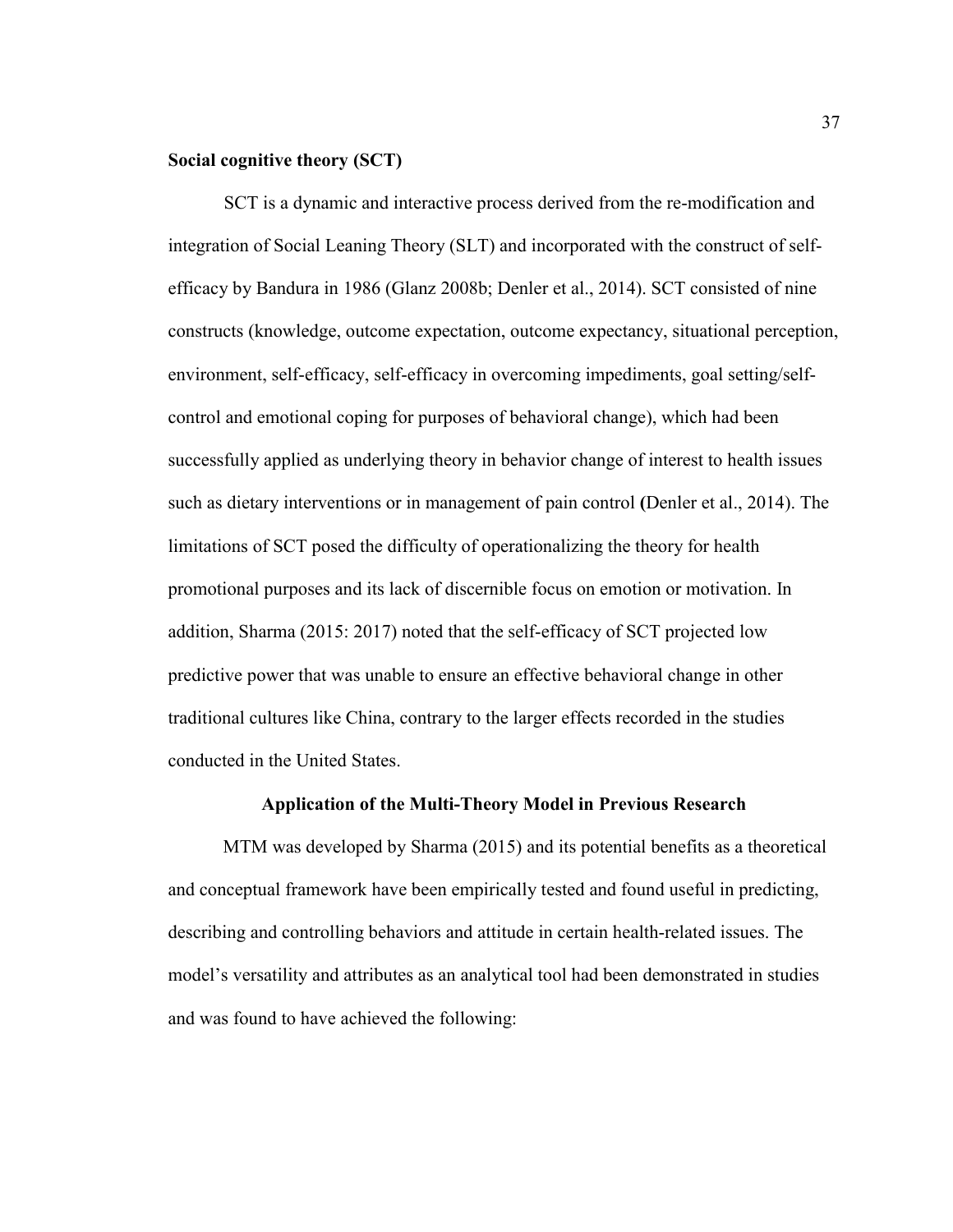# **Social cognitive theory (SCT)**

SCT is a dynamic and interactive process derived from the re-modification and integration of Social Leaning Theory (SLT) and incorporated with the construct of selfefficacy by Bandura in 1986 (Glanz 2008b; Denler et al., 2014). SCT consisted of nine constructs (knowledge, outcome expectation, outcome expectancy, situational perception, environment, self-efficacy, self-efficacy in overcoming impediments, goal setting/selfcontrol and emotional coping for purposes of behavioral change), which had been successfully applied as underlying theory in behavior change of interest to health issues such as dietary interventions or in management of pain control **(**Denler et al., 2014). The limitations of SCT posed the difficulty of operationalizing the theory for health promotional purposes and its lack of discernible focus on emotion or motivation. In addition, Sharma (2015: 2017) noted that the self-efficacy of SCT projected low predictive power that was unable to ensure an effective behavioral change in other traditional cultures like China, contrary to the larger effects recorded in the studies conducted in the United States.

#### **Application of the Multi-Theory Model in Previous Research**

MTM was developed by Sharma (2015) and its potential benefits as a theoretical and conceptual framework have been empirically tested and found useful in predicting, describing and controlling behaviors and attitude in certain health-related issues. The model's versatility and attributes as an analytical tool had been demonstrated in studies and was found to have achieved the following: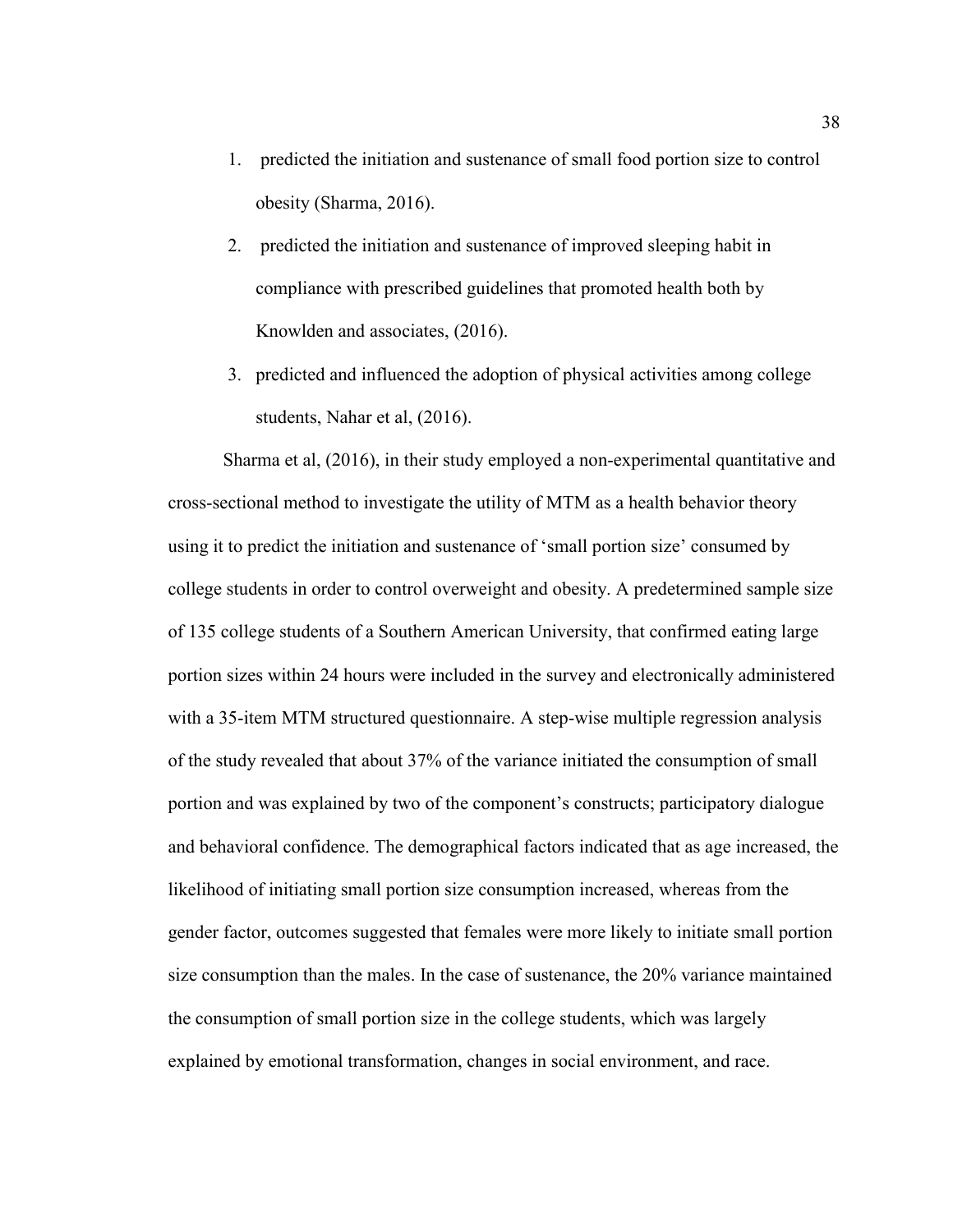- 1. predicted the initiation and sustenance of small food portion size to control obesity (Sharma, 2016).
- 2. predicted the initiation and sustenance of improved sleeping habit in compliance with prescribed guidelines that promoted health both by Knowlden and associates, (2016).
- 3. predicted and influenced the adoption of physical activities among college students, Nahar et al, (2016).

Sharma et al, (2016), in their study employed a non-experimental quantitative and cross-sectional method to investigate the utility of MTM as a health behavior theory using it to predict the initiation and sustenance of 'small portion size' consumed by college students in order to control overweight and obesity. A predetermined sample size of 135 college students of a Southern American University, that confirmed eating large portion sizes within 24 hours were included in the survey and electronically administered with a 35-item MTM structured questionnaire. A step-wise multiple regression analysis of the study revealed that about 37% of the variance initiated the consumption of small portion and was explained by two of the component's constructs; participatory dialogue and behavioral confidence. The demographical factors indicated that as age increased, the likelihood of initiating small portion size consumption increased, whereas from the gender factor, outcomes suggested that females were more likely to initiate small portion size consumption than the males. In the case of sustenance, the 20% variance maintained the consumption of small portion size in the college students, which was largely explained by emotional transformation, changes in social environment, and race.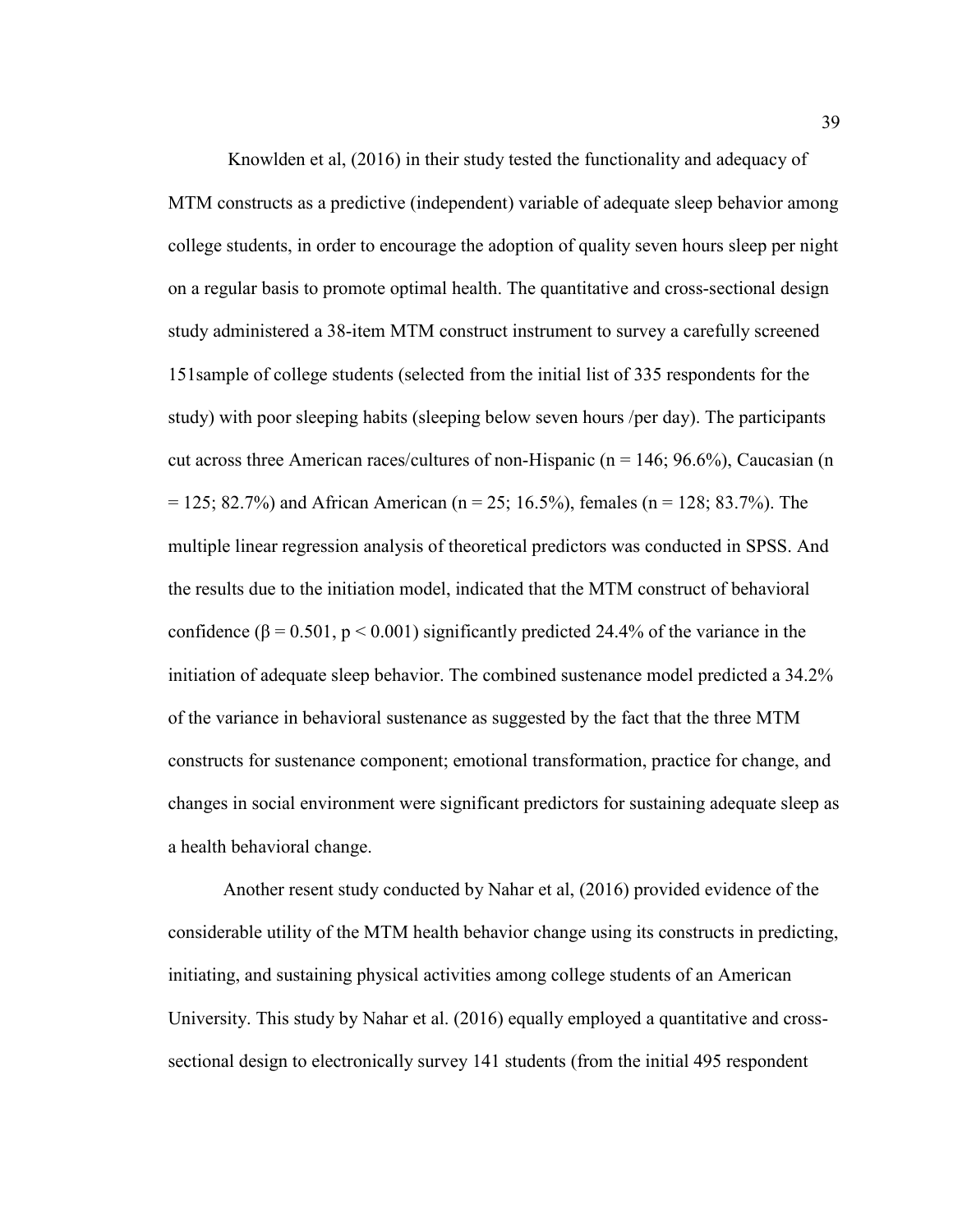Knowlden et al, (2016) in their study tested the functionality and adequacy of MTM constructs as a predictive (independent) variable of adequate sleep behavior among college students, in order to encourage the adoption of quality seven hours sleep per night on a regular basis to promote optimal health. The quantitative and cross-sectional design study administered a 38-item MTM construct instrument to survey a carefully screened 151sample of college students (selected from the initial list of 335 respondents for the study) with poor sleeping habits (sleeping below seven hours /per day). The participants cut across three American races/cultures of non-Hispanic ( $n = 146$ ; 96.6%), Caucasian (n  $= 125$ ; 82.7%) and African American (n = 25; 16.5%), females (n = 128; 83.7%). The multiple linear regression analysis of theoretical predictors was conducted in SPSS. And the results due to the initiation model, indicated that the MTM construct of behavioral confidence ( $\beta$  = 0.501, p < 0.001) significantly predicted 24.4% of the variance in the initiation of adequate sleep behavior. The combined sustenance model predicted a 34.2% of the variance in behavioral sustenance as suggested by the fact that the three MTM constructs for sustenance component; emotional transformation, practice for change, and changes in social environment were significant predictors for sustaining adequate sleep as a health behavioral change.

Another resent study conducted by Nahar et al, (2016) provided evidence of the considerable utility of the MTM health behavior change using its constructs in predicting, initiating, and sustaining physical activities among college students of an American University. This study by Nahar et al. (2016) equally employed a quantitative and crosssectional design to electronically survey 141 students (from the initial 495 respondent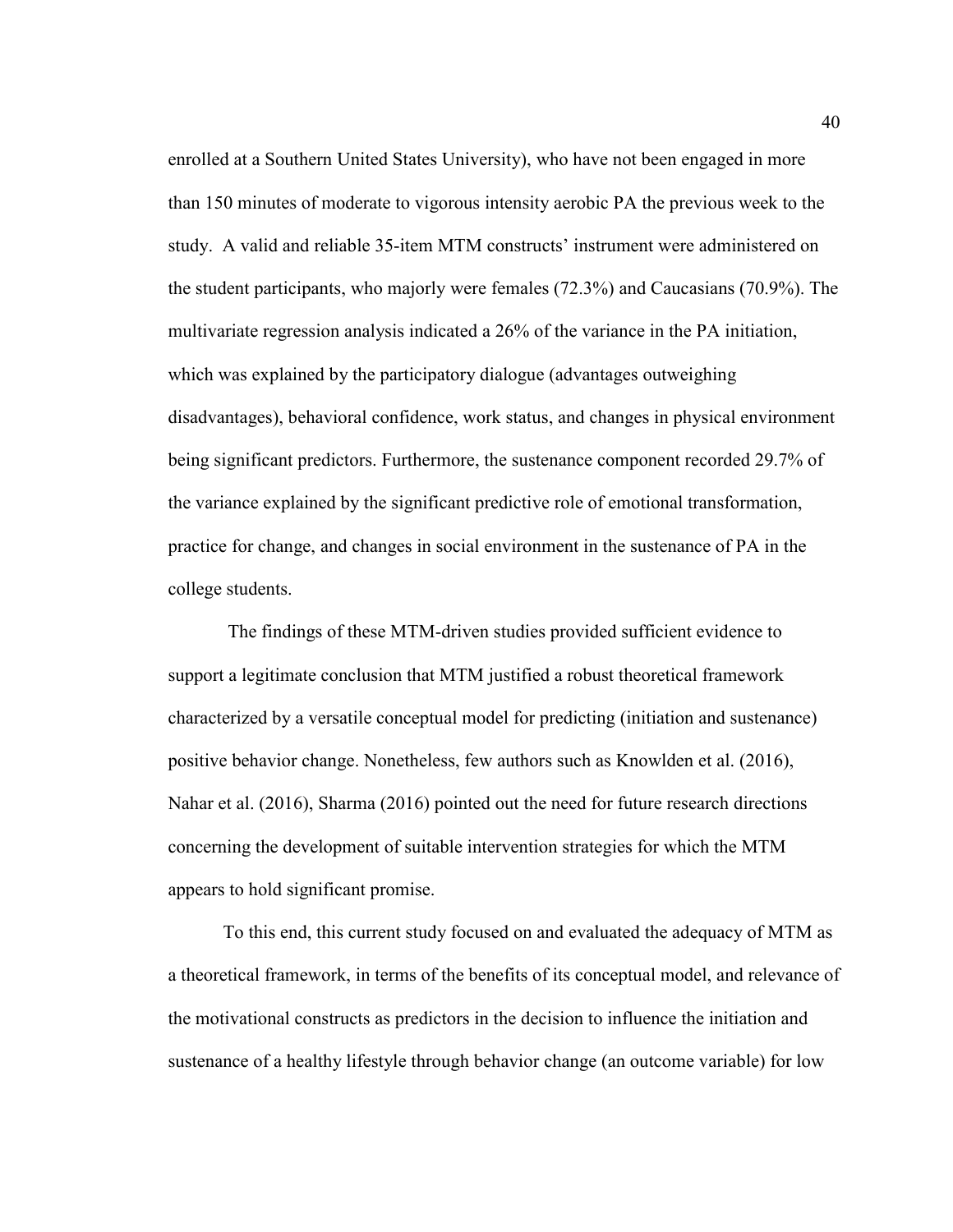enrolled at a Southern United States University), who have not been engaged in more than 150 minutes of moderate to vigorous intensity aerobic PA the previous week to the study. A valid and reliable 35-item MTM constructs' instrument were administered on the student participants, who majorly were females (72.3%) and Caucasians (70.9%). The multivariate regression analysis indicated a 26% of the variance in the PA initiation, which was explained by the participatory dialogue (advantages outweighing disadvantages), behavioral confidence, work status, and changes in physical environment being significant predictors. Furthermore, the sustenance component recorded 29.7% of the variance explained by the significant predictive role of emotional transformation, practice for change, and changes in social environment in the sustenance of PA in the college students.

 The findings of these MTM-driven studies provided sufficient evidence to support a legitimate conclusion that MTM justified a robust theoretical framework characterized by a versatile conceptual model for predicting (initiation and sustenance) positive behavior change. Nonetheless, few authors such as Knowlden et al. (2016), Nahar et al. (2016), Sharma (2016) pointed out the need for future research directions concerning the development of suitable intervention strategies for which the MTM appears to hold significant promise.

To this end, this current study focused on and evaluated the adequacy of MTM as a theoretical framework, in terms of the benefits of its conceptual model, and relevance of the motivational constructs as predictors in the decision to influence the initiation and sustenance of a healthy lifestyle through behavior change (an outcome variable) for low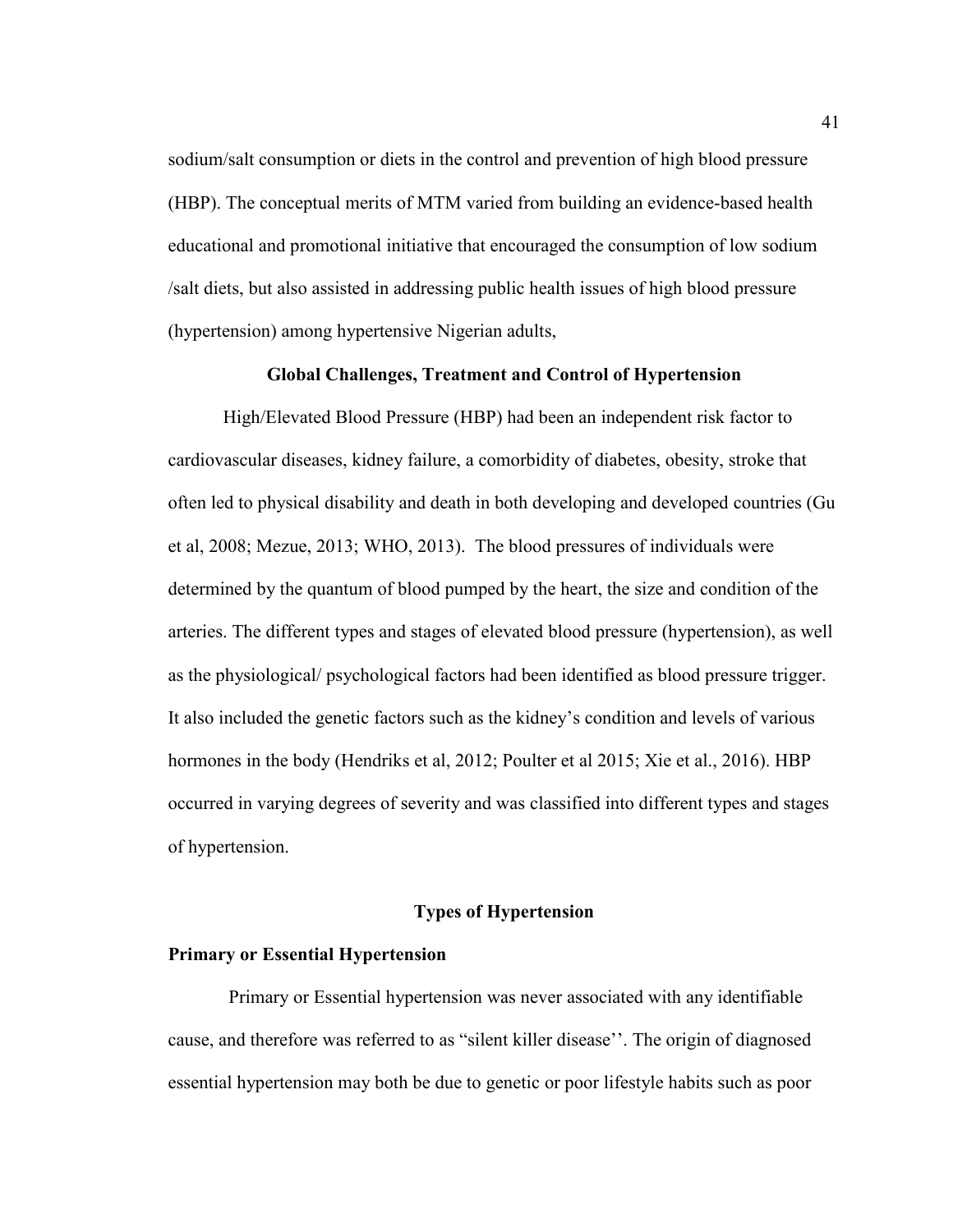sodium/salt consumption or diets in the control and prevention of high blood pressure (HBP). The conceptual merits of MTM varied from building an evidence-based health educational and promotional initiative that encouraged the consumption of low sodium /salt diets, but also assisted in addressing public health issues of high blood pressure (hypertension) among hypertensive Nigerian adults,

#### **Global Challenges, Treatment and Control of Hypertension**

High/Elevated Blood Pressure (HBP) had been an independent risk factor to cardiovascular diseases, kidney failure, a comorbidity of diabetes, obesity, stroke that often led to physical disability and death in both developing and developed countries (Gu et al, 2008; Mezue, 2013; WHO, 2013). The blood pressures of individuals were determined by the quantum of blood pumped by the heart, the size and condition of the arteries. The different types and stages of elevated blood pressure (hypertension), as well as the physiological/ psychological factors had been identified as blood pressure trigger. It also included the genetic factors such as the kidney's condition and levels of various hormones in the body (Hendriks et al, 2012; Poulter et al 2015; Xie et al., 2016). HBP occurred in varying degrees of severity and was classified into different types and stages of hypertension.

#### **Types of Hypertension**

#### **Primary or Essential Hypertension**

Primary or Essential hypertension was never associated with any identifiable cause, and therefore was referred to as "silent killer disease''. The origin of diagnosed essential hypertension may both be due to genetic or poor lifestyle habits such as poor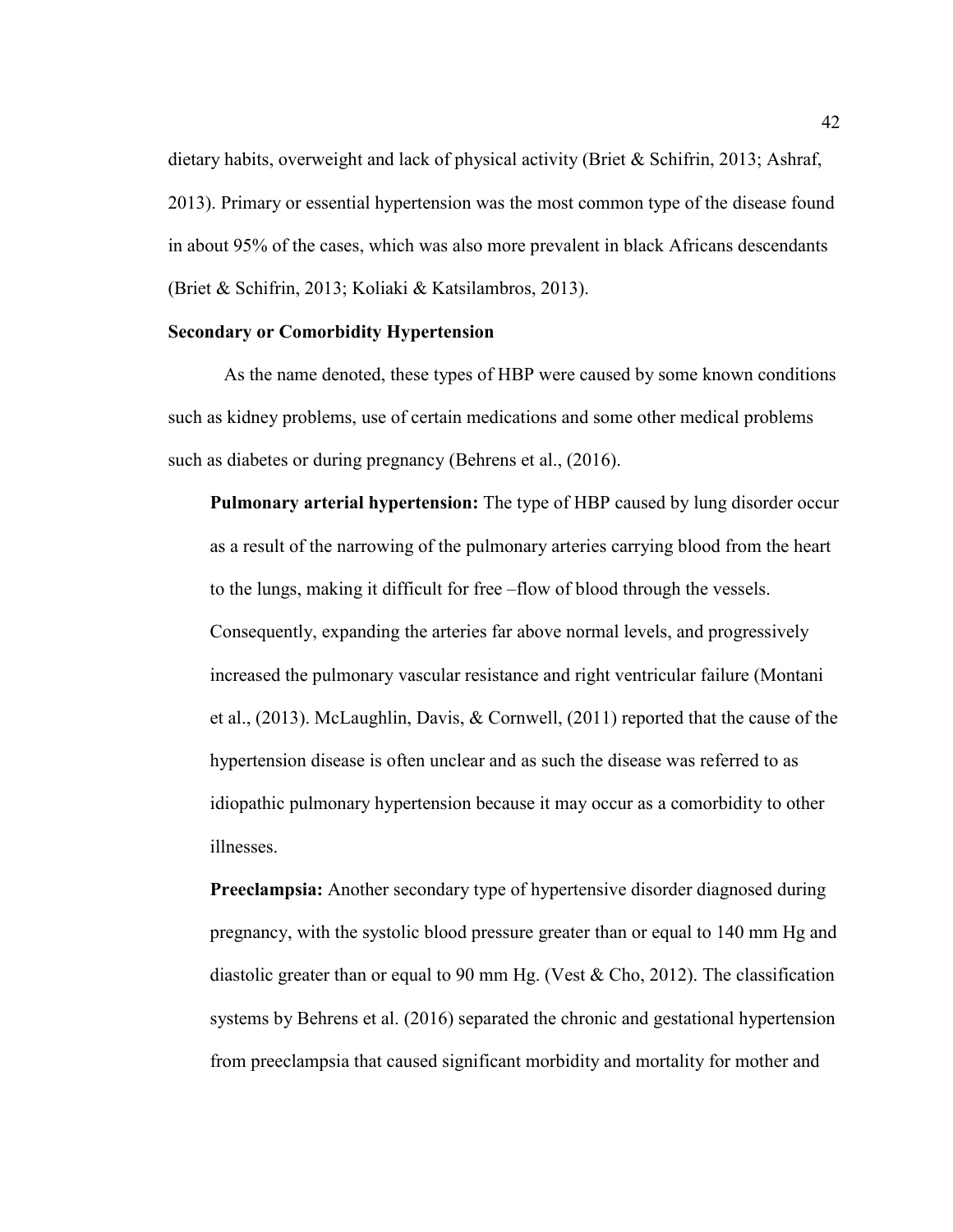dietary habits, overweight and lack of physical activity (Briet & Schifrin, 2013; Ashraf, 2013). Primary or essential hypertension was the most common type of the disease found in about 95% of the cases, which was also more prevalent in black Africans descendants (Briet & Schifrin, 2013; Koliaki & Katsilambros, 2013).

#### **Secondary or Comorbidity Hypertension**

As the name denoted, these types of HBP were caused by some known conditions such as kidney problems, use of certain medications and some other medical problems such as diabetes or during pregnancy (Behrens et al., (2016).

**Pulmonary arterial hypertension:** The type of HBP caused by lung disorder occur as a result of the narrowing of the pulmonary arteries carrying blood from the heart to the lungs, making it difficult for free –flow of blood through the vessels. Consequently, expanding the arteries far above normal levels, and progressively increased the pulmonary vascular resistance and right ventricular failure (Montani et al., (2013). McLaughlin, Davis, & Cornwell, (2011) reported that the cause of the hypertension disease is often unclear and as such the disease was referred to as idiopathic pulmonary hypertension because it may occur as a comorbidity to other illnesses.

**Preeclampsia:** Another secondary type of hypertensive disorder diagnosed during pregnancy, with the systolic blood pressure greater than or equal to 140 mm Hg and diastolic greater than or equal to 90 mm Hg. (Vest  $& Cho, 2012$ ). The classification systems by Behrens et al. (2016) separated the chronic and gestational hypertension from preeclampsia that caused significant morbidity and mortality for mother and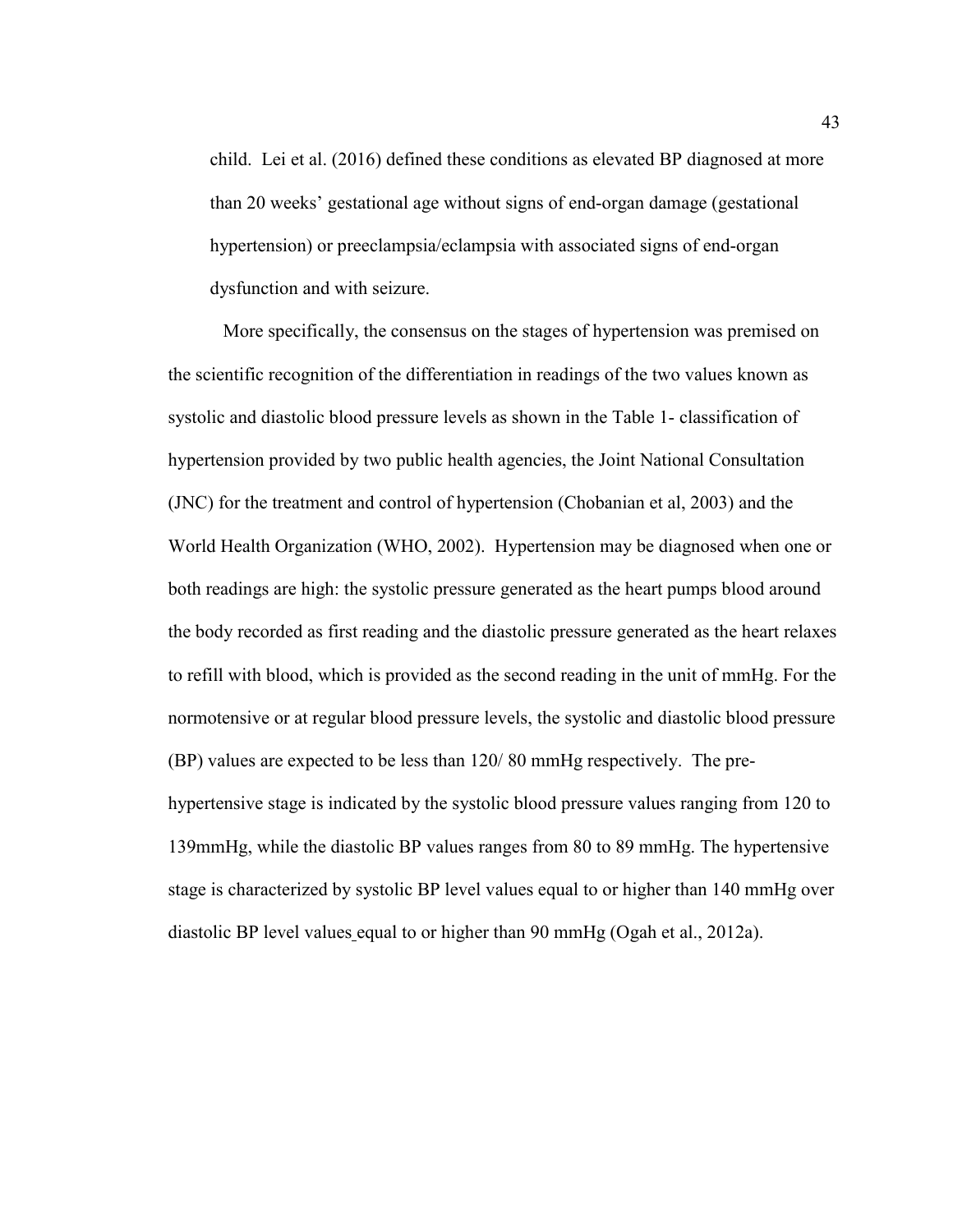child. Lei et al. (2016) defined these conditions as elevated BP diagnosed at more than 20 weeks' gestational age without signs of end-organ damage (gestational hypertension) or preeclampsia/eclampsia with associated signs of end-organ dysfunction and with seizure.

More specifically, the consensus on the stages of hypertension was premised on the scientific recognition of the differentiation in readings of the two values known as systolic and diastolic blood pressure levels as shown in the Table 1- classification of hypertension provided by two public health agencies, the Joint National Consultation (JNC) for the treatment and control of hypertension (Chobanian et al, 2003) and the World Health Organization (WHO, 2002). Hypertension may be diagnosed when one or both readings are high: the systolic pressure generated as the heart pumps blood around the body recorded as first reading and the diastolic pressure generated as the heart relaxes to refill with blood, which is provided as the second reading in the unit of mmHg. For the normotensive or at regular blood pressure levels, the systolic and diastolic blood pressure (BP) values are expected to be less than 120/ 80 mmHg respectively. The prehypertensive stage is indicated by the systolic blood pressure values ranging from 120 to 139mmHg, while the diastolic BP values ranges from 80 to 89 mmHg. The hypertensive stage is characterized by systolic BP level values equal to or higher than 140 mmHg over diastolic BP level values equal to or higher than 90 mmHg (Ogah et al., 2012a).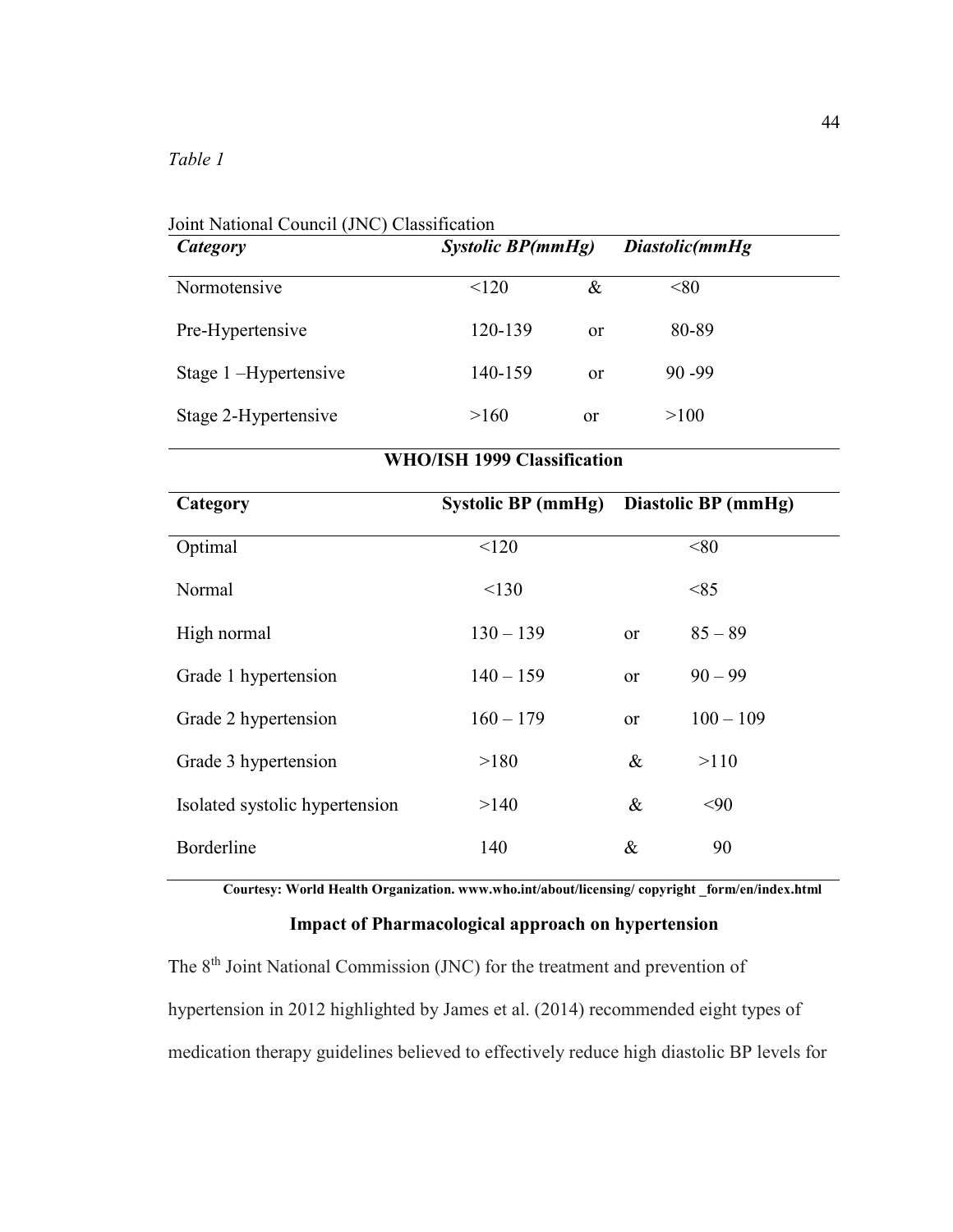| Category                           | <b>Systolic BP(mmHg)</b>  |      | Diastolic(mmHg      |             |  |
|------------------------------------|---------------------------|------|---------------------|-------------|--|
| Normotensive                       | < 120                     | $\&$ |                     | < 80        |  |
| Pre-Hypertensive                   | 120-139                   | or   | 80-89               |             |  |
| Stage 1-Hypertensive               | 140-159                   | or   | 90 - 99             |             |  |
| Stage 2-Hypertensive               | >160                      | or   |                     | >100        |  |
| <b>WHO/ISH 1999 Classification</b> |                           |      |                     |             |  |
| Category                           | <b>Systolic BP (mmHg)</b> |      | Diastolic BP (mmHg) |             |  |
| Optimal                            | < 120                     |      |                     | < 80        |  |
| Normal                             | < 130                     |      |                     | < 85        |  |
| High normal                        | $130 - 139$               |      | or                  | $85 - 89$   |  |
| Grade 1 hypertension               | $140 - 159$               |      | or                  | $90 - 99$   |  |
| Grade 2 hypertension               | $160 - 179$               |      | or                  | $100 - 109$ |  |
| Grade 3 hypertension               | >180                      |      | $\&$                | >110        |  |
| Isolated systolic hypertension     | >140                      |      | $\&$                | < 90        |  |
| Borderline                         | 140                       |      | &                   | 90          |  |

 $J^{\prime}$   $\overline{M}$   $\overline{N}$   $\overline{M}$   $\overline{N}$   $\overline{N}$   $\overline{N}$   $\overline{N}$   $\overline{N}$   $\overline{N}$   $\overline{N}$   $\overline{N}$   $\overline{N}$   $\overline{N}$   $\overline{N}$   $\overline{N}$   $\overline{N}$   $\overline{N}$   $\overline{N}$   $\overline{N}$   $\overline{N}$   $\overline{N}$   $\overline{N}$   $\overline{N}$   $\overline{N$ 

**Courtesy: World Health Organization. www.who.int/about/licensing/ copyright \_form/en/index.html** 

# **Impact of Pharmacological approach on hypertension**

The 8<sup>th</sup> Joint National Commission (JNC) for the treatment and prevention of hypertension in 2012 highlighted by James et al. (2014) recommended eight types of medication therapy guidelines believed to effectively reduce high diastolic BP levels for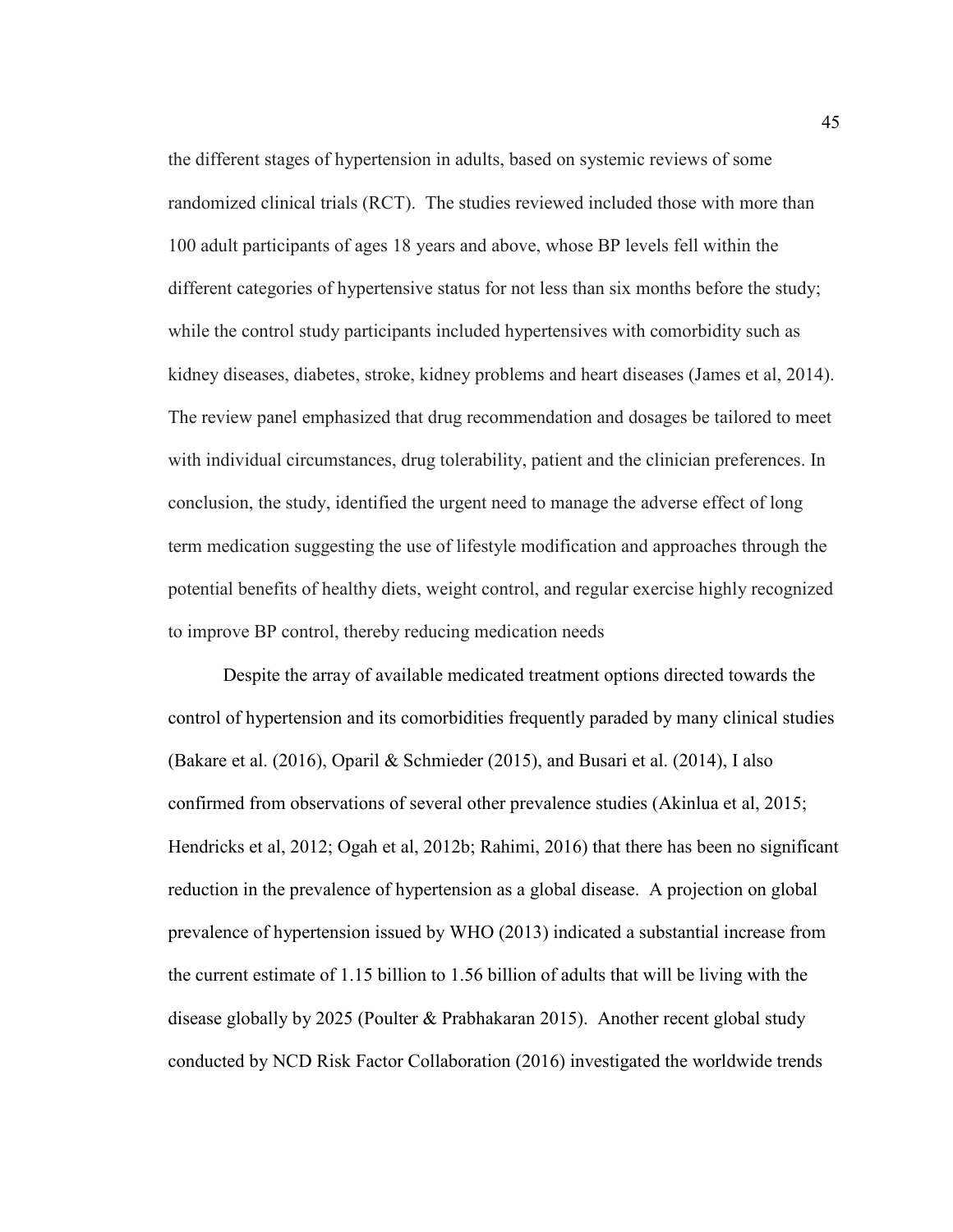the different stages of hypertension in adults, based on systemic reviews of some randomized clinical trials (RCT). The studies reviewed included those with more than 100 adult participants of ages 18 years and above, whose BP levels fell within the different categories of hypertensive status for not less than six months before the study; while the control study participants included hypertensives with comorbidity such as kidney diseases, diabetes, stroke, kidney problems and heart diseases (James et al, 2014). The review panel emphasized that drug recommendation and dosages be tailored to meet with individual circumstances, drug tolerability, patient and the clinician preferences. In conclusion, the study, identified the urgent need to manage the adverse effect of long term medication suggesting the use of lifestyle modification and approaches through the potential benefits of healthy diets, weight control, and regular exercise highly recognized to improve BP control, thereby reducing medication needs

Despite the array of available medicated treatment options directed towards the control of hypertension and its comorbidities frequently paraded by many clinical studies (Bakare et al. (2016), Oparil & Schmieder (2015), and Busari et al. (2014), I also confirmed from observations of several other prevalence studies (Akinlua et al, 2015; Hendricks et al, 2012; Ogah et al, 2012b; Rahimi, 2016) that there has been no significant reduction in the prevalence of hypertension as a global disease. A projection on global prevalence of hypertension issued by WHO (2013) indicated a substantial increase from the current estimate of 1.15 billion to 1.56 billion of adults that will be living with the disease globally by 2025 (Poulter & Prabhakaran 2015). Another recent global study conducted by NCD Risk Factor Collaboration (2016) investigated the worldwide trends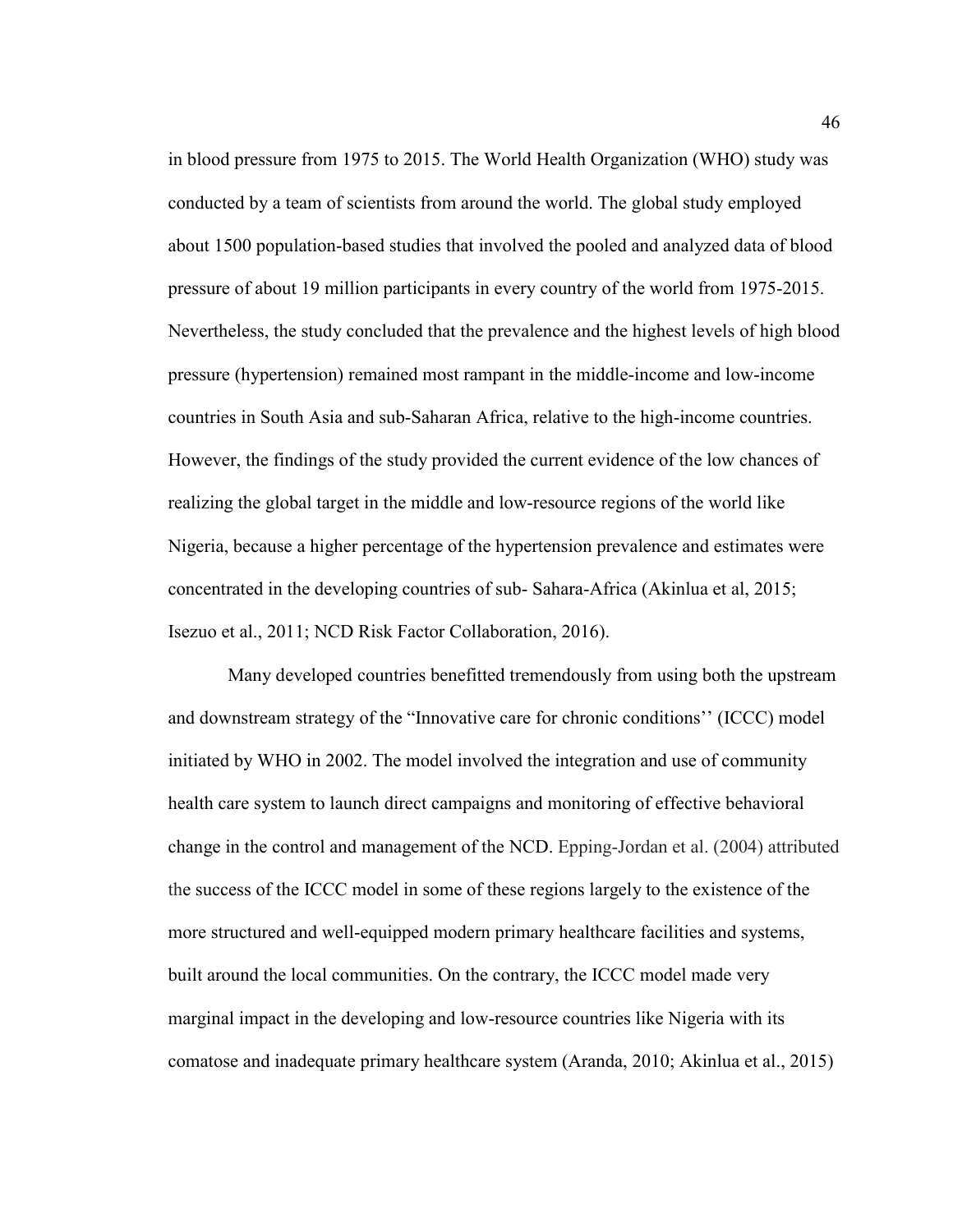in blood pressure from 1975 to 2015. The World Health Organization (WHO) study was conducted by a team of scientists from around the world. The global study employed about 1500 population-based studies that involved the pooled and analyzed data of blood pressure of about 19 million participants in every country of the world from 1975-2015. Nevertheless, the study concluded that the prevalence and the highest levels of high blood pressure (hypertension) remained most rampant in the middle-income and low-income countries in South Asia and sub-Saharan Africa, relative to the high-income countries. However, the findings of the study provided the current evidence of the low chances of realizing the global target in the middle and low-resource regions of the world like Nigeria, because a higher percentage of the hypertension prevalence and estimates were concentrated in the developing countries of sub- Sahara-Africa (Akinlua et al, 2015; Isezuo et al., 2011; NCD Risk Factor Collaboration, 2016).

 Many developed countries benefitted tremendously from using both the upstream and downstream strategy of the "Innovative care for chronic conditions'' (ICCC) model initiated by WHO in 2002. The model involved the integration and use of community health care system to launch direct campaigns and monitoring of effective behavioral change in the control and management of the NCD. Epping-Jordan et al. (2004) attributed the success of the ICCC model in some of these regions largely to the existence of the more structured and well-equipped modern primary healthcare facilities and systems, built around the local communities. On the contrary, the ICCC model made very marginal impact in the developing and low-resource countries like Nigeria with its comatose and inadequate primary healthcare system (Aranda, 2010; Akinlua et al., 2015)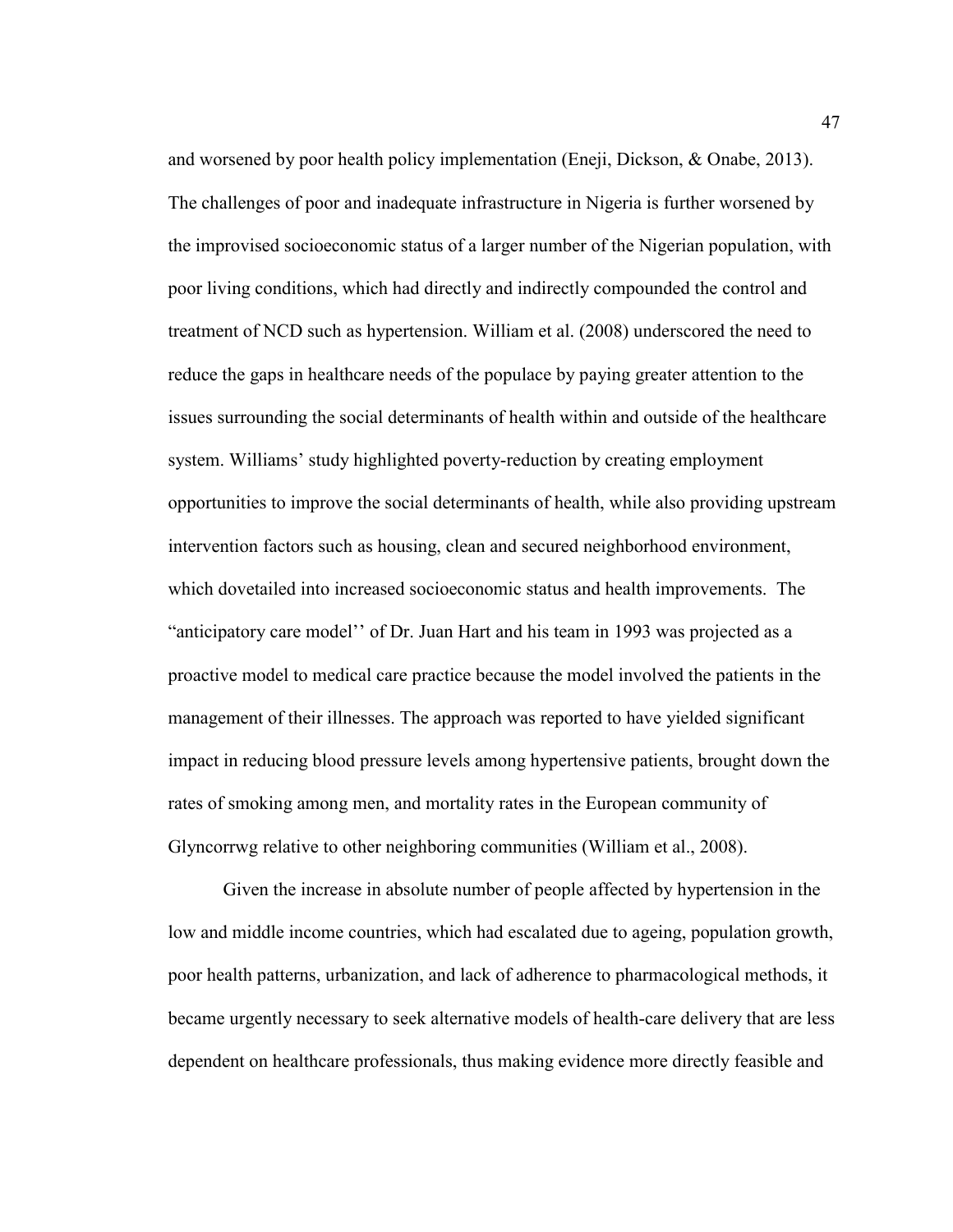and worsened by poor health policy implementation (Eneji, Dickson, & Onabe, 2013). The challenges of poor and inadequate infrastructure in Nigeria is further worsened by the improvised socioeconomic status of a larger number of the Nigerian population, with poor living conditions, which had directly and indirectly compounded the control and treatment of NCD such as hypertension. William et al. (2008) underscored the need to reduce the gaps in healthcare needs of the populace by paying greater attention to the issues surrounding the social determinants of health within and outside of the healthcare system. Williams' study highlighted poverty-reduction by creating employment opportunities to improve the social determinants of health, while also providing upstream intervention factors such as housing, clean and secured neighborhood environment, which dovetailed into increased socioeconomic status and health improvements. The "anticipatory care model'' of Dr. Juan Hart and his team in 1993 was projected as a proactive model to medical care practice because the model involved the patients in the management of their illnesses. The approach was reported to have yielded significant impact in reducing blood pressure levels among hypertensive patients, brought down the rates of smoking among men, and mortality rates in the European community of Glyncorrwg relative to other neighboring communities (William et al., 2008).

Given the increase in absolute number of people affected by hypertension in the low and middle income countries, which had escalated due to ageing, population growth, poor health patterns, urbanization, and lack of adherence to pharmacological methods, it became urgently necessary to seek alternative models of health-care delivery that are less dependent on healthcare professionals, thus making evidence more directly feasible and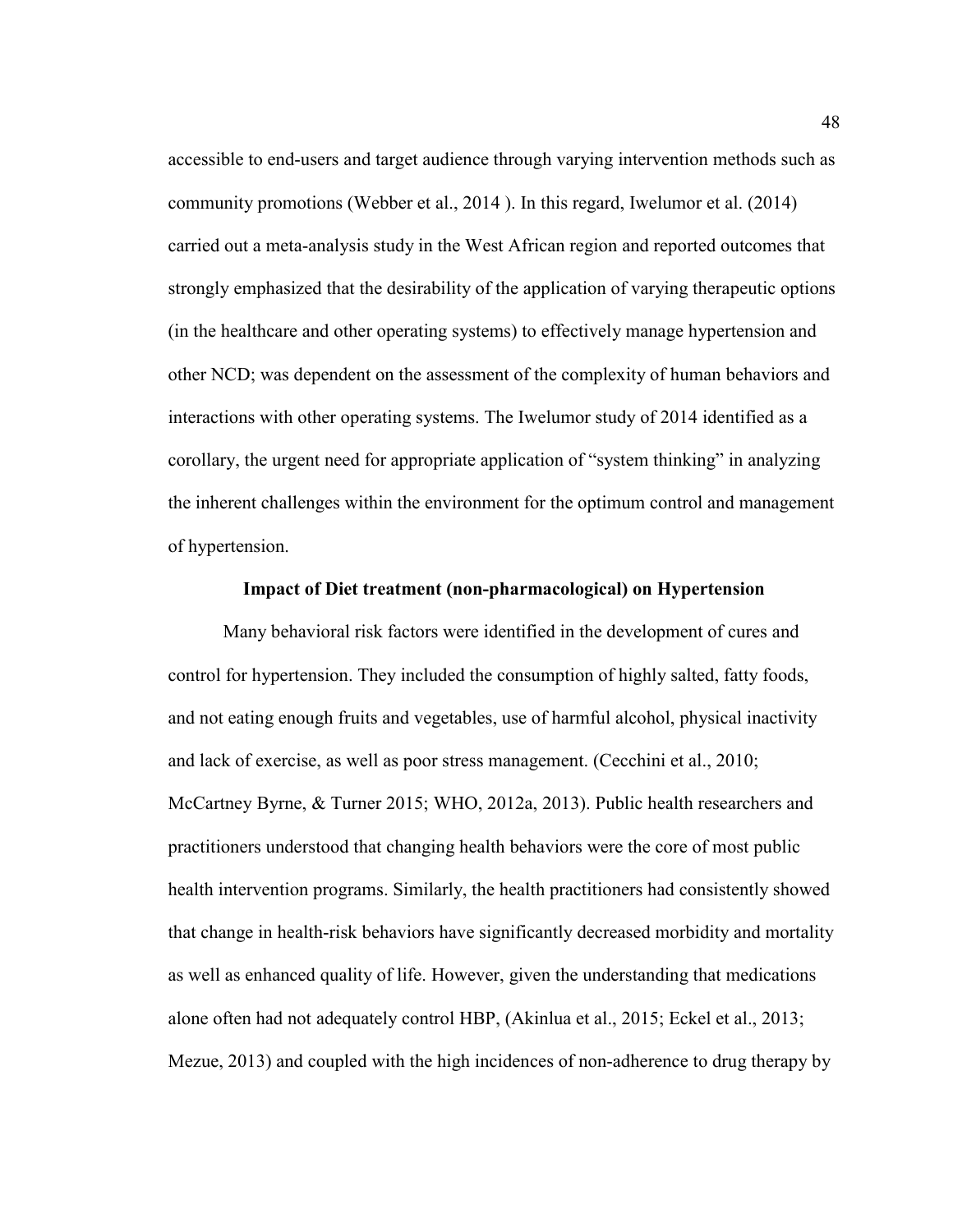accessible to end-users and target audience through varying intervention methods such as community promotions (Webber et al., 2014 ). In this regard, Iwelumor et al. (2014) carried out a meta-analysis study in the West African region and reported outcomes that strongly emphasized that the desirability of the application of varying therapeutic options (in the healthcare and other operating systems) to effectively manage hypertension and other NCD; was dependent on the assessment of the complexity of human behaviors and interactions with other operating systems. The Iwelumor study of 2014 identified as a corollary, the urgent need for appropriate application of "system thinking" in analyzing the inherent challenges within the environment for the optimum control and management of hypertension.

#### **Impact of Diet treatment (non-pharmacological) on Hypertension**

Many behavioral risk factors were identified in the development of cures and control for hypertension. They included the consumption of highly salted, fatty foods, and not eating enough fruits and vegetables, use of harmful alcohol, physical inactivity and lack of exercise, as well as poor stress management. (Cecchini et al., 2010; McCartney Byrne, & Turner 2015; WHO, 2012a, 2013). Public health researchers and practitioners understood that changing health behaviors were the core of most public health intervention programs. Similarly, the health practitioners had consistently showed that change in health-risk behaviors have significantly decreased morbidity and mortality as well as enhanced quality of life. However, given the understanding that medications alone often had not adequately control HBP, (Akinlua et al., 2015; Eckel et al., 2013; Mezue, 2013) and coupled with the high incidences of non-adherence to drug therapy by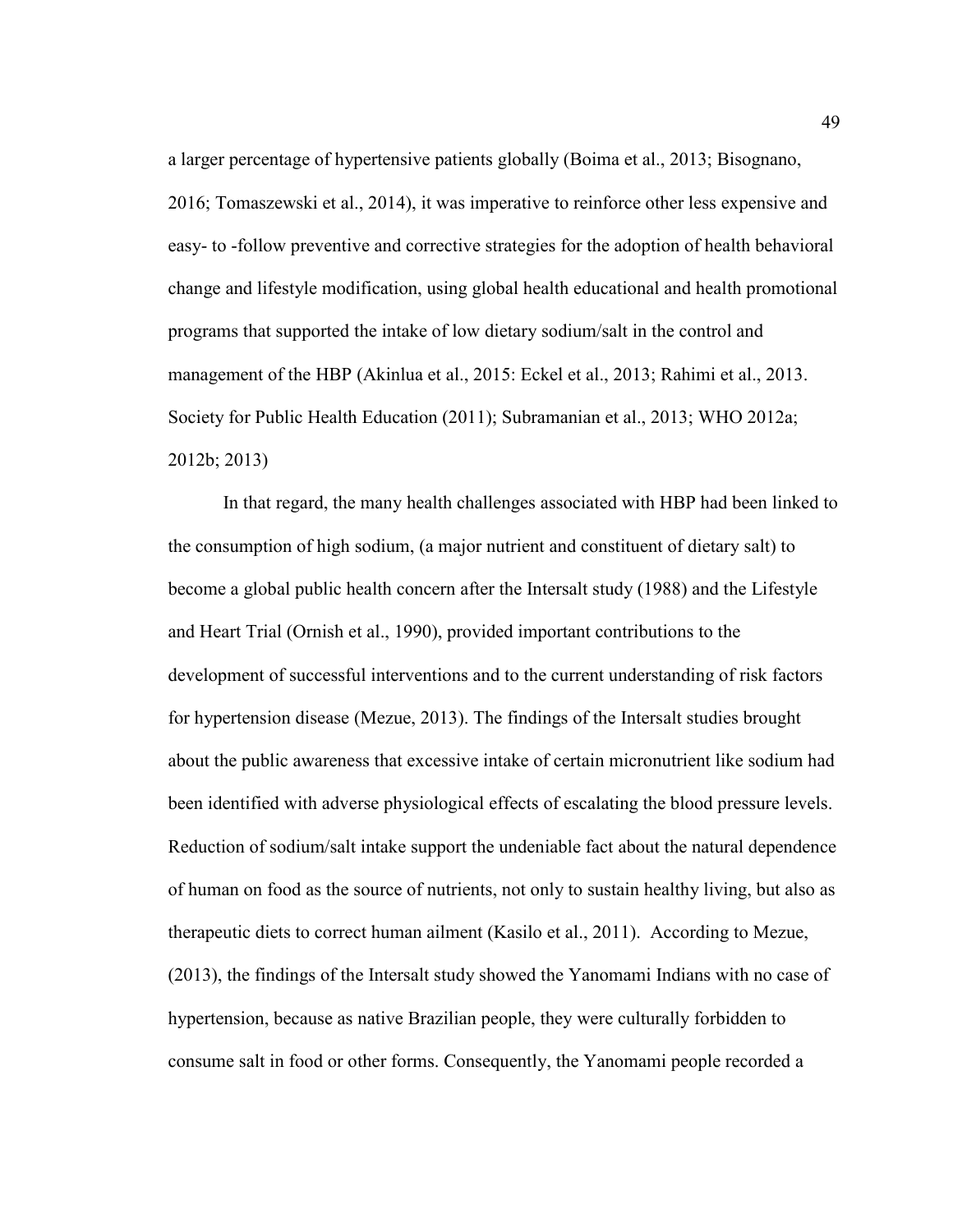a larger percentage of hypertensive patients globally (Boima et al., 2013; Bisognano, 2016; Tomaszewski et al., 2014), it was imperative to reinforce other less expensive and easy- to -follow preventive and corrective strategies for the adoption of health behavioral change and lifestyle modification, using global health educational and health promotional programs that supported the intake of low dietary sodium/salt in the control and management of the HBP (Akinlua et al., 2015: Eckel et al., 2013; Rahimi et al., 2013. Society for Public Health Education (2011); Subramanian et al., 2013; WHO 2012a; 2012b; 2013)

In that regard, the many health challenges associated with HBP had been linked to the consumption of high sodium, (a major nutrient and constituent of dietary salt) to become a global public health concern after the Intersalt study (1988) and the Lifestyle and Heart Trial (Ornish et al., 1990), provided important contributions to the development of successful interventions and to the current understanding of risk factors for hypertension disease (Mezue, 2013). The findings of the Intersalt studies brought about the public awareness that excessive intake of certain micronutrient like sodium had been identified with adverse physiological effects of escalating the blood pressure levels. Reduction of sodium/salt intake support the undeniable fact about the natural dependence of human on food as the source of nutrients, not only to sustain healthy living, but also as therapeutic diets to correct human ailment (Kasilo et al., 2011). According to Mezue, (2013), the findings of the Intersalt study showed the Yanomami Indians with no case of hypertension, because as native Brazilian people, they were culturally forbidden to consume salt in food or other forms. Consequently, the Yanomami people recorded a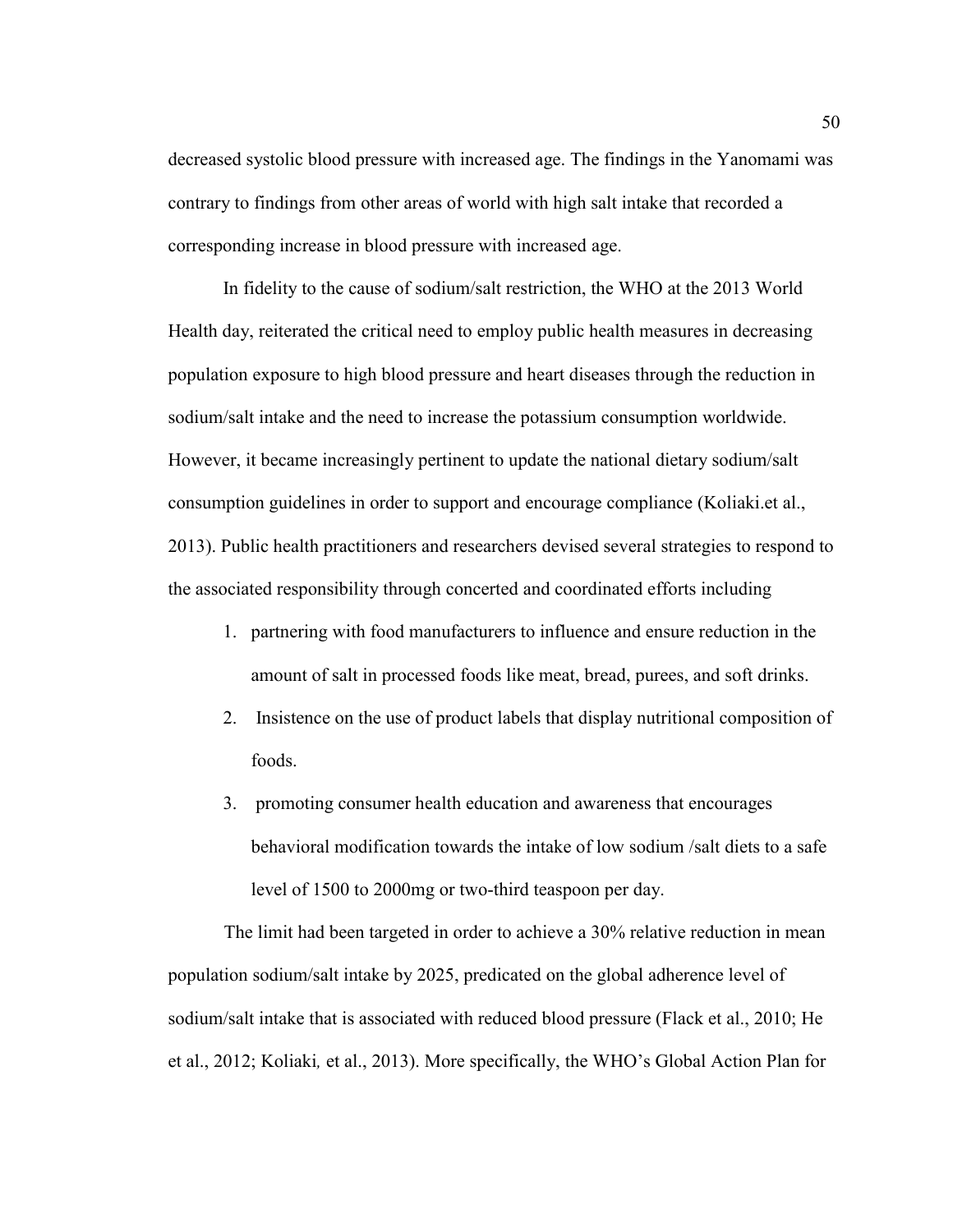decreased systolic blood pressure with increased age. The findings in the Yanomami was contrary to findings from other areas of world with high salt intake that recorded a corresponding increase in blood pressure with increased age.

In fidelity to the cause of sodium/salt restriction, the WHO at the 2013 World Health day, reiterated the critical need to employ public health measures in decreasing population exposure to high blood pressure and heart diseases through the reduction in sodium/salt intake and the need to increase the potassium consumption worldwide. However, it became increasingly pertinent to update the national dietary sodium/salt consumption guidelines in order to support and encourage compliance (Koliaki.et al., 2013). Public health practitioners and researchers devised several strategies to respond to the associated responsibility through concerted and coordinated efforts including

- 1. partnering with food manufacturers to influence and ensure reduction in the amount of salt in processed foods like meat, bread, purees, and soft drinks.
- 2. Insistence on the use of product labels that display nutritional composition of foods.
- 3. promoting consumer health education and awareness that encourages behavioral modification towards the intake of low sodium /salt diets to a safe level of 1500 to 2000mg or two-third teaspoon per day.

The limit had been targeted in order to achieve a 30% relative reduction in mean population sodium/salt intake by 2025, predicated on the global adherence level of sodium/salt intake that is associated with reduced blood pressure (Flack et al., 2010; He et al., 2012; Koliaki*,* et al., 2013). More specifically, the WHO's Global Action Plan for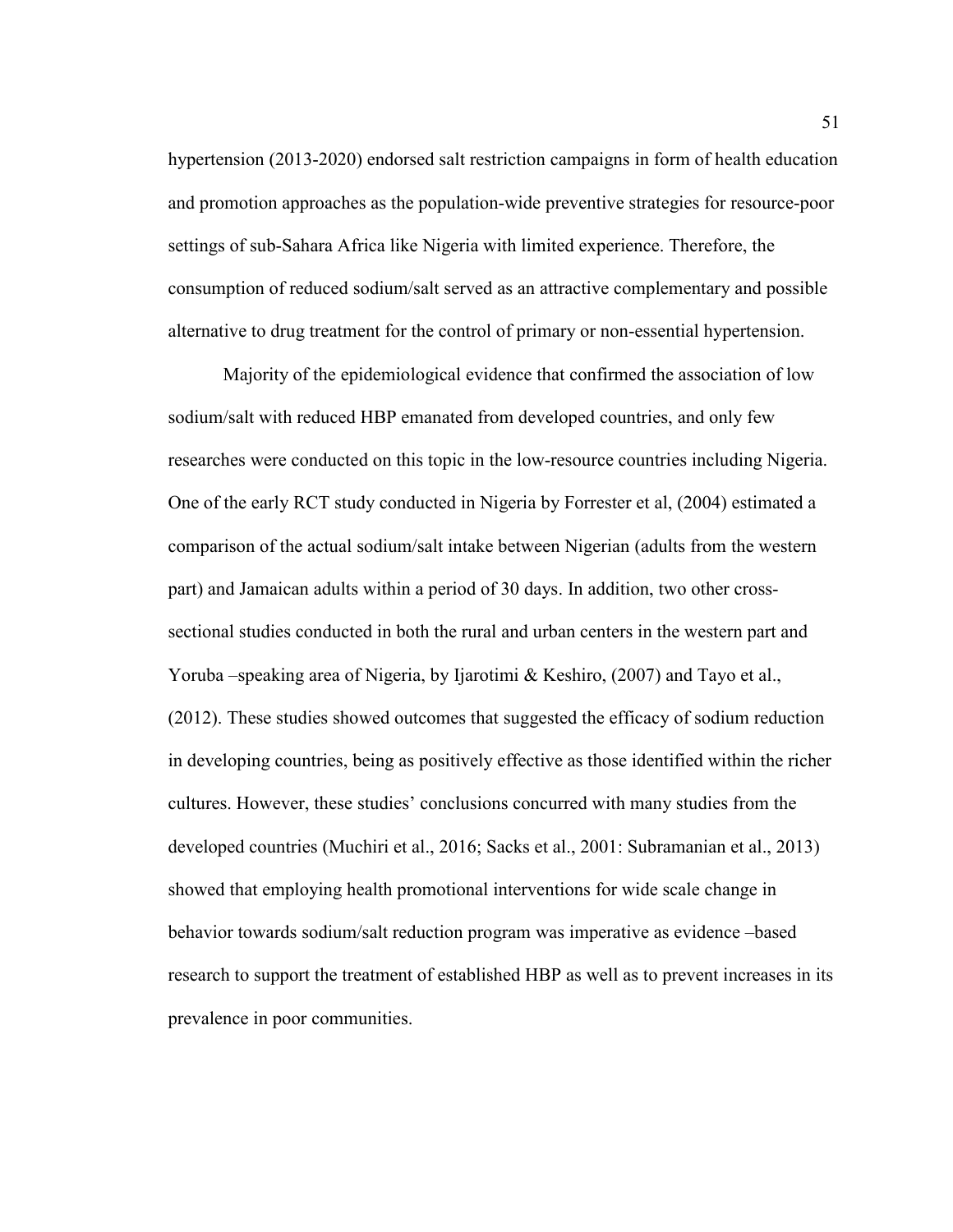hypertension (2013-2020) endorsed salt restriction campaigns in form of health education and promotion approaches as the population-wide preventive strategies for resource-poor settings of sub-Sahara Africa like Nigeria with limited experience. Therefore, the consumption of reduced sodium/salt served as an attractive complementary and possible alternative to drug treatment for the control of primary or non-essential hypertension.

Majority of the epidemiological evidence that confirmed the association of low sodium/salt with reduced HBP emanated from developed countries, and only few researches were conducted on this topic in the low-resource countries including Nigeria. One of the early RCT study conducted in Nigeria by Forrester et al, (2004) estimated a comparison of the actual sodium/salt intake between Nigerian (adults from the western part) and Jamaican adults within a period of 30 days. In addition, two other crosssectional studies conducted in both the rural and urban centers in the western part and Yoruba –speaking area of Nigeria, by Ijarotimi & Keshiro, (2007) and Tayo et al., (2012). These studies showed outcomes that suggested the efficacy of sodium reduction in developing countries, being as positively effective as those identified within the richer cultures. However, these studies' conclusions concurred with many studies from the developed countries (Muchiri et al., 2016; Sacks et al., 2001: Subramanian et al., 2013) showed that employing health promotional interventions for wide scale change in behavior towards sodium/salt reduction program was imperative as evidence –based research to support the treatment of established HBP as well as to prevent increases in its prevalence in poor communities.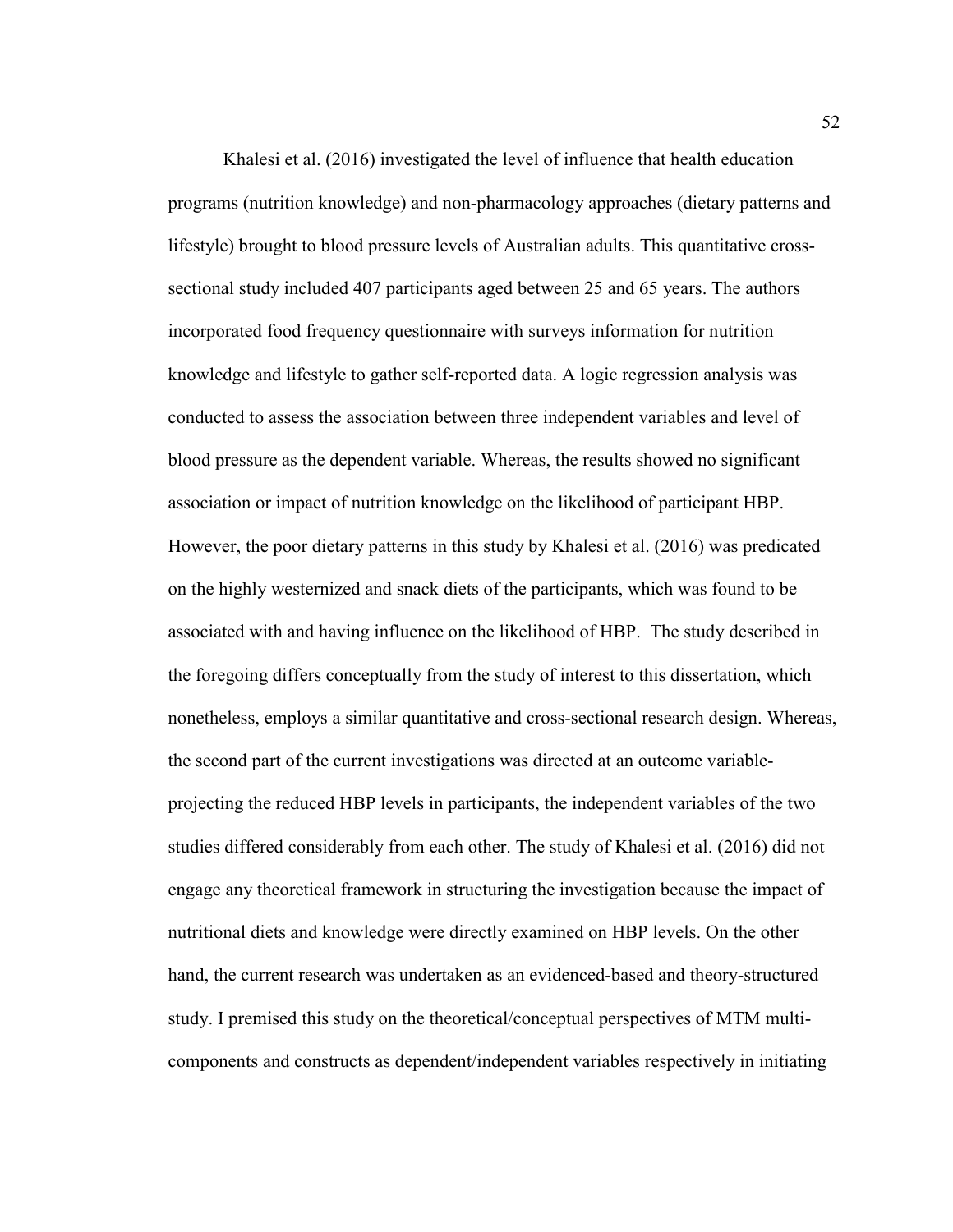Khalesi et al. (2016) investigated the level of influence that health education programs (nutrition knowledge) and non-pharmacology approaches (dietary patterns and lifestyle) brought to blood pressure levels of Australian adults. This quantitative crosssectional study included 407 participants aged between 25 and 65 years. The authors incorporated food frequency questionnaire with surveys information for nutrition knowledge and lifestyle to gather self-reported data. A logic regression analysis was conducted to assess the association between three independent variables and level of blood pressure as the dependent variable. Whereas, the results showed no significant association or impact of nutrition knowledge on the likelihood of participant HBP. However, the poor dietary patterns in this study by Khalesi et al. (2016) was predicated on the highly westernized and snack diets of the participants, which was found to be associated with and having influence on the likelihood of HBP. The study described in the foregoing differs conceptually from the study of interest to this dissertation, which nonetheless, employs a similar quantitative and cross-sectional research design. Whereas, the second part of the current investigations was directed at an outcome variableprojecting the reduced HBP levels in participants, the independent variables of the two studies differed considerably from each other. The study of Khalesi et al. (2016) did not engage any theoretical framework in structuring the investigation because the impact of nutritional diets and knowledge were directly examined on HBP levels. On the other hand, the current research was undertaken as an evidenced-based and theory-structured study. I premised this study on the theoretical/conceptual perspectives of MTM multicomponents and constructs as dependent/independent variables respectively in initiating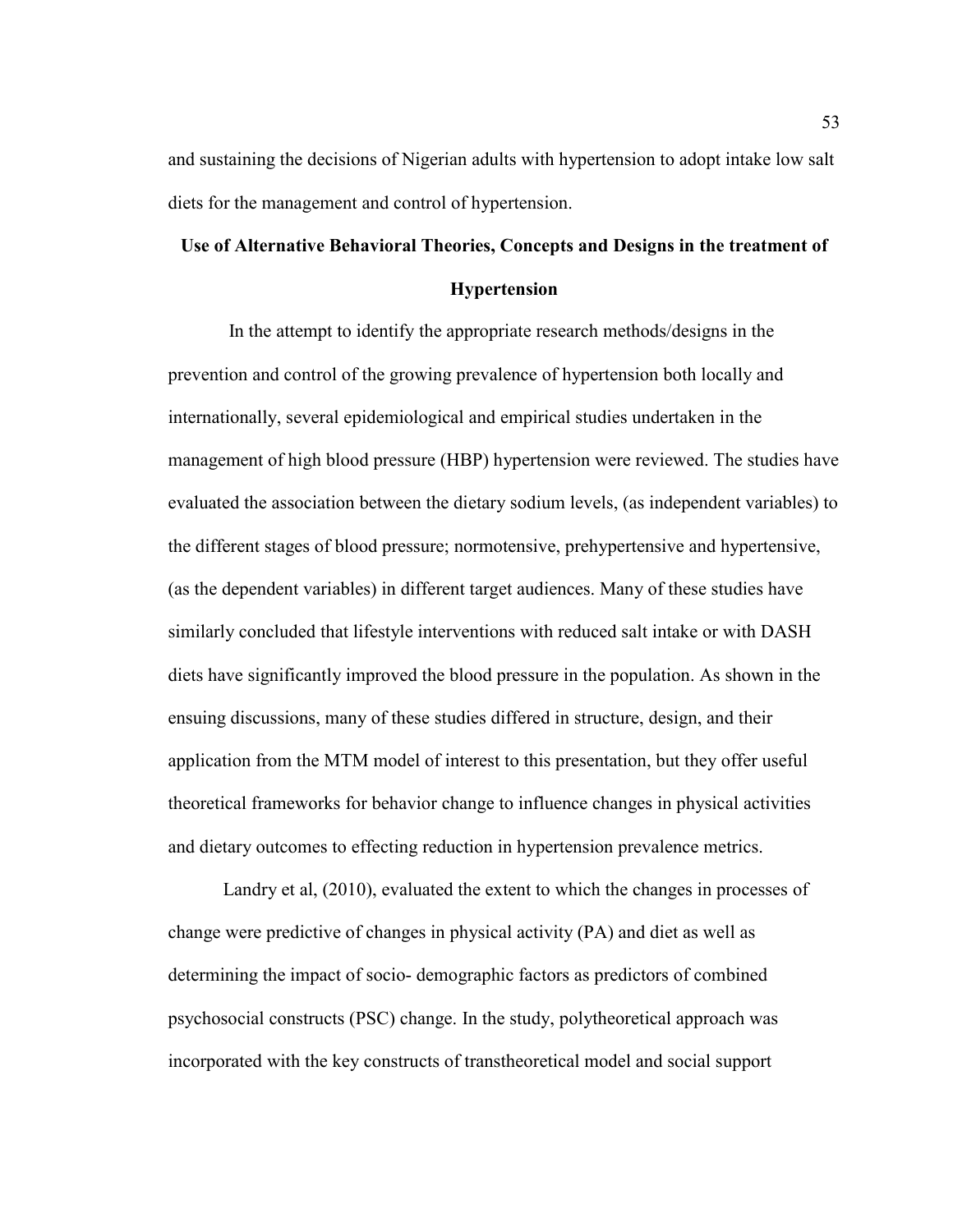and sustaining the decisions of Nigerian adults with hypertension to adopt intake low salt diets for the management and control of hypertension.

# **Use of Alternative Behavioral Theories, Concepts and Designs in the treatment of**

# **Hypertension**

 In the attempt to identify the appropriate research methods/designs in the prevention and control of the growing prevalence of hypertension both locally and internationally, several epidemiological and empirical studies undertaken in the management of high blood pressure (HBP) hypertension were reviewed. The studies have evaluated the association between the dietary sodium levels, (as independent variables) to the different stages of blood pressure; normotensive, prehypertensive and hypertensive, (as the dependent variables) in different target audiences. Many of these studies have similarly concluded that lifestyle interventions with reduced salt intake or with DASH diets have significantly improved the blood pressure in the population. As shown in the ensuing discussions, many of these studies differed in structure, design, and their application from the MTM model of interest to this presentation, but they offer useful theoretical frameworks for behavior change to influence changes in physical activities and dietary outcomes to effecting reduction in hypertension prevalence metrics.

Landry et al, (2010), evaluated the extent to which the changes in processes of change were predictive of changes in physical activity (PA) and diet as well as determining the impact of socio- demographic factors as predictors of combined psychosocial constructs (PSC) change. In the study, polytheoretical approach was incorporated with the key constructs of transtheoretical model and social support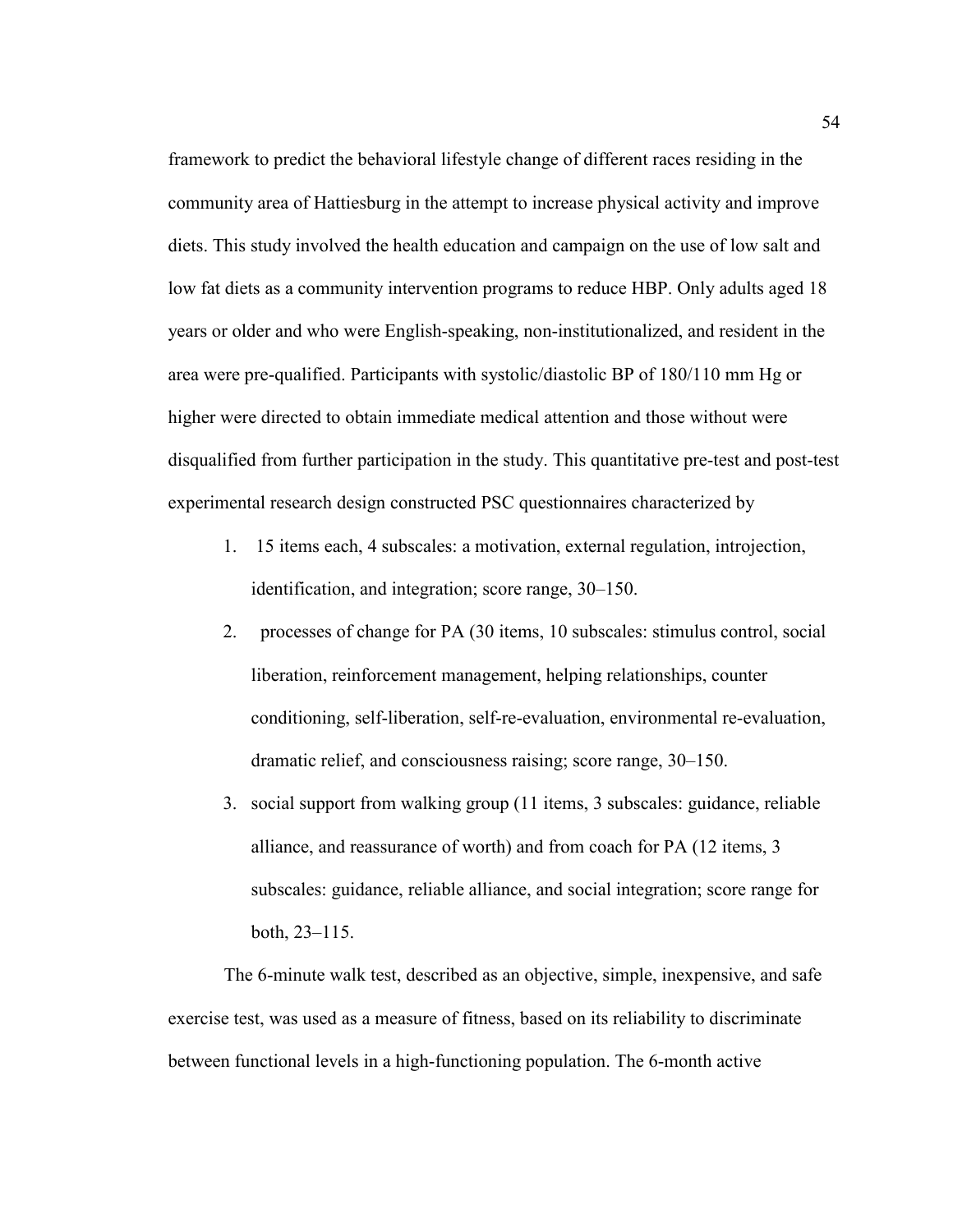framework to predict the behavioral lifestyle change of different races residing in the community area of Hattiesburg in the attempt to increase physical activity and improve diets. This study involved the health education and campaign on the use of low salt and low fat diets as a community intervention programs to reduce HBP. Only adults aged 18 years or older and who were English-speaking, non-institutionalized, and resident in the area were pre-qualified. Participants with systolic/diastolic BP of 180/110 mm Hg or higher were directed to obtain immediate medical attention and those without were disqualified from further participation in the study. This quantitative pre-test and post-test experimental research design constructed PSC questionnaires characterized by

- 1. 15 items each, 4 subscales: a motivation, external regulation, introjection, identification, and integration; score range, 30–150.
- 2. processes of change for PA (30 items, 10 subscales: stimulus control, social liberation, reinforcement management, helping relationships, counter conditioning, self-liberation, self-re-evaluation, environmental re-evaluation, dramatic relief, and consciousness raising; score range, 30–150.
- 3. social support from walking group (11 items, 3 subscales: guidance, reliable alliance, and reassurance of worth) and from coach for PA (12 items, 3 subscales: guidance, reliable alliance, and social integration; score range for both, 23–115.

The 6-minute walk test, described as an objective, simple, inexpensive, and safe exercise test, was used as a measure of fitness, based on its reliability to discriminate between functional levels in a high-functioning population. The 6-month active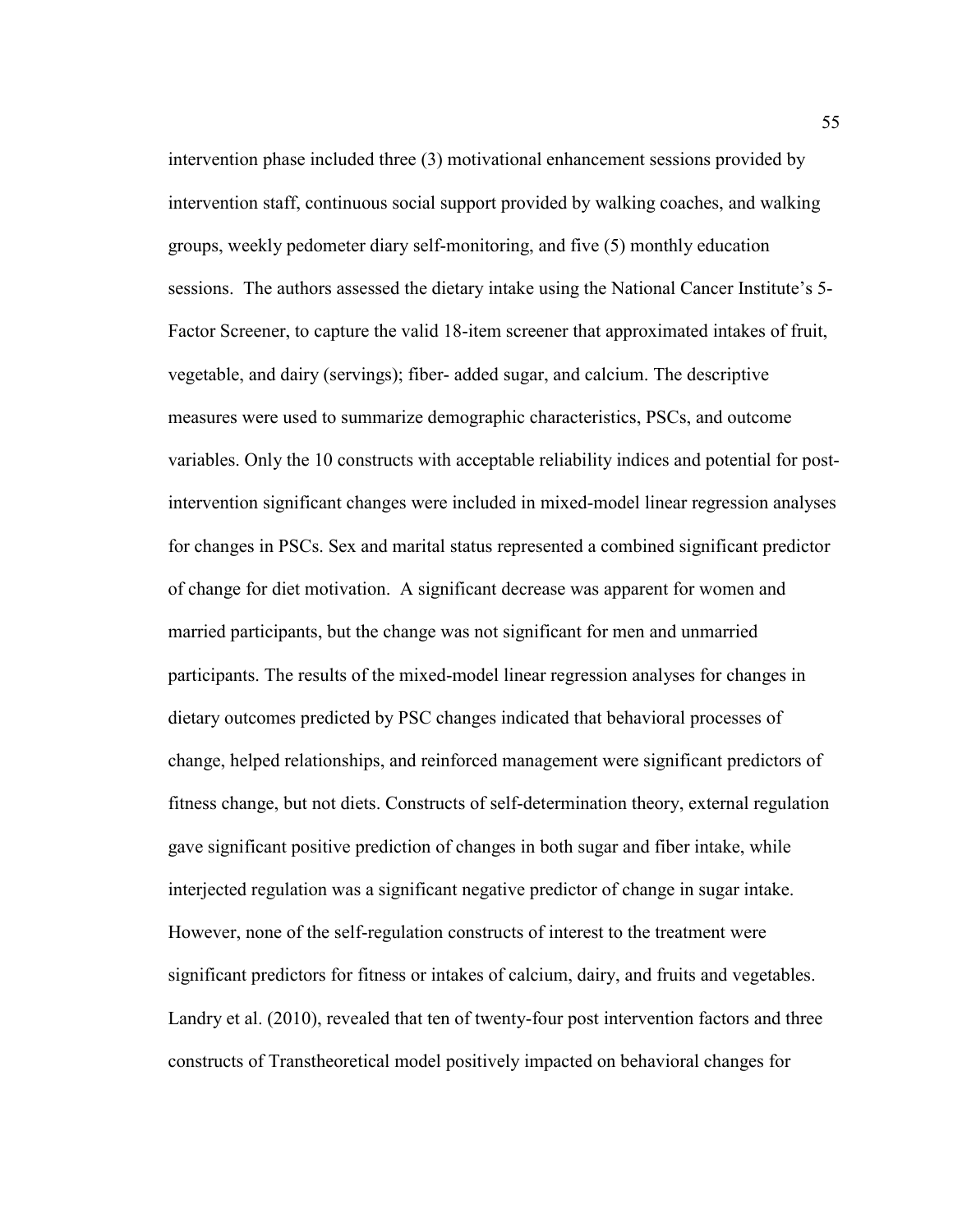intervention phase included three (3) motivational enhancement sessions provided by intervention staff, continuous social support provided by walking coaches, and walking groups, weekly pedometer diary self-monitoring, and five (5) monthly education sessions. The authors assessed the dietary intake using the National Cancer Institute's 5- Factor Screener, to capture the valid 18-item screener that approximated intakes of fruit, vegetable, and dairy (servings); fiber- added sugar, and calcium. The descriptive measures were used to summarize demographic characteristics, PSCs, and outcome variables. Only the 10 constructs with acceptable reliability indices and potential for postintervention significant changes were included in mixed-model linear regression analyses for changes in PSCs. Sex and marital status represented a combined significant predictor of change for diet motivation. A significant decrease was apparent for women and married participants, but the change was not significant for men and unmarried participants. The results of the mixed-model linear regression analyses for changes in dietary outcomes predicted by PSC changes indicated that behavioral processes of change, helped relationships, and reinforced management were significant predictors of fitness change, but not diets. Constructs of self-determination theory, external regulation gave significant positive prediction of changes in both sugar and fiber intake, while interjected regulation was a significant negative predictor of change in sugar intake. However, none of the self-regulation constructs of interest to the treatment were significant predictors for fitness or intakes of calcium, dairy, and fruits and vegetables. Landry et al. (2010), revealed that ten of twenty-four post intervention factors and three constructs of Transtheoretical model positively impacted on behavioral changes for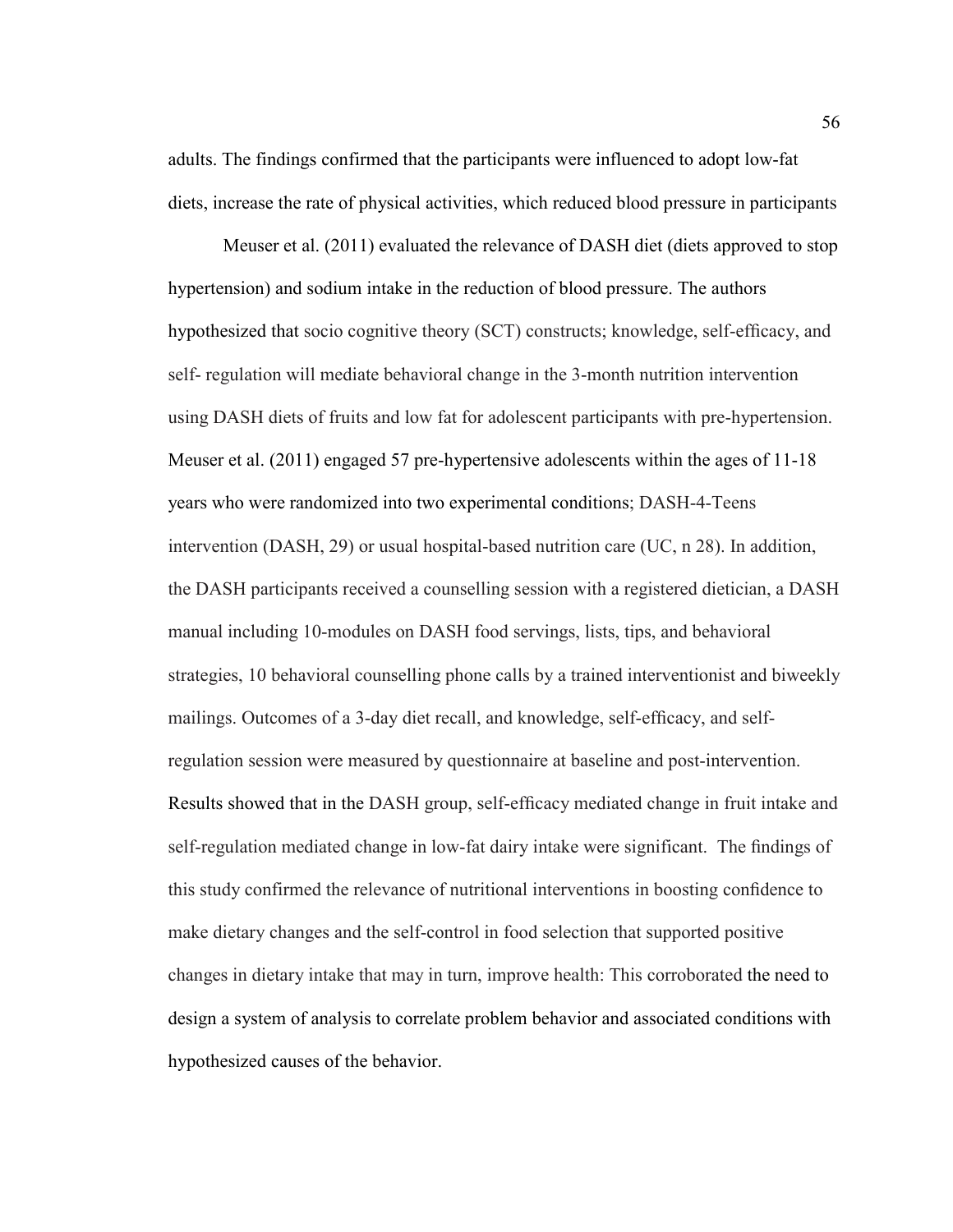adults. The findings confirmed that the participants were influenced to adopt low-fat diets, increase the rate of physical activities, which reduced blood pressure in participants

Meuser et al. (2011) evaluated the relevance of DASH diet (diets approved to stop hypertension) and sodium intake in the reduction of blood pressure. The authors hypothesized that socio cognitive theory (SCT) constructs; knowledge, self-efficacy, and self- regulation will mediate behavioral change in the 3-month nutrition intervention using DASH diets of fruits and low fat for adolescent participants with pre-hypertension. Meuser et al. (2011) engaged 57 pre-hypertensive adolescents within the ages of 11-18 years who were randomized into two experimental conditions; DASH-4-Teens intervention (DASH, 29) or usual hospital-based nutrition care (UC, n 28). In addition, the DASH participants received a counselling session with a registered dietician, a DASH manual including 10-modules on DASH food servings, lists, tips, and behavioral strategies, 10 behavioral counselling phone calls by a trained interventionist and biweekly mailings. Outcomes of a 3-day diet recall, and knowledge, self-efficacy, and selfregulation session were measured by questionnaire at baseline and post-intervention. Results showed that in the DASH group, self-efficacy mediated change in fruit intake and self-regulation mediated change in low-fat dairy intake were significant. The findings of this study confirmed the relevance of nutritional interventions in boosting confidence to make dietary changes and the self-control in food selection that supported positive changes in dietary intake that may in turn, improve health: This corroborated the need to design a system of analysis to correlate problem behavior and associated conditions with hypothesized causes of the behavior.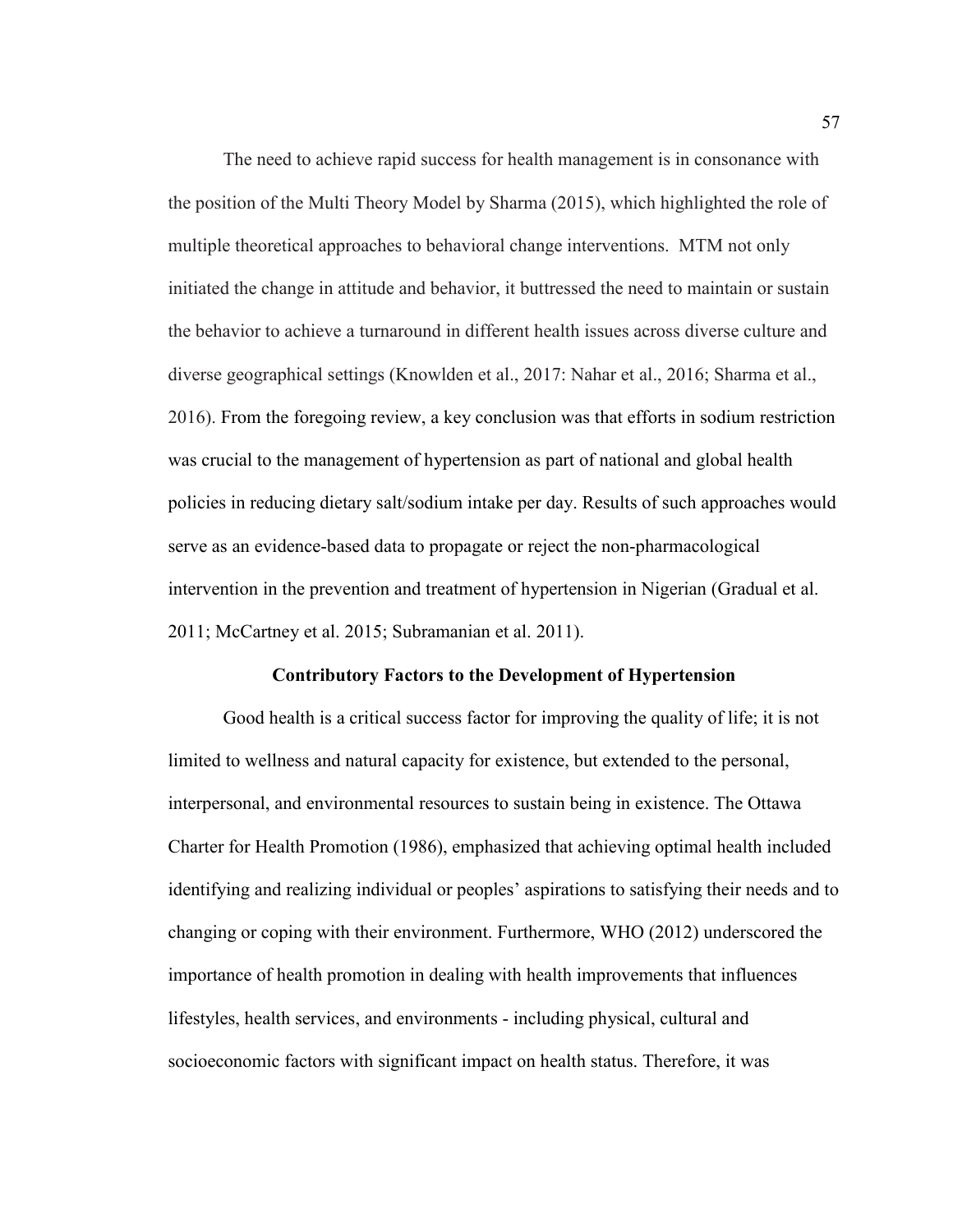The need to achieve rapid success for health management is in consonance with the position of the Multi Theory Model by Sharma (2015), which highlighted the role of multiple theoretical approaches to behavioral change interventions. MTM not only initiated the change in attitude and behavior, it buttressed the need to maintain or sustain the behavior to achieve a turnaround in different health issues across diverse culture and diverse geographical settings (Knowlden et al., 2017: Nahar et al., 2016; Sharma et al., 2016). From the foregoing review, a key conclusion was that efforts in sodium restriction was crucial to the management of hypertension as part of national and global health policies in reducing dietary salt/sodium intake per day. Results of such approaches would serve as an evidence-based data to propagate or reject the non-pharmacological intervention in the prevention and treatment of hypertension in Nigerian (Gradual et al. 2011; McCartney et al. 2015; Subramanian et al. 2011).

# **Contributory Factors to the Development of Hypertension**

Good health is a critical success factor for improving the quality of life; it is not limited to wellness and natural capacity for existence, but extended to the personal, interpersonal, and environmental resources to sustain being in existence. The Ottawa Charter for Health Promotion (1986), emphasized that achieving optimal health included identifying and realizing individual or peoples' aspirations to satisfying their needs and to changing or coping with their environment. Furthermore, WHO (2012) underscored the importance of health promotion in dealing with health improvements that influences lifestyles, health services, and environments - including physical, cultural and socioeconomic factors with significant impact on health status. Therefore, it was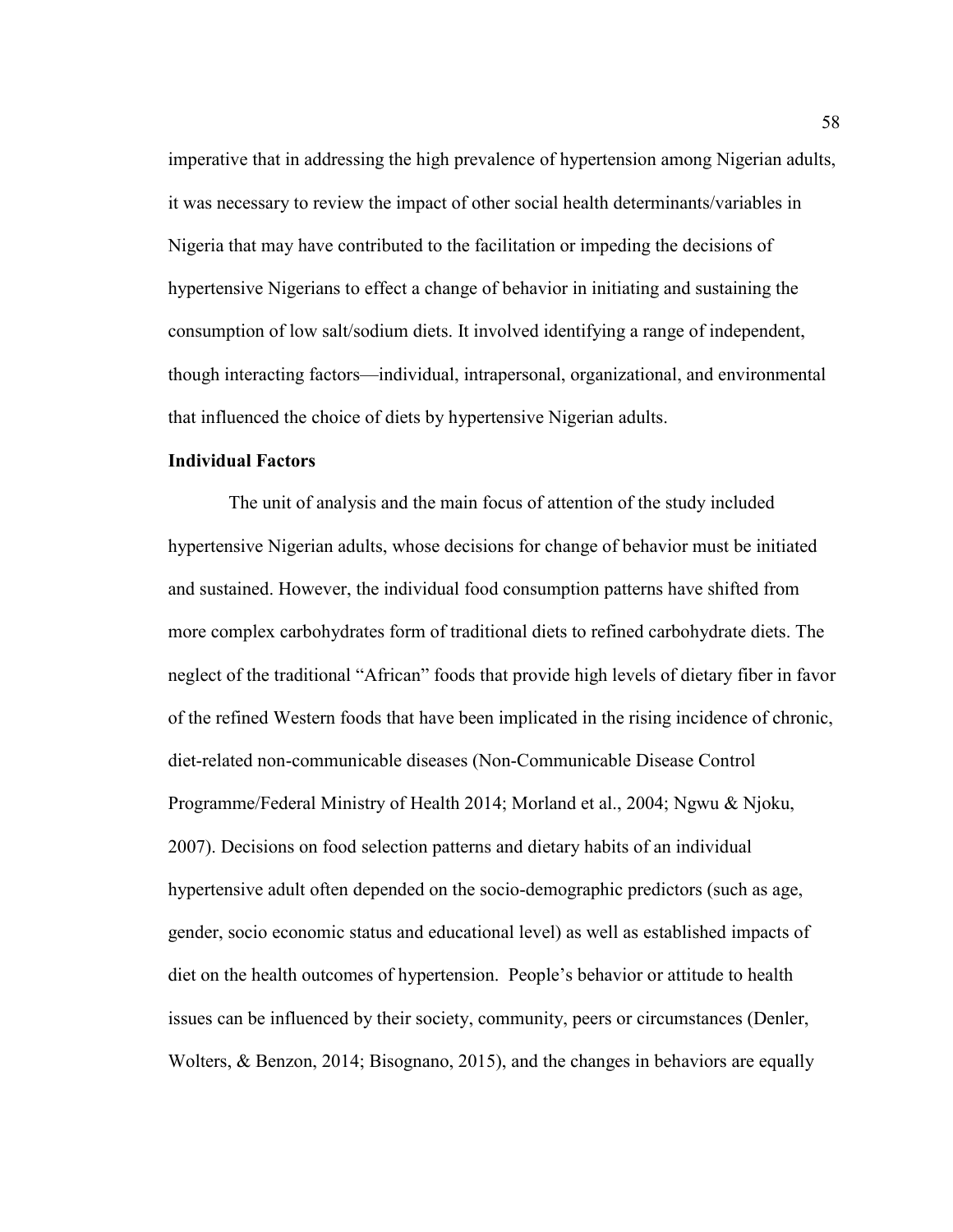imperative that in addressing the high prevalence of hypertension among Nigerian adults, it was necessary to review the impact of other social health determinants/variables in Nigeria that may have contributed to the facilitation or impeding the decisions of hypertensive Nigerians to effect a change of behavior in initiating and sustaining the consumption of low salt/sodium diets. It involved identifying a range of independent, though interacting factors—individual, intrapersonal, organizational, and environmental that influenced the choice of diets by hypertensive Nigerian adults.

#### **Individual Factors**

The unit of analysis and the main focus of attention of the study included hypertensive Nigerian adults, whose decisions for change of behavior must be initiated and sustained. However, the individual food consumption patterns have shifted from more complex carbohydrates form of traditional diets to refined carbohydrate diets. The neglect of the traditional "African" foods that provide high levels of dietary fiber in favor of the refined Western foods that have been implicated in the rising incidence of chronic, diet-related non-communicable diseases (Non-Communicable Disease Control Programme/Federal Ministry of Health 2014; Morland et al., 2004; Ngwu & Njoku, 2007). Decisions on food selection patterns and dietary habits of an individual hypertensive adult often depended on the socio-demographic predictors (such as age, gender, socio economic status and educational level) as well as established impacts of diet on the health outcomes of hypertension. People's behavior or attitude to health issues can be influenced by their society, community, peers or circumstances (Denler, Wolters, & Benzon, 2014; Bisognano, 2015), and the changes in behaviors are equally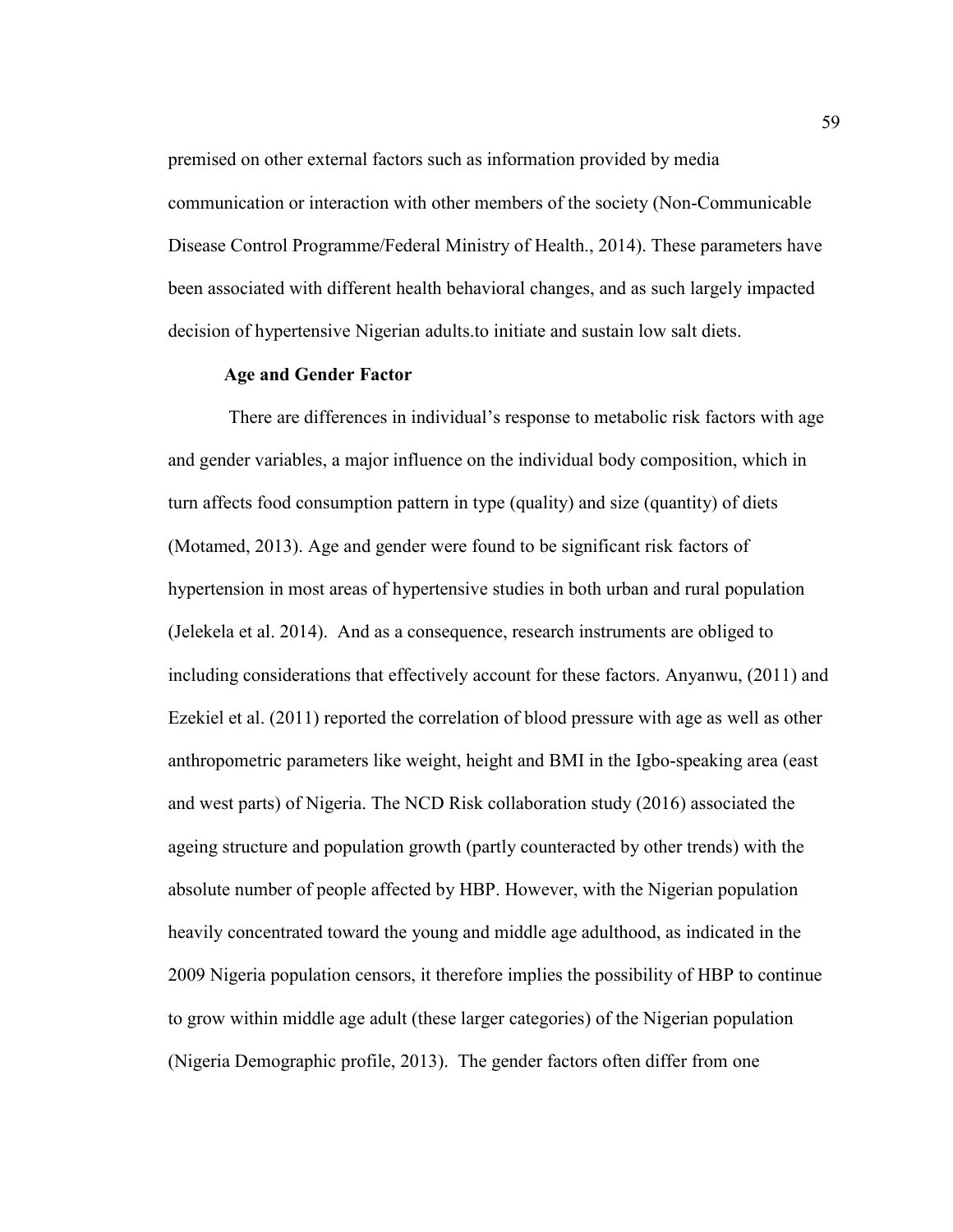premised on other external factors such as information provided by media communication or interaction with other members of the society (Non-Communicable Disease Control Programme/Federal Ministry of Health., 2014). These parameters have been associated with different health behavioral changes, and as such largely impacted decision of hypertensive Nigerian adults.to initiate and sustain low salt diets.

#### **Age and Gender Factor**

There are differences in individual's response to metabolic risk factors with age and gender variables, a major influence on the individual body composition, which in turn affects food consumption pattern in type (quality) and size (quantity) of diets (Motamed, 2013). Age and gender were found to be significant risk factors of hypertension in most areas of hypertensive studies in both urban and rural population (Jelekela et al. 2014). And as a consequence, research instruments are obliged to including considerations that effectively account for these factors. Anyanwu, (2011) and Ezekiel et al. (2011) reported the correlation of blood pressure with age as well as other anthropometric parameters like weight, height and BMI in the Igbo-speaking area (east and west parts) of Nigeria. The NCD Risk collaboration study (2016) associated the ageing structure and population growth (partly counteracted by other trends) with the absolute number of people affected by HBP. However, with the Nigerian population heavily concentrated toward the young and middle age adulthood, as indicated in the 2009 Nigeria population censors, it therefore implies the possibility of HBP to continue to grow within middle age adult (these larger categories) of the Nigerian population (Nigeria Demographic profile, 2013). The gender factors often differ from one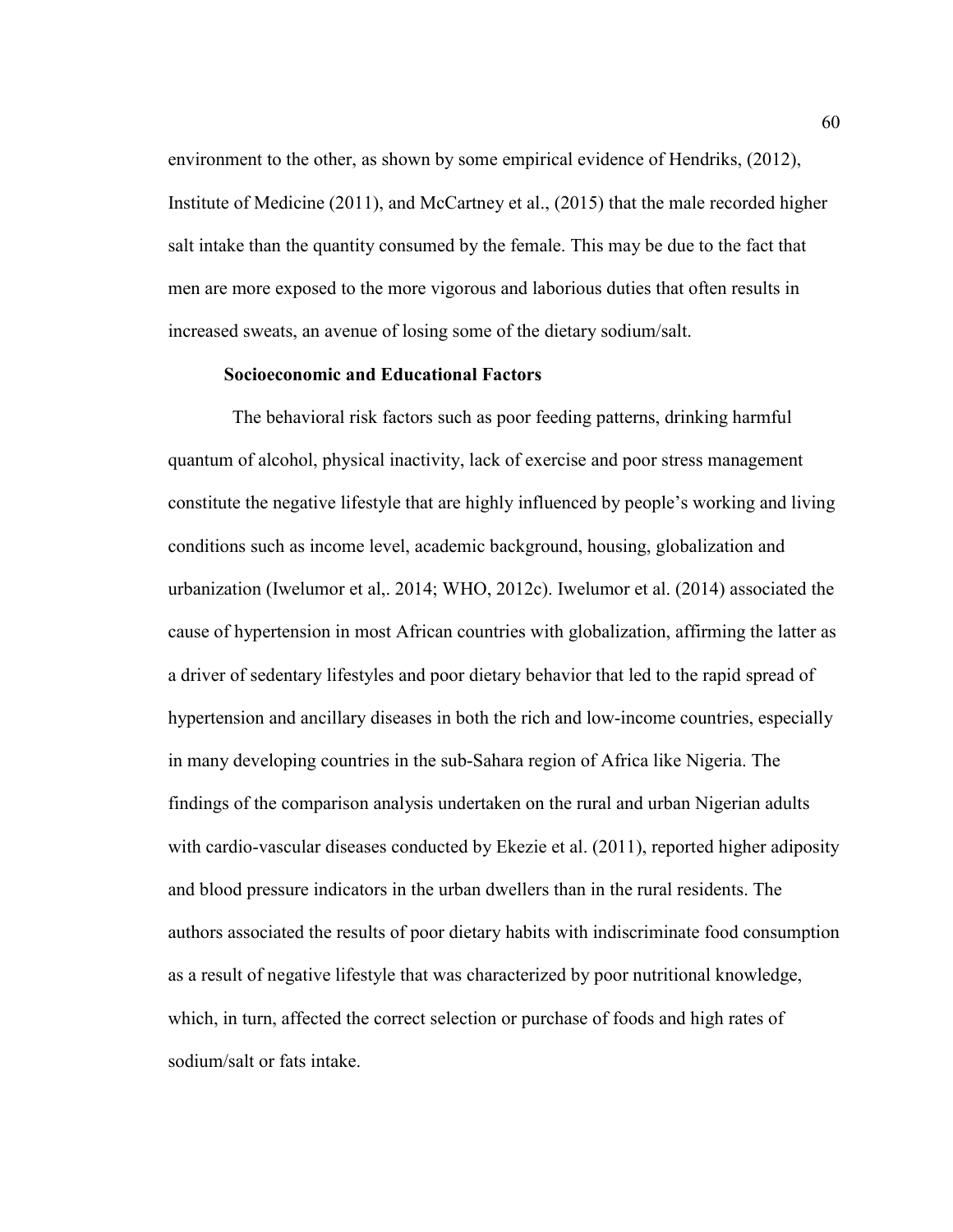environment to the other, as shown by some empirical evidence of Hendriks, (2012), Institute of Medicine (2011), and McCartney et al., (2015) that the male recorded higher salt intake than the quantity consumed by the female. This may be due to the fact that men are more exposed to the more vigorous and laborious duties that often results in increased sweats, an avenue of losing some of the dietary sodium/salt.

# **Socioeconomic and Educational Factors**

 The behavioral risk factors such as poor feeding patterns, drinking harmful quantum of alcohol, physical inactivity, lack of exercise and poor stress management constitute the negative lifestyle that are highly influenced by people's working and living conditions such as income level, academic background, housing, globalization and urbanization (Iwelumor et al,. 2014; WHO, 2012c). Iwelumor et al. (2014) associated the cause of hypertension in most African countries with globalization, affirming the latter as a driver of sedentary lifestyles and poor dietary behavior that led to the rapid spread of hypertension and ancillary diseases in both the rich and low-income countries, especially in many developing countries in the sub-Sahara region of Africa like Nigeria. The findings of the comparison analysis undertaken on the rural and urban Nigerian adults with cardio-vascular diseases conducted by Ekezie et al. (2011), reported higher adiposity and blood pressure indicators in the urban dwellers than in the rural residents. The authors associated the results of poor dietary habits with indiscriminate food consumption as a result of negative lifestyle that was characterized by poor nutritional knowledge, which, in turn, affected the correct selection or purchase of foods and high rates of sodium/salt or fats intake.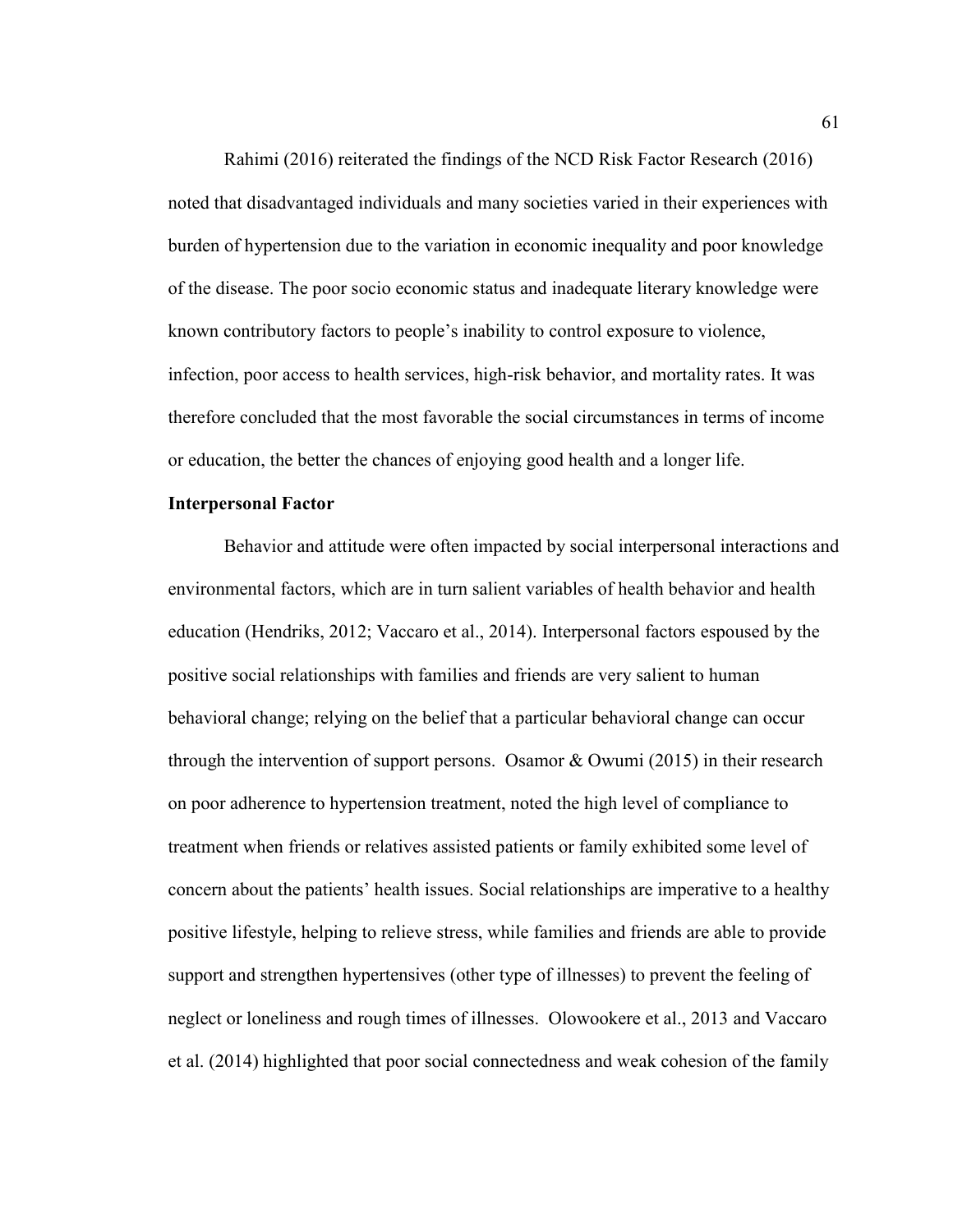Rahimi (2016) reiterated the findings of the NCD Risk Factor Research (2016) noted that disadvantaged individuals and many societies varied in their experiences with burden of hypertension due to the variation in economic inequality and poor knowledge of the disease. The poor socio economic status and inadequate literary knowledge were known contributory factors to people's inability to control exposure to violence, infection, poor access to health services, high-risk behavior, and mortality rates. It was therefore concluded that the most favorable the social circumstances in terms of income or education, the better the chances of enjoying good health and a longer life.

# **Interpersonal Factor**

Behavior and attitude were often impacted by social interpersonal interactions and environmental factors, which are in turn salient variables of health behavior and health education (Hendriks, 2012; Vaccaro et al., 2014). Interpersonal factors espoused by the positive social relationships with families and friends are very salient to human behavioral change; relying on the belief that a particular behavioral change can occur through the intervention of support persons. Osamor & Owumi (2015) in their research on poor adherence to hypertension treatment, noted the high level of compliance to treatment when friends or relatives assisted patients or family exhibited some level of concern about the patients' health issues. Social relationships are imperative to a healthy positive lifestyle, helping to relieve stress, while families and friends are able to provide support and strengthen hypertensives (other type of illnesses) to prevent the feeling of neglect or loneliness and rough times of illnesses. Olowookere et al., 2013 and Vaccaro et al. (2014) highlighted that poor social connectedness and weak cohesion of the family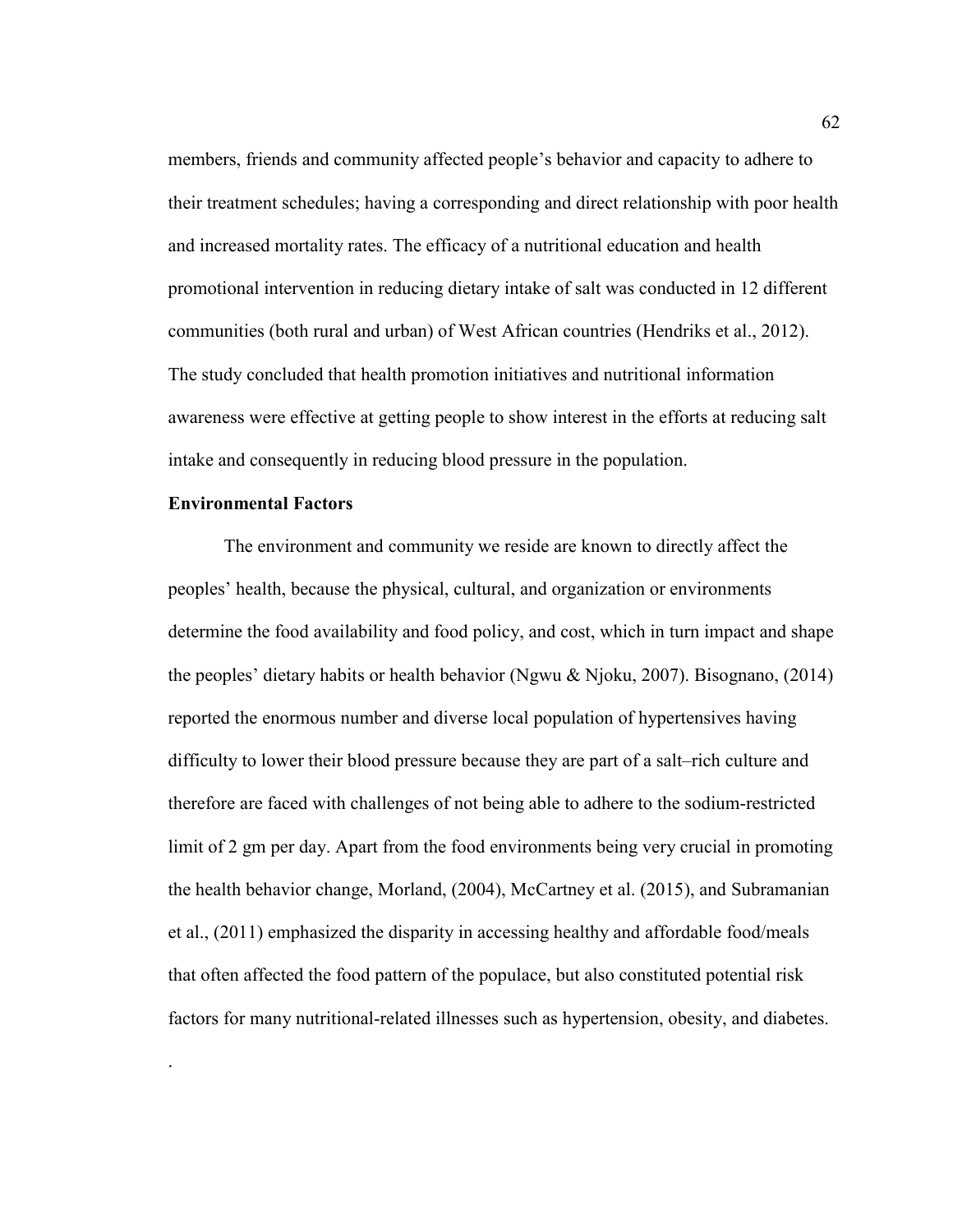members, friends and community affected people's behavior and capacity to adhere to their treatment schedules; having a corresponding and direct relationship with poor health and increased mortality rates. The efficacy of a nutritional education and health promotional intervention in reducing dietary intake of salt was conducted in 12 different communities (both rural and urban) of West African countries (Hendriks et al., 2012). The study concluded that health promotion initiatives and nutritional information awareness were effective at getting people to show interest in the efforts at reducing salt intake and consequently in reducing blood pressure in the population.

# **Environmental Factors**

.

The environment and community we reside are known to directly affect the peoples' health, because the physical, cultural, and organization or environments determine the food availability and food policy, and cost, which in turn impact and shape the peoples' dietary habits or health behavior (Ngwu & Njoku, 2007). Bisognano, (2014) reported the enormous number and diverse local population of hypertensives having difficulty to lower their blood pressure because they are part of a salt–rich culture and therefore are faced with challenges of not being able to adhere to the sodium-restricted limit of 2 gm per day. Apart from the food environments being very crucial in promoting the health behavior change, Morland, (2004), McCartney et al. (2015), and Subramanian et al., (2011) emphasized the disparity in accessing healthy and affordable food/meals that often affected the food pattern of the populace, but also constituted potential risk factors for many nutritional-related illnesses such as hypertension, obesity, and diabetes.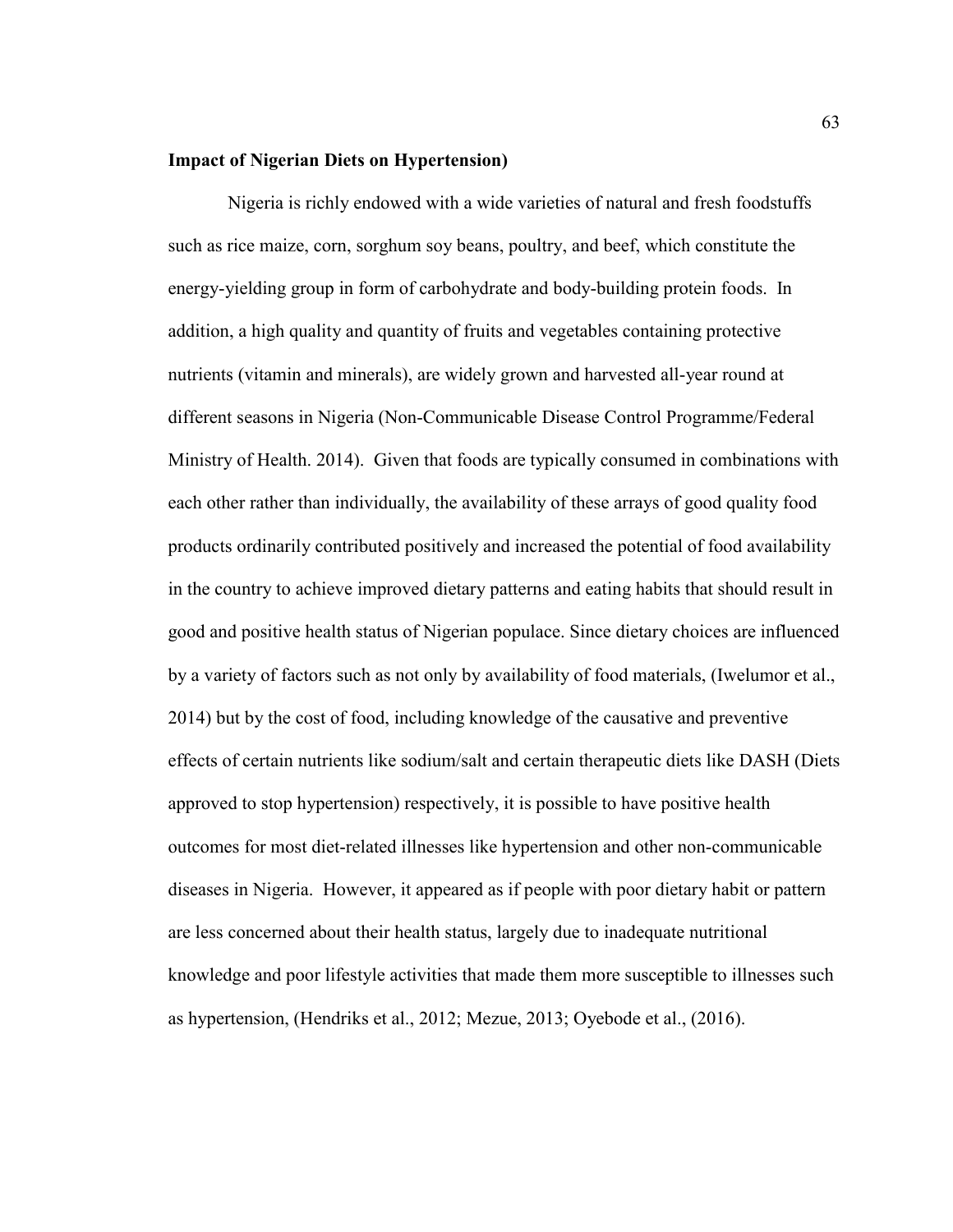#### **Impact of Nigerian Diets on Hypertension)**

 Nigeria is richly endowed with a wide varieties of natural and fresh foodstuffs such as rice maize, corn, sorghum soy beans, poultry, and beef, which constitute the energy-yielding group in form of carbohydrate and body-building protein foods. In addition, a high quality and quantity of fruits and vegetables containing protective nutrients (vitamin and minerals), are widely grown and harvested all-year round at different seasons in Nigeria (Non-Communicable Disease Control Programme/Federal Ministry of Health. 2014). Given that foods are typically consumed in combinations with each other rather than individually, the availability of these arrays of good quality food products ordinarily contributed positively and increased the potential of food availability in the country to achieve improved dietary patterns and eating habits that should result in good and positive health status of Nigerian populace. Since dietary choices are influenced by a variety of factors such as not only by availability of food materials, (Iwelumor et al., 2014) but by the cost of food, including knowledge of the causative and preventive effects of certain nutrients like sodium/salt and certain therapeutic diets like DASH (Diets approved to stop hypertension) respectively, it is possible to have positive health outcomes for most diet-related illnesses like hypertension and other non-communicable diseases in Nigeria. However, it appeared as if people with poor dietary habit or pattern are less concerned about their health status, largely due to inadequate nutritional knowledge and poor lifestyle activities that made them more susceptible to illnesses such as hypertension, (Hendriks et al., 2012; Mezue, 2013; Oyebode et al., (2016).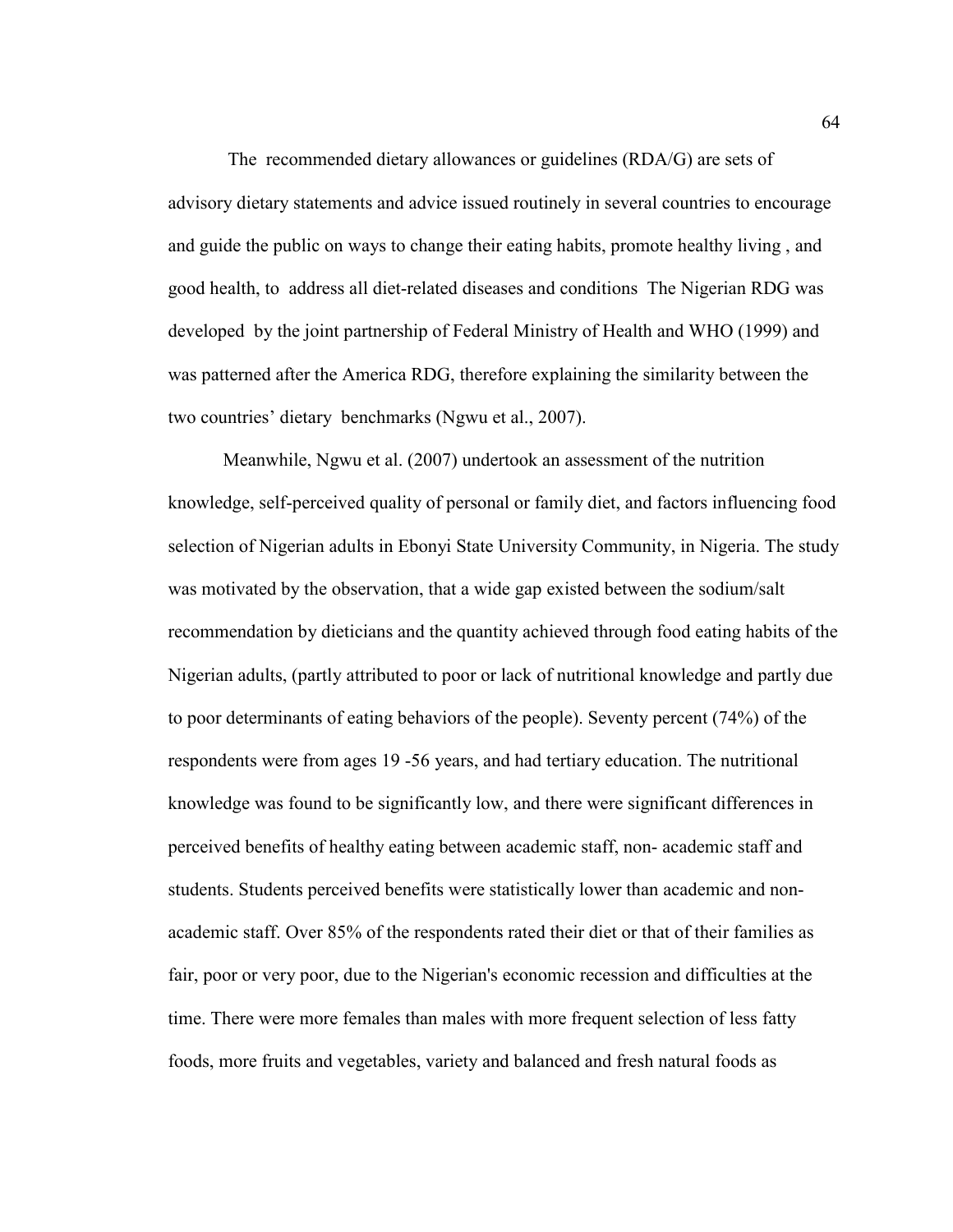The recommended dietary allowances or guidelines (RDA/G) are sets of advisory dietary statements and advice issued routinely in several countries to encourage and guide the public on ways to change their eating habits, promote healthy living , and good health, to address all diet-related diseases and conditions The Nigerian RDG was developed by the joint partnership of Federal Ministry of Health and WHO (1999) and was patterned after the America RDG, therefore explaining the similarity between the two countries' dietary benchmarks (Ngwu et al., 2007).

Meanwhile, Ngwu et al. (2007) undertook an assessment of the nutrition knowledge, self-perceived quality of personal or family diet, and factors influencing food selection of Nigerian adults in Ebonyi State University Community, in Nigeria. The study was motivated by the observation, that a wide gap existed between the sodium/salt recommendation by dieticians and the quantity achieved through food eating habits of the Nigerian adults, (partly attributed to poor or lack of nutritional knowledge and partly due to poor determinants of eating behaviors of the people). Seventy percent (74%) of the respondents were from ages 19 -56 years, and had tertiary education. The nutritional knowledge was found to be significantly low, and there were significant differences in perceived benefits of healthy eating between academic staff, non- academic staff and students. Students perceived benefits were statistically lower than academic and nonacademic staff. Over 85% of the respondents rated their diet or that of their families as fair, poor or very poor, due to the Nigerian's economic recession and difficulties at the time. There were more females than males with more frequent selection of less fatty foods, more fruits and vegetables, variety and balanced and fresh natural foods as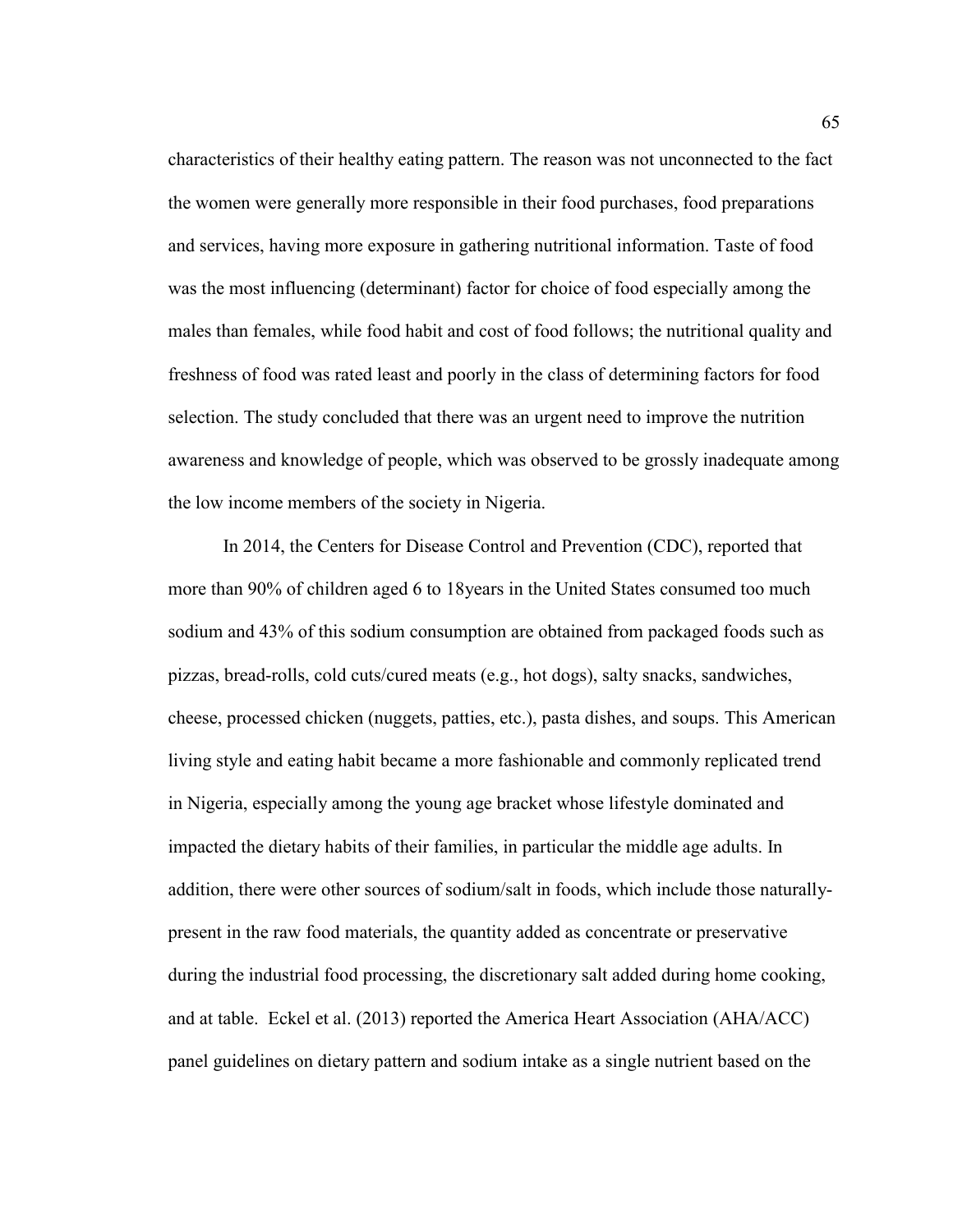characteristics of their healthy eating pattern. The reason was not unconnected to the fact the women were generally more responsible in their food purchases, food preparations and services, having more exposure in gathering nutritional information. Taste of food was the most influencing (determinant) factor for choice of food especially among the males than females, while food habit and cost of food follows; the nutritional quality and freshness of food was rated least and poorly in the class of determining factors for food selection. The study concluded that there was an urgent need to improve the nutrition awareness and knowledge of people, which was observed to be grossly inadequate among the low income members of the society in Nigeria.

In 2014, the Centers for Disease Control and Prevention (CDC), reported that more than 90% of children aged 6 to 18years in the United States consumed too much sodium and 43% of this sodium consumption are obtained from packaged foods such as pizzas, bread-rolls, cold cuts/cured meats (e.g., hot dogs), salty snacks, sandwiches, cheese, processed chicken (nuggets, patties, etc.), pasta dishes, and soups. This American living style and eating habit became a more fashionable and commonly replicated trend in Nigeria, especially among the young age bracket whose lifestyle dominated and impacted the dietary habits of their families, in particular the middle age adults. In addition, there were other sources of sodium/salt in foods, which include those naturallypresent in the raw food materials, the quantity added as concentrate or preservative during the industrial food processing, the discretionary salt added during home cooking, and at table. Eckel et al. (2013) reported the America Heart Association (AHA/ACC) panel guidelines on dietary pattern and sodium intake as a single nutrient based on the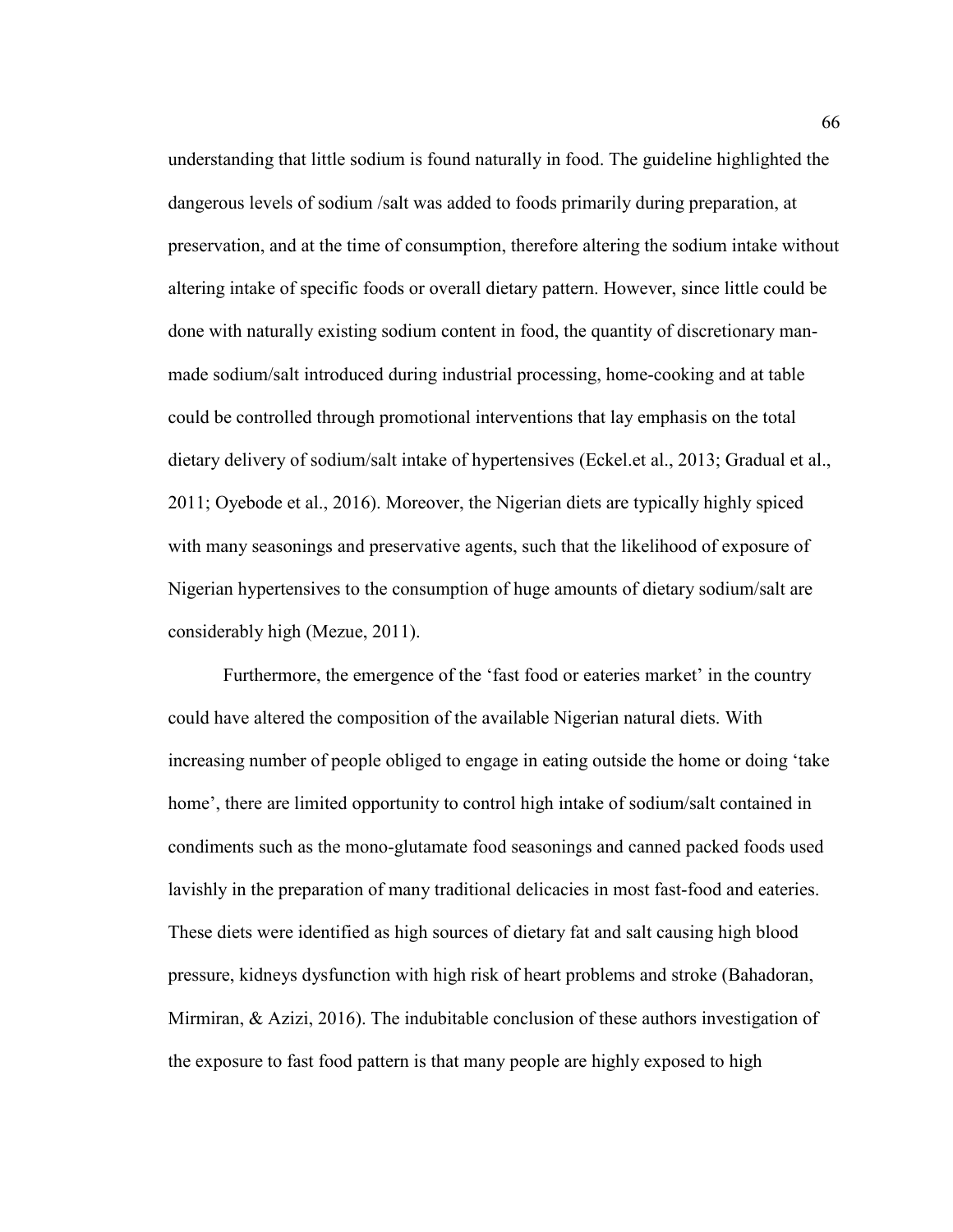understanding that little sodium is found naturally in food. The guideline highlighted the dangerous levels of sodium /salt was added to foods primarily during preparation, at preservation, and at the time of consumption, therefore altering the sodium intake without altering intake of specific foods or overall dietary pattern. However, since little could be done with naturally existing sodium content in food, the quantity of discretionary manmade sodium/salt introduced during industrial processing, home-cooking and at table could be controlled through promotional interventions that lay emphasis on the total dietary delivery of sodium/salt intake of hypertensives (Eckel.et al., 2013; Gradual et al., 2011; Oyebode et al., 2016). Moreover, the Nigerian diets are typically highly spiced with many seasonings and preservative agents, such that the likelihood of exposure of Nigerian hypertensives to the consumption of huge amounts of dietary sodium/salt are considerably high (Mezue, 2011).

Furthermore, the emergence of the 'fast food or eateries market' in the country could have altered the composition of the available Nigerian natural diets. With increasing number of people obliged to engage in eating outside the home or doing 'take home', there are limited opportunity to control high intake of sodium/salt contained in condiments such as the mono-glutamate food seasonings and canned packed foods used lavishly in the preparation of many traditional delicacies in most fast-food and eateries. These diets were identified as high sources of dietary fat and salt causing high blood pressure, kidneys dysfunction with high risk of heart problems and stroke (Bahadoran, Mirmiran, & Azizi, 2016). The indubitable conclusion of these authors investigation of the exposure to fast food pattern is that many people are highly exposed to high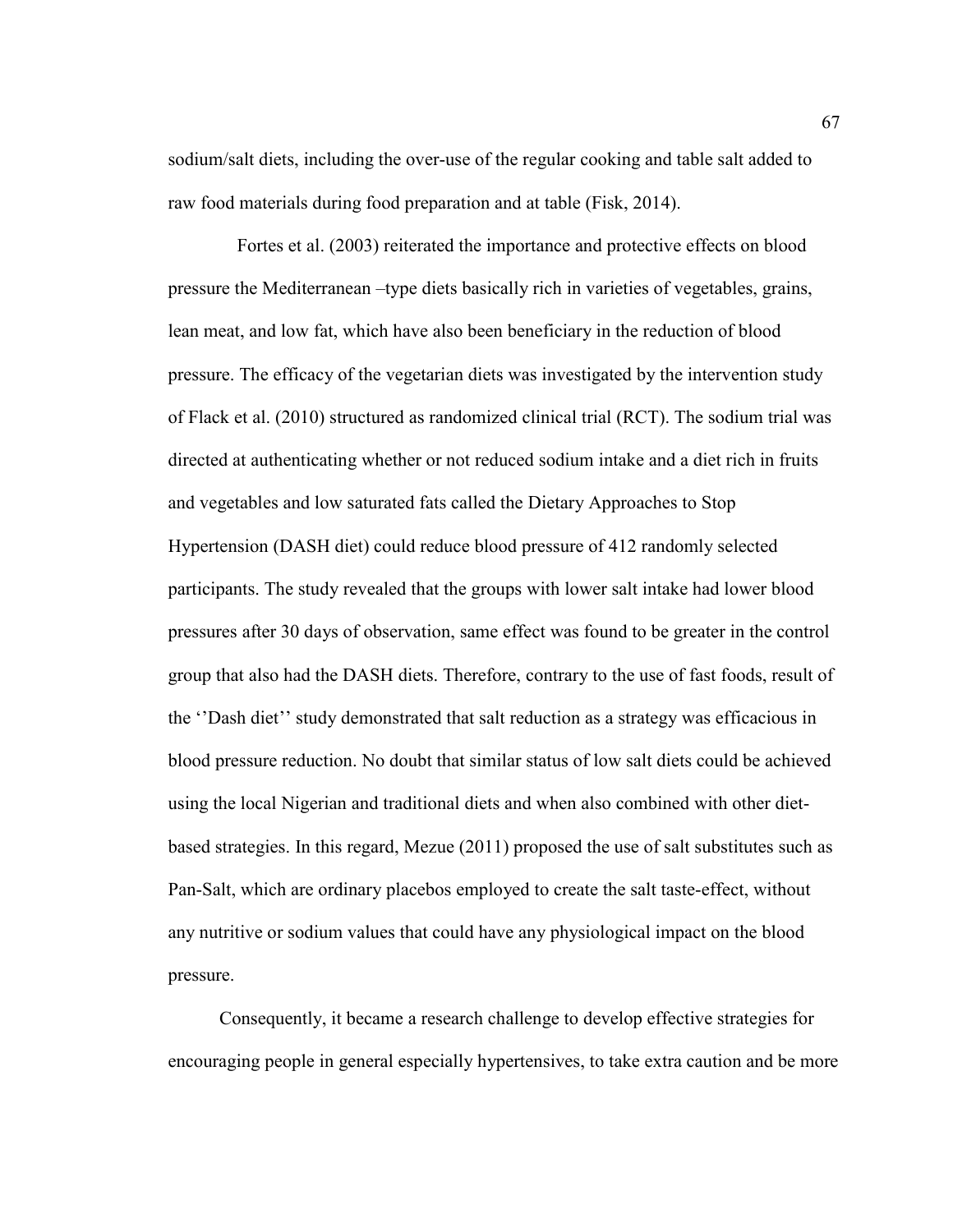sodium/salt diets, including the over-use of the regular cooking and table salt added to raw food materials during food preparation and at table (Fisk, 2014).

 Fortes et al. (2003) reiterated the importance and protective effects on blood pressure the Mediterranean –type diets basically rich in varieties of vegetables, grains, lean meat, and low fat, which have also been beneficiary in the reduction of blood pressure. The efficacy of the vegetarian diets was investigated by the intervention study of Flack et al. (2010) structured as randomized clinical trial (RCT). The sodium trial was directed at authenticating whether or not reduced sodium intake and a diet rich in fruits and vegetables and low saturated fats called the Dietary Approaches to Stop Hypertension (DASH diet) could reduce blood pressure of 412 randomly selected participants. The study revealed that the groups with lower salt intake had lower blood pressures after 30 days of observation, same effect was found to be greater in the control group that also had the DASH diets. Therefore, contrary to the use of fast foods, result of the ''Dash diet'' study demonstrated that salt reduction as a strategy was efficacious in blood pressure reduction. No doubt that similar status of low salt diets could be achieved using the local Nigerian and traditional diets and when also combined with other dietbased strategies. In this regard, Mezue (2011) proposed the use of salt substitutes such as Pan-Salt, which are ordinary placebos employed to create the salt taste-effect, without any nutritive or sodium values that could have any physiological impact on the blood pressure.

 Consequently, it became a research challenge to develop effective strategies for encouraging people in general especially hypertensives, to take extra caution and be more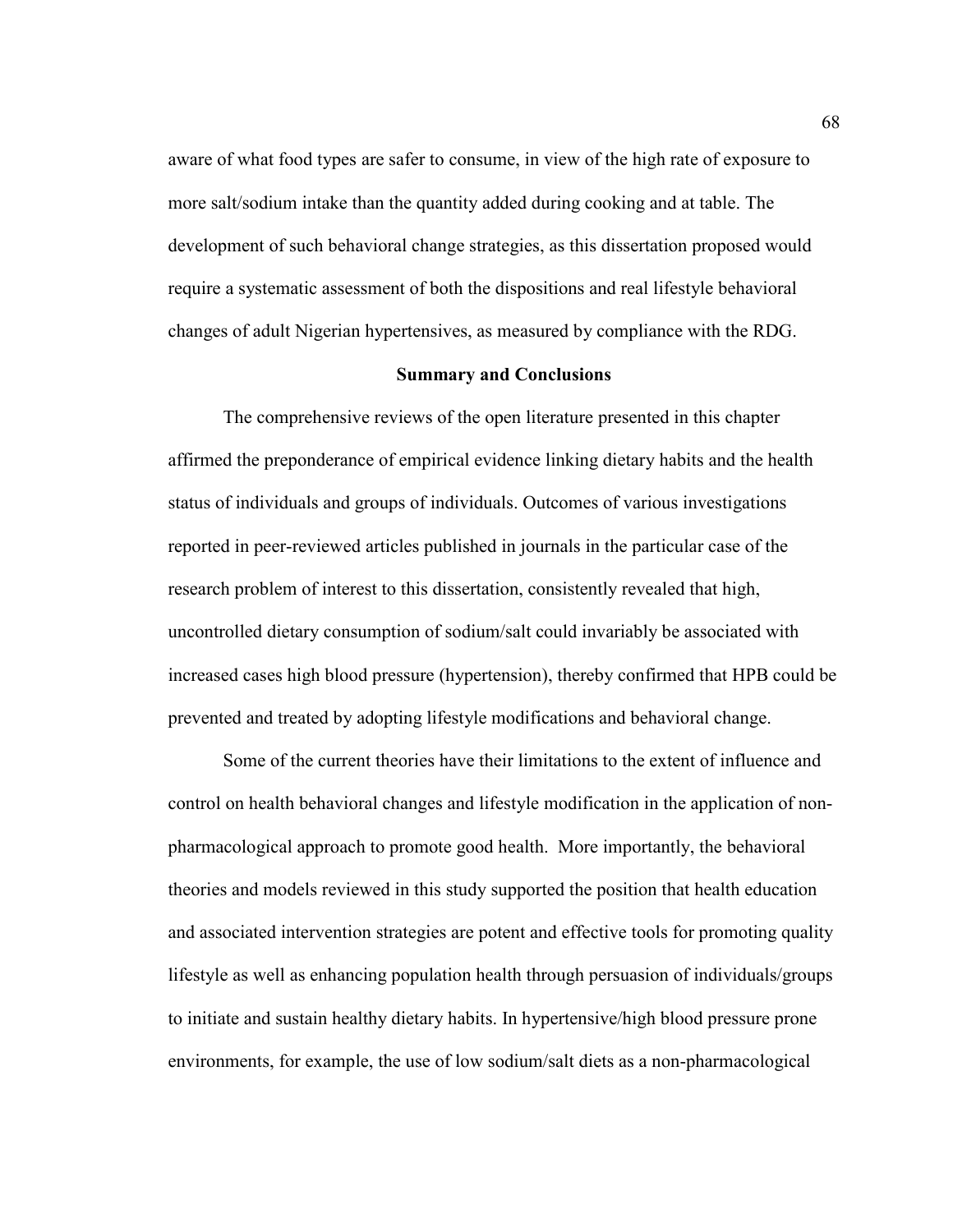aware of what food types are safer to consume, in view of the high rate of exposure to more salt/sodium intake than the quantity added during cooking and at table. The development of such behavioral change strategies, as this dissertation proposed would require a systematic assessment of both the dispositions and real lifestyle behavioral changes of adult Nigerian hypertensives, as measured by compliance with the RDG.

#### **Summary and Conclusions**

The comprehensive reviews of the open literature presented in this chapter affirmed the preponderance of empirical evidence linking dietary habits and the health status of individuals and groups of individuals. Outcomes of various investigations reported in peer-reviewed articles published in journals in the particular case of the research problem of interest to this dissertation, consistently revealed that high, uncontrolled dietary consumption of sodium/salt could invariably be associated with increased cases high blood pressure (hypertension), thereby confirmed that HPB could be prevented and treated by adopting lifestyle modifications and behavioral change.

Some of the current theories have their limitations to the extent of influence and control on health behavioral changes and lifestyle modification in the application of nonpharmacological approach to promote good health. More importantly, the behavioral theories and models reviewed in this study supported the position that health education and associated intervention strategies are potent and effective tools for promoting quality lifestyle as well as enhancing population health through persuasion of individuals/groups to initiate and sustain healthy dietary habits. In hypertensive/high blood pressure prone environments, for example, the use of low sodium/salt diets as a non-pharmacological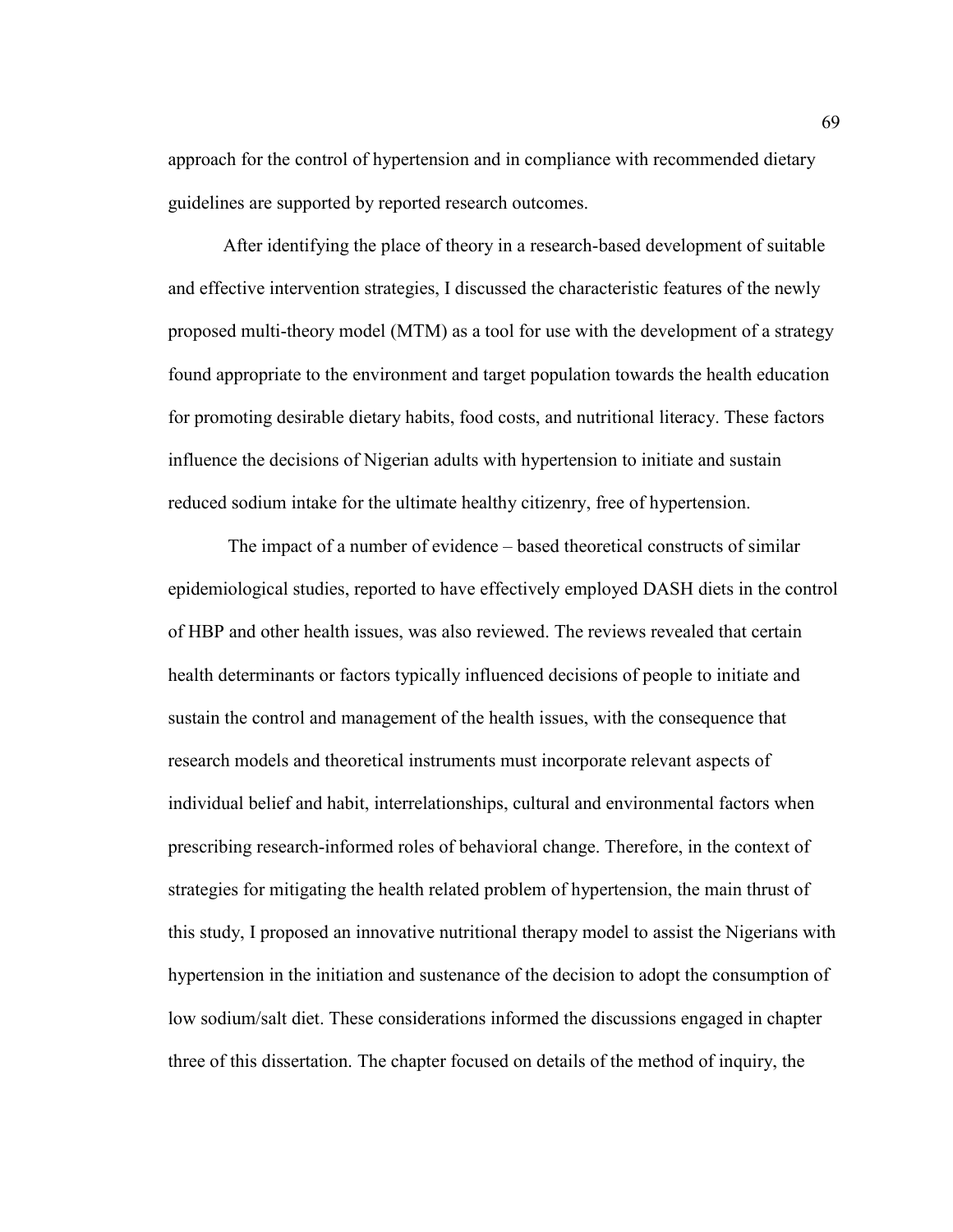approach for the control of hypertension and in compliance with recommended dietary guidelines are supported by reported research outcomes.

After identifying the place of theory in a research-based development of suitable and effective intervention strategies, I discussed the characteristic features of the newly proposed multi-theory model (MTM) as a tool for use with the development of a strategy found appropriate to the environment and target population towards the health education for promoting desirable dietary habits, food costs, and nutritional literacy. These factors influence the decisions of Nigerian adults with hypertension to initiate and sustain reduced sodium intake for the ultimate healthy citizenry, free of hypertension.

 The impact of a number of evidence – based theoretical constructs of similar epidemiological studies, reported to have effectively employed DASH diets in the control of HBP and other health issues, was also reviewed. The reviews revealed that certain health determinants or factors typically influenced decisions of people to initiate and sustain the control and management of the health issues, with the consequence that research models and theoretical instruments must incorporate relevant aspects of individual belief and habit, interrelationships, cultural and environmental factors when prescribing research-informed roles of behavioral change. Therefore, in the context of strategies for mitigating the health related problem of hypertension, the main thrust of this study, I proposed an innovative nutritional therapy model to assist the Nigerians with hypertension in the initiation and sustenance of the decision to adopt the consumption of low sodium/salt diet. These considerations informed the discussions engaged in chapter three of this dissertation. The chapter focused on details of the method of inquiry, the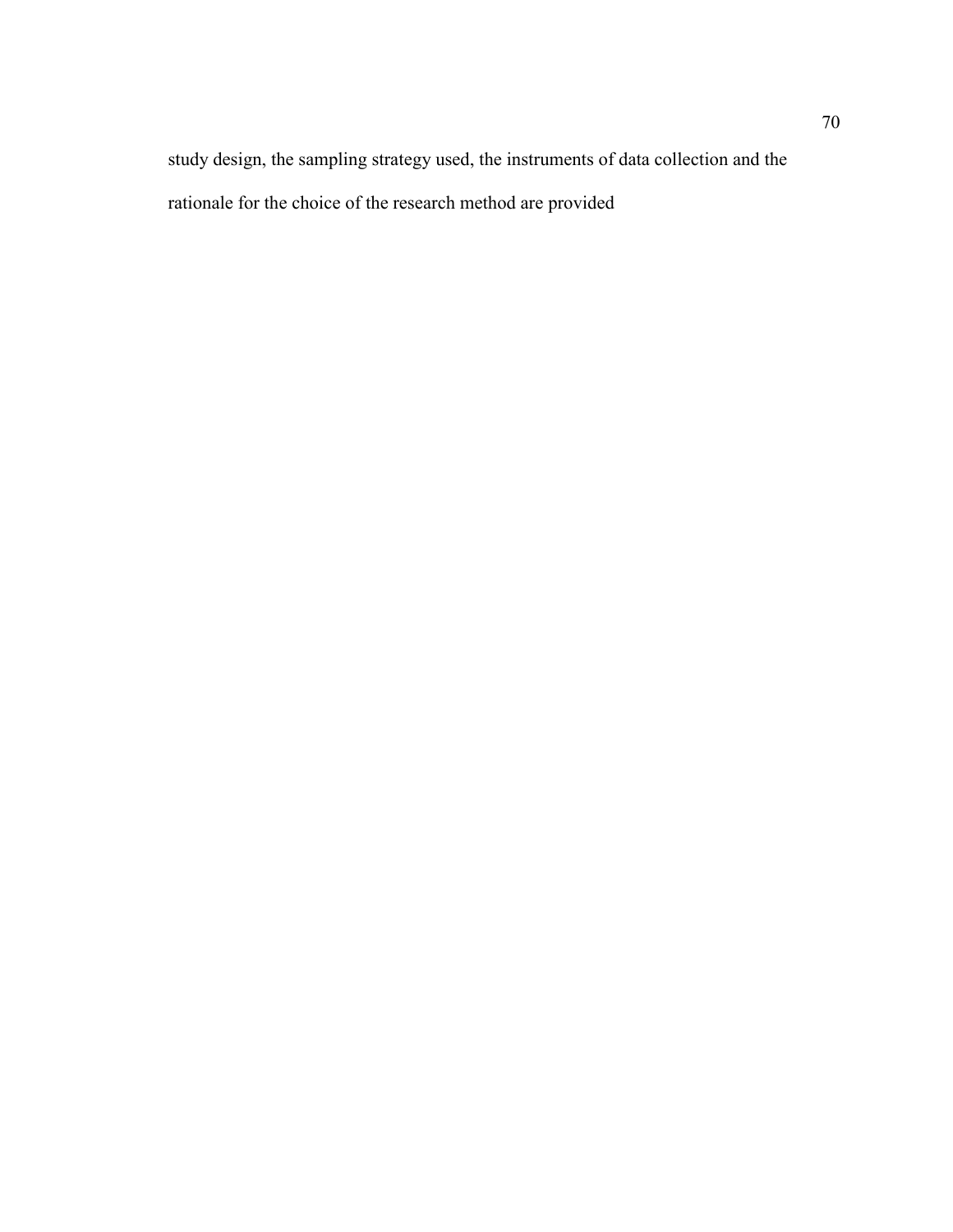study design, the sampling strategy used, the instruments of data collection and the rationale for the choice of the research method are provided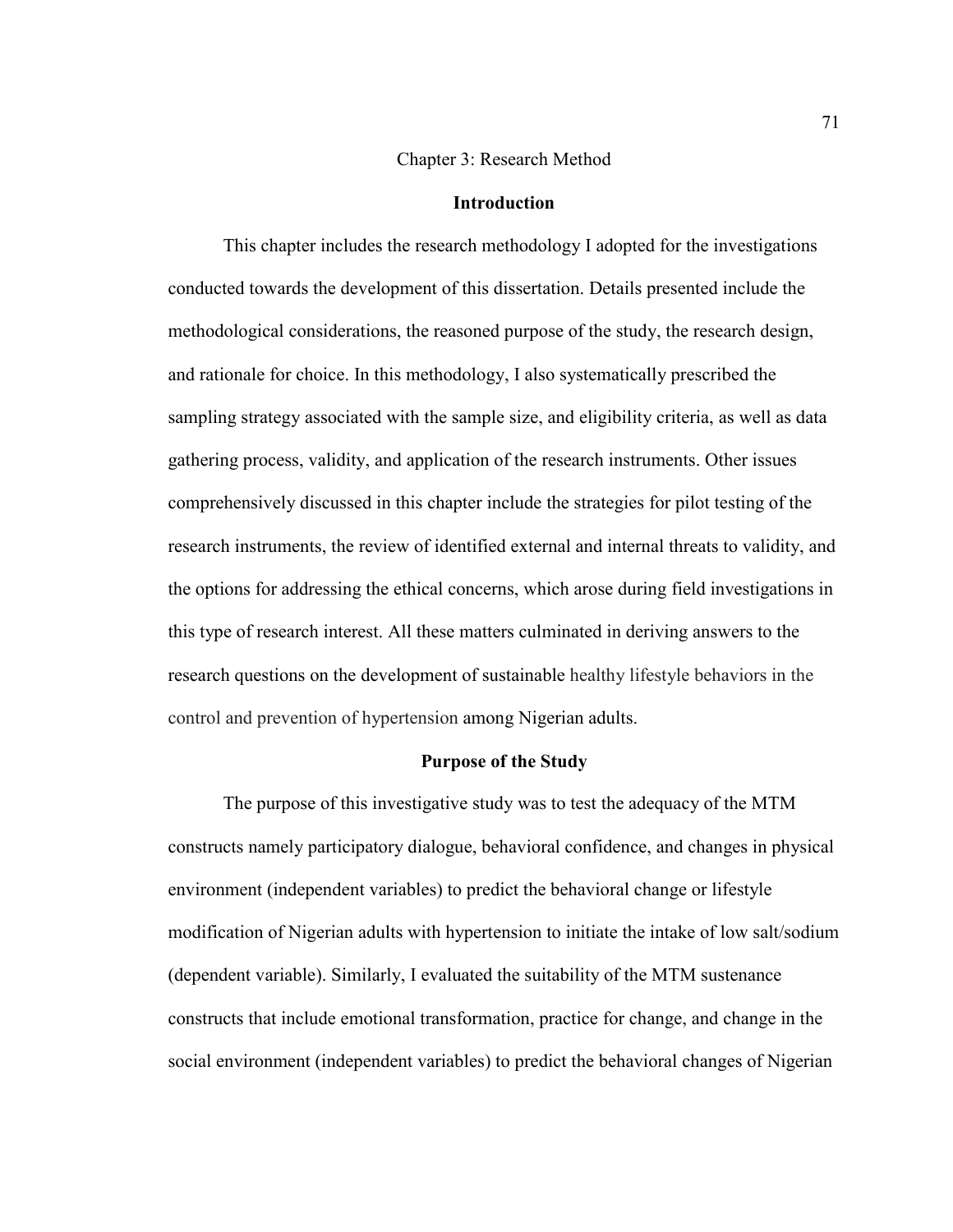#### Chapter 3: Research Method

#### **Introduction**

This chapter includes the research methodology I adopted for the investigations conducted towards the development of this dissertation. Details presented include the methodological considerations, the reasoned purpose of the study, the research design, and rationale for choice. In this methodology, I also systematically prescribed the sampling strategy associated with the sample size, and eligibility criteria, as well as data gathering process, validity, and application of the research instruments. Other issues comprehensively discussed in this chapter include the strategies for pilot testing of the research instruments, the review of identified external and internal threats to validity, and the options for addressing the ethical concerns, which arose during field investigations in this type of research interest. All these matters culminated in deriving answers to the research questions on the development of sustainable healthy lifestyle behaviors in the control and prevention of hypertension among Nigerian adults.

# **Purpose of the Study**

The purpose of this investigative study was to test the adequacy of the MTM constructs namely participatory dialogue, behavioral confidence, and changes in physical environment (independent variables) to predict the behavioral change or lifestyle modification of Nigerian adults with hypertension to initiate the intake of low salt/sodium (dependent variable). Similarly, I evaluated the suitability of the MTM sustenance constructs that include emotional transformation, practice for change, and change in the social environment (independent variables) to predict the behavioral changes of Nigerian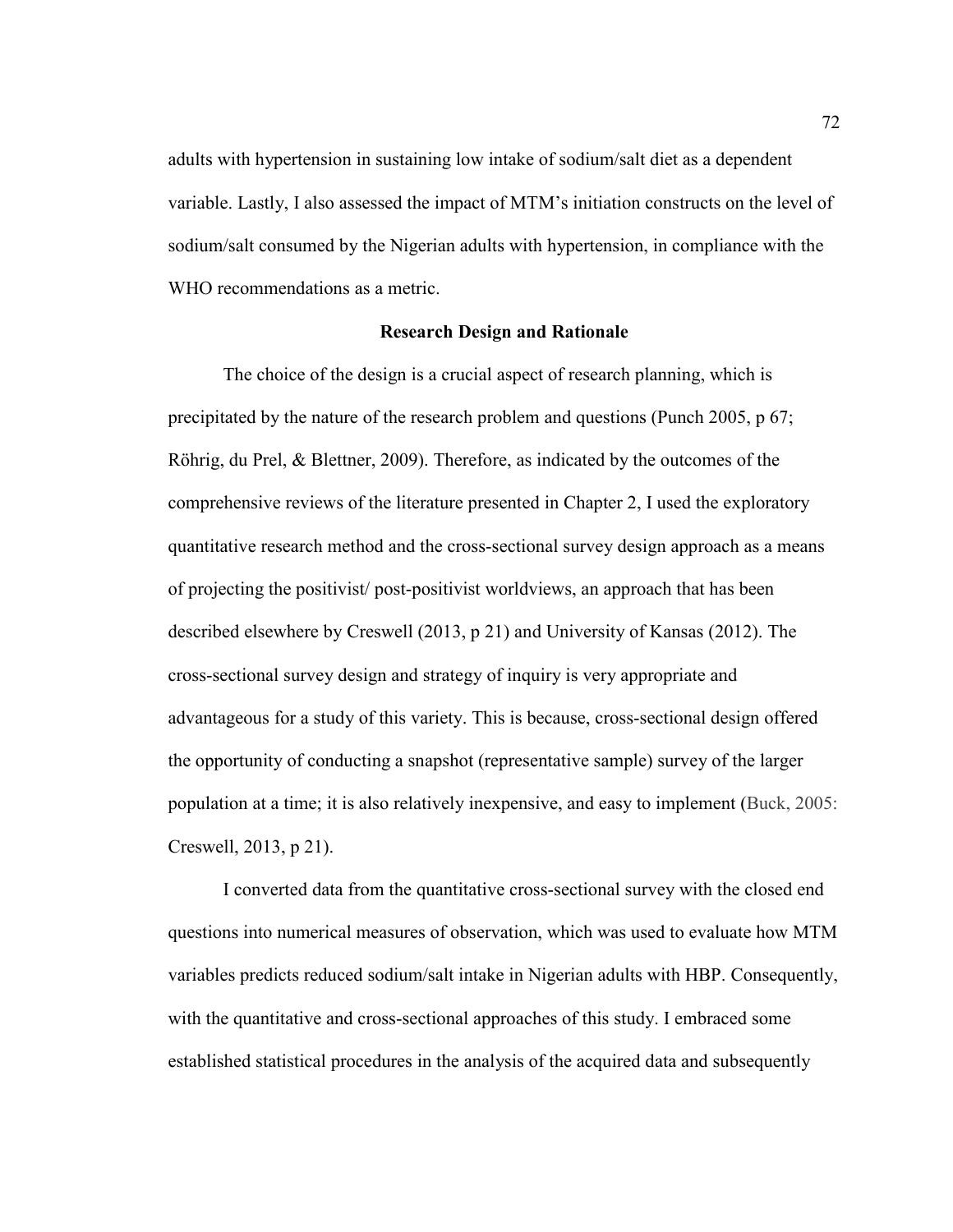adults with hypertension in sustaining low intake of sodium/salt diet as a dependent variable. Lastly, I also assessed the impact of MTM's initiation constructs on the level of sodium/salt consumed by the Nigerian adults with hypertension, in compliance with the WHO recommendations as a metric.

# **Research Design and Rationale**

The choice of the design is a crucial aspect of research planning, which is precipitated by the nature of the research problem and questions (Punch 2005, p 67; Röhrig, du Prel, & Blettner, 2009). Therefore, as indicated by the outcomes of the comprehensive reviews of the literature presented in Chapter 2, I used the exploratory quantitative research method and the cross-sectional survey design approach as a means of projecting the positivist/ post-positivist worldviews, an approach that has been described elsewhere by Creswell (2013, p 21) and University of Kansas (2012). The cross-sectional survey design and strategy of inquiry is very appropriate and advantageous for a study of this variety. This is because, cross-sectional design offered the opportunity of conducting a snapshot (representative sample) survey of the larger population at a time; it is also relatively inexpensive, and easy to implement (Buck, 2005: Creswell, 2013, p 21).

I converted data from the quantitative cross-sectional survey with the closed end questions into numerical measures of observation, which was used to evaluate how MTM variables predicts reduced sodium/salt intake in Nigerian adults with HBP. Consequently, with the quantitative and cross-sectional approaches of this study. I embraced some established statistical procedures in the analysis of the acquired data and subsequently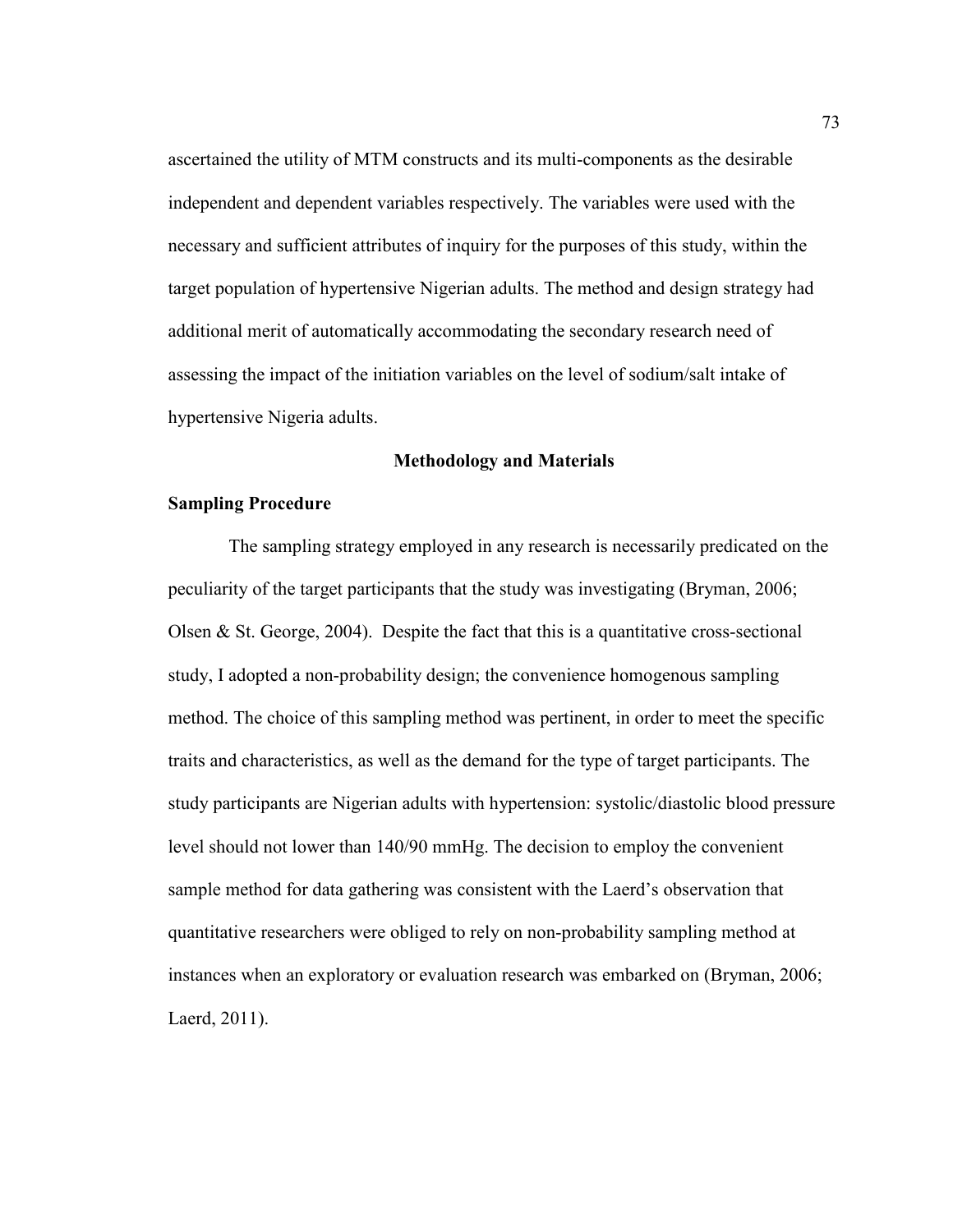ascertained the utility of MTM constructs and its multi-components as the desirable independent and dependent variables respectively. The variables were used with the necessary and sufficient attributes of inquiry for the purposes of this study, within the target population of hypertensive Nigerian adults. The method and design strategy had additional merit of automatically accommodating the secondary research need of assessing the impact of the initiation variables on the level of sodium/salt intake of hypertensive Nigeria adults.

# **Methodology and Materials**

# **Sampling Procedure**

 The sampling strategy employed in any research is necessarily predicated on the peculiarity of the target participants that the study was investigating (Bryman, 2006; Olsen & St. George, 2004). Despite the fact that this is a quantitative cross-sectional study, I adopted a non-probability design; the convenience homogenous sampling method. The choice of this sampling method was pertinent, in order to meet the specific traits and characteristics, as well as the demand for the type of target participants. The study participants are Nigerian adults with hypertension: systolic/diastolic blood pressure level should not lower than 140/90 mmHg. The decision to employ the convenient sample method for data gathering was consistent with the Laerd's observation that quantitative researchers were obliged to rely on non-probability sampling method at instances when an exploratory or evaluation research was embarked on (Bryman, 2006; Laerd, 2011).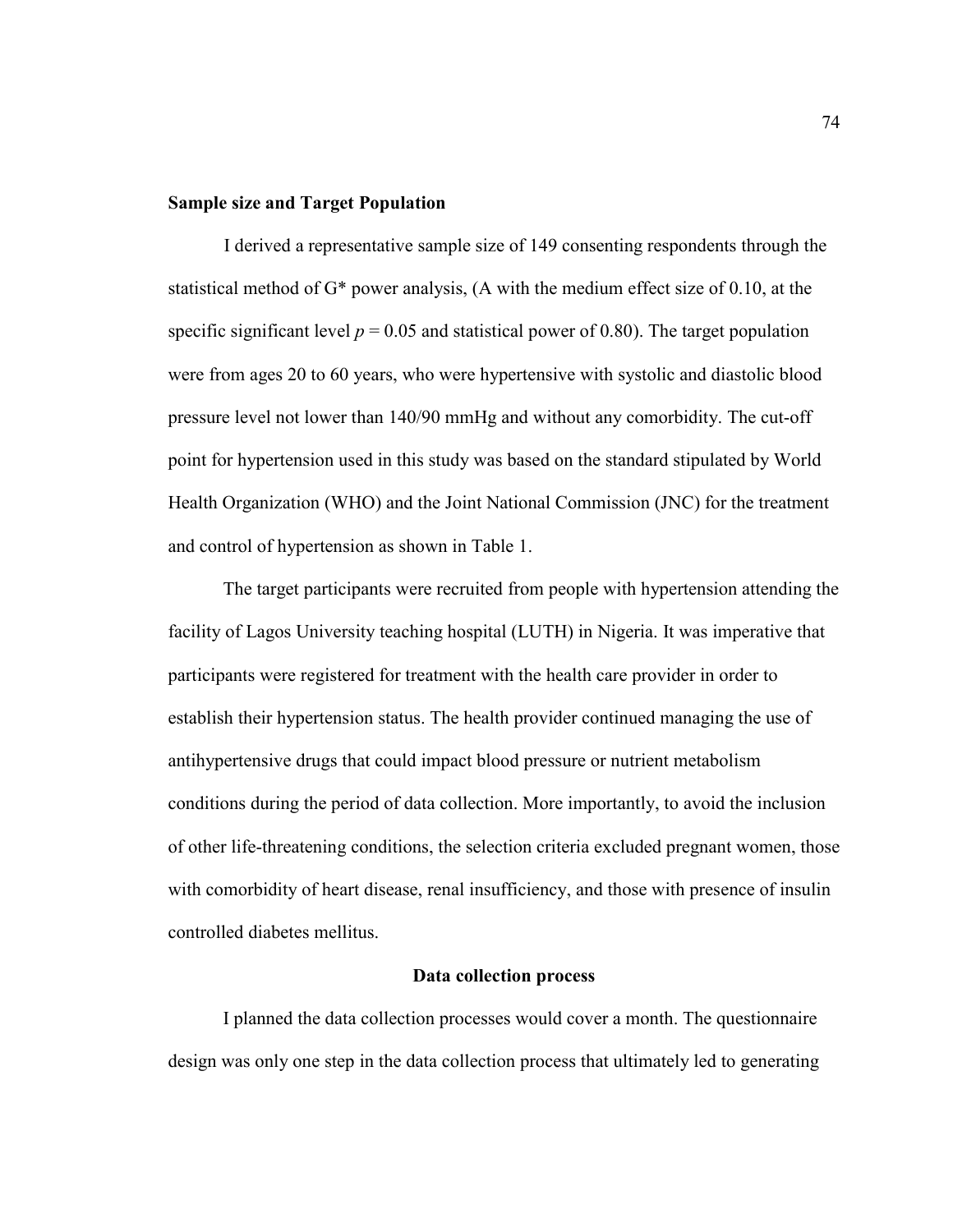# **Sample size and Target Population**

I derived a representative sample size of 149 consenting respondents through the statistical method of G\* power analysis, (A with the medium effect size of 0.10, at the specific significant level  $p = 0.05$  and statistical power of 0.80). The target population were from ages 20 to 60 years, who were hypertensive with systolic and diastolic blood pressure level not lower than 140/90 mmHg and without any comorbidity. The cut-off point for hypertension used in this study was based on the standard stipulated by World Health Organization (WHO) and the Joint National Commission (JNC) for the treatment and control of hypertension as shown in Table 1.

The target participants were recruited from people with hypertension attending the facility of Lagos University teaching hospital (LUTH) in Nigeria. It was imperative that participants were registered for treatment with the health care provider in order to establish their hypertension status. The health provider continued managing the use of antihypertensive drugs that could impact blood pressure or nutrient metabolism conditions during the period of data collection. More importantly, to avoid the inclusion of other life-threatening conditions, the selection criteria excluded pregnant women, those with comorbidity of heart disease, renal insufficiency, and those with presence of insulin controlled diabetes mellitus.

# **Data collection process**

I planned the data collection processes would cover a month. The questionnaire design was only one step in the data collection process that ultimately led to generating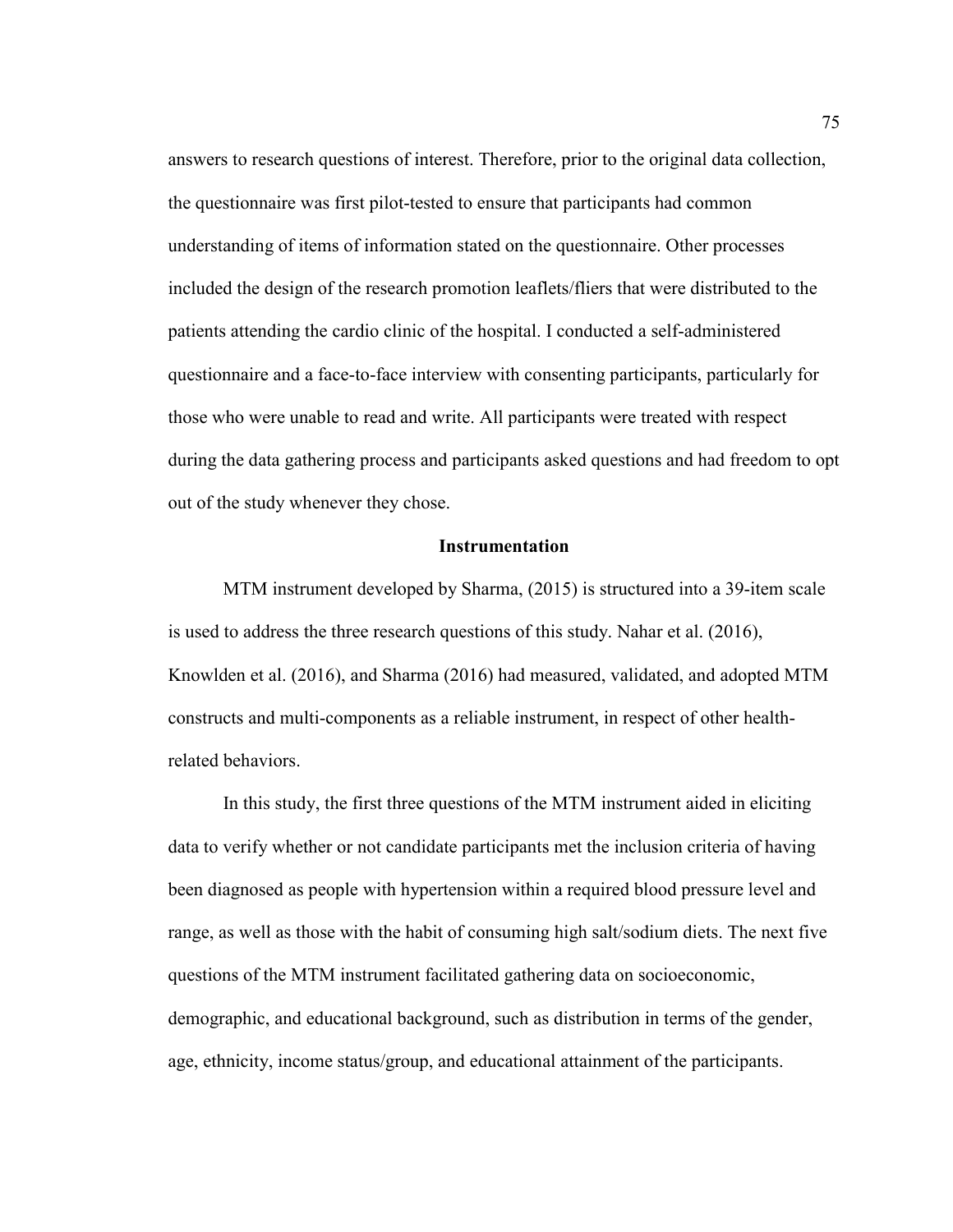answers to research questions of interest. Therefore, prior to the original data collection, the questionnaire was first pilot-tested to ensure that participants had common understanding of items of information stated on the questionnaire. Other processes included the design of the research promotion leaflets/fliers that were distributed to the patients attending the cardio clinic of the hospital. I conducted a self-administered questionnaire and a face-to-face interview with consenting participants, particularly for those who were unable to read and write. All participants were treated with respect during the data gathering process and participants asked questions and had freedom to opt out of the study whenever they chose.

# **Instrumentation**

MTM instrument developed by Sharma, (2015) is structured into a 39-item scale is used to address the three research questions of this study. Nahar et al. (2016), Knowlden et al. (2016), and Sharma (2016) had measured, validated, and adopted MTM constructs and multi-components as a reliable instrument, in respect of other healthrelated behaviors.

In this study, the first three questions of the MTM instrument aided in eliciting data to verify whether or not candidate participants met the inclusion criteria of having been diagnosed as people with hypertension within a required blood pressure level and range, as well as those with the habit of consuming high salt/sodium diets. The next five questions of the MTM instrument facilitated gathering data on socioeconomic, demographic, and educational background, such as distribution in terms of the gender, age, ethnicity, income status/group, and educational attainment of the participants.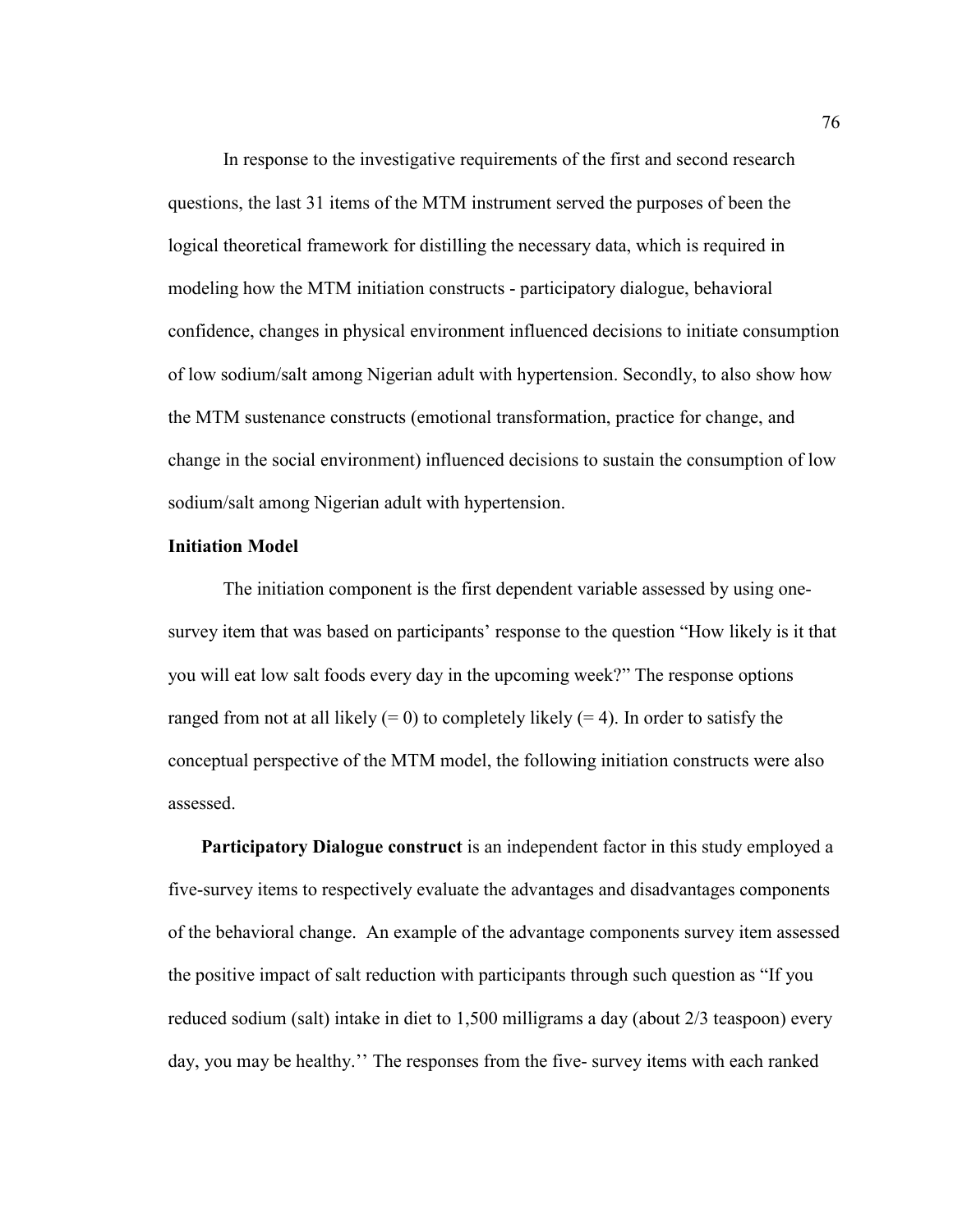In response to the investigative requirements of the first and second research questions, the last 31 items of the MTM instrument served the purposes of been the logical theoretical framework for distilling the necessary data, which is required in modeling how the MTM initiation constructs - participatory dialogue, behavioral confidence, changes in physical environment influenced decisions to initiate consumption of low sodium/salt among Nigerian adult with hypertension. Secondly, to also show how the MTM sustenance constructs (emotional transformation, practice for change, and change in the social environment) influenced decisions to sustain the consumption of low sodium/salt among Nigerian adult with hypertension.

# **Initiation Model**

The initiation component is the first dependent variable assessed by using onesurvey item that was based on participants' response to the question "How likely is it that you will eat low salt foods every day in the upcoming week?" The response options ranged from not at all likely  $(= 0)$  to completely likely  $(= 4)$ . In order to satisfy the conceptual perspective of the MTM model, the following initiation constructs were also assessed.

**Participatory Dialogue construct** is an independent factor in this study employed a five-survey items to respectively evaluate the advantages and disadvantages components of the behavioral change. An example of the advantage components survey item assessed the positive impact of salt reduction with participants through such question as "If you reduced sodium (salt) intake in diet to 1,500 milligrams a day (about 2/3 teaspoon) every day, you may be healthy.'' The responses from the five- survey items with each ranked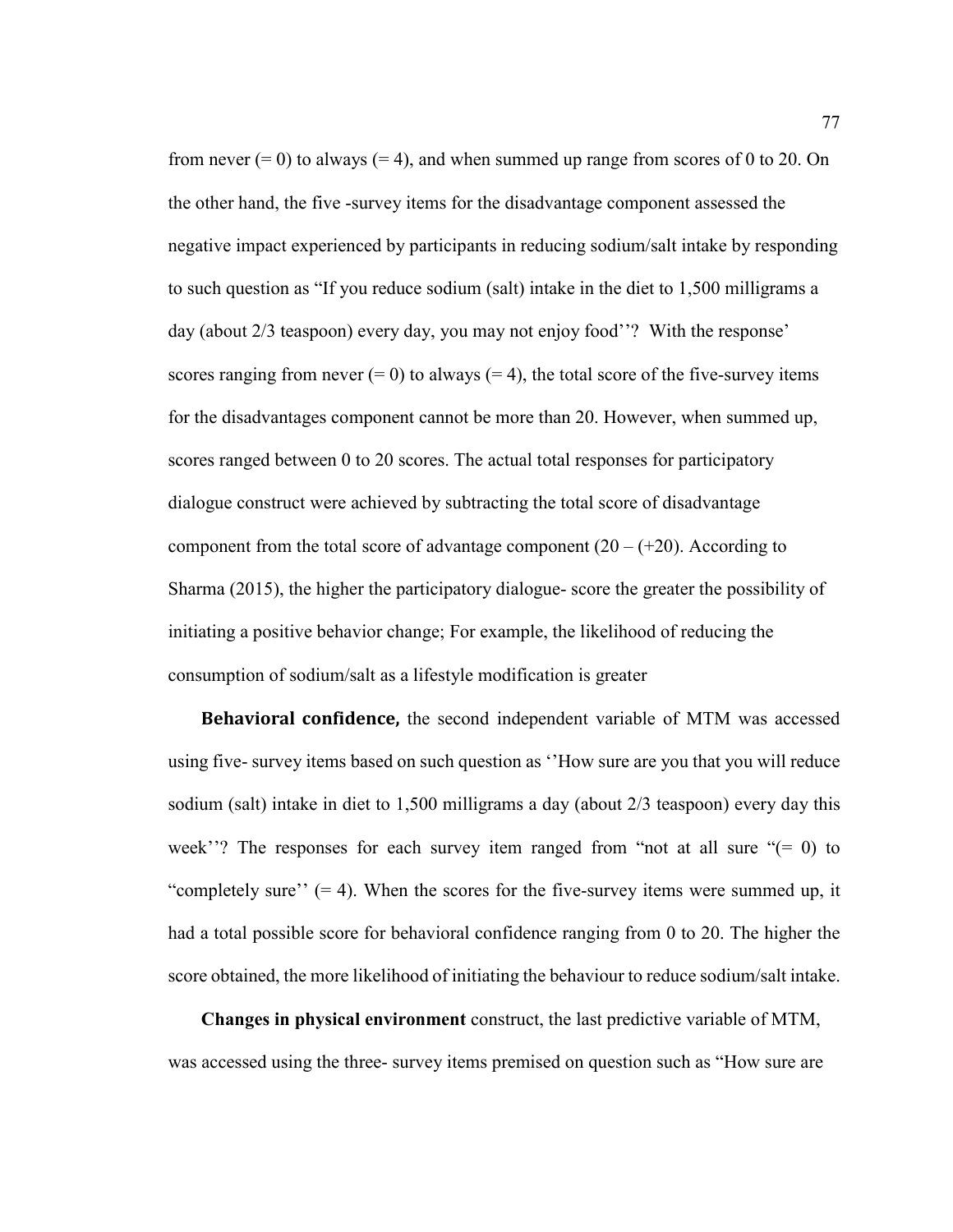from never  $(= 0)$  to always  $(= 4)$ , and when summed up range from scores of 0 to 20. On the other hand, the five -survey items for the disadvantage component assessed the negative impact experienced by participants in reducing sodium/salt intake by responding to such question as "If you reduce sodium (salt) intake in the diet to 1,500 milligrams a day (about 2/3 teaspoon) every day, you may not enjoy food''? With the response' scores ranging from never  $(= 0)$  to always  $(= 4)$ , the total score of the five-survey items for the disadvantages component cannot be more than 20. However, when summed up, scores ranged between 0 to 20 scores. The actual total responses for participatory dialogue construct were achieved by subtracting the total score of disadvantage component from the total score of advantage component  $(20 - (+20))$ . According to Sharma (2015), the higher the participatory dialogue- score the greater the possibility of initiating a positive behavior change; For example, the likelihood of reducing the consumption of sodium/salt as a lifestyle modification is greater

**Behavioral confidence,** the second independent variable of MTM was accessed using five- survey items based on such question as ''How sure are you that you will reduce sodium (salt) intake in diet to 1,500 milligrams a day (about 2/3 teaspoon) every day this week''? The responses for each survey item ranged from "not at all sure  $(0)$  to "completely sure"  $(= 4)$ . When the scores for the five-survey items were summed up, it had a total possible score for behavioral confidence ranging from 0 to 20. The higher the score obtained, the more likelihood of initiating the behaviour to reduce sodium/salt intake.

**Changes in physical environment** construct, the last predictive variable of MTM, was accessed using the three- survey items premised on question such as "How sure are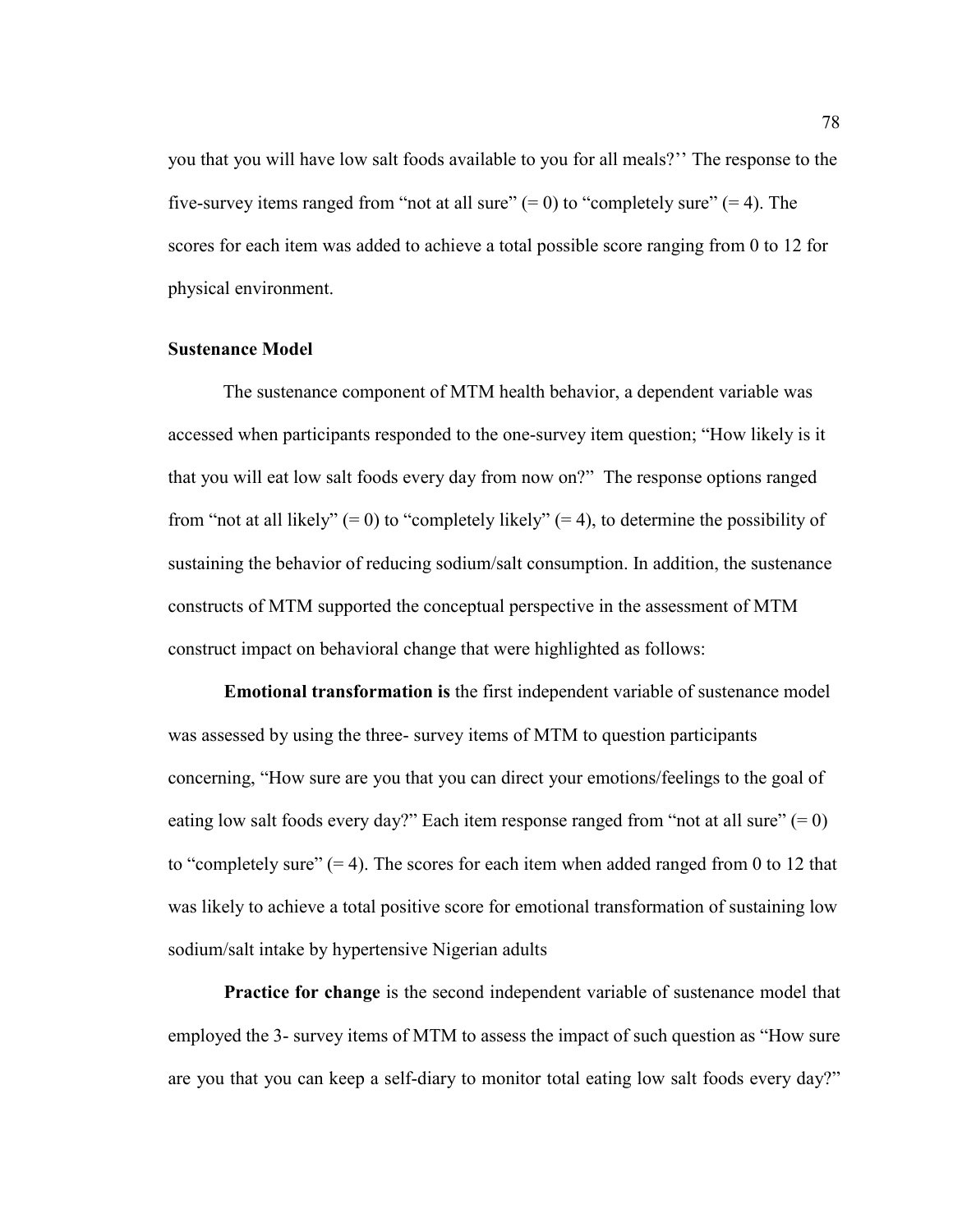you that you will have low salt foods available to you for all meals?'' The response to the five-survey items ranged from "not at all sure"  $(= 0)$  to "completely sure"  $(= 4)$ . The scores for each item was added to achieve a total possible score ranging from 0 to 12 for physical environment.

## **Sustenance Model**

The sustenance component of MTM health behavior, a dependent variable was accessed when participants responded to the one-survey item question; "How likely is it that you will eat low salt foods every day from now on?" The response options ranged from "not at all likely"  $(= 0)$  to "completely likely"  $(= 4)$ , to determine the possibility of sustaining the behavior of reducing sodium/salt consumption. In addition, the sustenance constructs of MTM supported the conceptual perspective in the assessment of MTM construct impact on behavioral change that were highlighted as follows:

**Emotional transformation is** the first independent variable of sustenance model was assessed by using the three- survey items of MTM to question participants concerning, "How sure are you that you can direct your emotions/feelings to the goal of eating low salt foods every day?" Each item response ranged from "not at all sure"  $(= 0)$ to "completely sure"  $(= 4)$ . The scores for each item when added ranged from 0 to 12 that was likely to achieve a total positive score for emotional transformation of sustaining low sodium/salt intake by hypertensive Nigerian adults

**Practice for change** is the second independent variable of sustenance model that employed the 3- survey items of MTM to assess the impact of such question as "How sure are you that you can keep a self-diary to monitor total eating low salt foods every day?"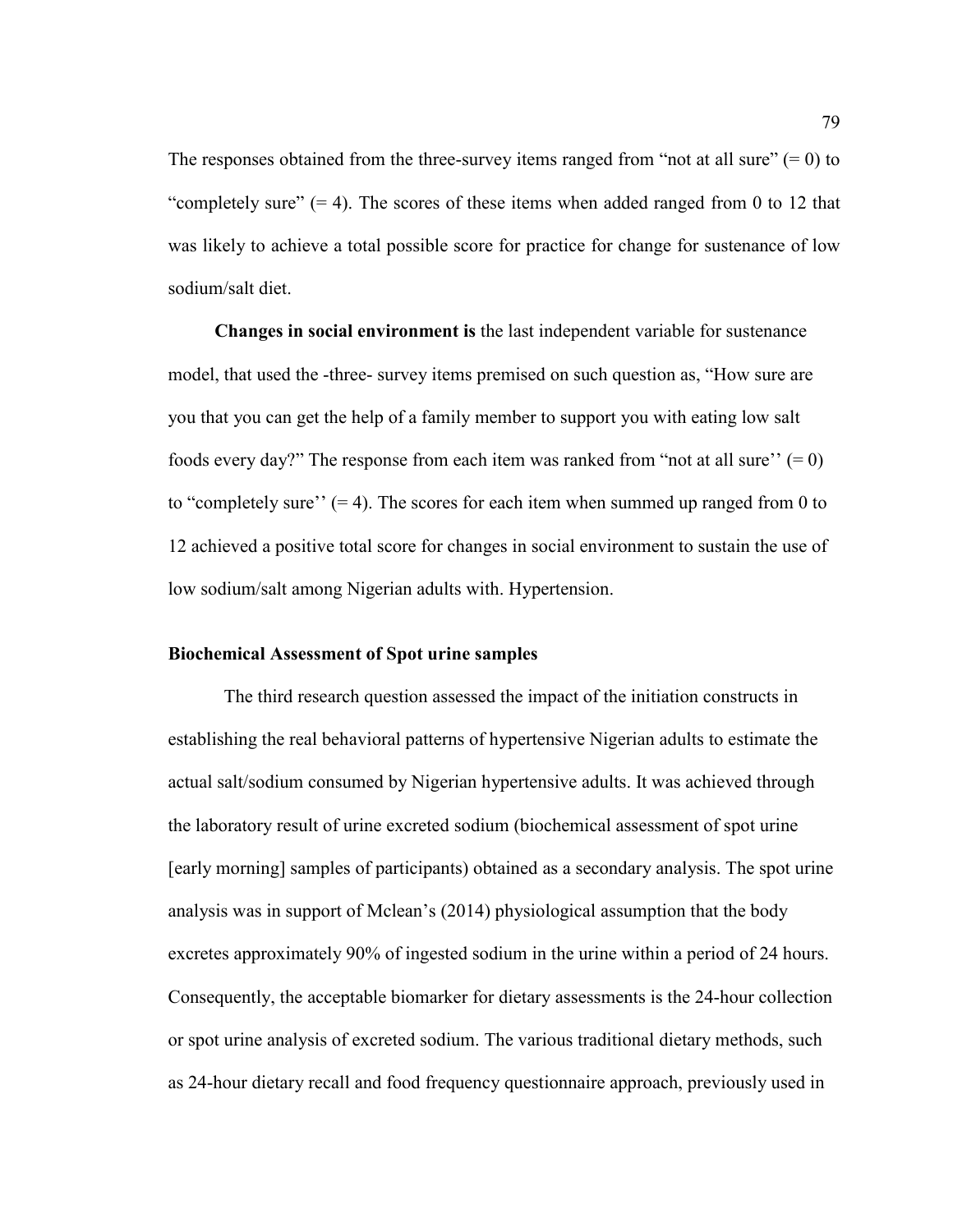The responses obtained from the three-survey items ranged from "not at all sure"  $(= 0)$  to "completely sure"  $(= 4)$ . The scores of these items when added ranged from 0 to 12 that was likely to achieve a total possible score for practice for change for sustenance of low sodium/salt diet.

**Changes in social environment is** the last independent variable for sustenance model, that used the -three- survey items premised on such question as, "How sure are you that you can get the help of a family member to support you with eating low salt foods every day?" The response from each item was ranked from "not at all sure"  $(= 0)$ to "completely sure"  $(= 4)$ . The scores for each item when summed up ranged from 0 to 12 achieved a positive total score for changes in social environment to sustain the use of low sodium/salt among Nigerian adults with. Hypertension.

# **Biochemical Assessment of Spot urine samples**

The third research question assessed the impact of the initiation constructs in establishing the real behavioral patterns of hypertensive Nigerian adults to estimate the actual salt/sodium consumed by Nigerian hypertensive adults. It was achieved through the laboratory result of urine excreted sodium (biochemical assessment of spot urine [early morning] samples of participants) obtained as a secondary analysis. The spot urine analysis was in support of Mclean's (2014) physiological assumption that the body excretes approximately 90% of ingested sodium in the urine within a period of 24 hours. Consequently, the acceptable biomarker for dietary assessments is the 24-hour collection or spot urine analysis of excreted sodium. The various traditional dietary methods, such as 24-hour dietary recall and food frequency questionnaire approach, previously used in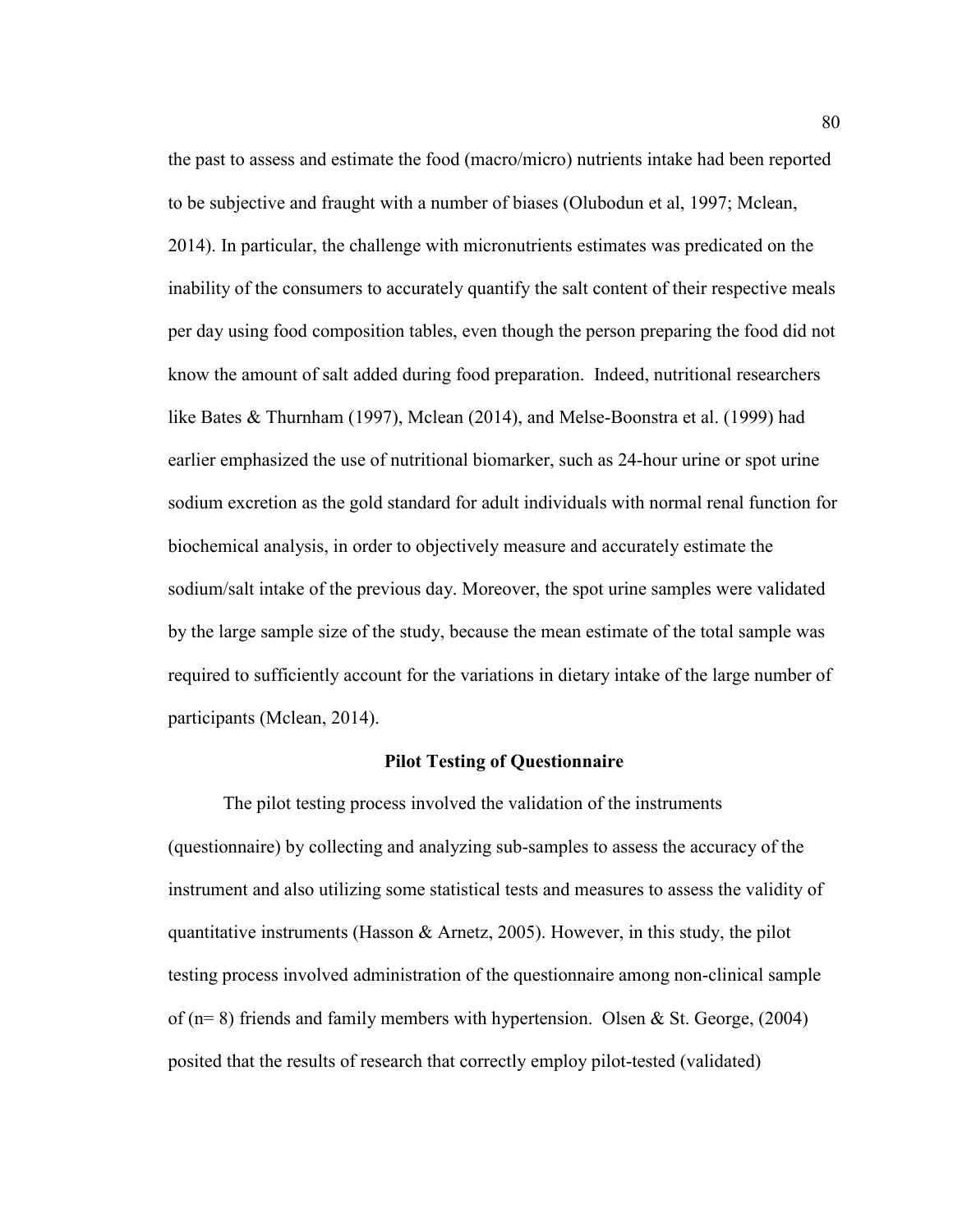the past to assess and estimate the food (macro/micro) nutrients intake had been reported to be subjective and fraught with a number of biases (Olubodun et al, 1997; Mclean, 2014). In particular, the challenge with micronutrients estimates was predicated on the inability of the consumers to accurately quantify the salt content of their respective meals per day using food composition tables, even though the person preparing the food did not know the amount of salt added during food preparation. Indeed, nutritional researchers like Bates & Thurnham (1997), Mclean (2014), and Melse-Boonstra et al. (1999) had earlier emphasized the use of nutritional biomarker, such as 24-hour urine or spot urine sodium excretion as the gold standard for adult individuals with normal renal function for biochemical analysis, in order to objectively measure and accurately estimate the sodium/salt intake of the previous day. Moreover, the spot urine samples were validated by the large sample size of the study, because the mean estimate of the total sample was required to sufficiently account for the variations in dietary intake of the large number of participants (Mclean, 2014).

# **Pilot Testing of Questionnaire**

The pilot testing process involved the validation of the instruments (questionnaire) by collecting and analyzing sub-samples to assess the accuracy of the instrument and also utilizing some statistical tests and measures to assess the validity of quantitative instruments (Hasson & Arnetz, 2005). However, in this study, the pilot testing process involved administration of the questionnaire among non-clinical sample of ( $n= 8$ ) friends and family members with hypertension. Olsen & St. George, (2004) posited that the results of research that correctly employ pilot-tested (validated)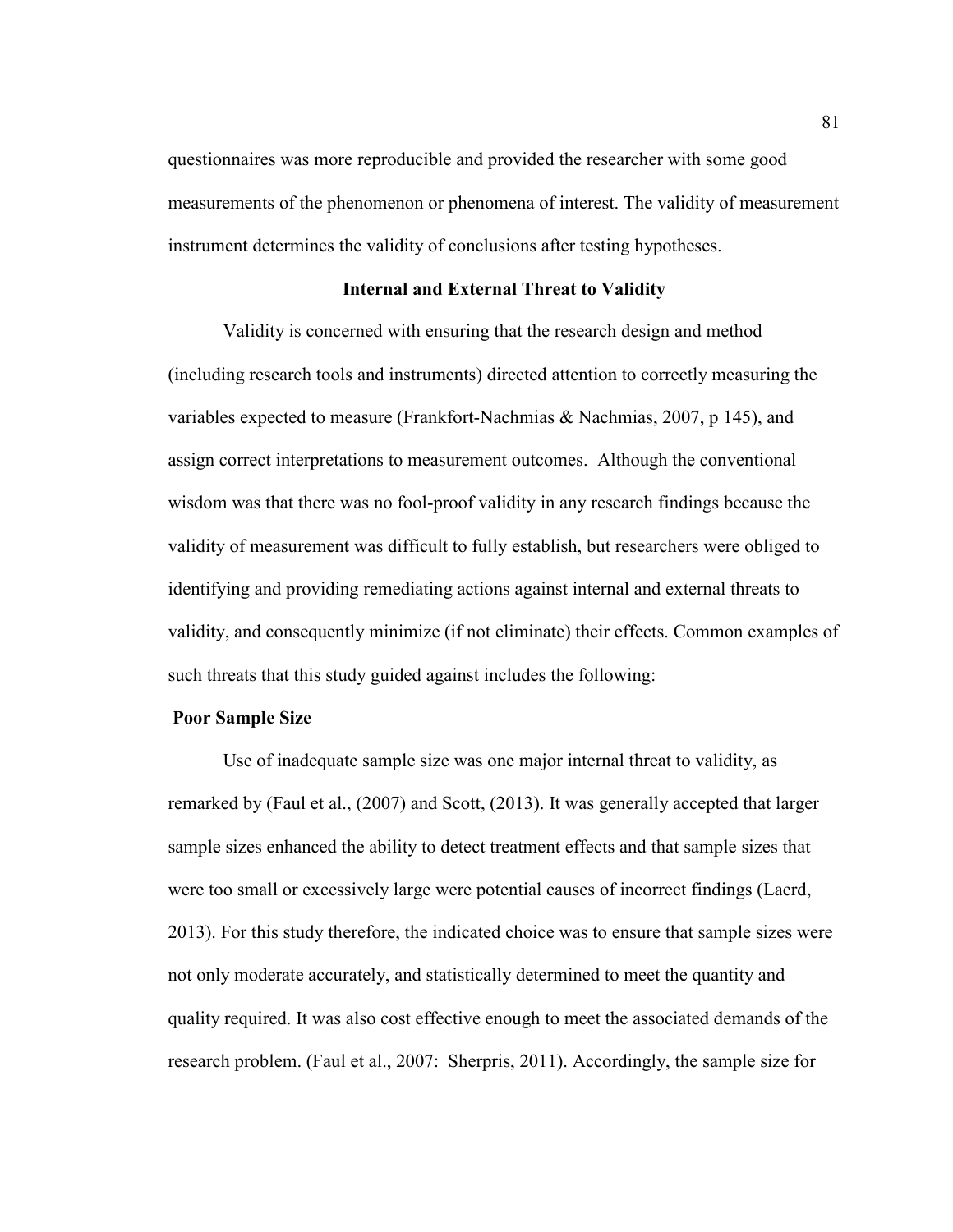questionnaires was more reproducible and provided the researcher with some good measurements of the phenomenon or phenomena of interest. The validity of measurement instrument determines the validity of conclusions after testing hypotheses.

# **Internal and External Threat to Validity**

Validity is concerned with ensuring that the research design and method (including research tools and instruments) directed attention to correctly measuring the variables expected to measure (Frankfort-Nachmias & Nachmias, 2007, p 145), and assign correct interpretations to measurement outcomes. Although the conventional wisdom was that there was no fool-proof validity in any research findings because the validity of measurement was difficult to fully establish, but researchers were obliged to identifying and providing remediating actions against internal and external threats to validity, and consequently minimize (if not eliminate) their effects. Common examples of such threats that this study guided against includes the following:

# **Poor Sample Size**

Use of inadequate sample size was one major internal threat to validity, as remarked by (Faul et al., (2007) and Scott, (2013). It was generally accepted that larger sample sizes enhanced the ability to detect treatment effects and that sample sizes that were too small or excessively large were potential causes of incorrect findings (Laerd, 2013). For this study therefore, the indicated choice was to ensure that sample sizes were not only moderate accurately, and statistically determined to meet the quantity and quality required. It was also cost effective enough to meet the associated demands of the research problem. (Faul et al., 2007: Sherpris, 2011). Accordingly, the sample size for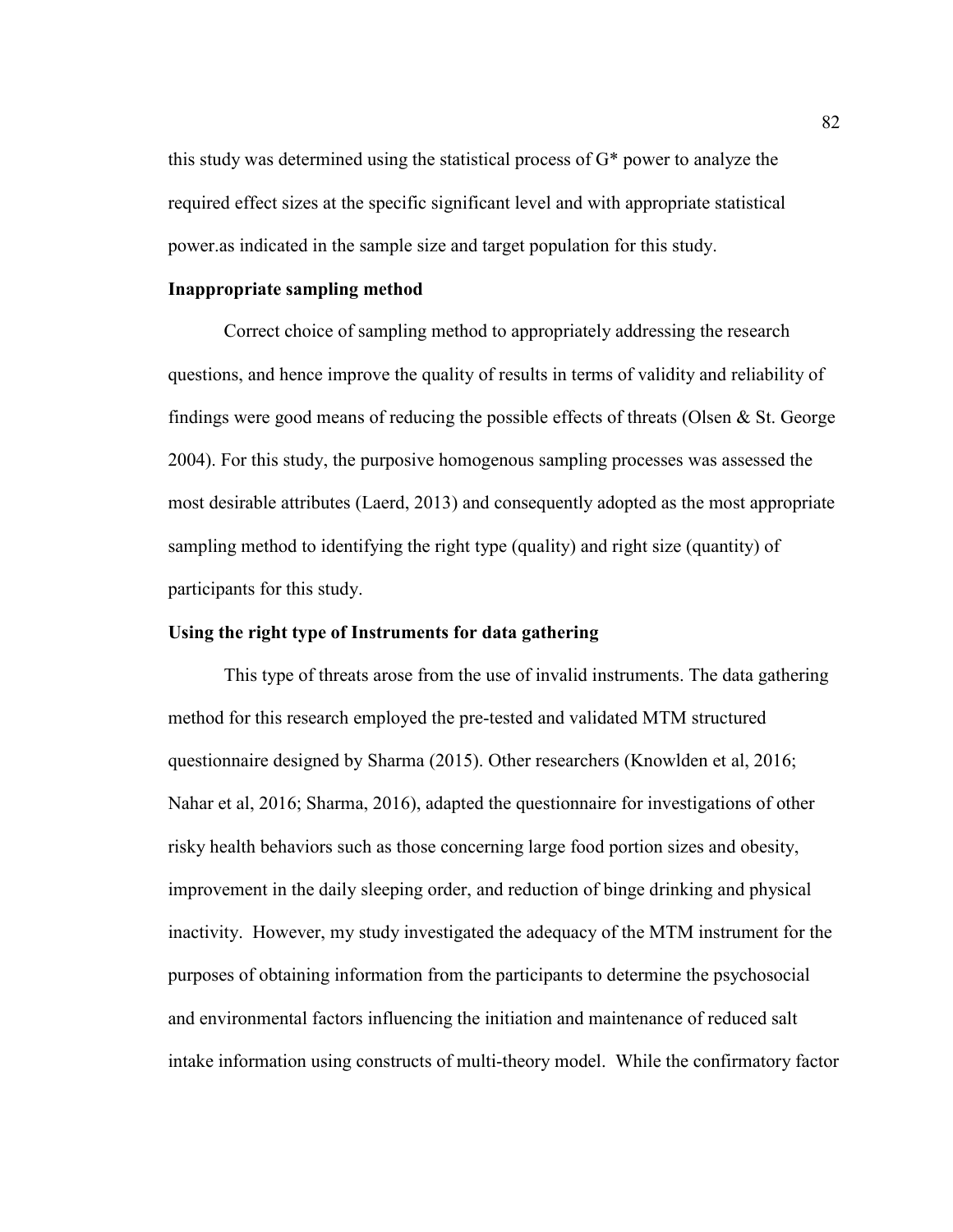this study was determined using the statistical process of G\* power to analyze the required effect sizes at the specific significant level and with appropriate statistical power.as indicated in the sample size and target population for this study.

# **Inappropriate sampling method**

Correct choice of sampling method to appropriately addressing the research questions, and hence improve the quality of results in terms of validity and reliability of findings were good means of reducing the possible effects of threats (Olsen  $\&$  St. George 2004). For this study, the purposive homogenous sampling processes was assessed the most desirable attributes (Laerd, 2013) and consequently adopted as the most appropriate sampling method to identifying the right type (quality) and right size (quantity) of participants for this study.

# **Using the right type of Instruments for data gathering**

This type of threats arose from the use of invalid instruments. The data gathering method for this research employed the pre-tested and validated MTM structured questionnaire designed by Sharma (2015). Other researchers (Knowlden et al, 2016; Nahar et al, 2016; Sharma, 2016), adapted the questionnaire for investigations of other risky health behaviors such as those concerning large food portion sizes and obesity, improvement in the daily sleeping order, and reduction of binge drinking and physical inactivity. However, my study investigated the adequacy of the MTM instrument for the purposes of obtaining information from the participants to determine the psychosocial and environmental factors influencing the initiation and maintenance of reduced salt intake information using constructs of multi-theory model. While the confirmatory factor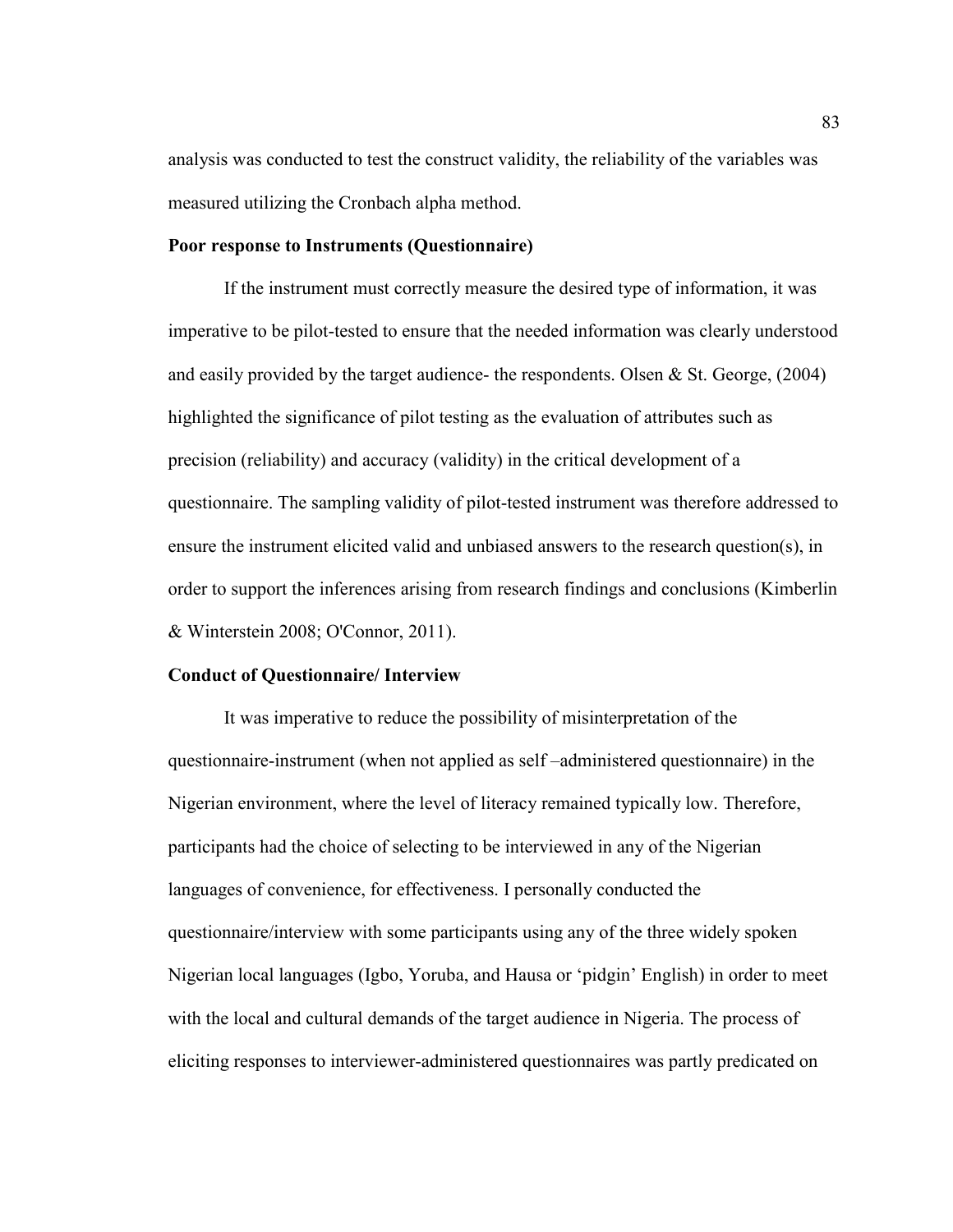analysis was conducted to test the construct validity, the reliability of the variables was measured utilizing the Cronbach alpha method.

### **Poor response to Instruments (Questionnaire)**

If the instrument must correctly measure the desired type of information, it was imperative to be pilot-tested to ensure that the needed information was clearly understood and easily provided by the target audience- the respondents. Olsen & St. George, (2004) highlighted the significance of pilot testing as the evaluation of attributes such as precision (reliability) and accuracy (validity) in the critical development of a questionnaire. The sampling validity of pilot-tested instrument was therefore addressed to ensure the instrument elicited valid and unbiased answers to the research question(s), in order to support the inferences arising from research findings and conclusions (Kimberlin & Winterstein 2008; O'Connor, 2011).

# **Conduct of Questionnaire/ Interview**

It was imperative to reduce the possibility of misinterpretation of the questionnaire-instrument (when not applied as self –administered questionnaire) in the Nigerian environment, where the level of literacy remained typically low. Therefore, participants had the choice of selecting to be interviewed in any of the Nigerian languages of convenience, for effectiveness. I personally conducted the questionnaire/interview with some participants using any of the three widely spoken Nigerian local languages (Igbo, Yoruba, and Hausa or 'pidgin' English) in order to meet with the local and cultural demands of the target audience in Nigeria. The process of eliciting responses to interviewer-administered questionnaires was partly predicated on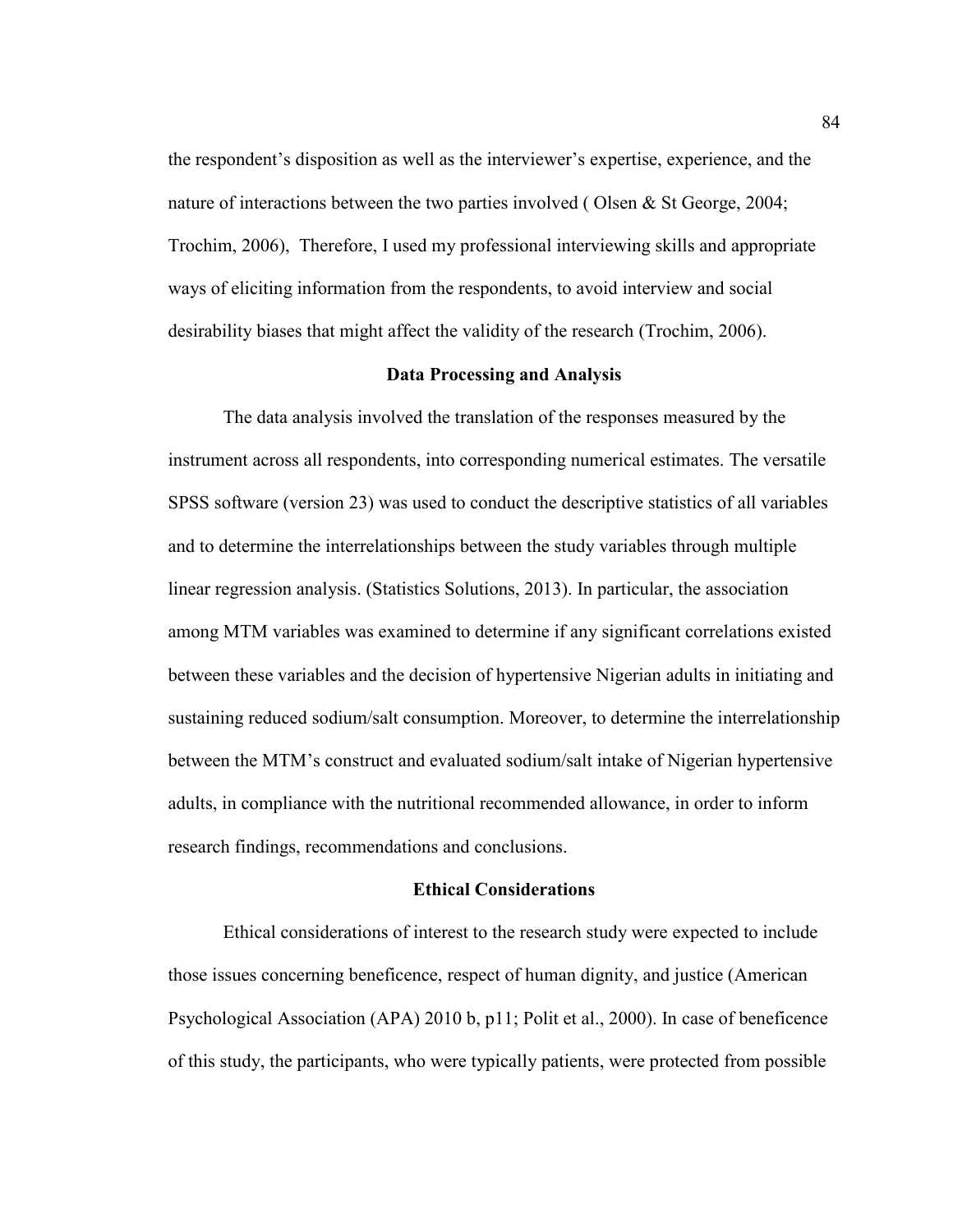the respondent's disposition as well as the interviewer's expertise, experience, and the nature of interactions between the two parties involved ( Olsen & St George, 2004; Trochim, 2006), Therefore, I used my professional interviewing skills and appropriate ways of eliciting information from the respondents, to avoid interview and social desirability biases that might affect the validity of the research (Trochim, 2006).

#### **Data Processing and Analysis**

The data analysis involved the translation of the responses measured by the instrument across all respondents, into corresponding numerical estimates. The versatile SPSS software (version 23) was used to conduct the descriptive statistics of all variables and to determine the interrelationships between the study variables through multiple linear regression analysis. (Statistics Solutions, 2013). In particular, the association among MTM variables was examined to determine if any significant correlations existed between these variables and the decision of hypertensive Nigerian adults in initiating and sustaining reduced sodium/salt consumption. Moreover, to determine the interrelationship between the MTM's construct and evaluated sodium/salt intake of Nigerian hypertensive adults, in compliance with the nutritional recommended allowance, in order to inform research findings, recommendations and conclusions.

# **Ethical Considerations**

Ethical considerations of interest to the research study were expected to include those issues concerning beneficence, respect of human dignity, and justice (American Psychological Association (APA) 2010 b, p11; Polit et al., 2000). In case of beneficence of this study, the participants, who were typically patients, were protected from possible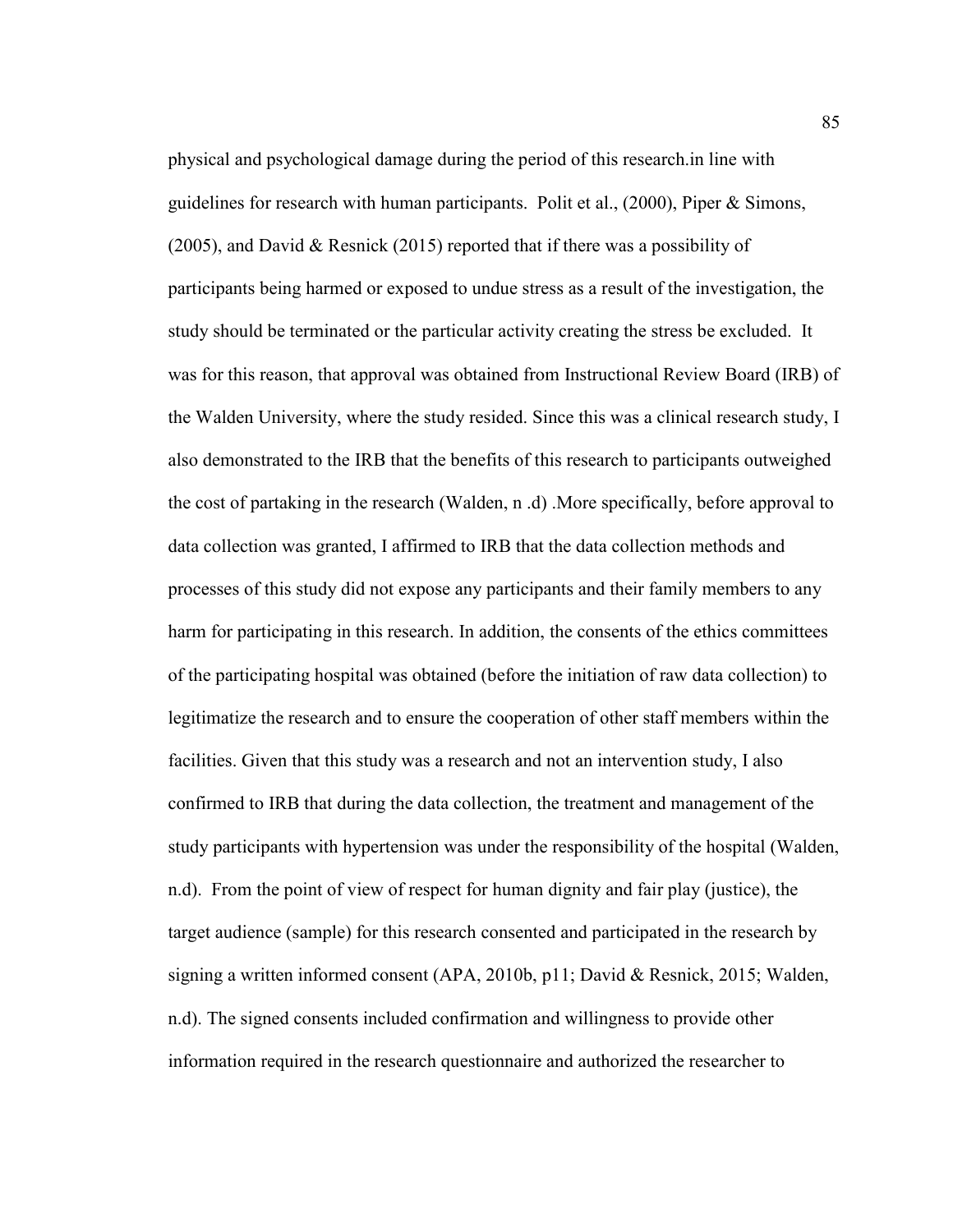physical and psychological damage during the period of this research.in line with guidelines for research with human participants. Polit et al., (2000), Piper & Simons, (2005), and David & Resnick (2015) reported that if there was a possibility of participants being harmed or exposed to undue stress as a result of the investigation, the study should be terminated or the particular activity creating the stress be excluded. It was for this reason, that approval was obtained from Instructional Review Board (IRB) of the Walden University, where the study resided. Since this was a clinical research study, I also demonstrated to the IRB that the benefits of this research to participants outweighed the cost of partaking in the research (Walden, n .d) .More specifically, before approval to data collection was granted, I affirmed to IRB that the data collection methods and processes of this study did not expose any participants and their family members to any harm for participating in this research. In addition, the consents of the ethics committees of the participating hospital was obtained (before the initiation of raw data collection) to legitimatize the research and to ensure the cooperation of other staff members within the facilities. Given that this study was a research and not an intervention study, I also confirmed to IRB that during the data collection, the treatment and management of the study participants with hypertension was under the responsibility of the hospital (Walden, n.d). From the point of view of respect for human dignity and fair play (justice), the target audience (sample) for this research consented and participated in the research by signing a written informed consent (APA, 2010b, p11; David & Resnick, 2015; Walden, n.d). The signed consents included confirmation and willingness to provide other information required in the research questionnaire and authorized the researcher to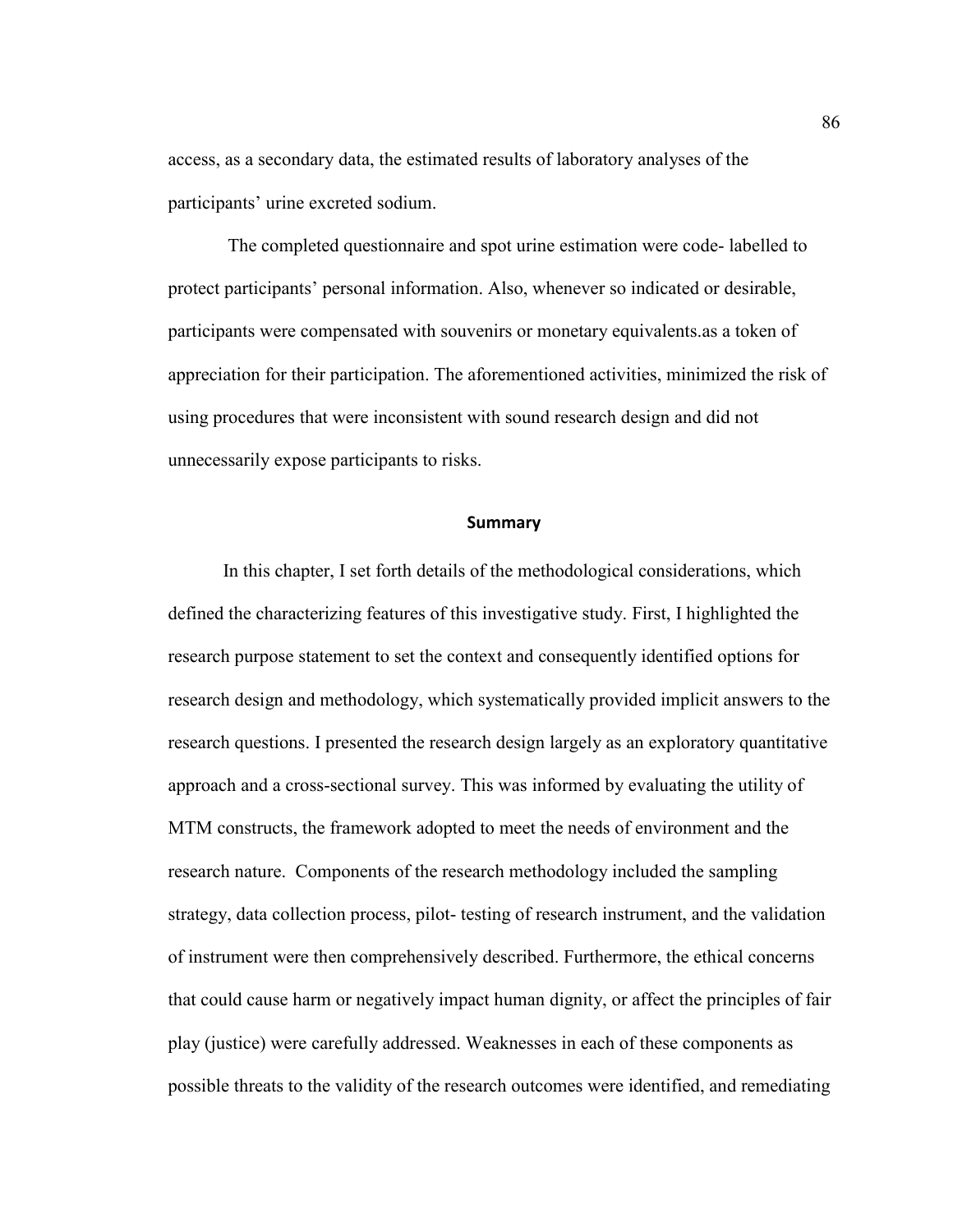access, as a secondary data, the estimated results of laboratory analyses of the participants' urine excreted sodium.

 The completed questionnaire and spot urine estimation were code- labelled to protect participants' personal information. Also, whenever so indicated or desirable, participants were compensated with souvenirs or monetary equivalents.as a token of appreciation for their participation. The aforementioned activities, minimized the risk of using procedures that were inconsistent with sound research design and did not unnecessarily expose participants to risks.

#### **Summary**

In this chapter, I set forth details of the methodological considerations, which defined the characterizing features of this investigative study. First, I highlighted the research purpose statement to set the context and consequently identified options for research design and methodology, which systematically provided implicit answers to the research questions. I presented the research design largely as an exploratory quantitative approach and a cross-sectional survey. This was informed by evaluating the utility of MTM constructs, the framework adopted to meet the needs of environment and the research nature. Components of the research methodology included the sampling strategy, data collection process, pilot- testing of research instrument, and the validation of instrument were then comprehensively described. Furthermore, the ethical concerns that could cause harm or negatively impact human dignity, or affect the principles of fair play (justice) were carefully addressed. Weaknesses in each of these components as possible threats to the validity of the research outcomes were identified, and remediating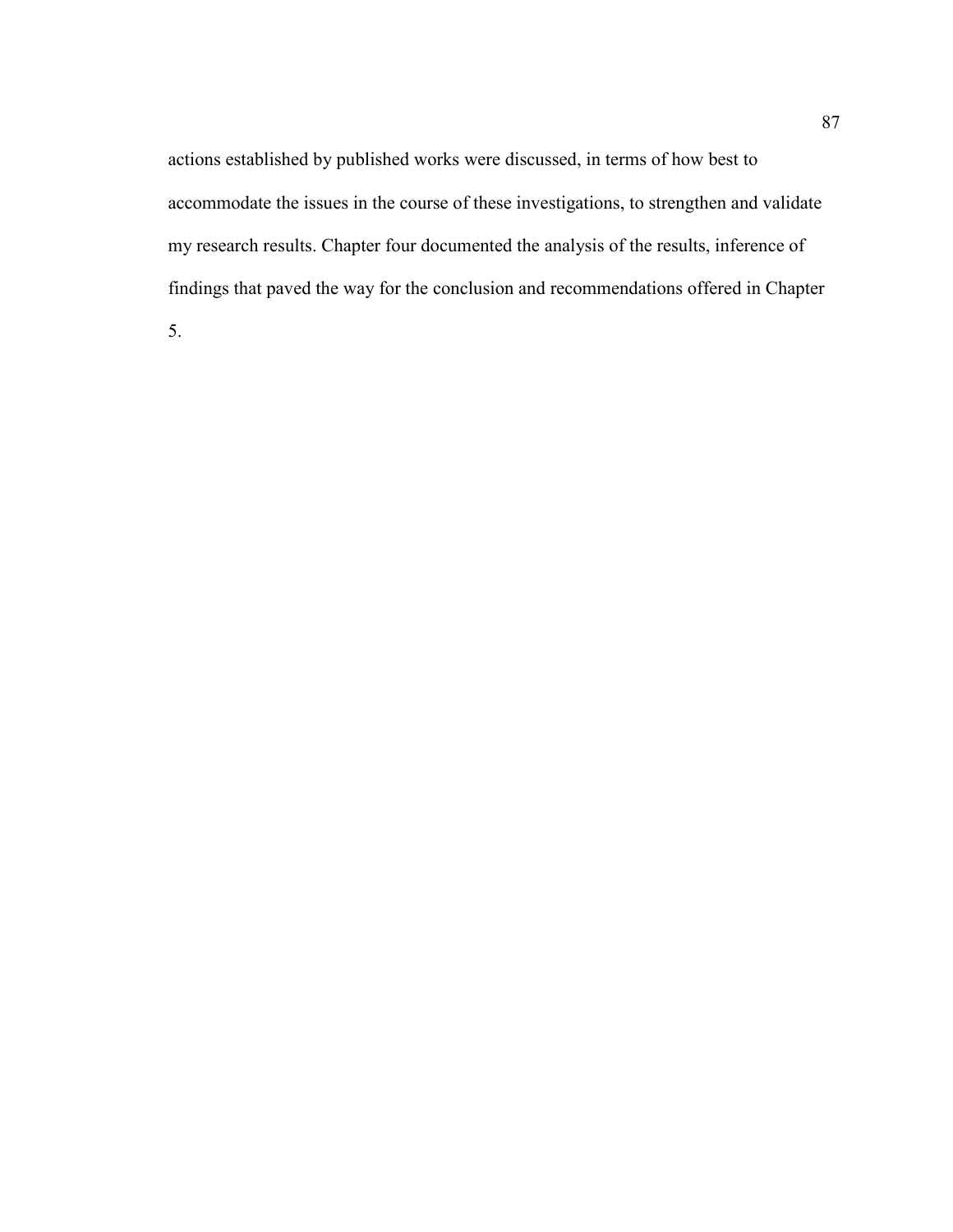actions established by published works were discussed, in terms of how best to accommodate the issues in the course of these investigations, to strengthen and validate my research results. Chapter four documented the analysis of the results, inference of findings that paved the way for the conclusion and recommendations offered in Chapter

5.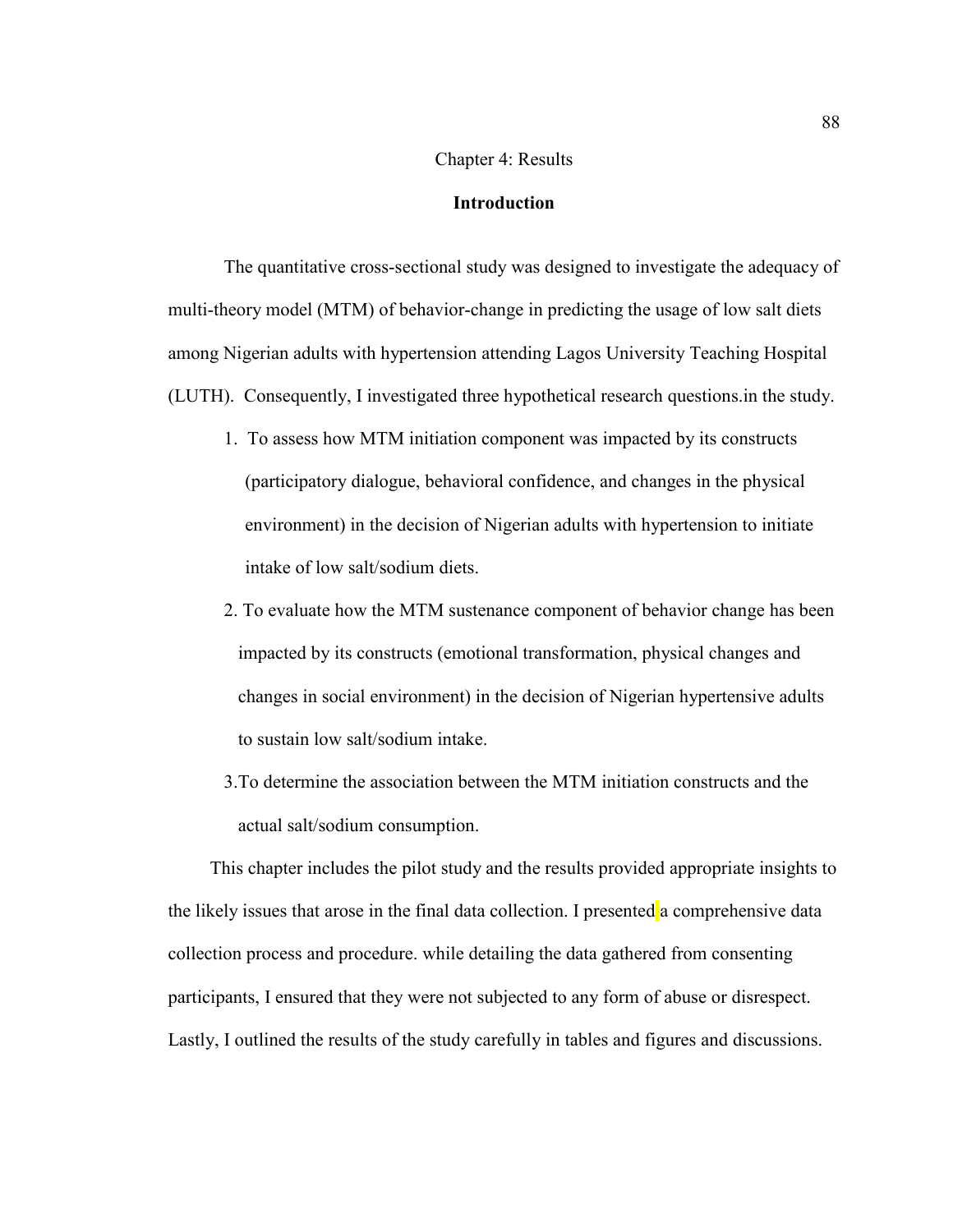## Chapter 4: Results

## **Introduction**

The quantitative cross-sectional study was designed to investigate the adequacy of multi-theory model (MTM) of behavior-change in predicting the usage of low salt diets among Nigerian adults with hypertension attending Lagos University Teaching Hospital (LUTH). Consequently, I investigated three hypothetical research questions.in the study.

- 1. To assess how MTM initiation component was impacted by its constructs (participatory dialogue, behavioral confidence, and changes in the physical environment) in the decision of Nigerian adults with hypertension to initiate intake of low salt/sodium diets.
- 2. To evaluate how the MTM sustenance component of behavior change has been impacted by its constructs (emotional transformation, physical changes and changes in social environment) in the decision of Nigerian hypertensive adults to sustain low salt/sodium intake.
- 3.To determine the association between the MTM initiation constructs and the actual salt/sodium consumption.

This chapter includes the pilot study and the results provided appropriate insights to the likely issues that arose in the final data collection. I presented a comprehensive data collection process and procedure. while detailing the data gathered from consenting participants, I ensured that they were not subjected to any form of abuse or disrespect. Lastly, I outlined the results of the study carefully in tables and figures and discussions.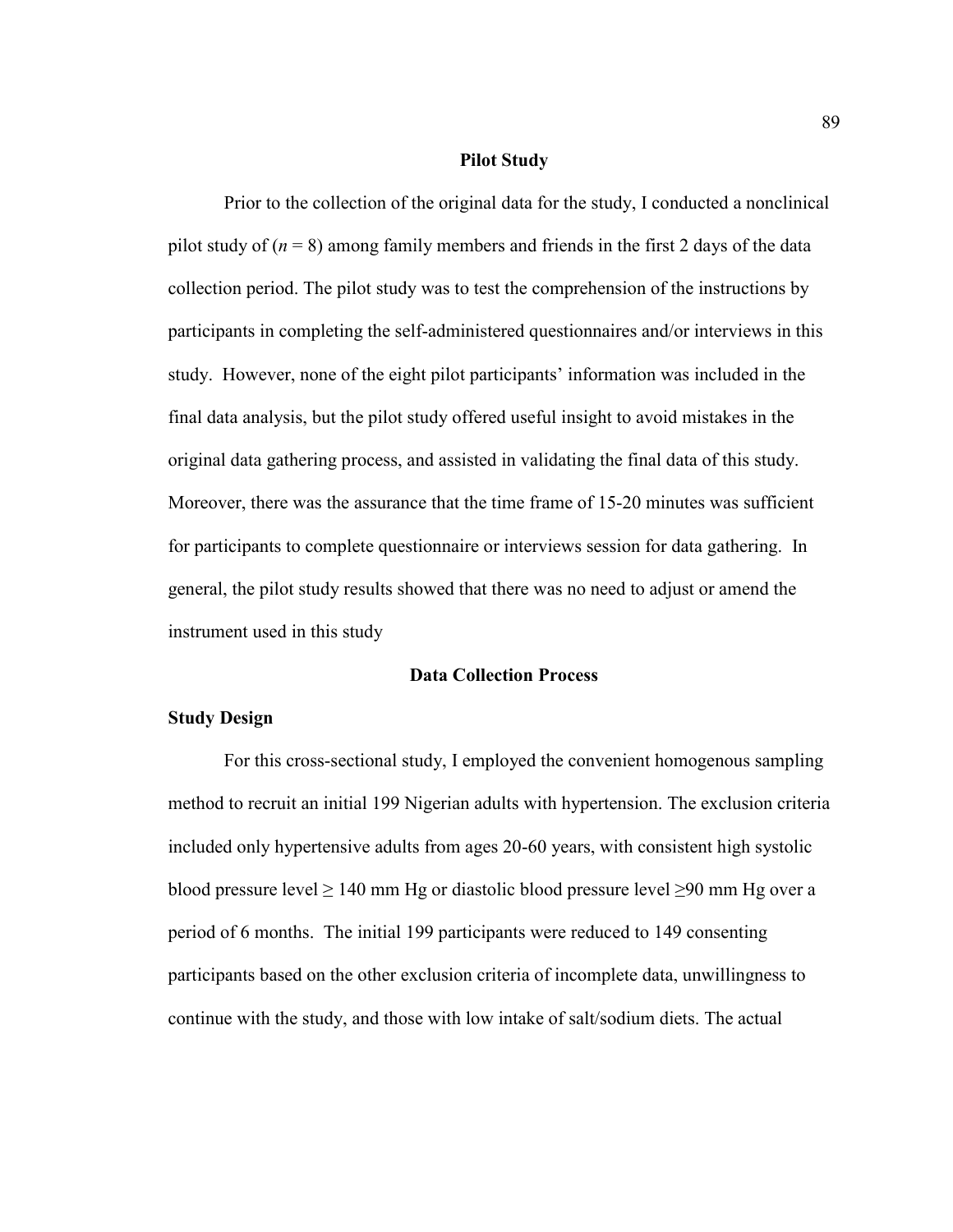## **Pilot Study**

Prior to the collection of the original data for the study, I conducted a nonclinical pilot study of  $(n = 8)$  among family members and friends in the first 2 days of the data collection period. The pilot study was to test the comprehension of the instructions by participants in completing the self-administered questionnaires and/or interviews in this study. However, none of the eight pilot participants' information was included in the final data analysis, but the pilot study offered useful insight to avoid mistakes in the original data gathering process, and assisted in validating the final data of this study. Moreover, there was the assurance that the time frame of 15-20 minutes was sufficient for participants to complete questionnaire or interviews session for data gathering. In general, the pilot study results showed that there was no need to adjust or amend the instrument used in this study

# **Data Collection Process**

# **Study Design**

For this cross-sectional study, I employed the convenient homogenous sampling method to recruit an initial 199 Nigerian adults with hypertension. The exclusion criteria included only hypertensive adults from ages 20-60 years, with consistent high systolic blood pressure level  $\geq 140$  mm Hg or diastolic blood pressure level  $\geq 90$  mm Hg over a period of 6 months. The initial 199 participants were reduced to 149 consenting participants based on the other exclusion criteria of incomplete data, unwillingness to continue with the study, and those with low intake of salt/sodium diets. The actual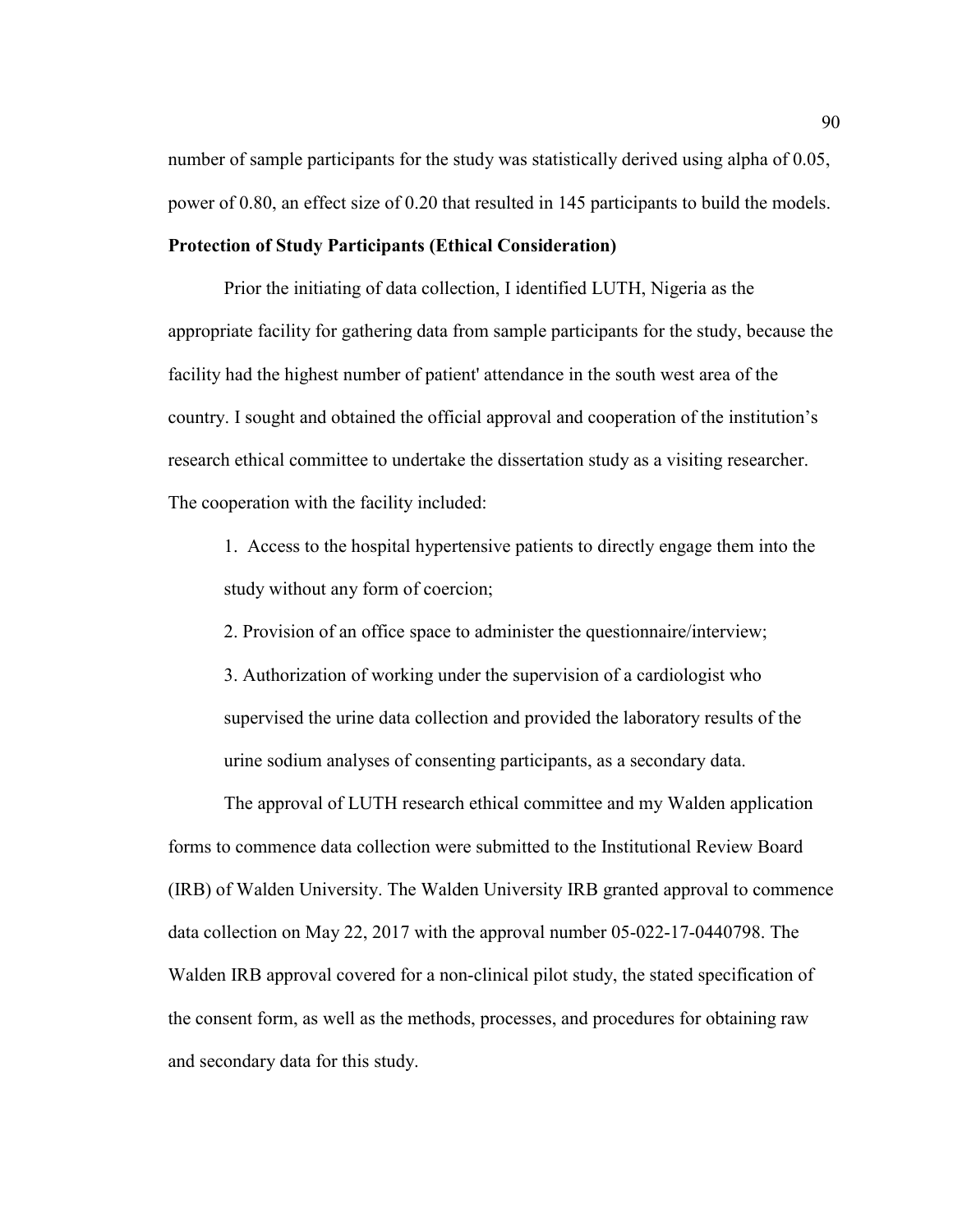number of sample participants for the study was statistically derived using alpha of 0.05, power of 0.80, an effect size of 0.20 that resulted in 145 participants to build the models.

## **Protection of Study Participants (Ethical Consideration)**

Prior the initiating of data collection, I identified LUTH, Nigeria as the appropriate facility for gathering data from sample participants for the study, because the facility had the highest number of patient' attendance in the south west area of the country. I sought and obtained the official approval and cooperation of the institution's research ethical committee to undertake the dissertation study as a visiting researcher. The cooperation with the facility included:

1. Access to the hospital hypertensive patients to directly engage them into the study without any form of coercion;

2. Provision of an office space to administer the questionnaire/interview;

3. Authorization of working under the supervision of a cardiologist who supervised the urine data collection and provided the laboratory results of the urine sodium analyses of consenting participants, as a secondary data.

The approval of LUTH research ethical committee and my Walden application forms to commence data collection were submitted to the Institutional Review Board (IRB) of Walden University. The Walden University IRB granted approval to commence data collection on May 22, 2017 with the approval number 05-022-17-0440798. The Walden IRB approval covered for a non-clinical pilot study, the stated specification of the consent form, as well as the methods, processes, and procedures for obtaining raw and secondary data for this study.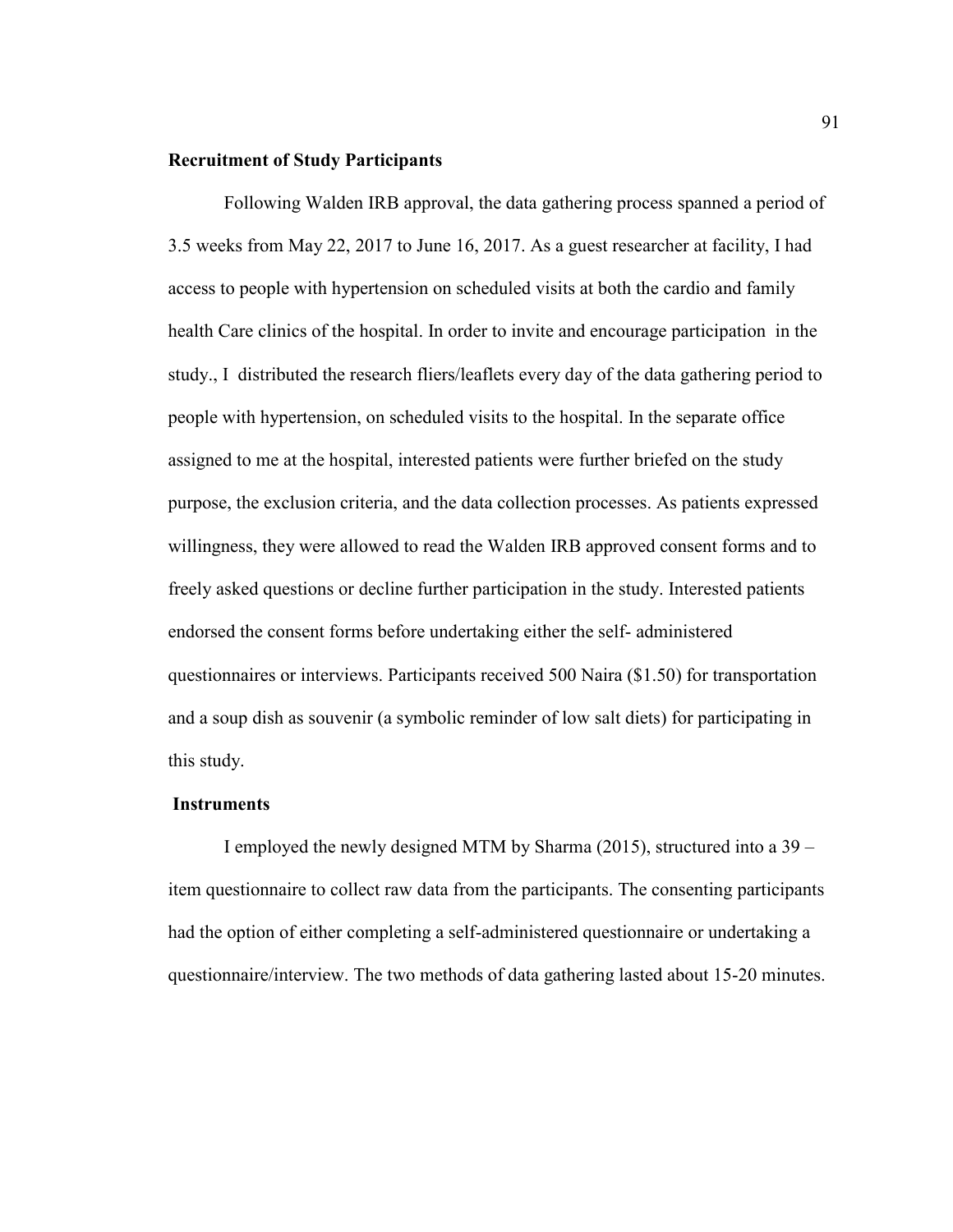#### **Recruitment of Study Participants**

Following Walden IRB approval, the data gathering process spanned a period of 3.5 weeks from May 22, 2017 to June 16, 2017. As a guest researcher at facility, I had access to people with hypertension on scheduled visits at both the cardio and family health Care clinics of the hospital. In order to invite and encourage participation in the study., I distributed the research fliers/leaflets every day of the data gathering period to people with hypertension, on scheduled visits to the hospital. In the separate office assigned to me at the hospital, interested patients were further briefed on the study purpose, the exclusion criteria, and the data collection processes. As patients expressed willingness, they were allowed to read the Walden IRB approved consent forms and to freely asked questions or decline further participation in the study. Interested patients endorsed the consent forms before undertaking either the self- administered questionnaires or interviews. Participants received 500 Naira (\$1.50) for transportation and a soup dish as souvenir (a symbolic reminder of low salt diets) for participating in this study.

# **Instruments**

I employed the newly designed MTM by Sharma (2015), structured into a 39 – item questionnaire to collect raw data from the participants. The consenting participants had the option of either completing a self-administered questionnaire or undertaking a questionnaire/interview. The two methods of data gathering lasted about 15-20 minutes.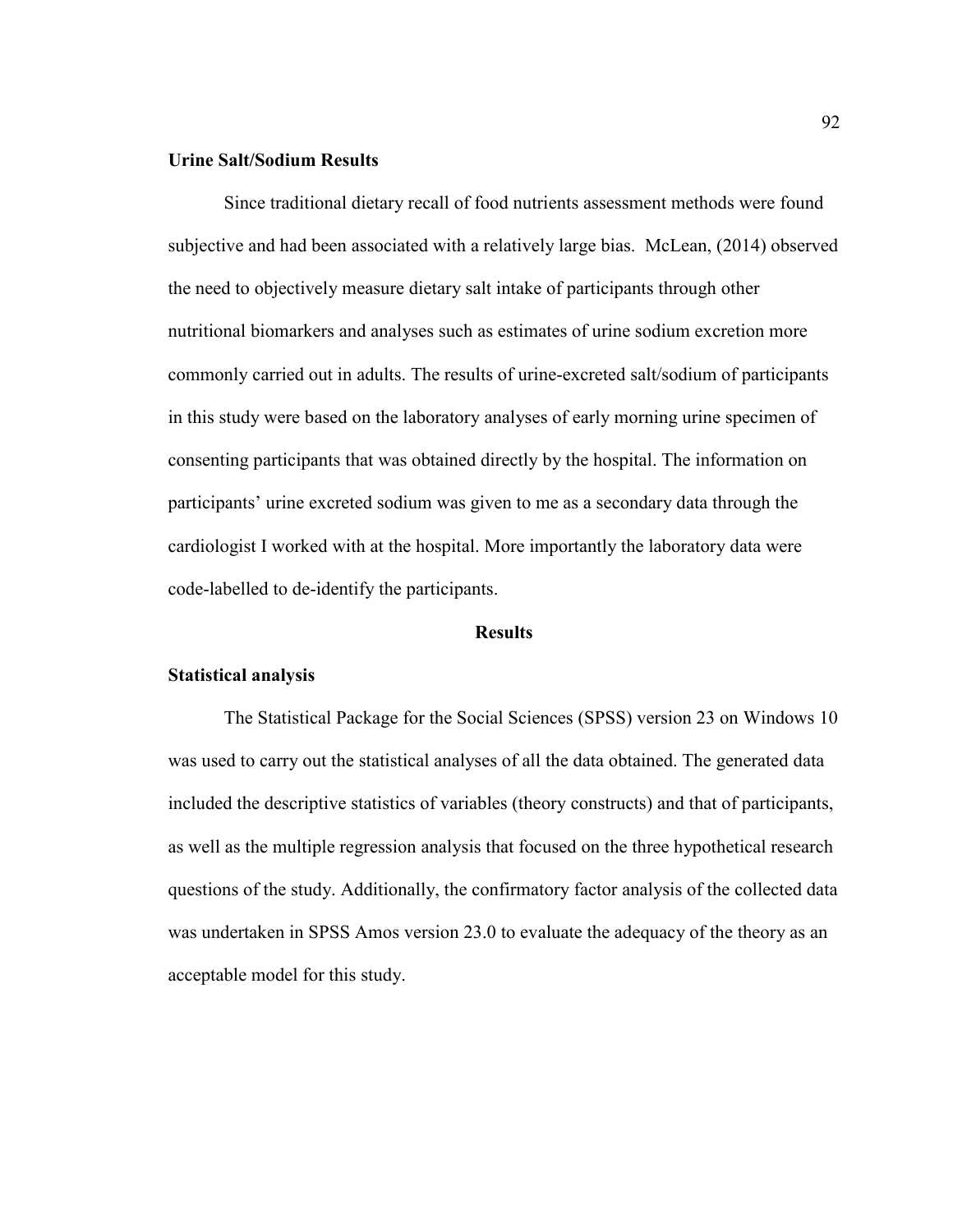# **Urine Salt/Sodium Results**

Since traditional dietary recall of food nutrients assessment methods were found subjective and had been associated with a relatively large bias. McLean, (2014) observed the need to objectively measure dietary salt intake of participants through other nutritional biomarkers and analyses such as estimates of urine sodium excretion more commonly carried out in adults. The results of urine-excreted salt/sodium of participants in this study were based on the laboratory analyses of early morning urine specimen of consenting participants that was obtained directly by the hospital. The information on participants' urine excreted sodium was given to me as a secondary data through the cardiologist I worked with at the hospital. More importantly the laboratory data were code-labelled to de-identify the participants.

## **Results**

## **Statistical analysis**

The Statistical Package for the Social Sciences (SPSS) version 23 on Windows 10 was used to carry out the statistical analyses of all the data obtained. The generated data included the descriptive statistics of variables (theory constructs) and that of participants, as well as the multiple regression analysis that focused on the three hypothetical research questions of the study. Additionally, the confirmatory factor analysis of the collected data was undertaken in SPSS Amos version 23.0 to evaluate the adequacy of the theory as an acceptable model for this study.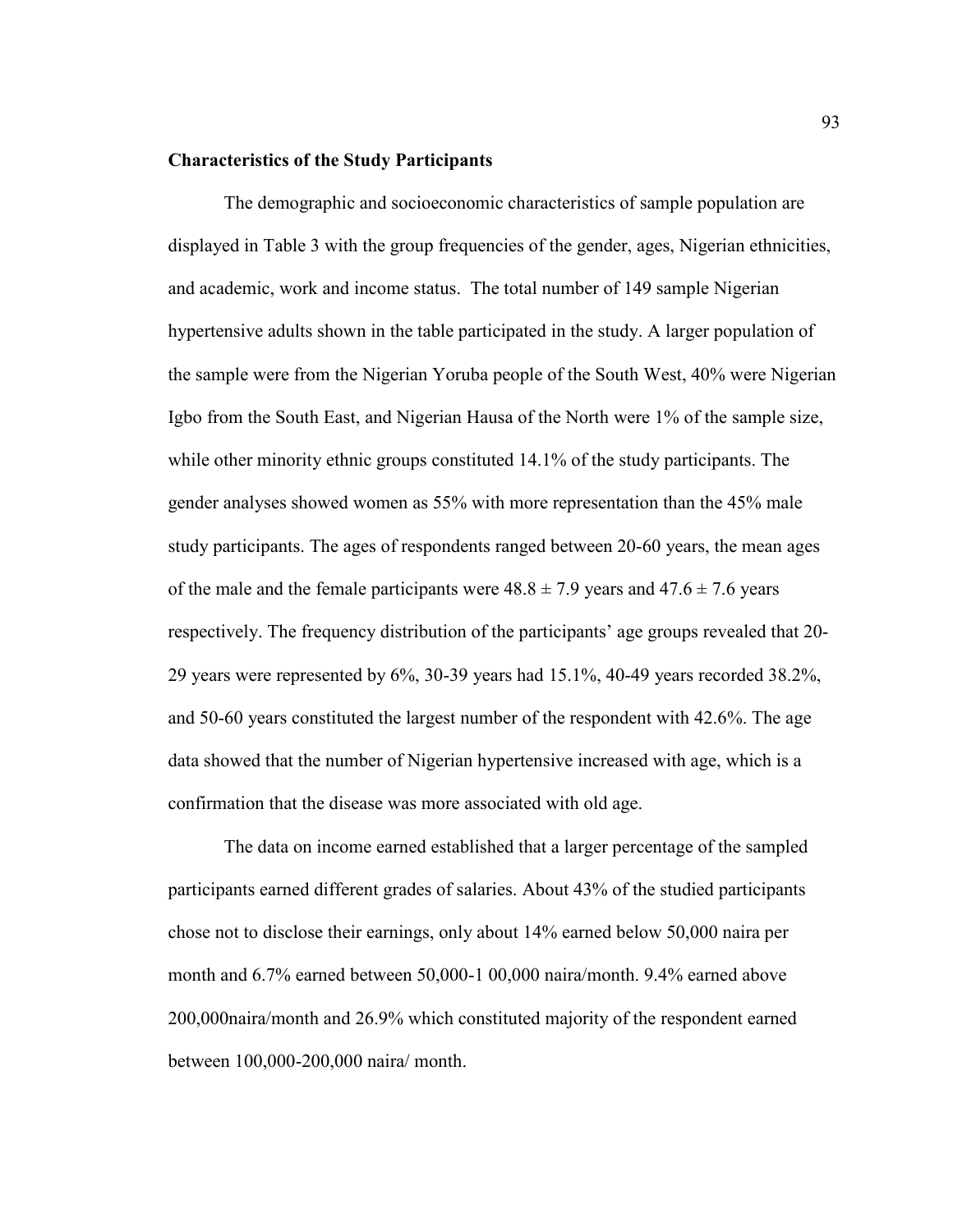#### **Characteristics of the Study Participants**

The demographic and socioeconomic characteristics of sample population are displayed in Table 3 with the group frequencies of the gender, ages, Nigerian ethnicities, and academic, work and income status. The total number of 149 sample Nigerian hypertensive adults shown in the table participated in the study. A larger population of the sample were from the Nigerian Yoruba people of the South West, 40% were Nigerian Igbo from the South East, and Nigerian Hausa of the North were 1% of the sample size, while other minority ethnic groups constituted 14.1% of the study participants. The gender analyses showed women as 55% with more representation than the 45% male study participants. The ages of respondents ranged between 20-60 years, the mean ages of the male and the female participants were  $48.8 \pm 7.9$  years and  $47.6 \pm 7.6$  years respectively. The frequency distribution of the participants' age groups revealed that 20- 29 years were represented by 6%, 30-39 years had 15.1%, 40-49 years recorded 38.2%, and 50-60 years constituted the largest number of the respondent with 42.6%. The age data showed that the number of Nigerian hypertensive increased with age, which is a confirmation that the disease was more associated with old age.

The data on income earned established that a larger percentage of the sampled participants earned different grades of salaries. About 43% of the studied participants chose not to disclose their earnings, only about 14% earned below 50,000 naira per month and 6.7% earned between 50,000-1 00,000 naira/month. 9.4% earned above 200,000naira/month and 26.9% which constituted majority of the respondent earned between 100,000-200,000 naira/ month.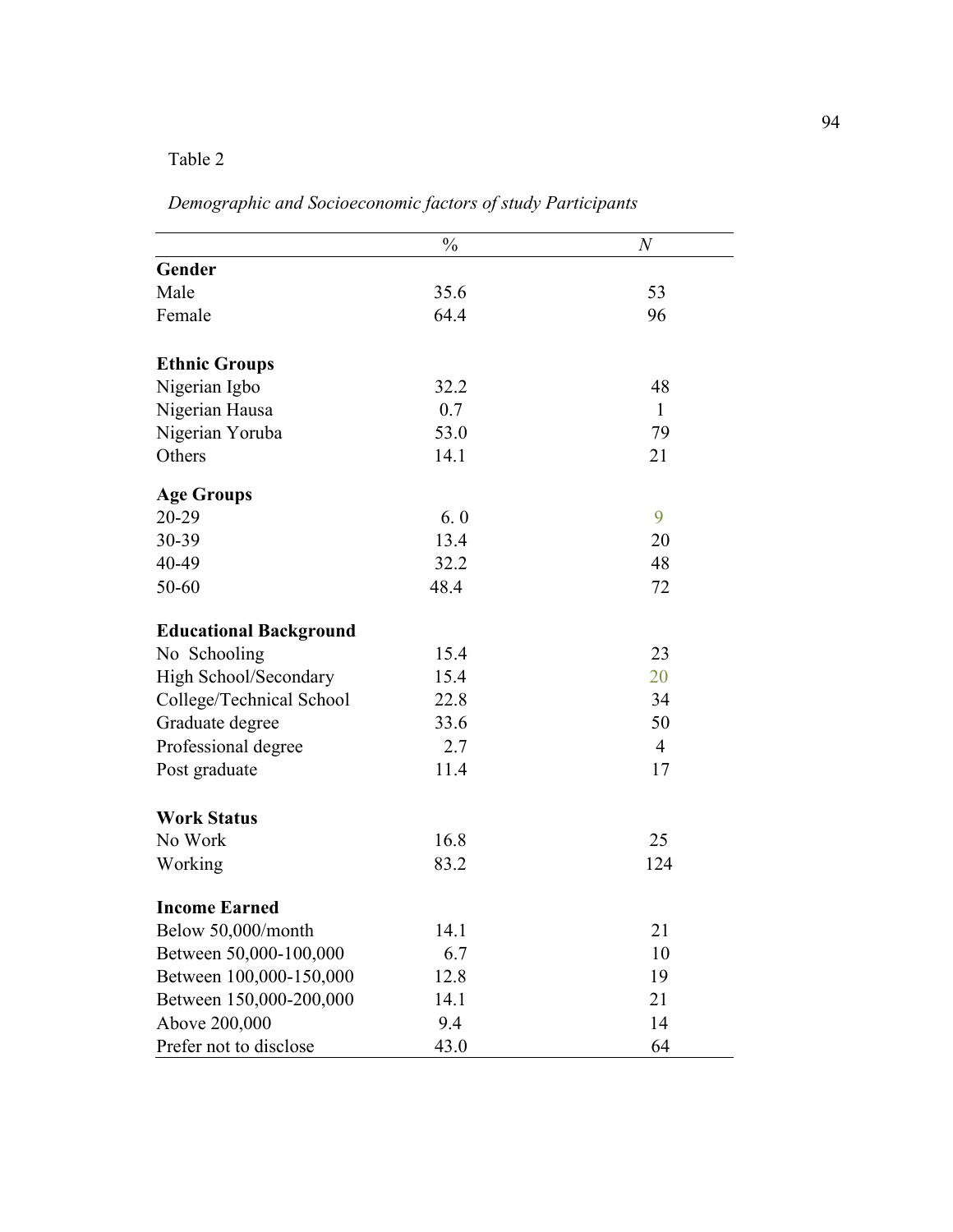# Table 2

|                               | $\frac{0}{0}$ | $\boldsymbol{N}$ |
|-------------------------------|---------------|------------------|
| Gender                        |               |                  |
| Male                          | 35.6          | 53               |
| Female                        | 64.4          | 96               |
| <b>Ethnic Groups</b>          |               |                  |
| Nigerian Igbo                 | 32.2          | 48               |
| Nigerian Hausa                | 0.7           | $\mathbf{1}$     |
| Nigerian Yoruba               | 53.0          | 79               |
| Others                        | 14.1          | 21               |
| <b>Age Groups</b>             |               |                  |
| 20-29                         | 6.0           | 9                |
| 30-39                         | 13.4          | 20               |
| 40-49                         | 32.2          | 48               |
| 50-60                         | 48.4          | 72               |
| <b>Educational Background</b> |               |                  |
| No Schooling                  | 15.4          | 23               |
| High School/Secondary         | 15.4          | 20               |
| College/Technical School      | 22.8          | 34               |
| Graduate degree               | 33.6          | 50               |
| Professional degree           | 2.7           | $\overline{4}$   |
| Post graduate                 | 11.4          | 17               |
| <b>Work Status</b>            |               |                  |
| No Work                       | 16.8          | 25               |
| Working                       | 83.2          | 124              |
| <b>Income Earned</b>          |               |                  |
| Below 50,000/month            | 14.1          | 21               |
| Between 50,000-100,000        | 6.7           | 10               |
| Between 100,000-150,000       | 12.8          | 19               |
| Between 150,000-200,000       | 14.1          | 21               |
| Above 200,000                 | 9.4           | 14               |
| Prefer not to disclose        | 43.0          | 64               |

*Demographic and Socioeconomic factors of study Participants*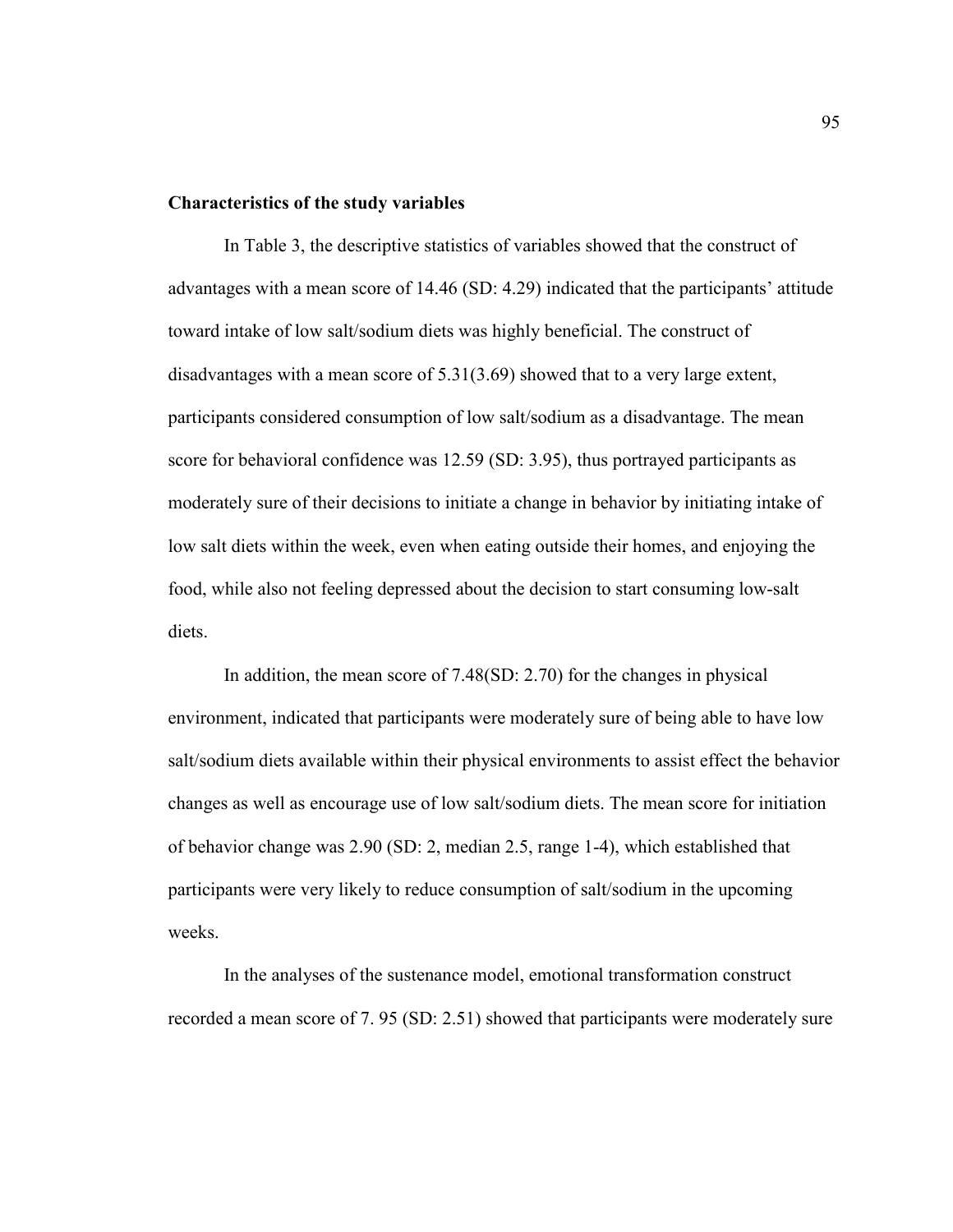### **Characteristics of the study variables**

In Table 3, the descriptive statistics of variables showed that the construct of advantages with a mean score of 14.46 (SD: 4.29) indicated that the participants' attitude toward intake of low salt/sodium diets was highly beneficial. The construct of disadvantages with a mean score of 5.31(3.69) showed that to a very large extent, participants considered consumption of low salt/sodium as a disadvantage. The mean score for behavioral confidence was 12.59 (SD: 3.95), thus portrayed participants as moderately sure of their decisions to initiate a change in behavior by initiating intake of low salt diets within the week, even when eating outside their homes, and enjoying the food, while also not feeling depressed about the decision to start consuming low-salt diets.

In addition, the mean score of 7.48(SD: 2.70) for the changes in physical environment, indicated that participants were moderately sure of being able to have low salt/sodium diets available within their physical environments to assist effect the behavior changes as well as encourage use of low salt/sodium diets. The mean score for initiation of behavior change was 2.90 (SD: 2, median 2.5, range 1-4), which established that participants were very likely to reduce consumption of salt/sodium in the upcoming weeks.

In the analyses of the sustenance model, emotional transformation construct recorded a mean score of 7. 95 (SD: 2.51) showed that participants were moderately sure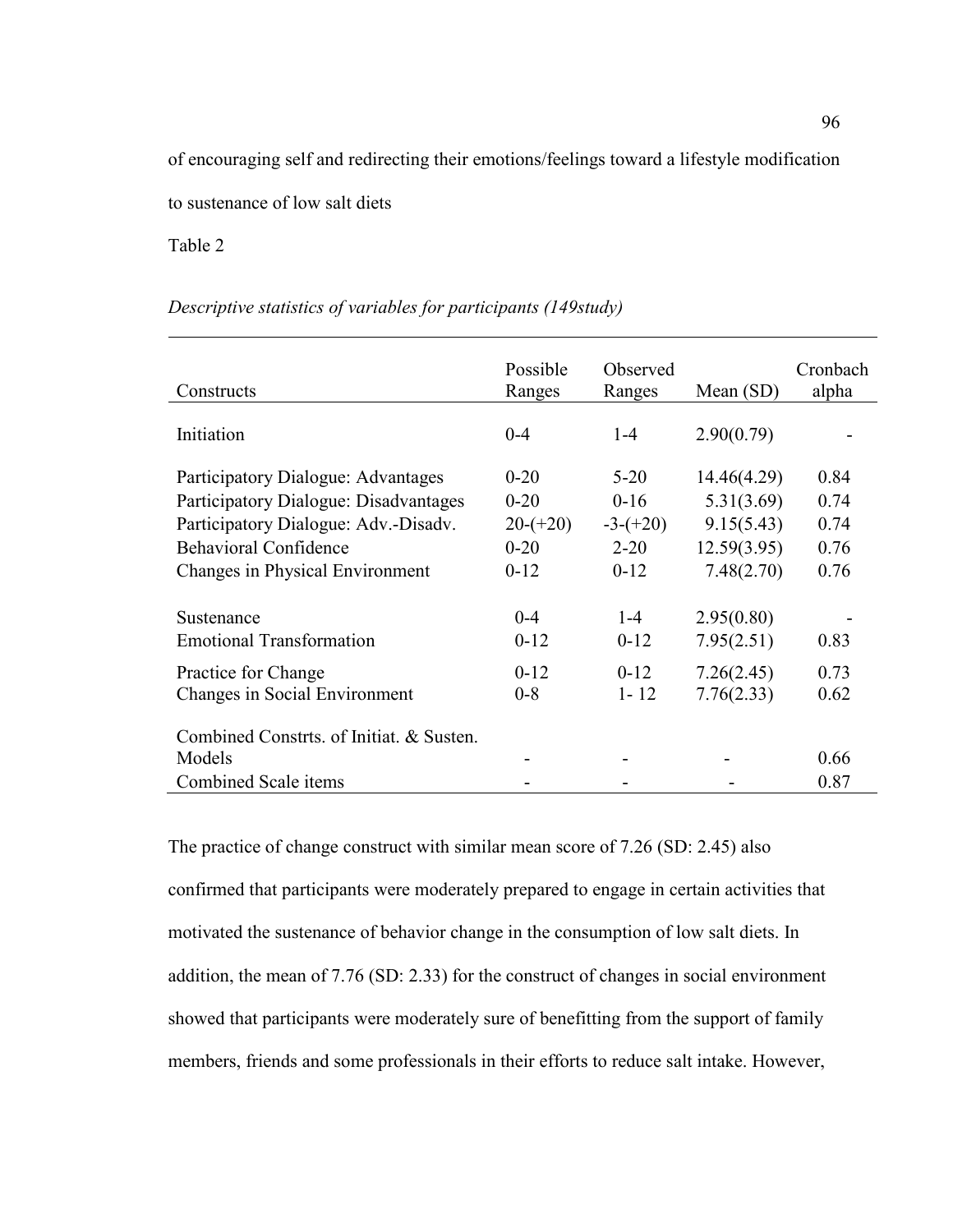of encouraging self and redirecting their emotions/feelings toward a lifestyle modification

to sustenance of low salt diets

Table 2

# *Descriptive statistics of variables for participants (149study)*

| Constructs                                                                                                                                                                      | Possible<br>Ranges                                       | Observed<br>Ranges                                       | Mean $(SD)$                                                          | Cronbach<br>alpha                    |
|---------------------------------------------------------------------------------------------------------------------------------------------------------------------------------|----------------------------------------------------------|----------------------------------------------------------|----------------------------------------------------------------------|--------------------------------------|
| Initiation                                                                                                                                                                      | $0 - 4$                                                  | $1 - 4$                                                  | 2.90(0.79)                                                           |                                      |
| Participatory Dialogue: Advantages<br>Participatory Dialogue: Disadvantages<br>Participatory Dialogue: Adv.-Disadv.<br>Behavioral Confidence<br>Changes in Physical Environment | $0 - 20$<br>$0 - 20$<br>$20-(+20)$<br>$0 - 20$<br>$0-12$ | $5 - 20$<br>$0 - 16$<br>$-3-(+20)$<br>$2 - 20$<br>$0-12$ | 14.46(4.29)<br>5.31(3.69)<br>9.15(5.43)<br>12.59(3.95)<br>7.48(2.70) | 0.84<br>0.74<br>0.74<br>0.76<br>0.76 |
| Sustenance<br><b>Emotional Transformation</b><br>Practice for Change<br>Changes in Social Environment                                                                           | $0 - 4$<br>$0-12$<br>$0-12$<br>$0 - 8$                   | $1 - 4$<br>$0-12$<br>$0-12$<br>$1 - 12$                  | 2.95(0.80)<br>7.95(2.51)<br>7.26(2.45)<br>7.76(2.33)                 | 0.83<br>0.73<br>0.62                 |
| Combined Constrts, of Initiat, & Susten.<br>Models<br>Combined Scale items                                                                                                      |                                                          |                                                          |                                                                      | 0.66<br>0.87                         |

The practice of change construct with similar mean score of 7.26 (SD: 2.45) also confirmed that participants were moderately prepared to engage in certain activities that motivated the sustenance of behavior change in the consumption of low salt diets. In addition, the mean of 7.76 (SD: 2.33) for the construct of changes in social environment showed that participants were moderately sure of benefitting from the support of family members, friends and some professionals in their efforts to reduce salt intake. However,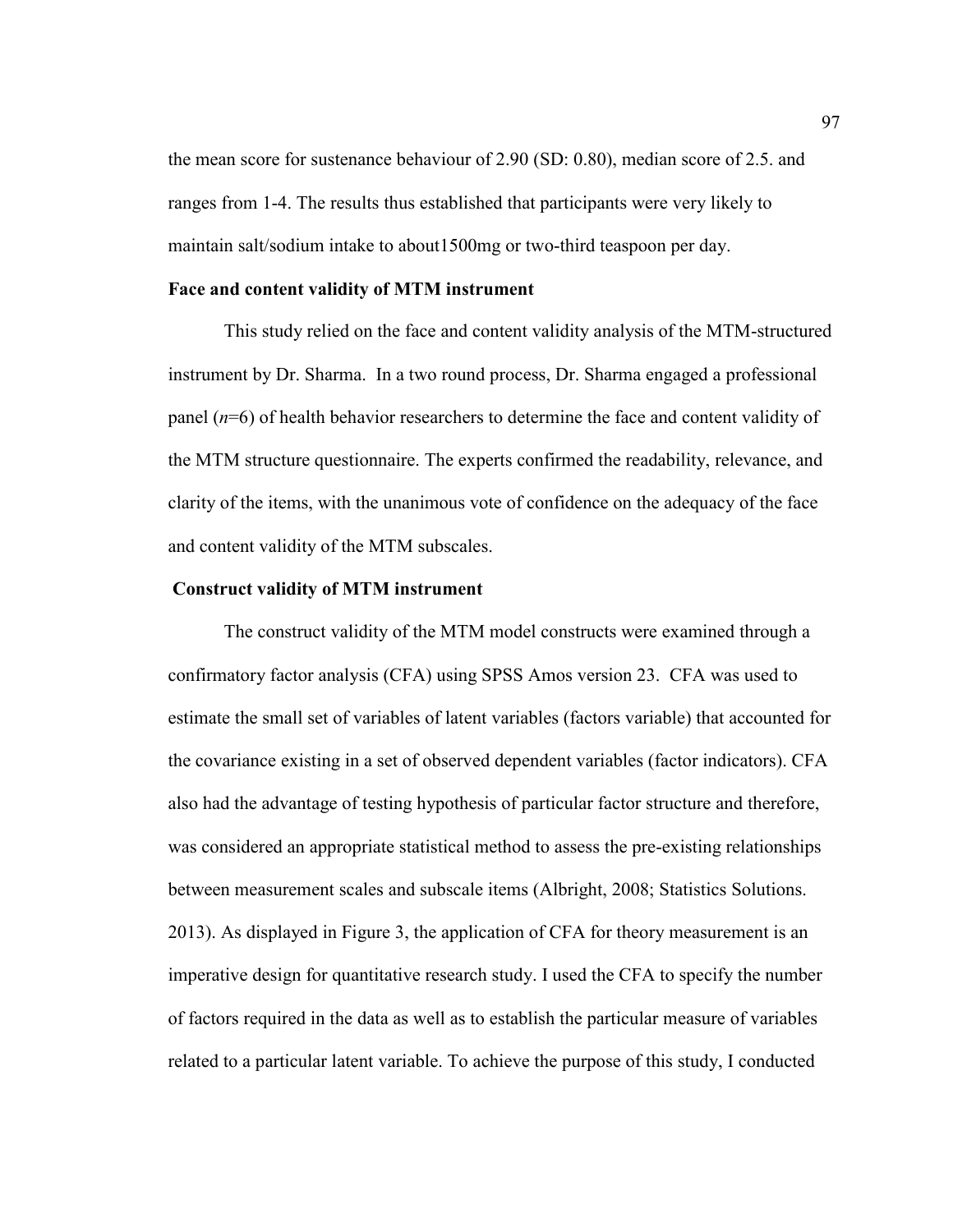the mean score for sustenance behaviour of 2.90 (SD: 0.80), median score of 2.5. and ranges from 1-4. The results thus established that participants were very likely to maintain salt/sodium intake to about1500mg or two-third teaspoon per day.

### **Face and content validity of MTM instrument**

This study relied on the face and content validity analysis of the MTM-structured instrument by Dr. Sharma. In a two round process, Dr. Sharma engaged a professional panel (*n*=6) of health behavior researchers to determine the face and content validity of the MTM structure questionnaire. The experts confirmed the readability, relevance, and clarity of the items, with the unanimous vote of confidence on the adequacy of the face and content validity of the MTM subscales.

### **Construct validity of MTM instrument**

The construct validity of the MTM model constructs were examined through a confirmatory factor analysis (CFA) using SPSS Amos version 23. CFA was used to estimate the small set of variables of latent variables (factors variable) that accounted for the covariance existing in a set of observed dependent variables (factor indicators). CFA also had the advantage of testing hypothesis of particular factor structure and therefore, was considered an appropriate statistical method to assess the pre-existing relationships between measurement scales and subscale items (Albright, 2008; Statistics Solutions. 2013). As displayed in Figure 3, the application of CFA for theory measurement is an imperative design for quantitative research study. I used the CFA to specify the number of factors required in the data as well as to establish the particular measure of variables related to a particular latent variable. To achieve the purpose of this study, I conducted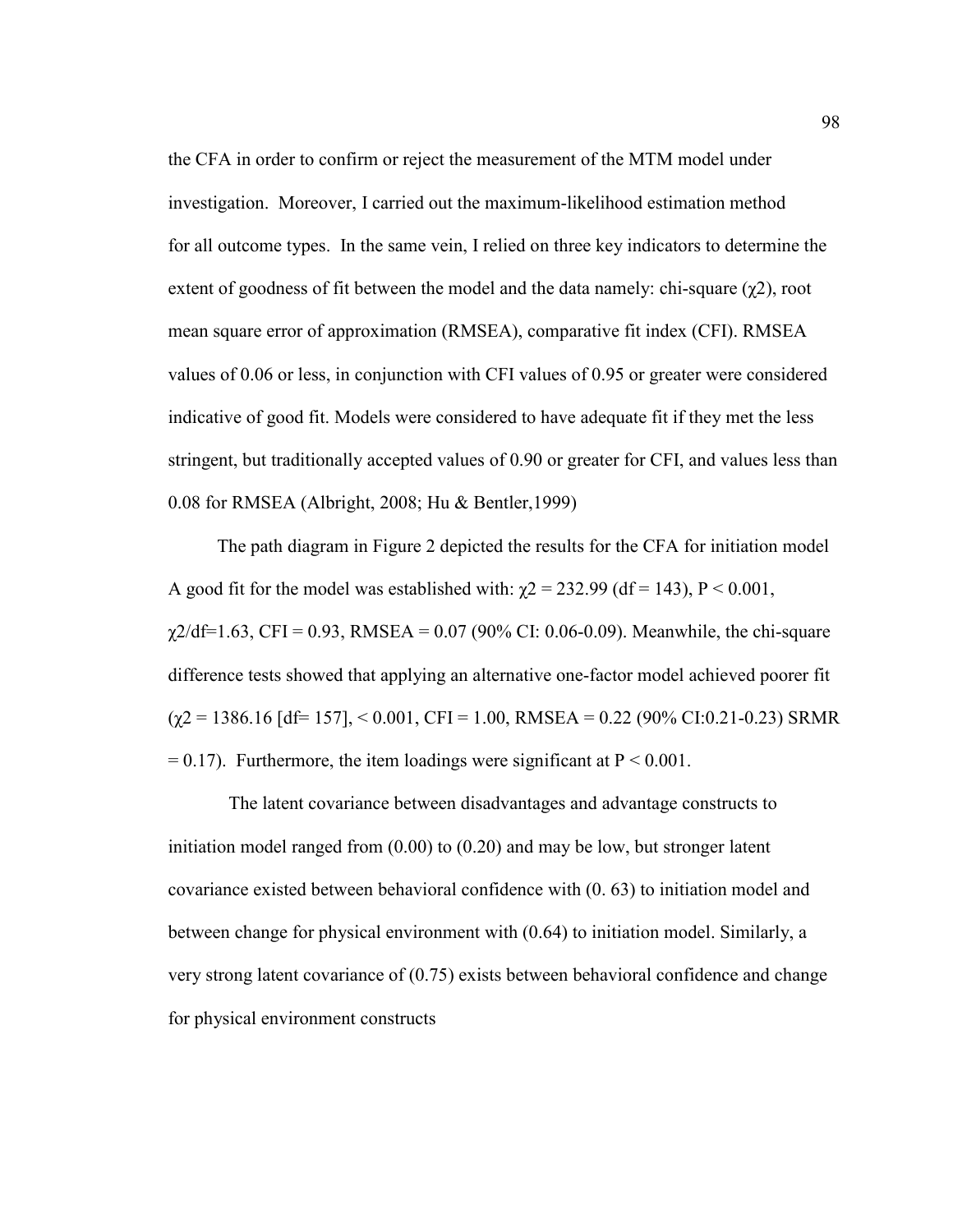the CFA in order to confirm or reject the measurement of the MTM model under investigation. Moreover, I carried out the maximum-likelihood estimation method for all outcome types. In the same vein, I relied on three key indicators to determine the extent of goodness of fit between the model and the data namely: chi-square  $(\chi^2)$ , root mean square error of approximation (RMSEA), comparative fit index (CFI). RMSEA values of 0.06 or less, in conjunction with CFI values of 0.95 or greater were considered indicative of good fit. Models were considered to have adequate fit if they met the less stringent, but traditionally accepted values of 0.90 or greater for CFI, and values less than 0.08 for RMSEA (Albright, 2008; Hu & Bentler,1999)

The path diagram in Figure 2 depicted the results for the CFA for initiation model A good fit for the model was established with:  $\chi$ 2 = 232.99 (df = 143), P < 0.001,  $\chi$ 2/df=1.63, CFI = 0.93, RMSEA = 0.07 (90% CI: 0.06-0.09). Meanwhile, the chi-square difference tests showed that applying an alternative one-factor model achieved poorer fit  $(\gamma 2 = 1386.16$  [df= 157],  $\le 0.001$ , CFI = 1.00, RMSEA = 0.22 (90% CI:0.21-0.23) SRMR  $= 0.17$ ). Furthermore, the item loadings were significant at  $P \le 0.001$ .

 The latent covariance between disadvantages and advantage constructs to initiation model ranged from (0.00) to (0.20) and may be low, but stronger latent covariance existed between behavioral confidence with (0. 63) to initiation model and between change for physical environment with (0.64) to initiation model. Similarly, a very strong latent covariance of (0.75) exists between behavioral confidence and change for physical environment constructs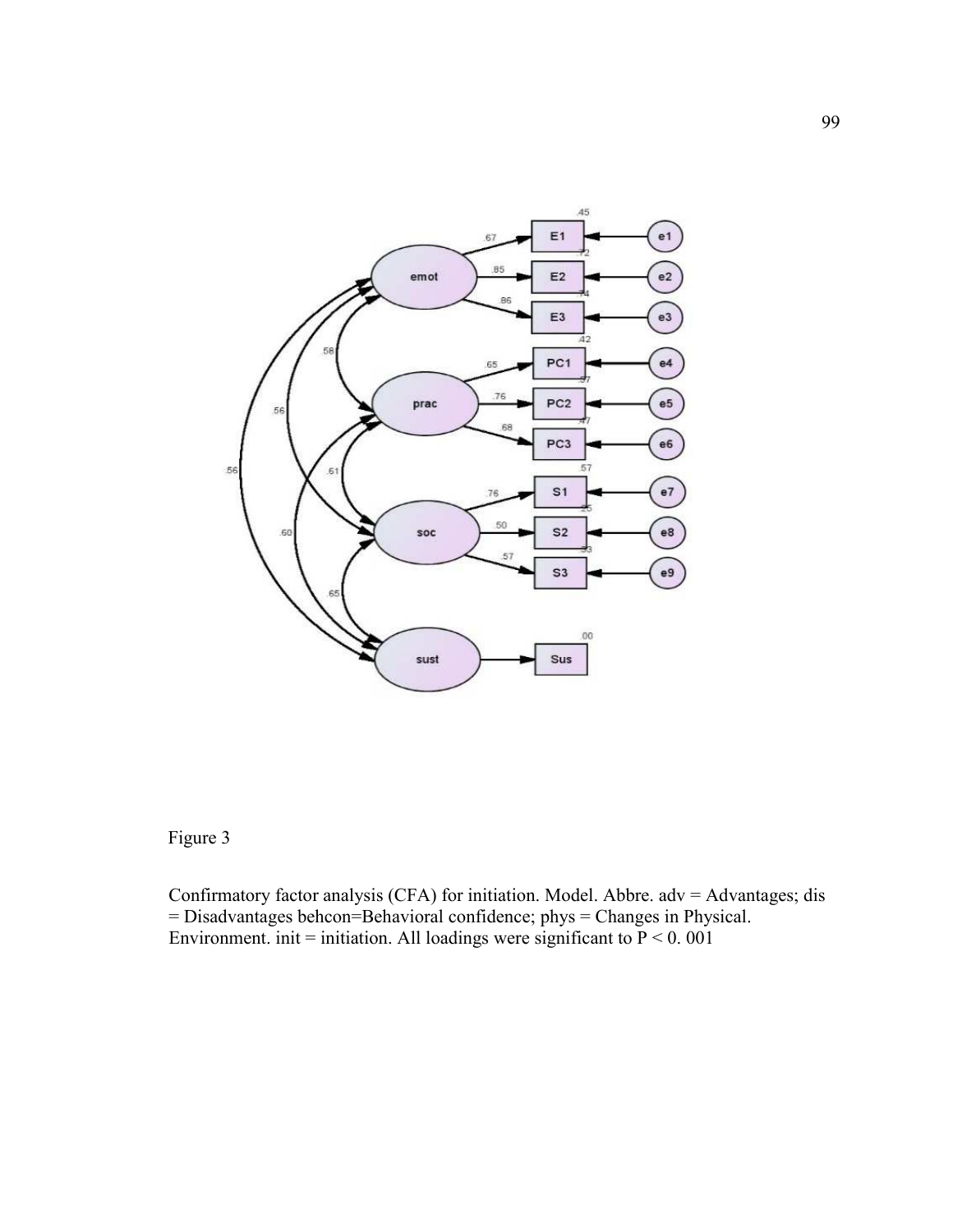

Figure 3

Confirmatory factor analysis (CFA) for initiation. Model. Abbre.  $adv = Advantages; dis$ = Disadvantages behcon=Behavioral confidence; phys = Changes in Physical. Environment. init = initiation. All loadings were significant to  $P < 0$ . 001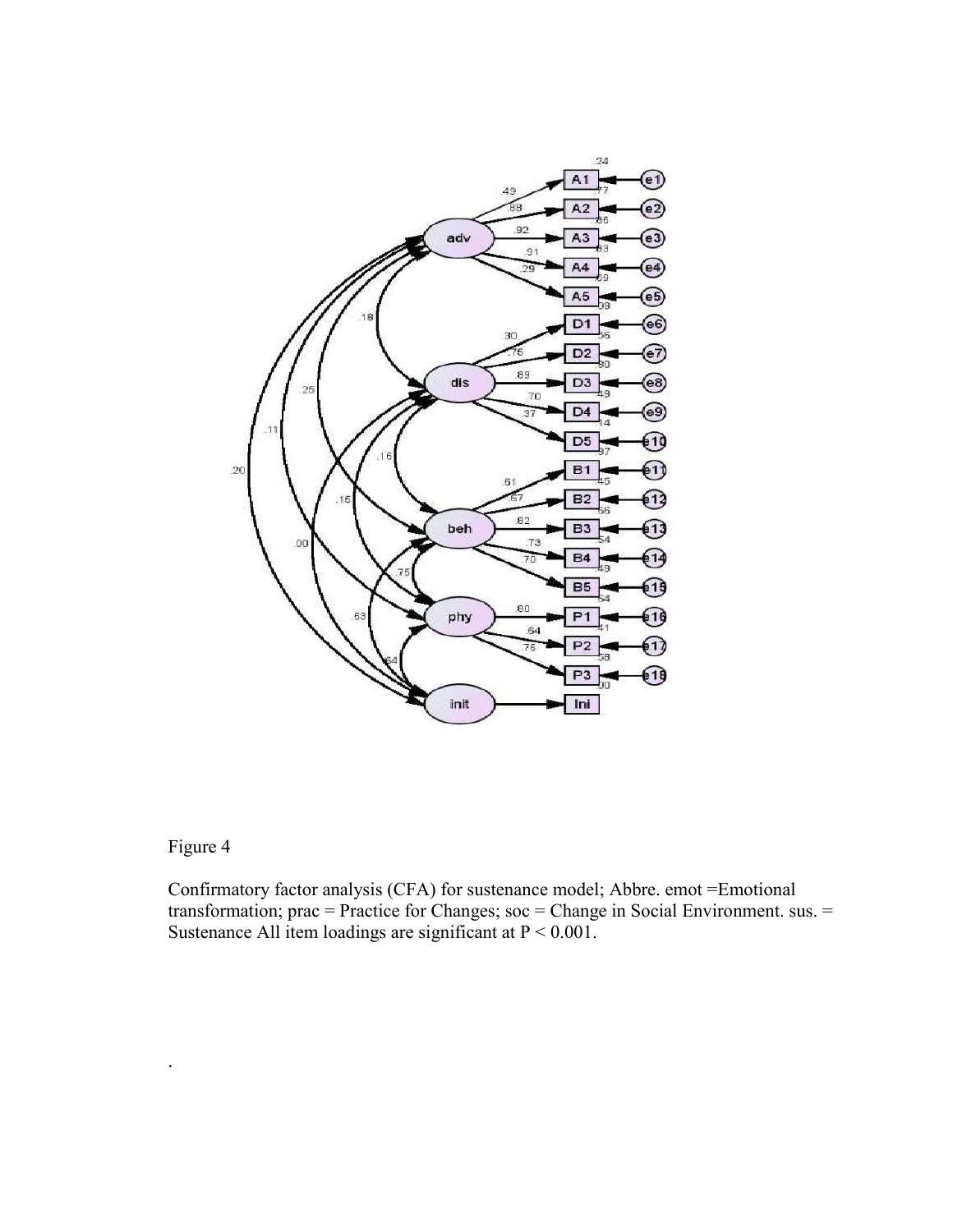

# Figure 4

.

Confirmatory factor analysis (CFA) for sustenance model; Abbre. emot =Emotional transformation; prac = Practice for Changes; soc = Change in Social Environment. sus. = Sustenance All item loadings are significant at  $P < 0.001$ .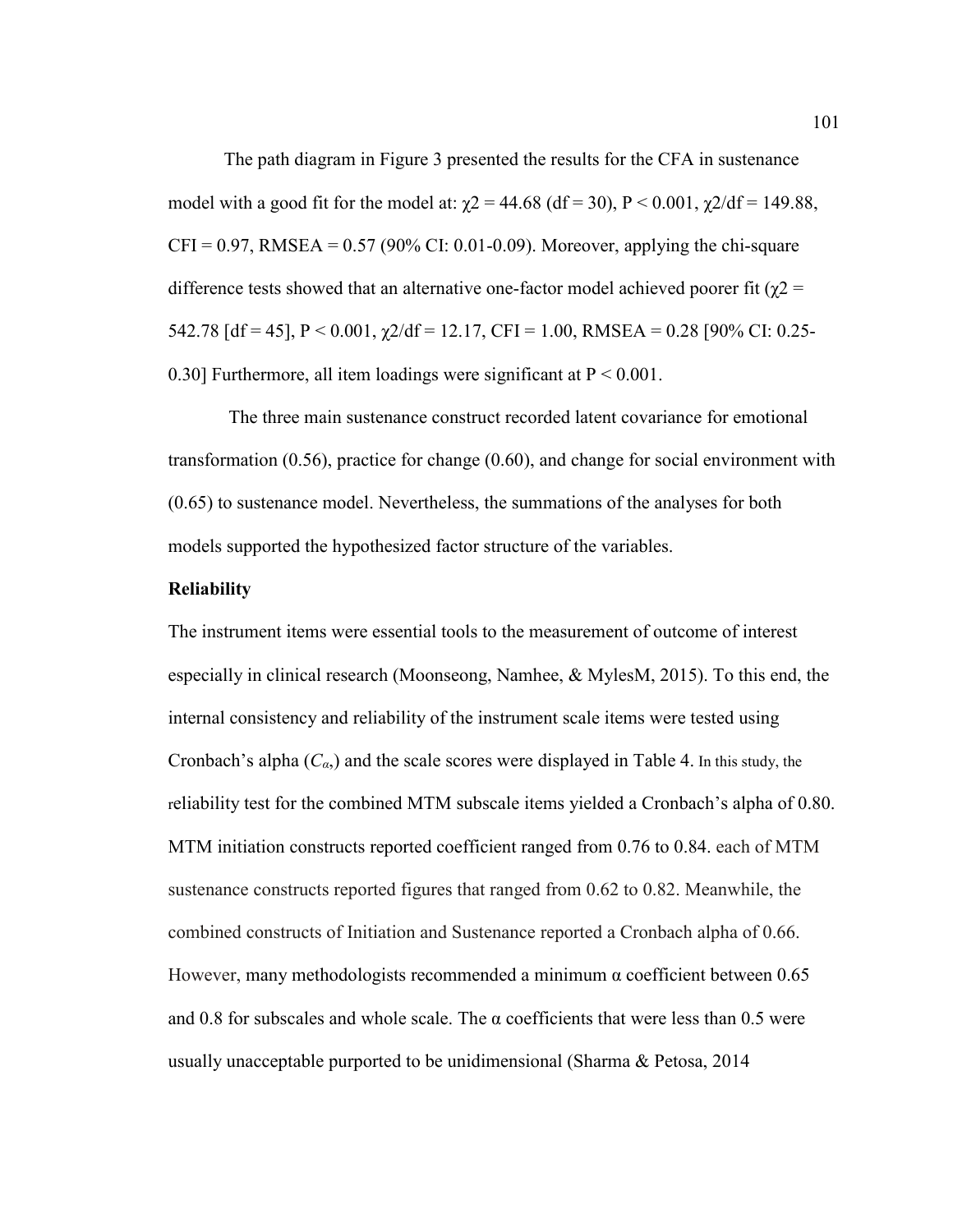The path diagram in Figure 3 presented the results for the CFA in sustenance model with a good fit for the model at:  $\chi$ 2 = 44.68 (df = 30), P < 0.001,  $\chi$ 2/df = 149.88,  $CFI = 0.97$ , RMSEA = 0.57 (90% CI: 0.01-0.09). Moreover, applying the chi-square difference tests showed that an alternative one-factor model achieved poorer fit ( $\gamma$ 2 = 542.78  $\text{[df = 45]}, P < 0.001, \gamma/2 \text{[df = 12.17]}, CFI = 1.00, RMSEA = 0.28 \text{ [90\% CI: 0.25-1]}$ 0.30] Furthermore, all item loadings were significant at  $P < 0.001$ .

 The three main sustenance construct recorded latent covariance for emotional transformation (0.56), practice for change (0.60), and change for social environment with (0.65) to sustenance model. Nevertheless, the summations of the analyses for both models supported the hypothesized factor structure of the variables.

### **Reliability**

The instrument items were essential tools to the measurement of outcome of interest especially in clinical research (Moonseong, Namhee, & MylesM, 2015). To this end, the internal consistency and reliability of the instrument scale items were tested using Cronbach's alpha  $(C_{\alpha}$ ) and the scale scores were displayed in Table 4. In this study, the reliability test for the combined MTM subscale items yielded a Cronbach's alpha of 0.80. MTM initiation constructs reported coefficient ranged from 0.76 to 0.84. each of MTM sustenance constructs reported figures that ranged from 0.62 to 0.82. Meanwhile, the combined constructs of Initiation and Sustenance reported a Cronbach alpha of 0.66. However, many methodologists recommended a minimum  $\alpha$  coefficient between 0.65 and 0.8 for subscales and whole scale. The  $\alpha$  coefficients that were less than 0.5 were usually unacceptable purported to be unidimensional (Sharma & Petosa, 2014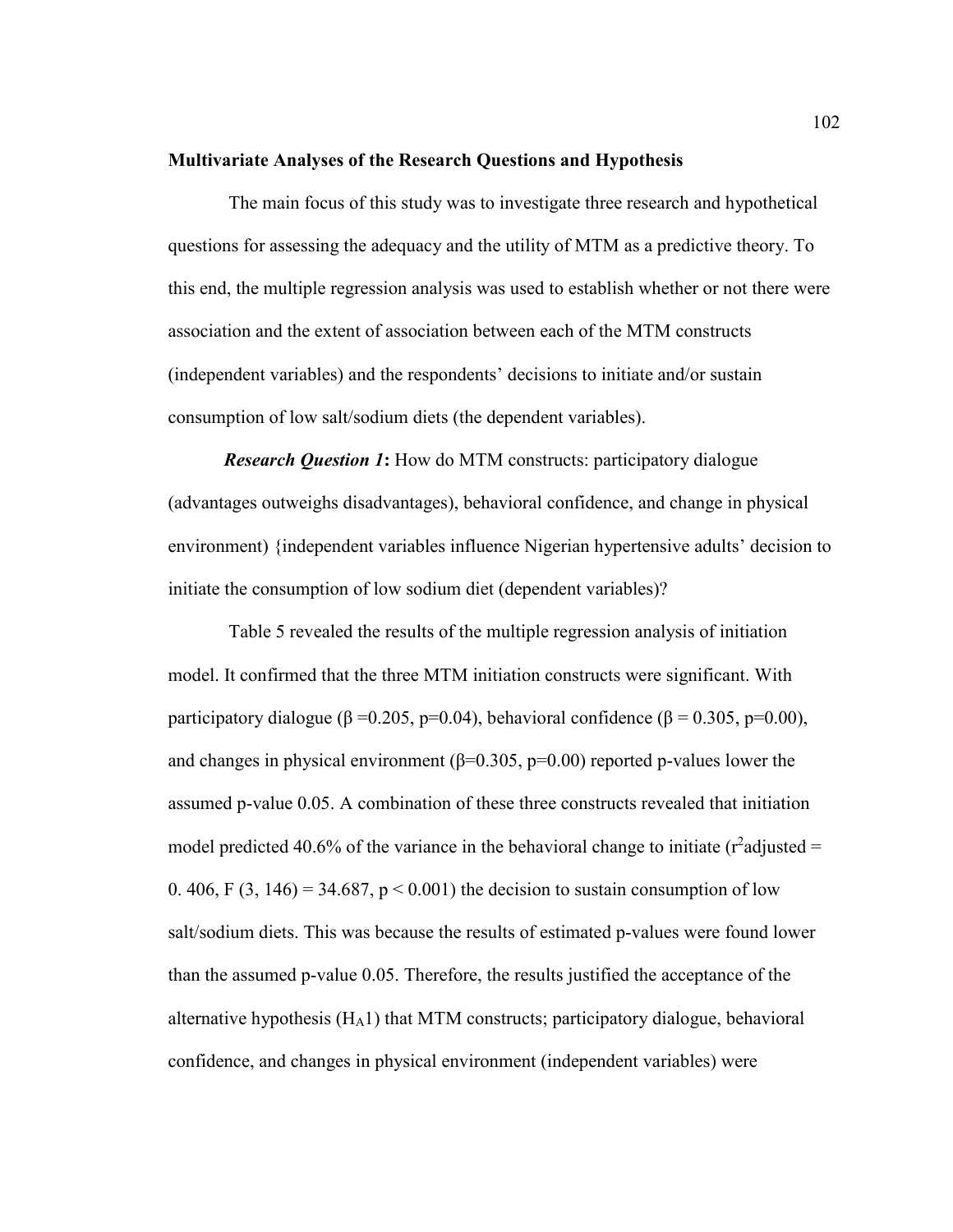#### **Multivariate Analyses of the Research Questions and Hypothesis**

 The main focus of this study was to investigate three research and hypothetical questions for assessing the adequacy and the utility of MTM as a predictive theory. To this end, the multiple regression analysis was used to establish whether or not there were association and the extent of association between each of the MTM constructs (independent variables) and the respondents' decisions to initiate and/or sustain consumption of low salt/sodium diets (the dependent variables).

*Research Question 1***:** How do MTM constructs: participatory dialogue (advantages outweighs disadvantages), behavioral confidence, and change in physical environment) {independent variables influence Nigerian hypertensive adults' decision to initiate the consumption of low sodium diet (dependent variables)?

 Table 5 revealed the results of the multiple regression analysis of initiation model. It confirmed that the three MTM initiation constructs were significant. With participatory dialogue ( $\beta$  =0.205, p=0.04), behavioral confidence ( $\beta$  = 0.305, p=0.00), and changes in physical environment ( $\beta$ =0.305, p=0.00) reported p-values lower the assumed p-value 0.05. A combination of these three constructs revealed that initiation model predicted 40.6% of the variance in the behavioral change to initiate ( $r^2$ adjusted = 0. 406, F  $(3, 146) = 34.687$ , p < 0.001) the decision to sustain consumption of low salt/sodium diets. This was because the results of estimated p-values were found lower than the assumed p-value 0.05. Therefore, the results justified the acceptance of the alternative hypothesis  $(H_A1)$  that MTM constructs; participatory dialogue, behavioral confidence, and changes in physical environment (independent variables) were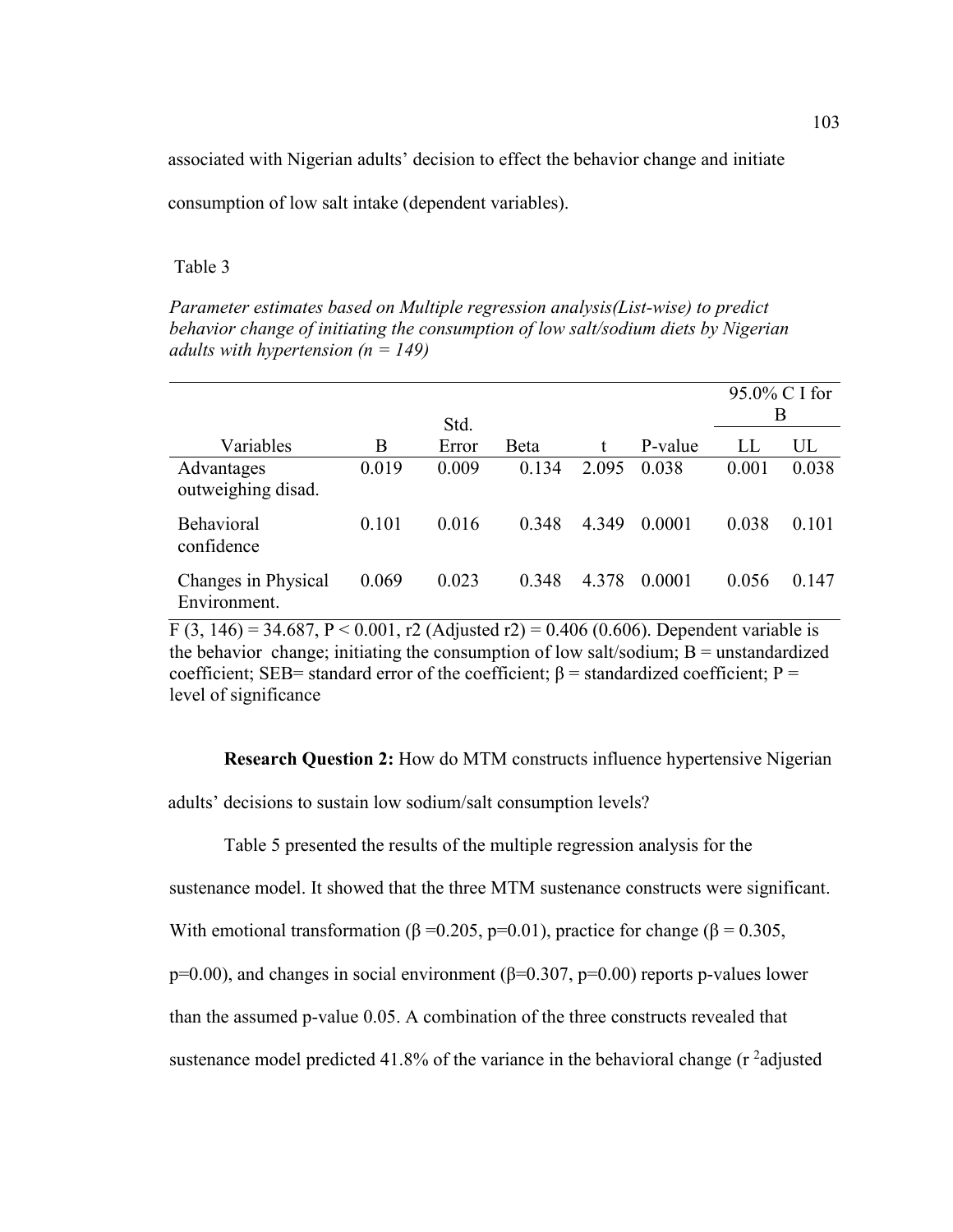associated with Nigerian adults' decision to effect the behavior change and initiate

consumption of low salt intake (dependent variables).

#### Table 3

*Parameter estimates based on Multiple regression analysis(List-wise) to predict behavior change of initiating the consumption of low salt/sodium diets by Nigerian adults with hypertension (n = 149)* 

|                                     |       | Std.  |       |       |         | 95.0% C I for<br>B |       |  |
|-------------------------------------|-------|-------|-------|-------|---------|--------------------|-------|--|
| Variables                           | В     | Error | Beta  | t     | P-value | LL                 | UL    |  |
| Advantages<br>outweighing disad.    | 0.019 | 0.009 | 0.134 | 2.095 | 0.038   | 0.001              | 0.038 |  |
| Behavioral<br>confidence            | 0.101 | 0.016 | 0.348 | 4.349 | 0.0001  | 0.038              | 0.101 |  |
| Changes in Physical<br>Environment. | 0.069 | 0.023 | 0.348 | 4.378 | 0.0001  | 0.056              | 0.147 |  |

F (3, 146) = 34.687, P < 0.001, r2 (Adjusted r2) = 0.406 (0.606). Dependent variable is the behavior change; initiating the consumption of low salt/sodium;  $B =$  unstandardized coefficient; SEB= standard error of the coefficient;  $\beta$  = standardized coefficient; P = level of significance

**Research Question 2:** How do MTM constructs influence hypertensive Nigerian adults' decisions to sustain low sodium/salt consumption levels?

Table 5 presented the results of the multiple regression analysis for the

sustenance model. It showed that the three MTM sustenance constructs were significant.

With emotional transformation ( $\beta = 0.205$ , p=0.01), practice for change ( $\beta = 0.305$ ,

p=0.00), and changes in social environment ( $\beta$ =0.307, p=0.00) reports p-values lower

than the assumed p-value 0.05. A combination of the three constructs revealed that

sustenance model predicted 41.8% of the variance in the behavioral change  $(r^2$ adjusted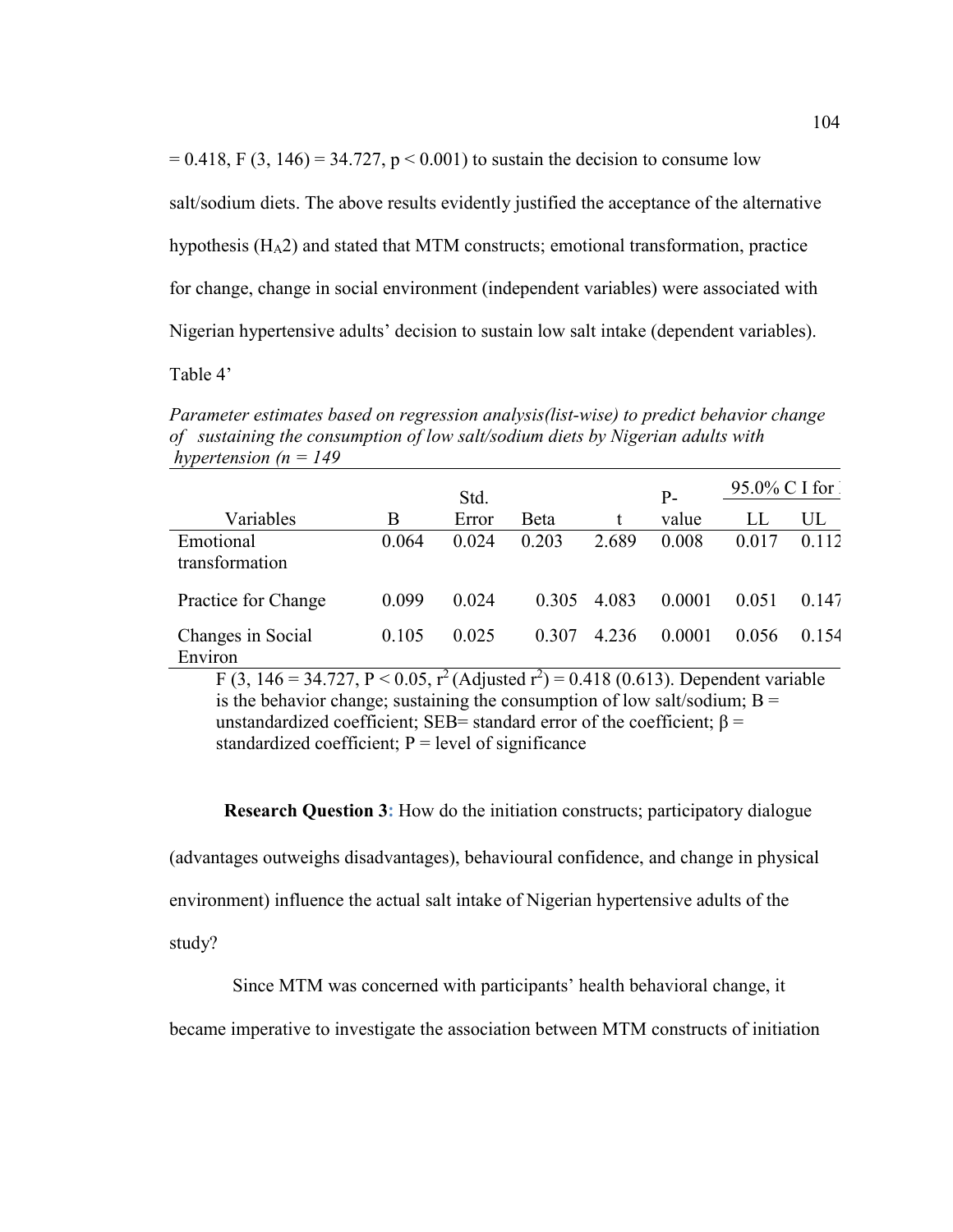$= 0.418$ , F (3, 146) = 34.727, p < 0.001) to sustain the decision to consume low

salt/sodium diets. The above results evidently justified the acceptance of the alternative

hypothesis (HA2) and stated that MTM constructs; emotional transformation, practice

for change, change in social environment (independent variables) were associated with

Nigerian hypertensive adults' decision to sustain low salt intake (dependent variables).

Table 4'

*Parameter estimates based on regression analysis(list-wise) to predict behavior change of sustaining the consumption of low salt/sodium diets by Nigerian adults with hypertension (n = 149* 

|                              |       | Std.  |       |         | $P -$  | $95.0\%$ C I for |       |
|------------------------------|-------|-------|-------|---------|--------|------------------|-------|
| Variables                    | В     | Error | Beta  | t       | value  | LL               | UL    |
| Emotional<br>transformation  | 0.064 | 0.024 | 0.203 | 2.689   | 0.008  | 0.017            | 0.112 |
| Practice for Change          | 0.099 | 0.024 | 0.305 | 4.083   | 0.0001 | 0.051            | 0.147 |
| Changes in Social<br>Environ | 0.105 | 0.025 | 0.307 | 4 2 3 6 | 0.0001 | 0.056            | 0.154 |

F (3, 146 = 34.727, P < 0.05, r<sup>2</sup> (Adjusted r<sup>2</sup>) = 0.418 (0.613). Dependent variable is the behavior change; sustaining the consumption of low salt/sodium;  $B =$ unstandardized coefficient; SEB= standard error of the coefficient;  $\beta$  = standardized coefficient;  $P = level of significance$ 

**Research Question 3:** How do the initiation constructs; participatory dialogue

(advantages outweighs disadvantages), behavioural confidence, and change in physical

environment) influence the actual salt intake of Nigerian hypertensive adults of the

study?

Since MTM was concerned with participants' health behavioral change, it

became imperative to investigate the association between MTM constructs of initiation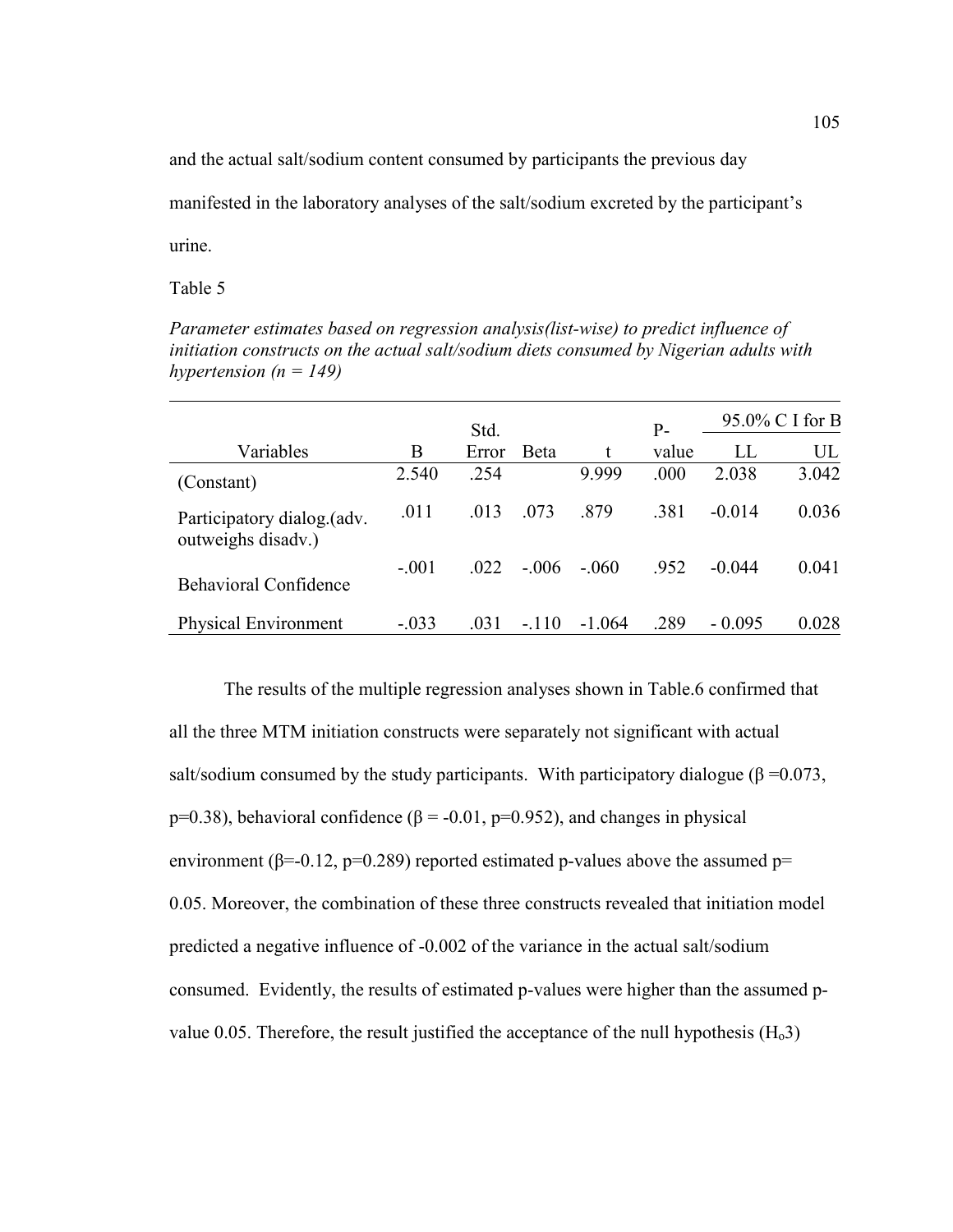and the actual salt/sodium content consumed by participants the previous day

manifested in the laboratory analyses of the salt/sodium excreted by the participant's

urine.

Table 5

*Parameter estimates based on regression analysis(list-wise) to predict influence of initiation constructs on the actual salt/sodium diets consumed by Nigerian adults with hypertension*  $(n = 149)$ 

|                                                  | Std.    |       |         | $P -$    | 95.0% C I for B |          |       |
|--------------------------------------------------|---------|-------|---------|----------|-----------------|----------|-------|
| Variables                                        | B       | Error | Beta    | t        | value           | LL       | UL    |
| (Constant)                                       | 2.540   | .254  |         | 9.999    | .000            | 2.038    | 3.042 |
| Participatory dialog.(adv.<br>outweighs disadv.) | .011    | .013  | .073    | .879     | .381            | $-0.014$ | 0.036 |
| <b>Behavioral Confidence</b>                     | $-.001$ | 022   | - 006   | $-.060$  | .952            | $-0.044$ | 0.041 |
| <b>Physical Environment</b>                      | $-.033$ | .031  | $-.110$ | $-1.064$ | .289            | $-0.095$ | 0.028 |

The results of the multiple regression analyses shown in Table.6 confirmed that all the three MTM initiation constructs were separately not significant with actual salt/sodium consumed by the study participants. With participatory dialogue ( $\beta = 0.073$ , p=0.38), behavioral confidence ( $\beta$  = -0.01, p=0.952), and changes in physical environment ( $\beta$ =-0.12, p=0.289) reported estimated p-values above the assumed p= 0.05. Moreover, the combination of these three constructs revealed that initiation model predicted a negative influence of -0.002 of the variance in the actual salt/sodium consumed. Evidently, the results of estimated p-values were higher than the assumed pvalue 0.05. Therefore, the result justified the acceptance of the null hypothesis  $(H_03)$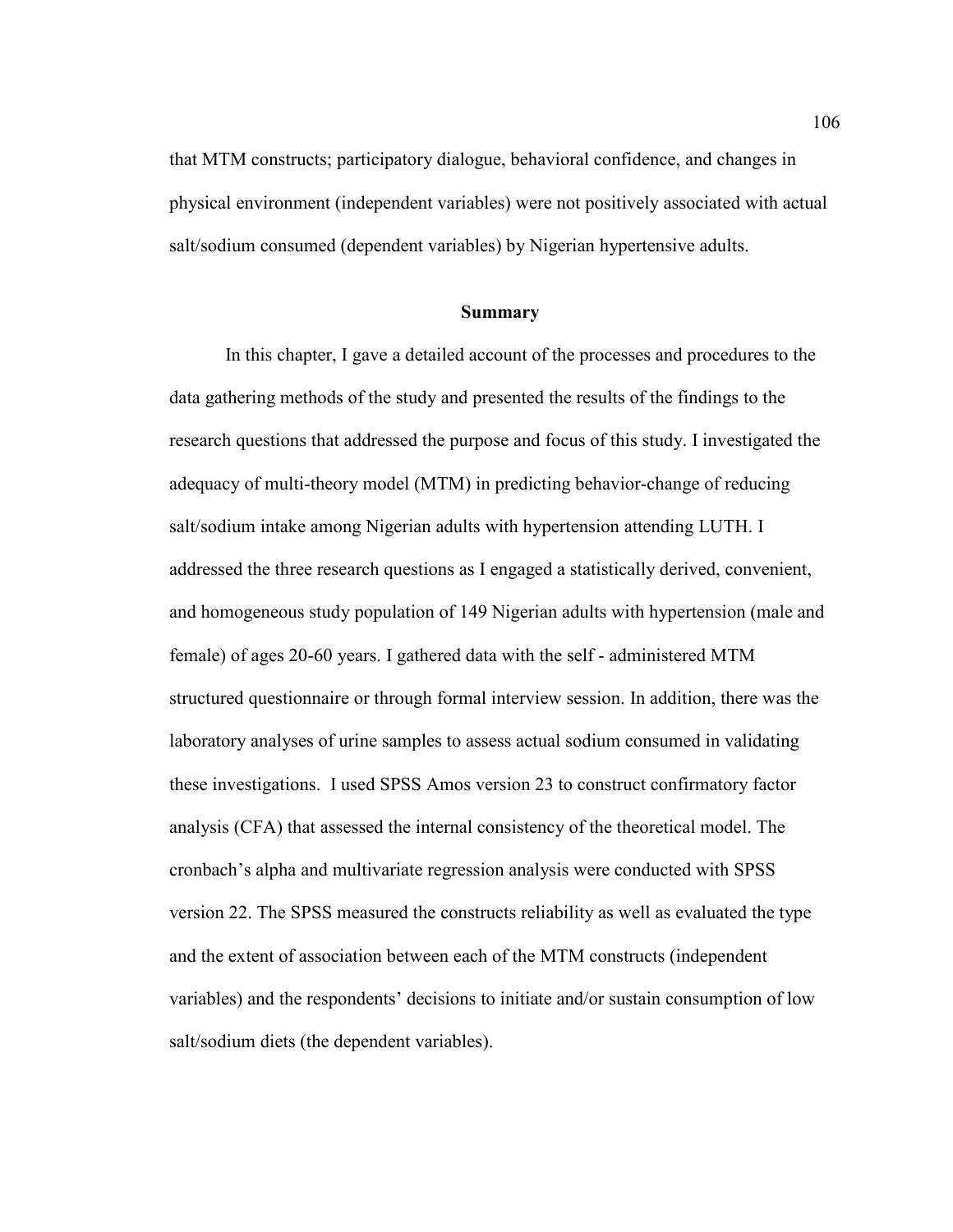that MTM constructs; participatory dialogue, behavioral confidence, and changes in physical environment (independent variables) were not positively associated with actual salt/sodium consumed (dependent variables) by Nigerian hypertensive adults.

#### **Summary**

In this chapter, I gave a detailed account of the processes and procedures to the data gathering methods of the study and presented the results of the findings to the research questions that addressed the purpose and focus of this study. I investigated the adequacy of multi-theory model (MTM) in predicting behavior-change of reducing salt/sodium intake among Nigerian adults with hypertension attending LUTH. I addressed the three research questions as I engaged a statistically derived, convenient, and homogeneous study population of 149 Nigerian adults with hypertension (male and female) of ages 20-60 years. I gathered data with the self - administered MTM structured questionnaire or through formal interview session. In addition, there was the laboratory analyses of urine samples to assess actual sodium consumed in validating these investigations. I used SPSS Amos version 23 to construct confirmatory factor analysis (CFA) that assessed the internal consistency of the theoretical model. The cronbach's alpha and multivariate regression analysis were conducted with SPSS version 22. The SPSS measured the constructs reliability as well as evaluated the type and the extent of association between each of the MTM constructs (independent variables) and the respondents' decisions to initiate and/or sustain consumption of low salt/sodium diets (the dependent variables).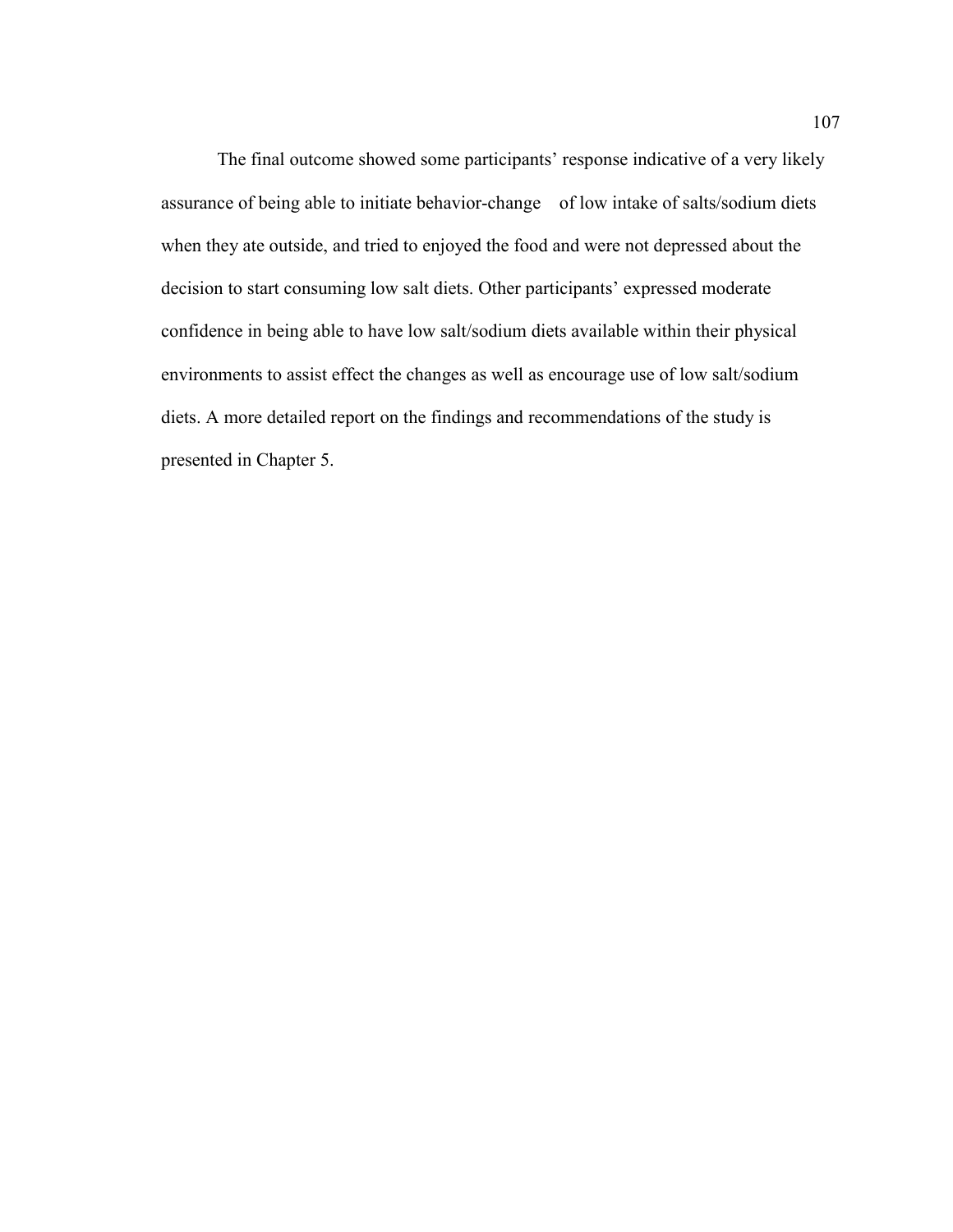The final outcome showed some participants' response indicative of a very likely assurance of being able to initiate behavior-change of low intake of salts/sodium diets when they ate outside, and tried to enjoyed the food and were not depressed about the decision to start consuming low salt diets. Other participants' expressed moderate confidence in being able to have low salt/sodium diets available within their physical environments to assist effect the changes as well as encourage use of low salt/sodium diets. A more detailed report on the findings and recommendations of the study is presented in Chapter 5.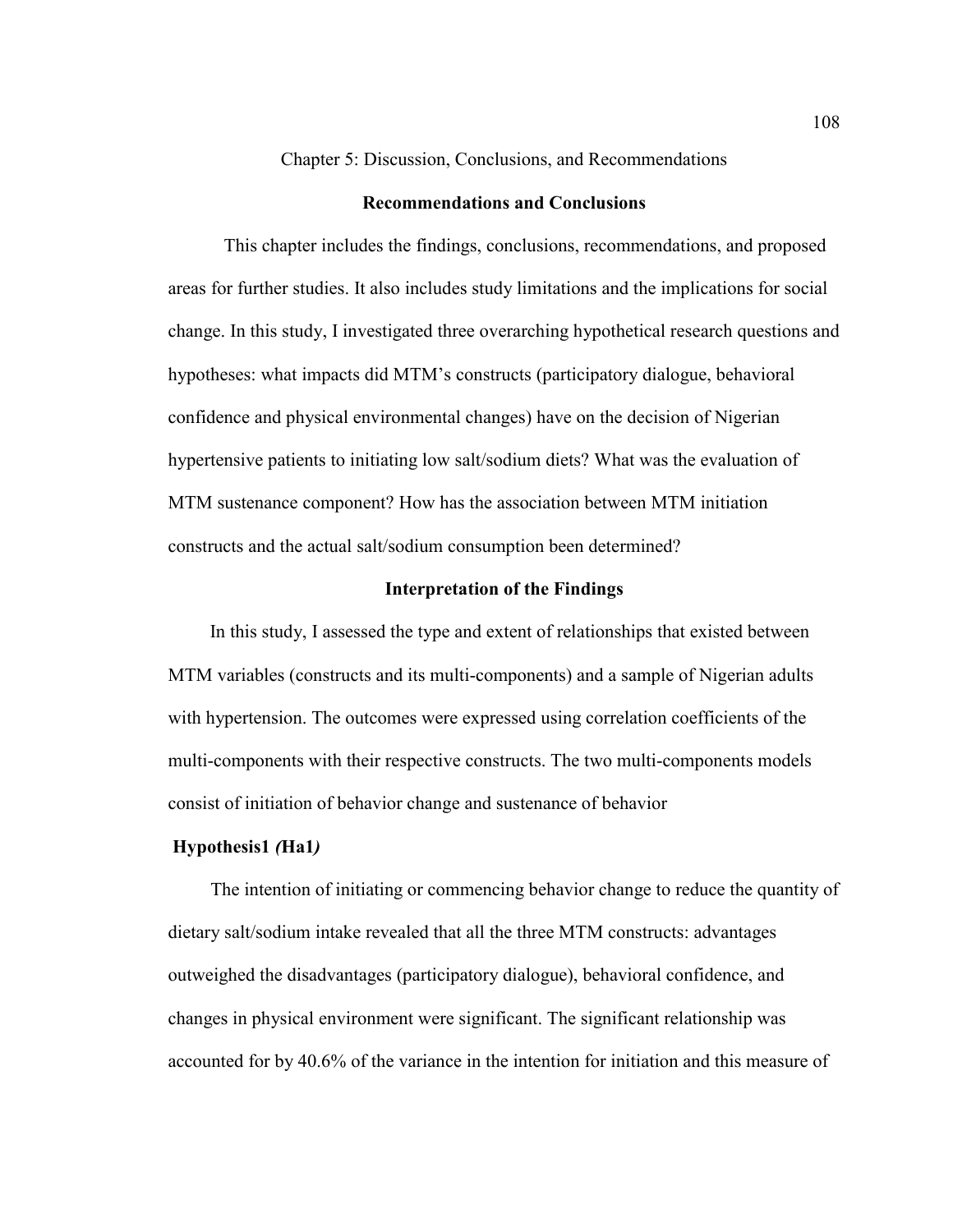Chapter 5: Discussion, Conclusions, and Recommendations

#### **Recommendations and Conclusions**

 This chapter includes the findings, conclusions, recommendations, and proposed areas for further studies. It also includes study limitations and the implications for social change. In this study, I investigated three overarching hypothetical research questions and hypotheses: what impacts did MTM's constructs (participatory dialogue, behavioral confidence and physical environmental changes) have on the decision of Nigerian hypertensive patients to initiating low salt/sodium diets? What was the evaluation of MTM sustenance component? How has the association between MTM initiation constructs and the actual salt/sodium consumption been determined?

### **Interpretation of the Findings**

In this study, I assessed the type and extent of relationships that existed between MTM variables (constructs and its multi-components) and a sample of Nigerian adults with hypertension. The outcomes were expressed using correlation coefficients of the multi-components with their respective constructs. The two multi-components models consist of initiation of behavior change and sustenance of behavior

### **Hypothesis1** *(***Ha1***)*

The intention of initiating or commencing behavior change to reduce the quantity of dietary salt/sodium intake revealed that all the three MTM constructs: advantages outweighed the disadvantages (participatory dialogue), behavioral confidence, and changes in physical environment were significant. The significant relationship was accounted for by 40.6% of the variance in the intention for initiation and this measure of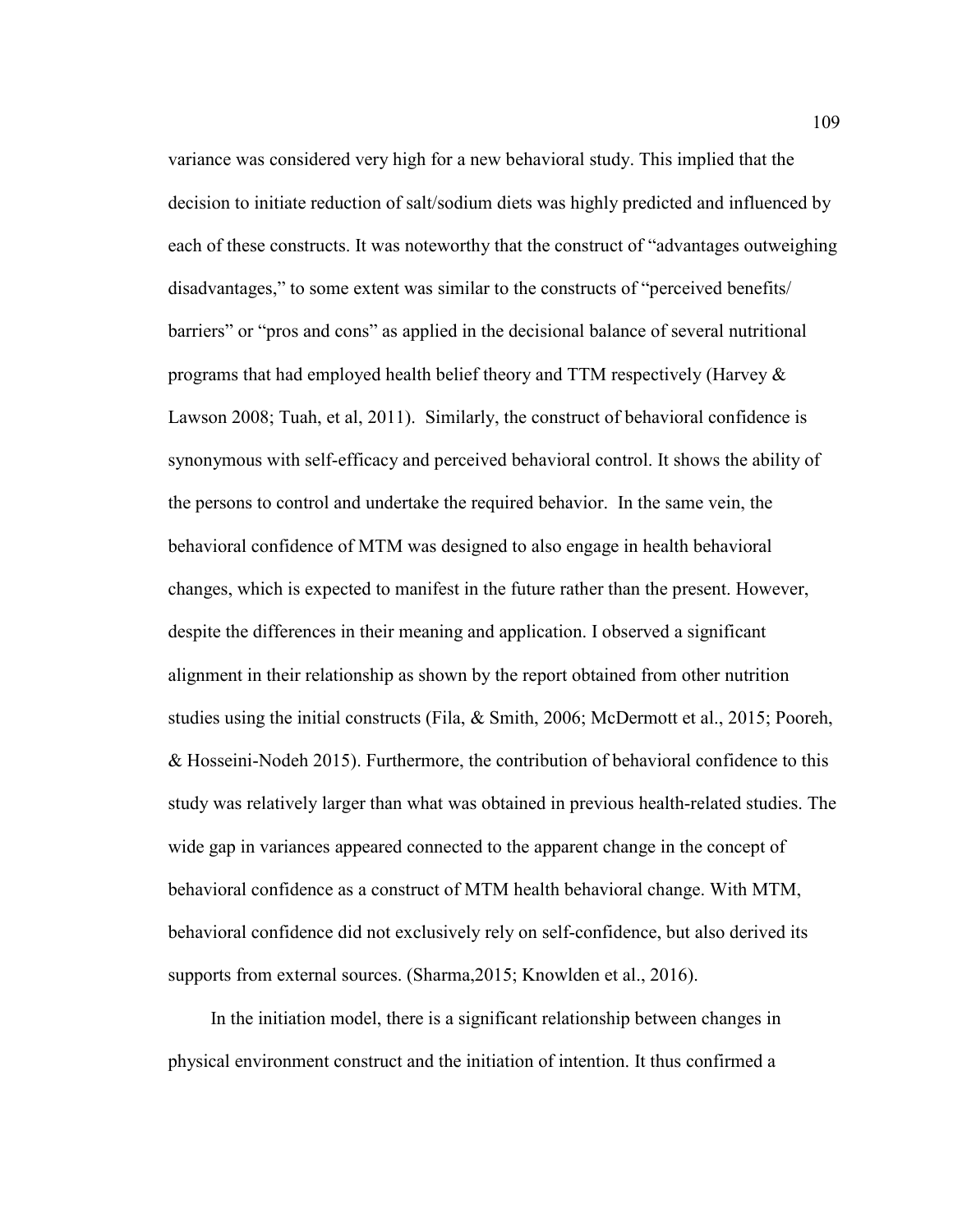variance was considered very high for a new behavioral study. This implied that the decision to initiate reduction of salt/sodium diets was highly predicted and influenced by each of these constructs. It was noteworthy that the construct of "advantages outweighing disadvantages," to some extent was similar to the constructs of "perceived benefits/ barriers" or "pros and cons" as applied in the decisional balance of several nutritional programs that had employed health belief theory and TTM respectively (Harvey & Lawson 2008; Tuah, et al, 2011). Similarly, the construct of behavioral confidence is synonymous with self-efficacy and perceived behavioral control. It shows the ability of the persons to control and undertake the required behavior. In the same vein, the behavioral confidence of MTM was designed to also engage in health behavioral changes, which is expected to manifest in the future rather than the present. However, despite the differences in their meaning and application. I observed a significant alignment in their relationship as shown by the report obtained from other nutrition studies using the initial constructs (Fila, & Smith, 2006; McDermott et al., 2015; Pooreh, & Hosseini-Nodeh 2015). Furthermore, the contribution of behavioral confidence to this study was relatively larger than what was obtained in previous health-related studies. The wide gap in variances appeared connected to the apparent change in the concept of behavioral confidence as a construct of MTM health behavioral change. With MTM, behavioral confidence did not exclusively rely on self-confidence, but also derived its supports from external sources. (Sharma, 2015; Knowlden et al., 2016).

In the initiation model, there is a significant relationship between changes in physical environment construct and the initiation of intention. It thus confirmed a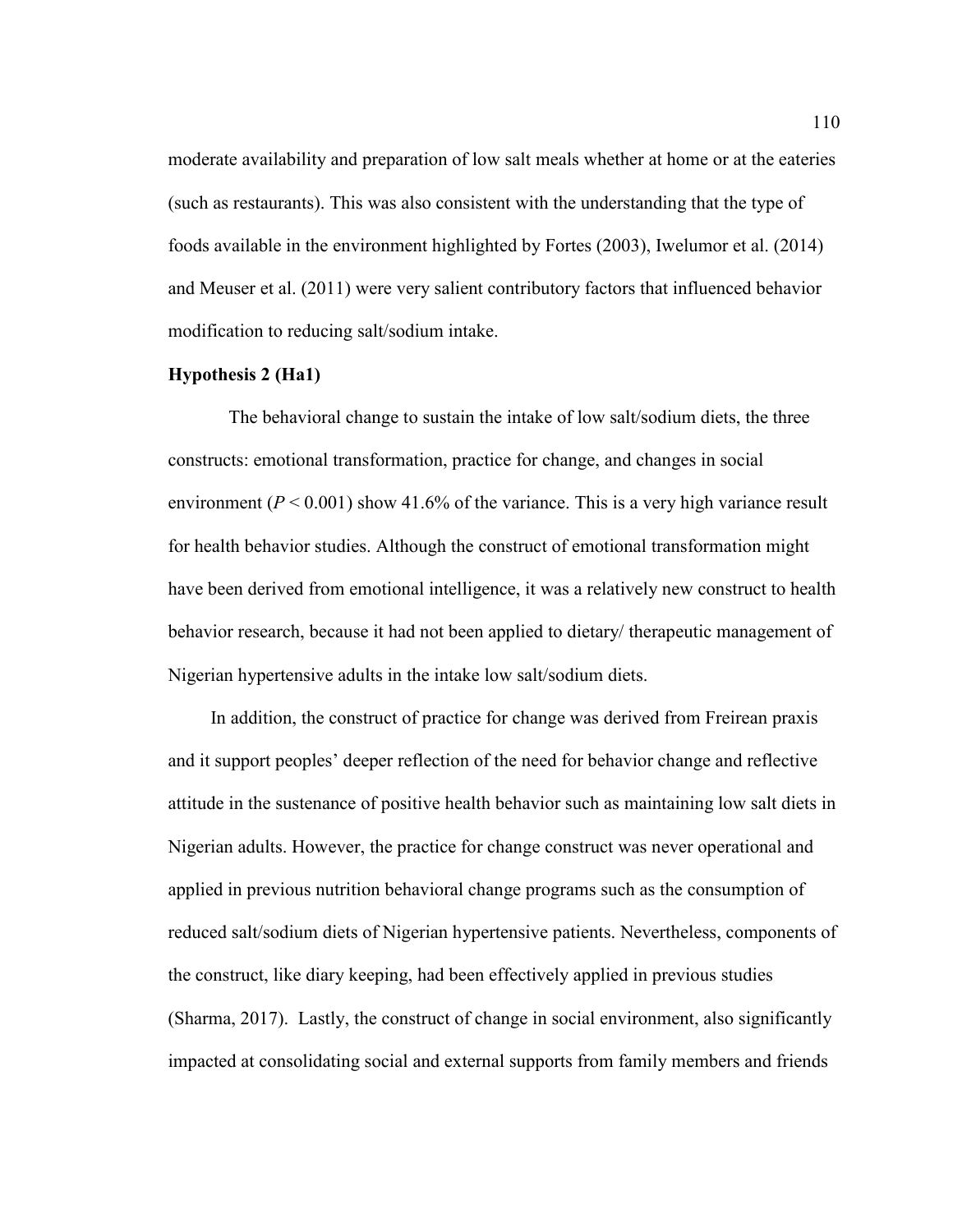moderate availability and preparation of low salt meals whether at home or at the eateries (such as restaurants). This was also consistent with the understanding that the type of foods available in the environment highlighted by Fortes (2003), Iwelumor et al. (2014) and Meuser et al. (2011) were very salient contributory factors that influenced behavior modification to reducing salt/sodium intake.

#### **Hypothesis 2 (Ha1)**

The behavioral change to sustain the intake of low salt/sodium diets, the three constructs: emotional transformation, practice for change, and changes in social environment ( $P < 0.001$ ) show 41.6% of the variance. This is a very high variance result for health behavior studies. Although the construct of emotional transformation might have been derived from emotional intelligence, it was a relatively new construct to health behavior research, because it had not been applied to dietary/ therapeutic management of Nigerian hypertensive adults in the intake low salt/sodium diets.

In addition, the construct of practice for change was derived from Freirean praxis and it support peoples' deeper reflection of the need for behavior change and reflective attitude in the sustenance of positive health behavior such as maintaining low salt diets in Nigerian adults. However, the practice for change construct was never operational and applied in previous nutrition behavioral change programs such as the consumption of reduced salt/sodium diets of Nigerian hypertensive patients. Nevertheless, components of the construct, like diary keeping, had been effectively applied in previous studies (Sharma, 2017). Lastly, the construct of change in social environment, also significantly impacted at consolidating social and external supports from family members and friends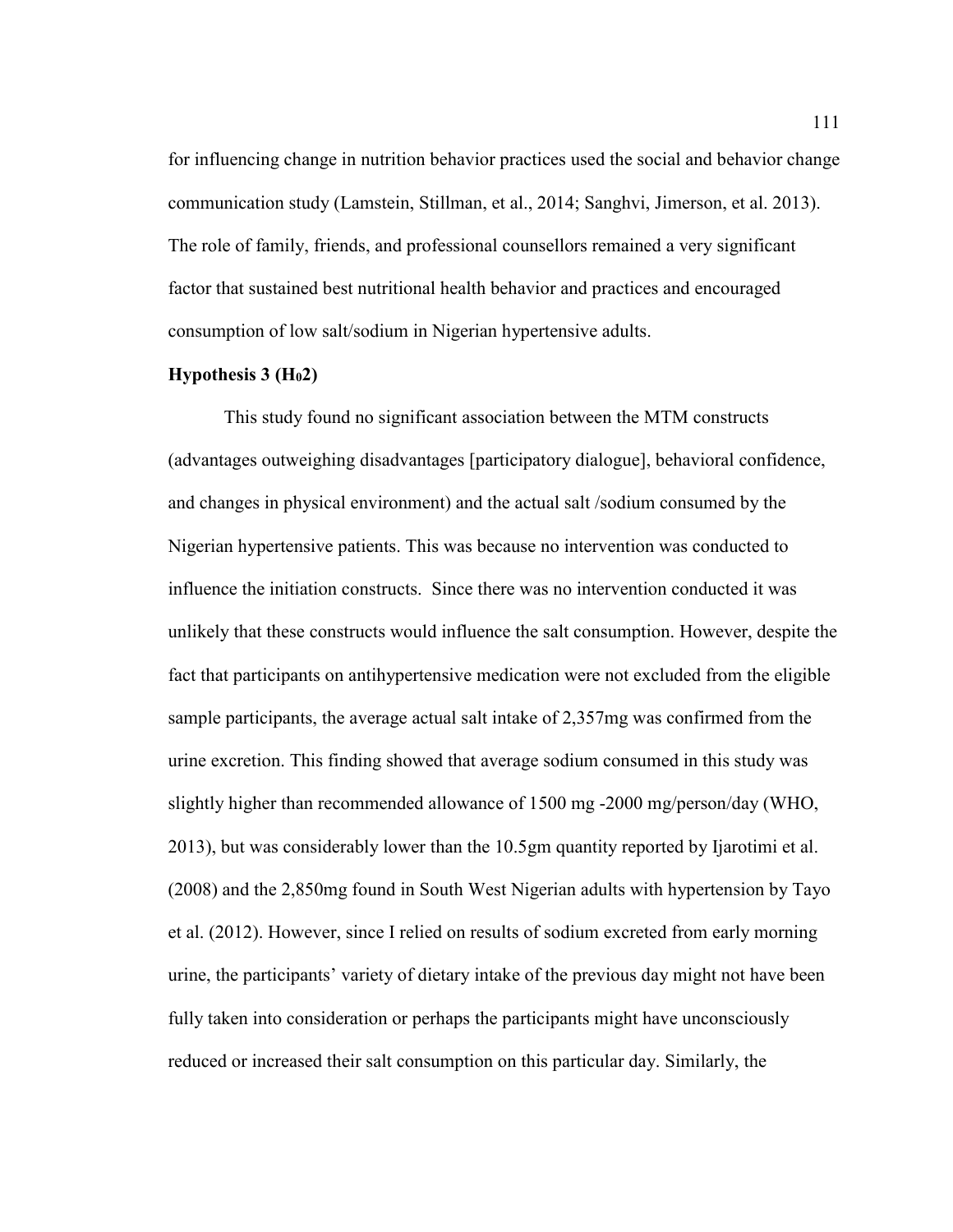for influencing change in nutrition behavior practices used the social and behavior change communication study (Lamstein, Stillman, et al., 2014; Sanghvi, Jimerson, et al. 2013). The role of family, friends, and professional counsellors remained a very significant factor that sustained best nutritional health behavior and practices and encouraged consumption of low salt/sodium in Nigerian hypertensive adults.

#### **Hypothesis 3 (H02)**

This study found no significant association between the MTM constructs (advantages outweighing disadvantages [participatory dialogue], behavioral confidence, and changes in physical environment) and the actual salt /sodium consumed by the Nigerian hypertensive patients. This was because no intervention was conducted to influence the initiation constructs. Since there was no intervention conducted it was unlikely that these constructs would influence the salt consumption. However, despite the fact that participants on antihypertensive medication were not excluded from the eligible sample participants, the average actual salt intake of 2,357mg was confirmed from the urine excretion. This finding showed that average sodium consumed in this study was slightly higher than recommended allowance of 1500 mg -2000 mg/person/day (WHO, 2013), but was considerably lower than the 10.5gm quantity reported by Ijarotimi et al. (2008) and the 2,850mg found in South West Nigerian adults with hypertension by Tayo et al. (2012). However, since I relied on results of sodium excreted from early morning urine, the participants' variety of dietary intake of the previous day might not have been fully taken into consideration or perhaps the participants might have unconsciously reduced or increased their salt consumption on this particular day. Similarly, the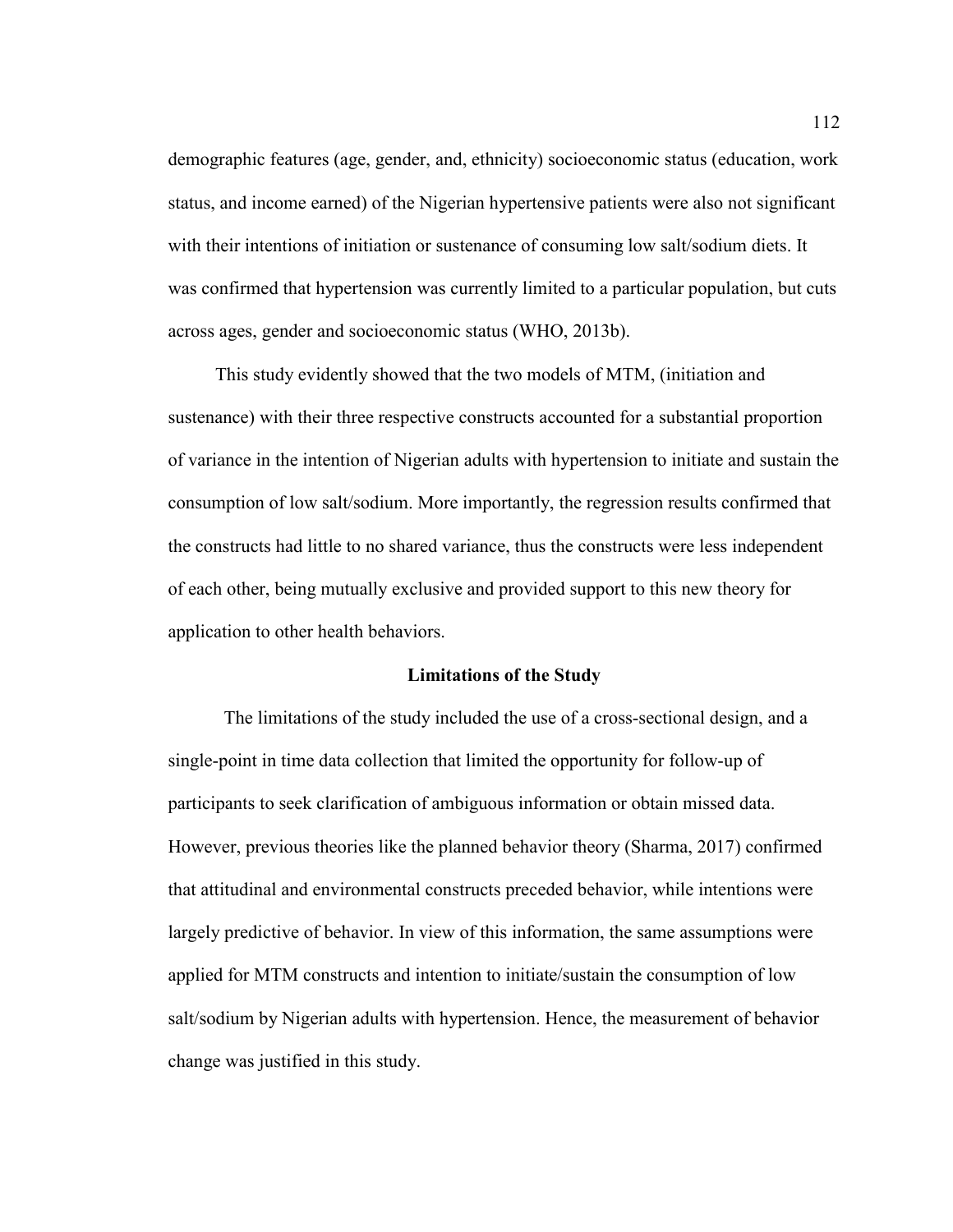demographic features (age, gender, and, ethnicity) socioeconomic status (education, work status, and income earned) of the Nigerian hypertensive patients were also not significant with their intentions of initiation or sustenance of consuming low salt/sodium diets. It was confirmed that hypertension was currently limited to a particular population, but cuts across ages, gender and socioeconomic status (WHO, 2013b).

 This study evidently showed that the two models of MTM, (initiation and sustenance) with their three respective constructs accounted for a substantial proportion of variance in the intention of Nigerian adults with hypertension to initiate and sustain the consumption of low salt/sodium. More importantly, the regression results confirmed that the constructs had little to no shared variance, thus the constructs were less independent of each other, being mutually exclusive and provided support to this new theory for application to other health behaviors.

### **Limitations of the Study**

The limitations of the study included the use of a cross-sectional design, and a single-point in time data collection that limited the opportunity for follow-up of participants to seek clarification of ambiguous information or obtain missed data. However, previous theories like the planned behavior theory (Sharma, 2017) confirmed that attitudinal and environmental constructs preceded behavior, while intentions were largely predictive of behavior. In view of this information, the same assumptions were applied for MTM constructs and intention to initiate/sustain the consumption of low salt/sodium by Nigerian adults with hypertension. Hence, the measurement of behavior change was justified in this study.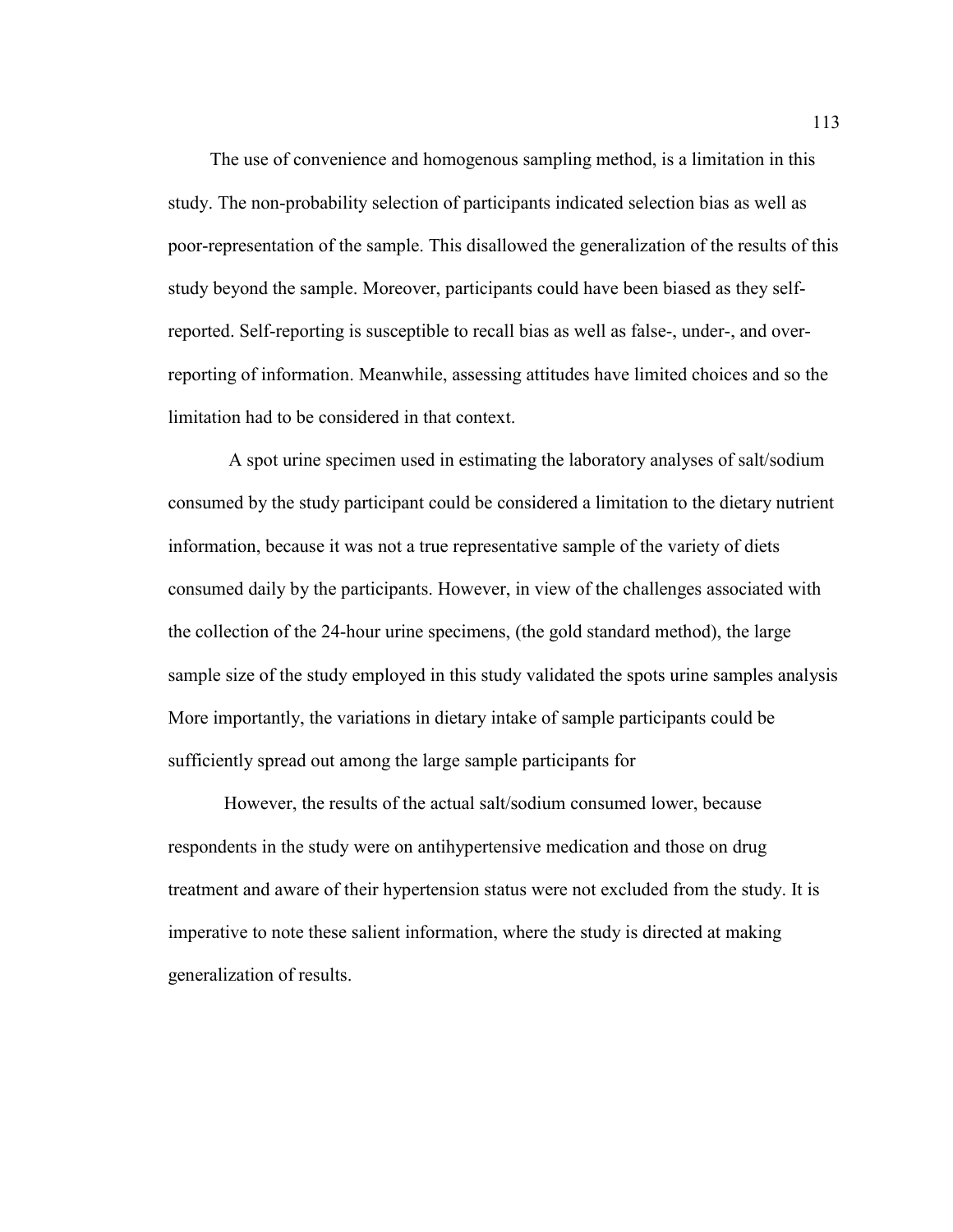The use of convenience and homogenous sampling method, is a limitation in this study. The non-probability selection of participants indicated selection bias as well as poor-representation of the sample. This disallowed the generalization of the results of this study beyond the sample. Moreover, participants could have been biased as they selfreported. Self-reporting is susceptible to recall bias as well as false-, under-, and overreporting of information. Meanwhile, assessing attitudes have limited choices and so the limitation had to be considered in that context.

 A spot urine specimen used in estimating the laboratory analyses of salt/sodium consumed by the study participant could be considered a limitation to the dietary nutrient information, because it was not a true representative sample of the variety of diets consumed daily by the participants. However, in view of the challenges associated with the collection of the 24-hour urine specimens, (the gold standard method), the large sample size of the study employed in this study validated the spots urine samples analysis More importantly, the variations in dietary intake of sample participants could be sufficiently spread out among the large sample participants for

However, the results of the actual salt/sodium consumed lower, because respondents in the study were on antihypertensive medication and those on drug treatment and aware of their hypertension status were not excluded from the study. It is imperative to note these salient information, where the study is directed at making generalization of results.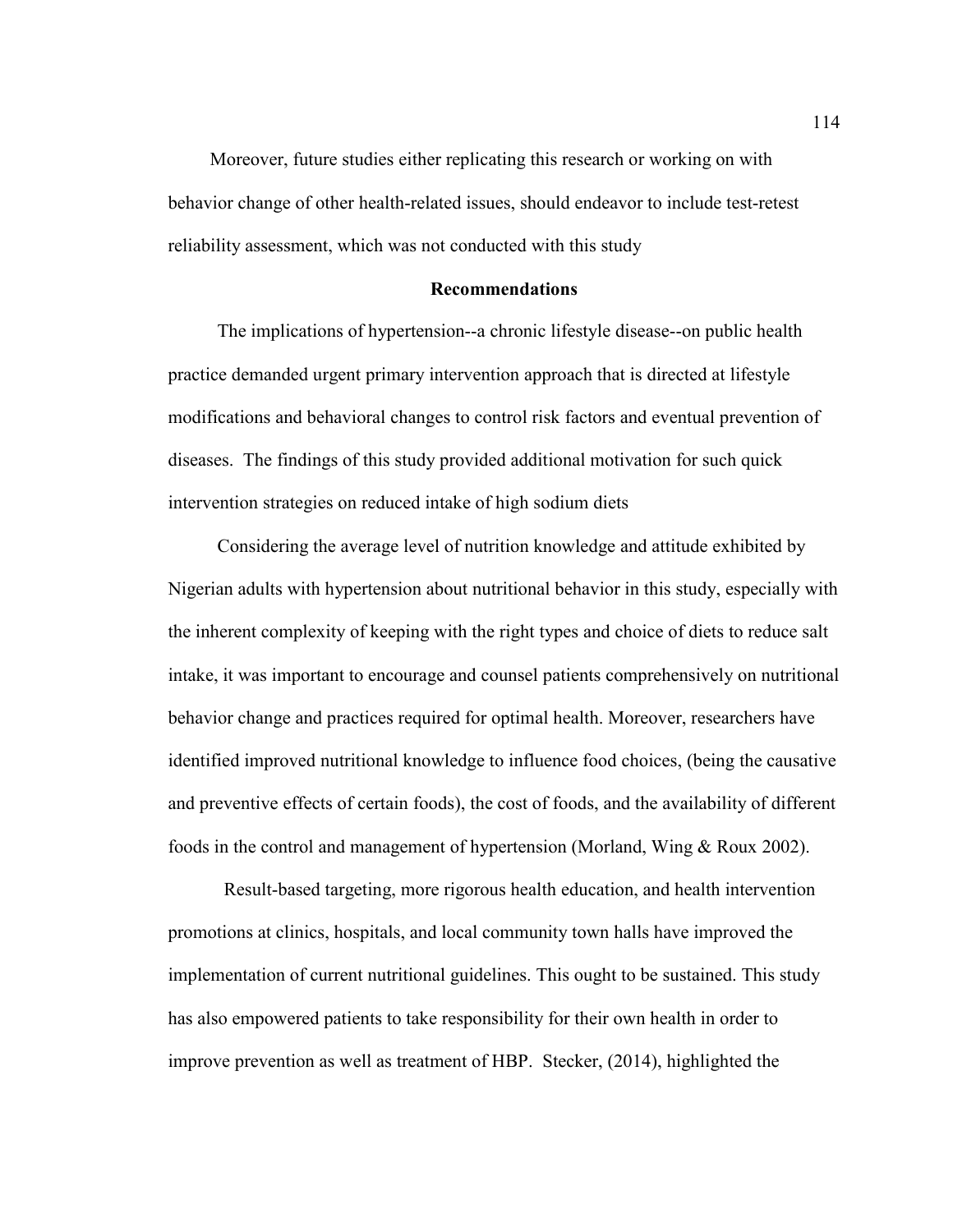Moreover, future studies either replicating this research or working on with behavior change of other health-related issues, should endeavor to include test-retest reliability assessment, which was not conducted with this study

### **Recommendations**

The implications of hypertension--a chronic lifestyle disease--on public health practice demanded urgent primary intervention approach that is directed at lifestyle modifications and behavioral changes to control risk factors and eventual prevention of diseases. The findings of this study provided additional motivation for such quick intervention strategies on reduced intake of high sodium diets

Considering the average level of nutrition knowledge and attitude exhibited by Nigerian adults with hypertension about nutritional behavior in this study, especially with the inherent complexity of keeping with the right types and choice of diets to reduce salt intake, it was important to encourage and counsel patients comprehensively on nutritional behavior change and practices required for optimal health. Moreover, researchers have identified improved nutritional knowledge to influence food choices, (being the causative and preventive effects of certain foods), the cost of foods, and the availability of different foods in the control and management of hypertension (Morland, Wing & Roux 2002).

Result-based targeting, more rigorous health education, and health intervention promotions at clinics, hospitals, and local community town halls have improved the implementation of current nutritional guidelines. This ought to be sustained. This study has also empowered patients to take responsibility for their own health in order to improve prevention as well as treatment of HBP. Stecker, (2014), highlighted the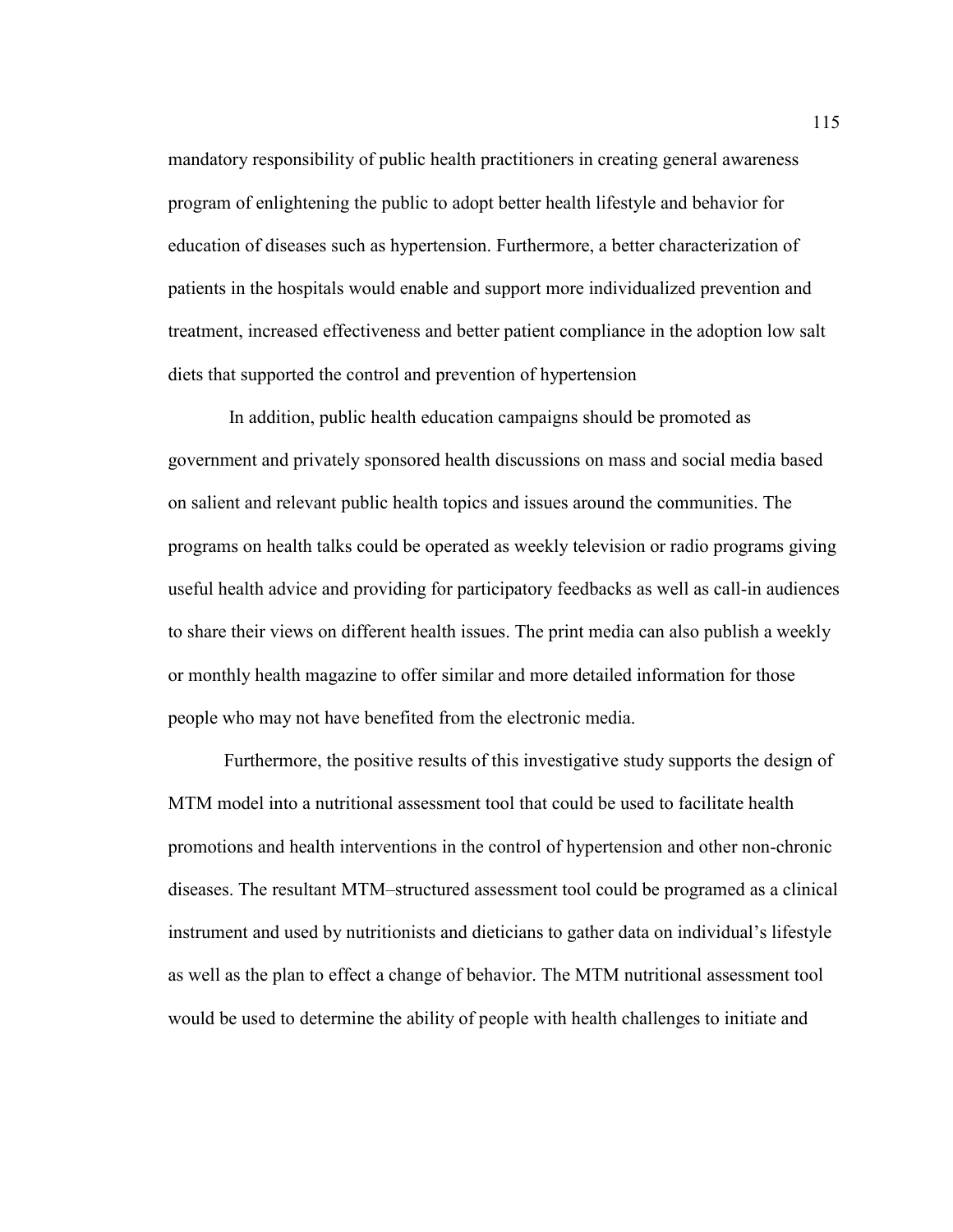mandatory responsibility of public health practitioners in creating general awareness program of enlightening the public to adopt better health lifestyle and behavior for education of diseases such as hypertension. Furthermore, a better characterization of patients in the hospitals would enable and support more individualized prevention and treatment, increased effectiveness and better patient compliance in the adoption low salt diets that supported the control and prevention of hypertension

 In addition, public health education campaigns should be promoted as government and privately sponsored health discussions on mass and social media based on salient and relevant public health topics and issues around the communities. The programs on health talks could be operated as weekly television or radio programs giving useful health advice and providing for participatory feedbacks as well as call-in audiences to share their views on different health issues. The print media can also publish a weekly or monthly health magazine to offer similar and more detailed information for those people who may not have benefited from the electronic media.

Furthermore, the positive results of this investigative study supports the design of MTM model into a nutritional assessment tool that could be used to facilitate health promotions and health interventions in the control of hypertension and other non-chronic diseases. The resultant MTM–structured assessment tool could be programed as a clinical instrument and used by nutritionists and dieticians to gather data on individual's lifestyle as well as the plan to effect a change of behavior. The MTM nutritional assessment tool would be used to determine the ability of people with health challenges to initiate and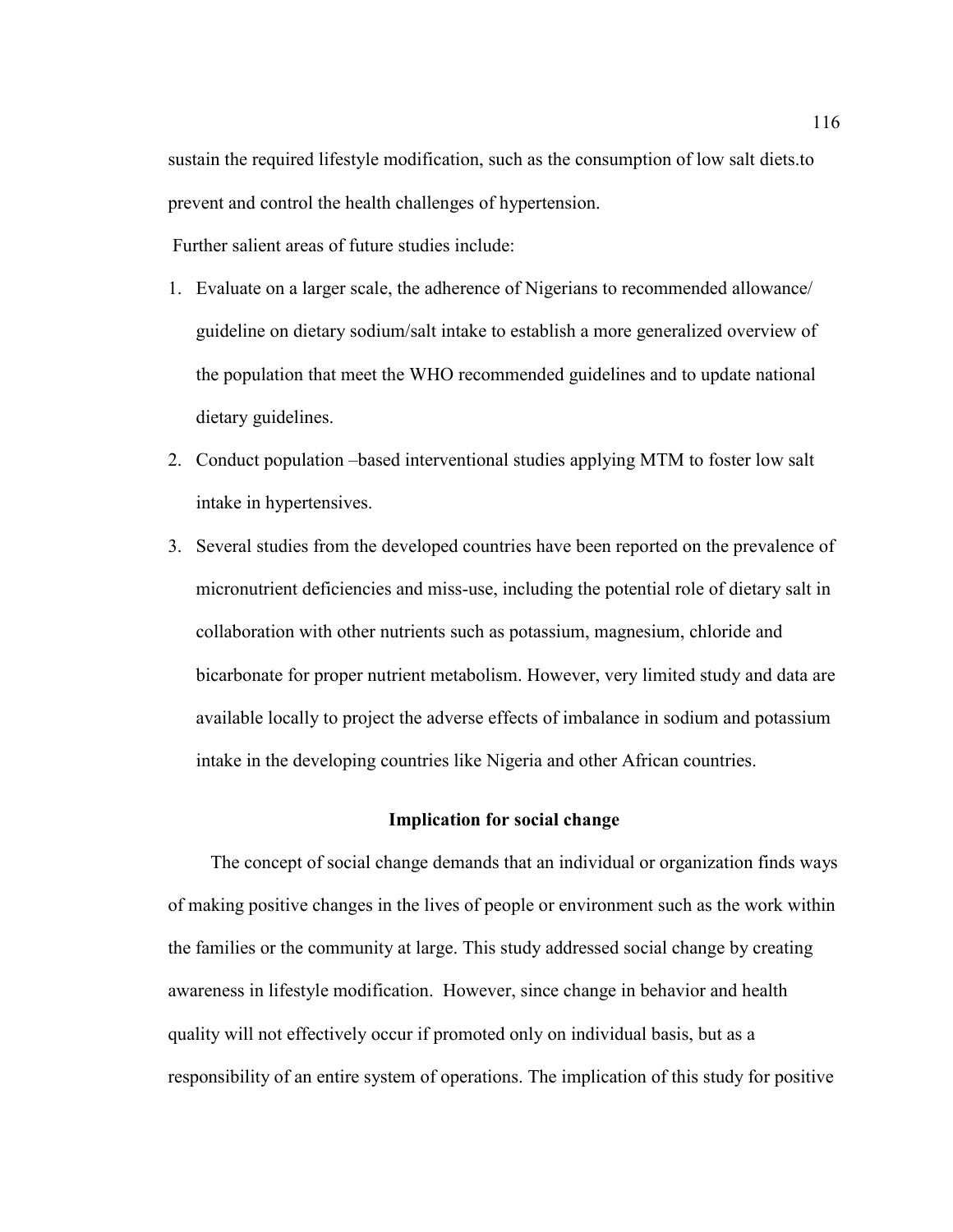sustain the required lifestyle modification, such as the consumption of low salt diets.to prevent and control the health challenges of hypertension.

Further salient areas of future studies include:

- 1. Evaluate on a larger scale, the adherence of Nigerians to recommended allowance/ guideline on dietary sodium/salt intake to establish a more generalized overview of the population that meet the WHO recommended guidelines and to update national dietary guidelines.
- 2. Conduct population –based interventional studies applying MTM to foster low salt intake in hypertensives.
- 3. Several studies from the developed countries have been reported on the prevalence of micronutrient deficiencies and miss-use, including the potential role of dietary salt in collaboration with other nutrients such as potassium, magnesium, chloride and bicarbonate for proper nutrient metabolism. However, very limited study and data are available locally to project the adverse effects of imbalance in sodium and potassium intake in the developing countries like Nigeria and other African countries.

### **Implication for social change**

The concept of social change demands that an individual or organization finds ways of making positive changes in the lives of people or environment such as the work within the families or the community at large. This study addressed social change by creating awareness in lifestyle modification. However, since change in behavior and health quality will not effectively occur if promoted only on individual basis, but as a responsibility of an entire system of operations. The implication of this study for positive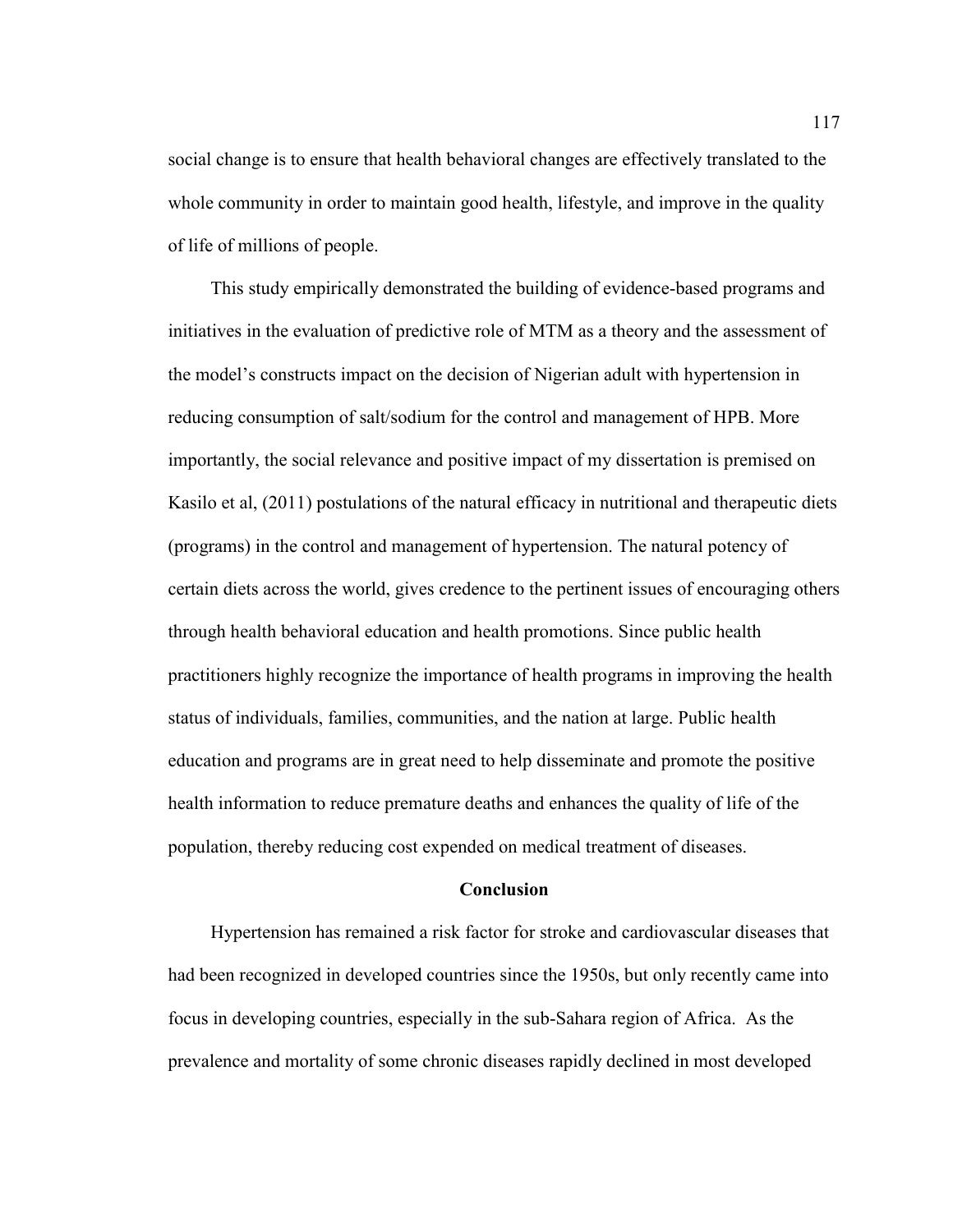social change is to ensure that health behavioral changes are effectively translated to the whole community in order to maintain good health, lifestyle, and improve in the quality of life of millions of people.

This study empirically demonstrated the building of evidence-based programs and initiatives in the evaluation of predictive role of MTM as a theory and the assessment of the model's constructs impact on the decision of Nigerian adult with hypertension in reducing consumption of salt/sodium for the control and management of HPB. More importantly, the social relevance and positive impact of my dissertation is premised on Kasilo et al, (2011) postulations of the natural efficacy in nutritional and therapeutic diets (programs) in the control and management of hypertension. The natural potency of certain diets across the world, gives credence to the pertinent issues of encouraging others through health behavioral education and health promotions. Since public health practitioners highly recognize the importance of health programs in improving the health status of individuals, families, communities, and the nation at large. Public health education and programs are in great need to help disseminate and promote the positive health information to reduce premature deaths and enhances the quality of life of the population, thereby reducing cost expended on medical treatment of diseases.

# **Conclusion**

Hypertension has remained a risk factor for stroke and cardiovascular diseases that had been recognized in developed countries since the 1950s, but only recently came into focus in developing countries, especially in the sub-Sahara region of Africa. As the prevalence and mortality of some chronic diseases rapidly declined in most developed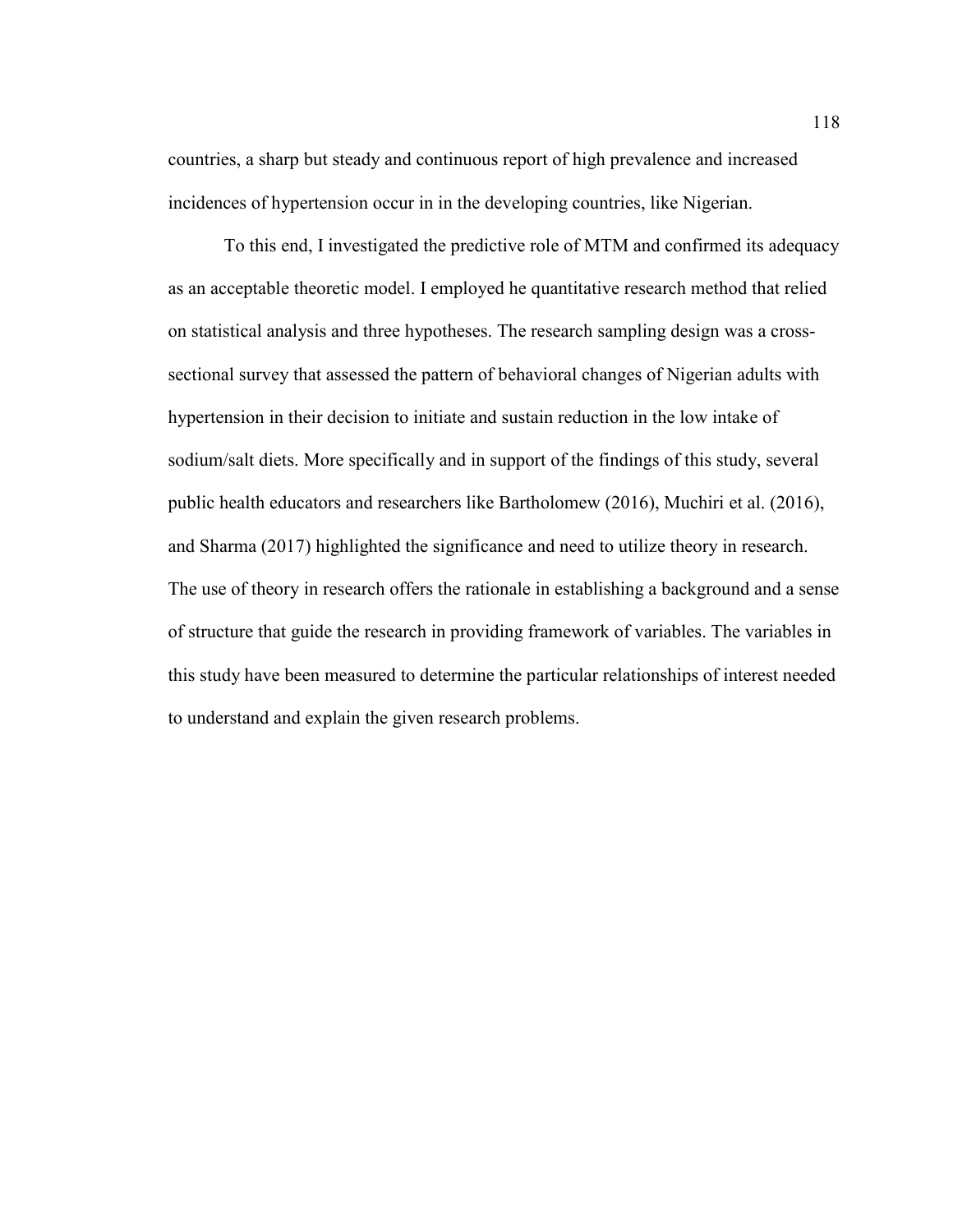countries, a sharp but steady and continuous report of high prevalence and increased incidences of hypertension occur in in the developing countries, like Nigerian.

To this end, I investigated the predictive role of MTM and confirmed its adequacy as an acceptable theoretic model. I employed he quantitative research method that relied on statistical analysis and three hypotheses. The research sampling design was a crosssectional survey that assessed the pattern of behavioral changes of Nigerian adults with hypertension in their decision to initiate and sustain reduction in the low intake of sodium/salt diets. More specifically and in support of the findings of this study, several public health educators and researchers like Bartholomew (2016), Muchiri et al. (2016), and Sharma (2017) highlighted the significance and need to utilize theory in research. The use of theory in research offers the rationale in establishing a background and a sense of structure that guide the research in providing framework of variables. The variables in this study have been measured to determine the particular relationships of interest needed to understand and explain the given research problems.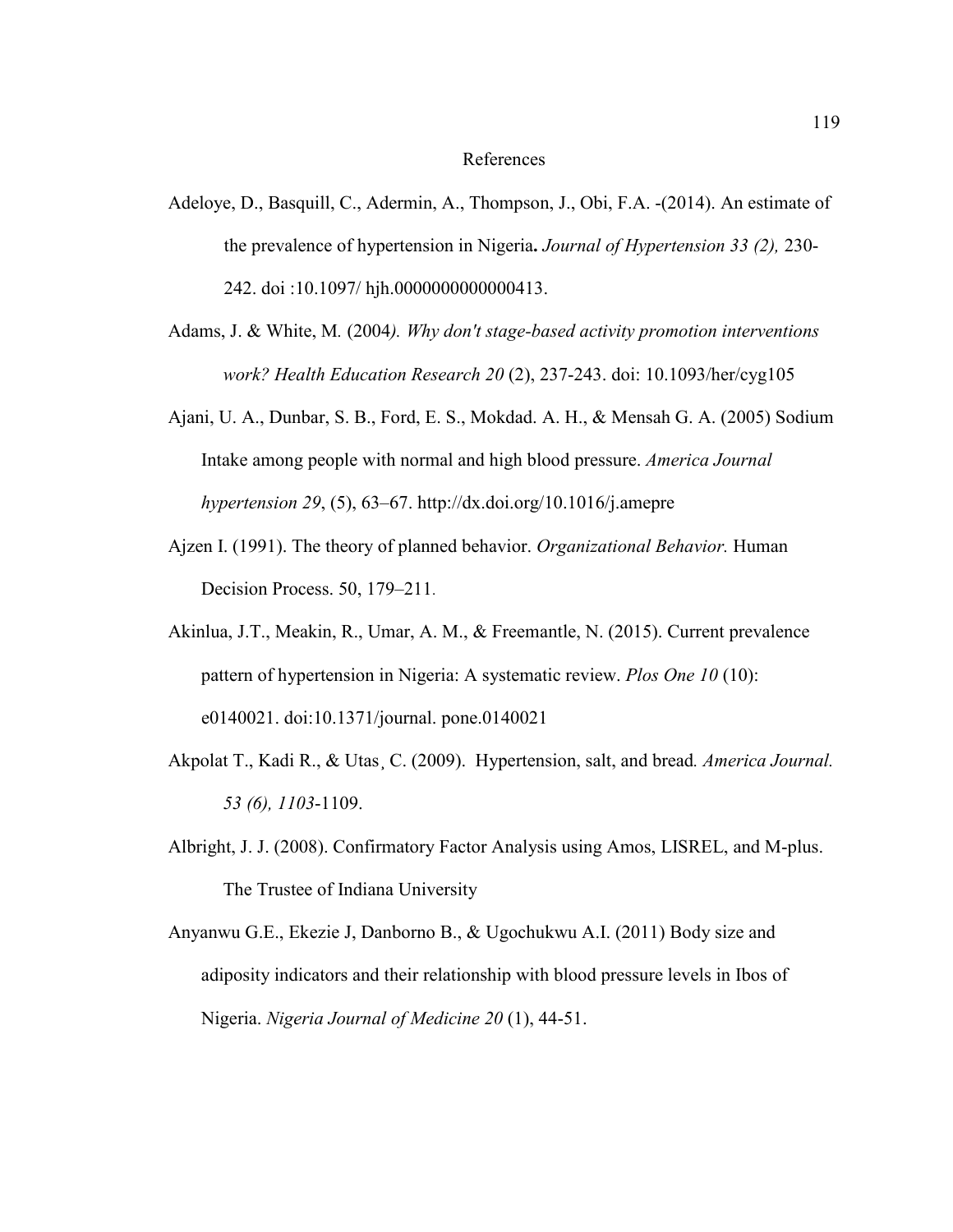#### References

- Adeloye, D., Basquill, C., Adermin, A., Thompson, J., Obi, F.A. -(2014). An estimate of the prevalence of hypertension in Nigeria**.** *Journal of Hypertension 33 (2),* 230- 242. doi :10.1097/ hjh.0000000000000413.
- Adams, J. & White, M*.* (2004*). Why don't stage-based activity promotion interventions work? Health Education Research 20* (2), 237-243. doi: 10.1093/her/cyg105
- Ajani, U. A., Dunbar, S. B., Ford, E. S., Mokdad. A. H., & Mensah G. A. (2005) Sodium Intake among people with normal and high blood pressure. *America Journal hypertension 29*, (5), 63–67. http://dx.doi.org/10.1016/j.amepre
- Ajzen I. (1991). The theory of planned behavior. *Organizational Behavior.* Human Decision Process. 50, 179–211.
- Akinlua, J.T., Meakin, R., Umar, A. M., & Freemantle, N. (2015). Current prevalence pattern of hypertension in Nigeria: A systematic review. *Plos One 10* (10): e0140021. doi:10.1371/journal. pone.0140021
- Akpolat T., Kadi R., & Utas¸ C. (2009). Hypertension, salt, and bread*. America Journal. 53 (6), 1103*-1109.
- Albright, J. J. (2008). Confirmatory Factor Analysis using Amos, LISREL, and M-plus. The Trustee of Indiana University
- Anyanwu G.E., Ekezie J, Danborno B., & Ugochukwu A.I. (2011) Body size and adiposity indicators and their relationship with blood pressure levels in Ibos of Nigeria. *Nigeria Journal of Medicine 20* (1), 44-51.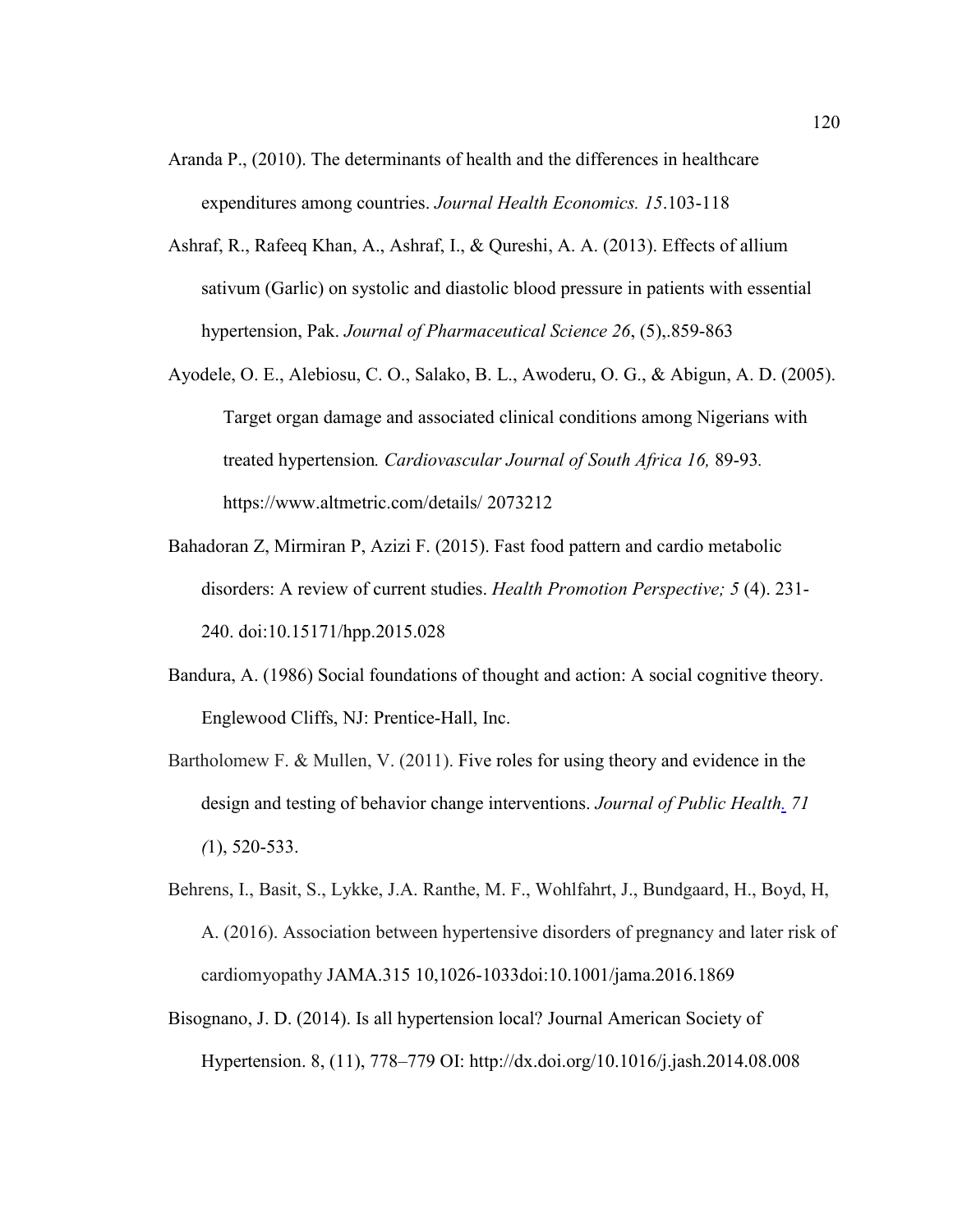- Aranda P., (2010). The determinants of health and the differences in healthcare expenditures among countries. *Journal Health Economics. 15*.103-118
- Ashraf, R., Rafeeq Khan, A., Ashraf, I., & Qureshi, A. A. (2013). Effects of allium sativum (Garlic) on systolic and diastolic blood pressure in patients with essential hypertension, Pak. *Journal of Pharmaceutical Science 26*, (5),.859-863
- Ayodele, O. E., Alebiosu, C. O., Salako, B. L., Awoderu, O. G., & Abigun, A. D. (2005). Target organ damage and associated clinical conditions among Nigerians with treated hypertension*. Cardiovascular Journal of South Africa 16,* 89-93*.* https://www.altmetric.com/details/ 2073212
- Bahadoran Z, Mirmiran P, Azizi F. (2015). Fast food pattern and cardio metabolic disorders: A review of current studies. *Health Promotion Perspective; 5* (4). 231- 240. doi:10.15171/hpp.2015.028
- Bandura, A. (1986) Social foundations of thought and action: A social cognitive theory. Englewood Cliffs, NJ: Prentice-Hall, Inc.
- Bartholomew F. & Mullen, V. (2011). Five roles for using theory and evidence in the design and testing of behavior change interventions. *Journal of Public Health. 71 (*1), 520-533.
- Behrens, I., Basit, S., Lykke, J.A. Ranthe, M. F., Wohlfahrt, J., Bundgaard, H., Boyd, H, A. (2016). Association between hypertensive disorders of pregnancy and later risk of cardiomyopathy JAMA.315 10,1026-1033doi:10.1001/jama.2016.1869
- Bisognano, J. D. (2014). Is all hypertension local? Journal American Society of Hypertension. 8, (11), 778–779 OI: http://dx.doi.org/10.1016/j.jash.2014.08.008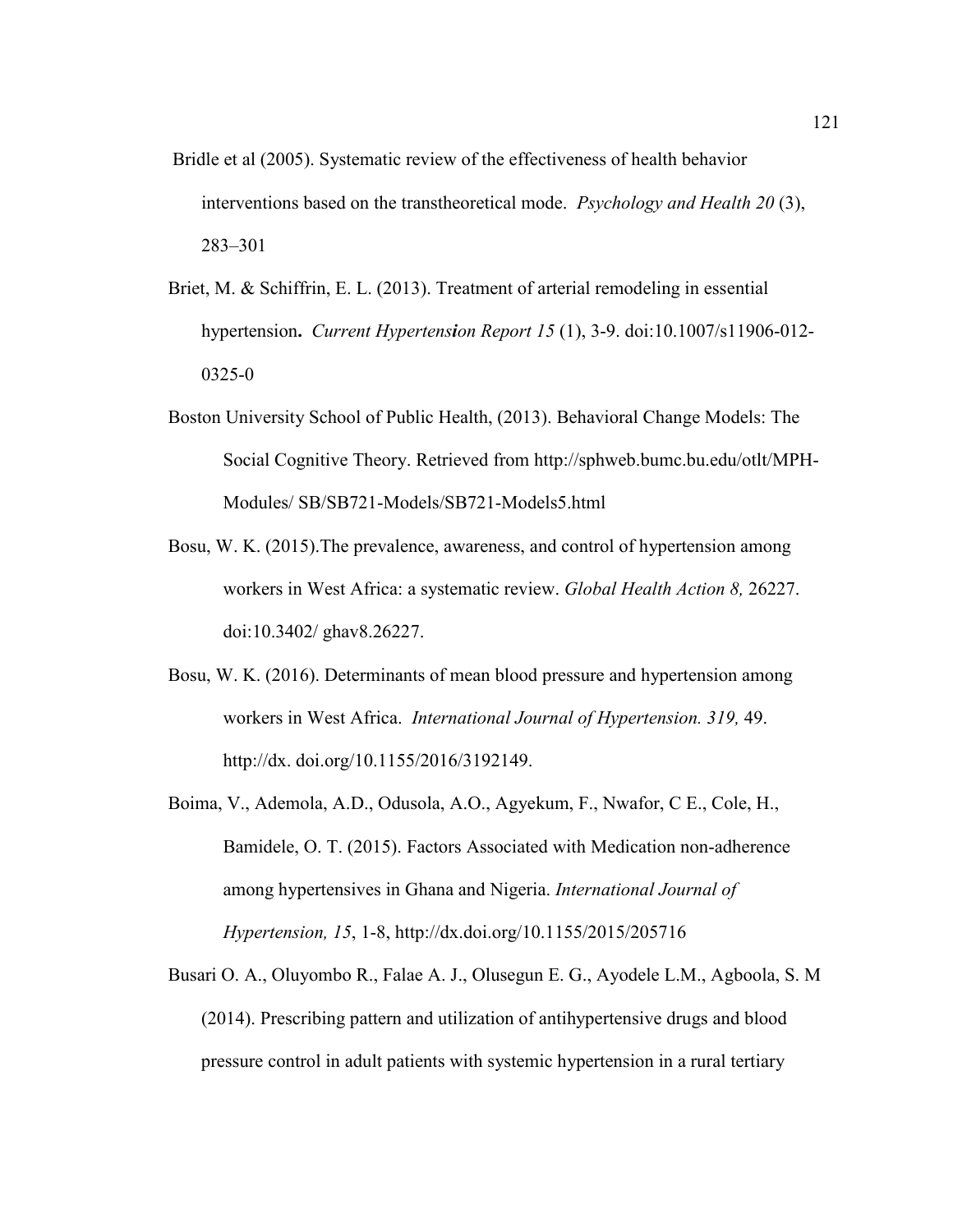- Bridle et al (2005). Systematic review of the effectiveness of health behavior interventions based on the transtheoretical mode. *Psychology and Health 20* (3), 283–301
- Briet, M. & Schiffrin, E. L. (2013). Treatment of arterial remodeling in essential hypertension**.** *Current Hypertension Report 15* (1), 3-9. doi:10.1007/s11906-012- 0325-0
- Boston University School of Public Health, (2013). Behavioral Change Models: The Social Cognitive Theory. Retrieved from http://sphweb.bumc.bu.edu/otlt/MPH-Modules/ SB/SB721-Models/SB721-Models5.html
- Bosu, W. K. (2015).The prevalence, awareness, and control of hypertension among workers in West Africa: a systematic review. *Global Health Action 8,* 26227. doi:10.3402/ ghav8.26227.
- Bosu, W. K. (2016). Determinants of mean blood pressure and hypertension among workers in West Africa. *International Journal of Hypertension. 319,* 49. http://dx. doi.org/10.1155/2016/3192149.
- Boima, V., Ademola, A.D., Odusola, A.O., Agyekum, F., Nwafor, C E., Cole, H., Bamidele, O. T. (2015). Factors Associated with Medication non-adherence among hypertensives in Ghana and Nigeria. *International Journal of Hypertension, 15*, 1-8, http://dx.doi.org/10.1155/2015/205716
- Busari O. A., Oluyombo R., Falae A. J., Olusegun E. G., Ayodele L.M., Agboola, S. M (2014). Prescribing pattern and utilization of antihypertensive drugs and blood pressure control in adult patients with systemic hypertension in a rural tertiary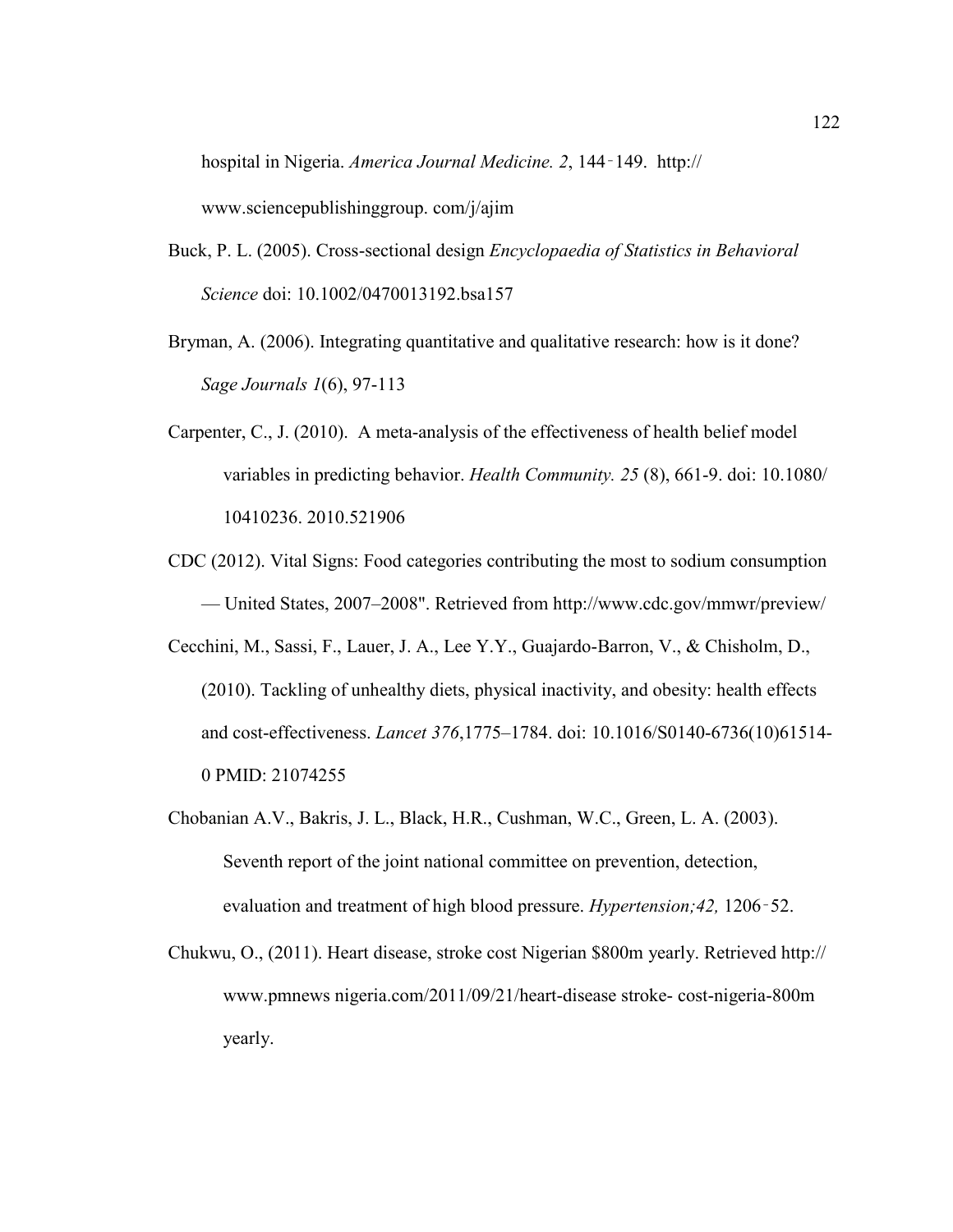hospital in Nigeria. *America Journal Medicine. 2*, 144‑149. http:// www.sciencepublishinggroup. com/j/ajim

- Buck, P. L. (2005). Cross-sectional design *Encyclopaedia of Statistics in Behavioral Science* doi: 10.1002/0470013192.bsa157
- Bryman, A. (2006). Integrating quantitative and qualitative research: how is it done? *Sage Journals 1*(6), 97-113
- Carpenter, C., J. (2010). A meta-analysis of the effectiveness of health belief model variables in predicting behavior. *Health Community. 25* (8), 661-9. doi: 10.1080/ 10410236. 2010.521906
- CDC (2012). Vital Signs: Food categories contributing the most to sodium consumption — United States, 2007–2008". Retrieved from http://www.cdc.gov/mmwr/preview/
- Cecchini, M., Sassi, F., Lauer, J. A., Lee Y.Y., Guajardo-Barron, V., & Chisholm, D., (2010). Tackling of unhealthy diets, physical inactivity, and obesity: health effects and cost-effectiveness. *Lancet 376*,1775–1784. doi: 10.1016/S0140-6736(10)61514- 0 PMID: 21074255
- Chobanian A.V., Bakris, J. L., Black, H.R., Cushman, W.C., Green, L. A. (2003). Seventh report of the joint national committee on prevention, detection, evaluation and treatment of high blood pressure. *Hypertension;42,* 1206‑52.
- Chukwu, O., (2011). Heart disease, stroke cost Nigerian \$800m yearly. Retrieved http:// www.pmnews nigeria.com/2011/09/21/heart-disease stroke- cost-nigeria-800m yearly.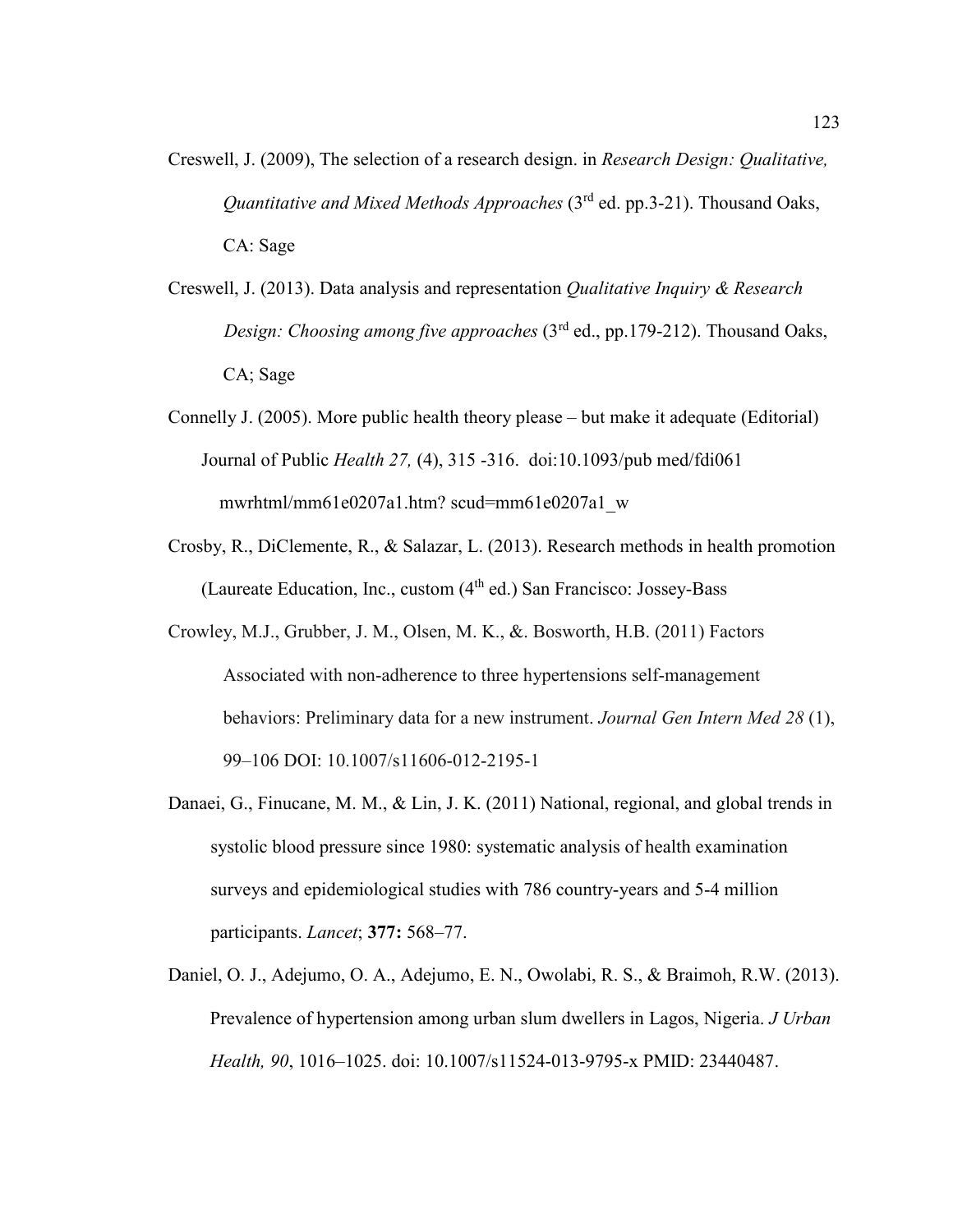- Creswell, J. (2009), The selection of a research design. in *Research Design: Qualitative, Quantitative and Mixed Methods Approaches* (3<sup>rd</sup> ed. pp.3-21). Thousand Oaks, CA: Sage
- Creswell, J. (2013). Data analysis and representation *Qualitative Inquiry & Research Design: Choosing among five approaches* (3<sup>rd</sup> ed., pp.179-212). Thousand Oaks, CA; Sage
- Connelly J. (2005). More public health theory please but make it adequate (Editorial) Journal of Public *Health 27,* (4), 315 -316. doi:10.1093/pub med/fdi061 mwrhtml/mm61e0207a1.htm? scud=mm61e0207a1\_w
- Crosby, R., DiClemente, R., & Salazar, L. (2013). Research methods in health promotion (Laureate Education, Inc., custom  $(4<sup>th</sup>$  ed.) San Francisco: Jossey-Bass
- Crowley, M.J., Grubber, J. M., Olsen, M. K., &. Bosworth, H.B. (2011) Factors Associated with non-adherence to three hypertensions self-management behaviors: Preliminary data for a new instrument. *Journal Gen Intern Med 28* (1), 99–106 DOI: 10.1007/s11606-012-2195-1
- Danaei, G., Finucane, M. M., & Lin, J. K. (2011) National, regional, and global trends in systolic blood pressure since 1980: systematic analysis of health examination surveys and epidemiological studies with 786 country-years and 5-4 million participants. *Lancet*; **377:** 568–77.
- Daniel, O. J., Adejumo, O. A., Adejumo, E. N., Owolabi, R. S., & Braimoh, R.W. (2013). Prevalence of hypertension among urban slum dwellers in Lagos, Nigeria. *J Urban Health, 90*, 1016–1025. doi: 10.1007/s11524-013-9795-x PMID: 23440487.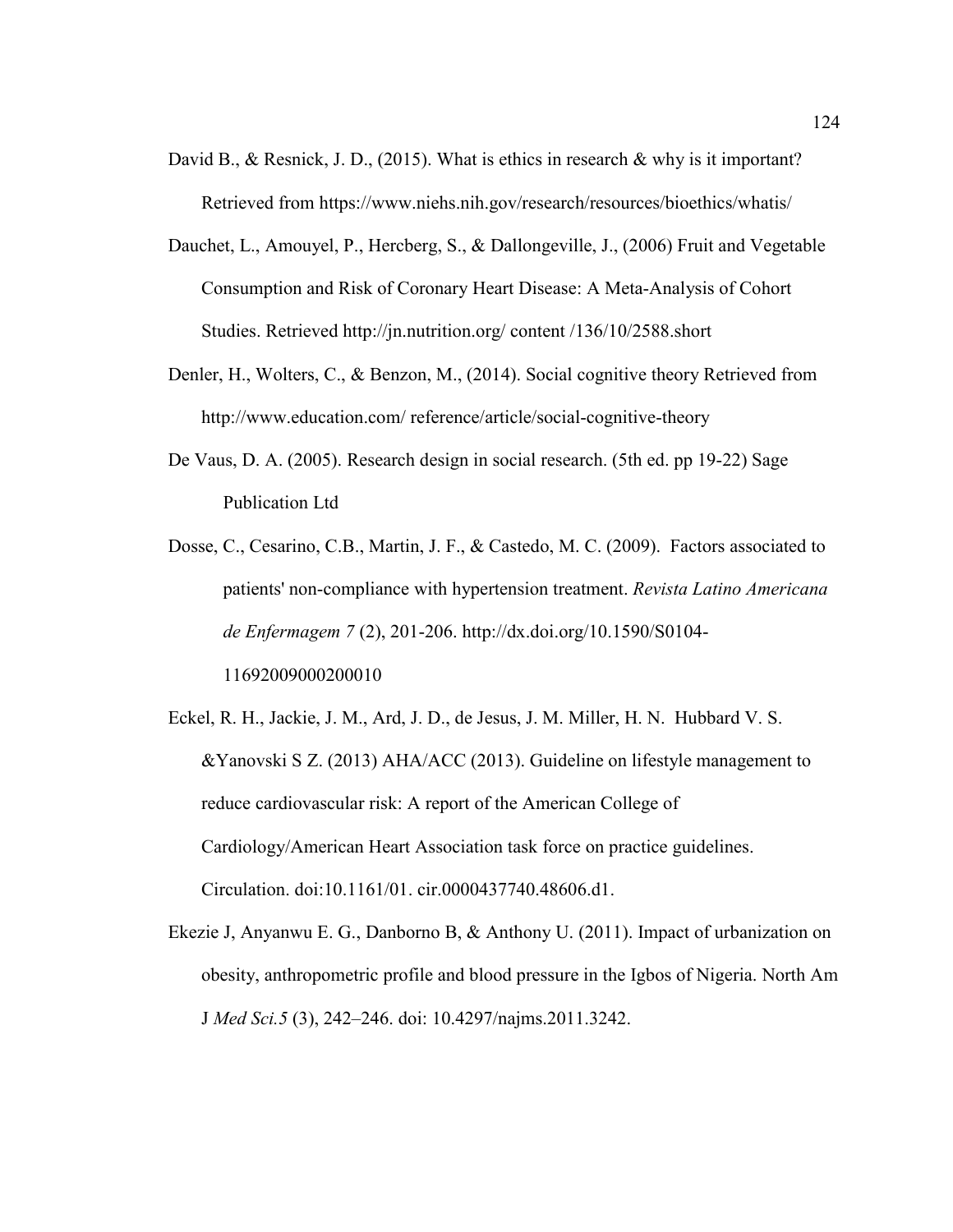- David B., & Resnick, J. D., (2015). What is ethics in research & why is it important? Retrieved from https://www.niehs.nih.gov/research/resources/bioethics/whatis/
- Dauchet, L., Amouyel, P., Hercberg, S., & Dallongeville, J., (2006) Fruit and Vegetable Consumption and Risk of Coronary Heart Disease: A Meta-Analysis of Cohort Studies. Retrieved http://jn.nutrition.org/ content /136/10/2588.short
- Denler, H., Wolters, C., & Benzon, M., (2014). Social cognitive theory Retrieved from http://www.education.com/ reference/article/social-cognitive-theory
- De Vaus, D. A. (2005). Research design in social research. (5th ed. pp 19-22) Sage Publication Ltd
- Dosse, C., Cesarino, C.B., Martin, J. F., & Castedo, M. C. (2009). Factors associated to patients' non-compliance with hypertension treatment. *Revista Latino Americana de Enfermagem 7* (2), 201-206. http://dx.doi.org/10.1590/S0104- 11692009000200010
- Eckel, R. H., Jackie, J. M., Ard, J. D., de Jesus, J. M. Miller, H. N. Hubbard V. S. &Yanovski S Z. (2013) AHA/ACC (2013). Guideline on lifestyle management to reduce cardiovascular risk: A report of the American College of Cardiology/American Heart Association task force on practice guidelines. Circulation. doi:10.1161/01. cir.0000437740.48606.d1.
- Ekezie J, Anyanwu E. G., Danborno B, & Anthony U. (2011). Impact of urbanization on obesity, anthropometric profile and blood pressure in the Igbos of Nigeria. North Am J *Med Sci.5* (3), 242–246. doi: 10.4297/najms.2011.3242.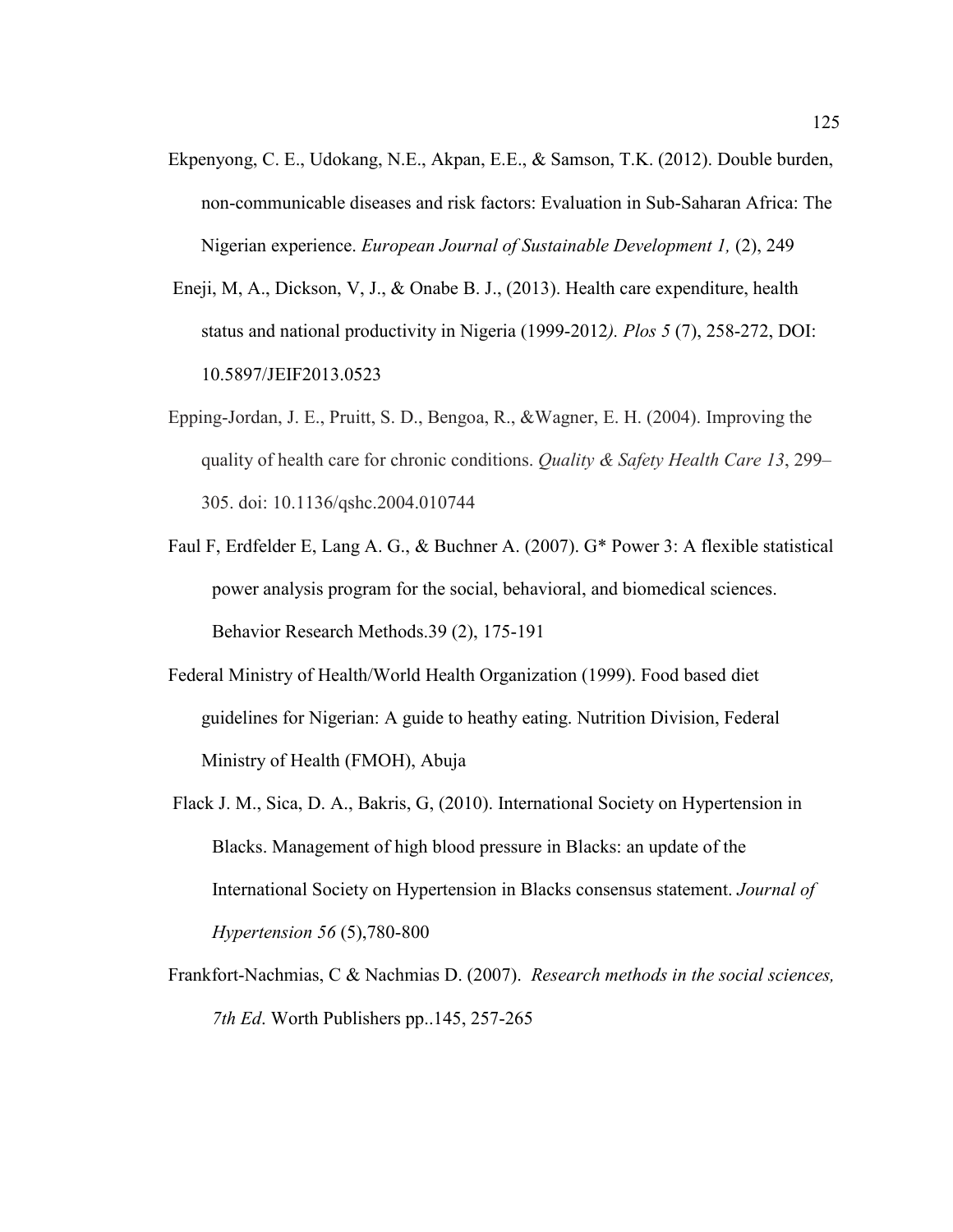- Ekpenyong, C. E., Udokang, N.E., Akpan, E.E., & Samson, T.K. (2012). Double burden, non-communicable diseases and risk factors: Evaluation in Sub-Saharan Africa: The Nigerian experience. *European Journal of Sustainable Development 1,* (2), 249
- Eneji, M, A., Dickson, V, J., & Onabe B. J., (2013). Health care expenditure, health status and national productivity in Nigeria (1999-2012*). Plos 5* (7), 258-272, DOI: 10.5897/JEIF2013.0523
- Epping-Jordan, J. E., Pruitt, S. D., Bengoa, R., &Wagner, E. H. (2004). Improving the quality of health care for chronic conditions. *Quality & Safety Health Care 13*, 299– 305. doi: 10.1136/qshc.2004.010744
- Faul F, Erdfelder E, Lang A. G., & Buchner A. (2007). G\* Power 3: A flexible statistical power analysis program for the social, behavioral, and biomedical sciences. Behavior Research Methods.39 (2), 175-191
- Federal Ministry of Health/World Health Organization (1999). Food based diet guidelines for Nigerian: A guide to heathy eating. Nutrition Division, Federal Ministry of Health (FMOH), Abuja
- Flack J. M., Sica, D. A., Bakris, G, (2010). International Society on Hypertension in Blacks. Management of high blood pressure in Blacks: an update of the International Society on Hypertension in Blacks consensus statement. *Journal of Hypertension 56* (5),780-800
- Frankfort-Nachmias, C & Nachmias D. (2007). *Research methods in the social sciences, 7th Ed*. Worth Publishers pp..145, 257-265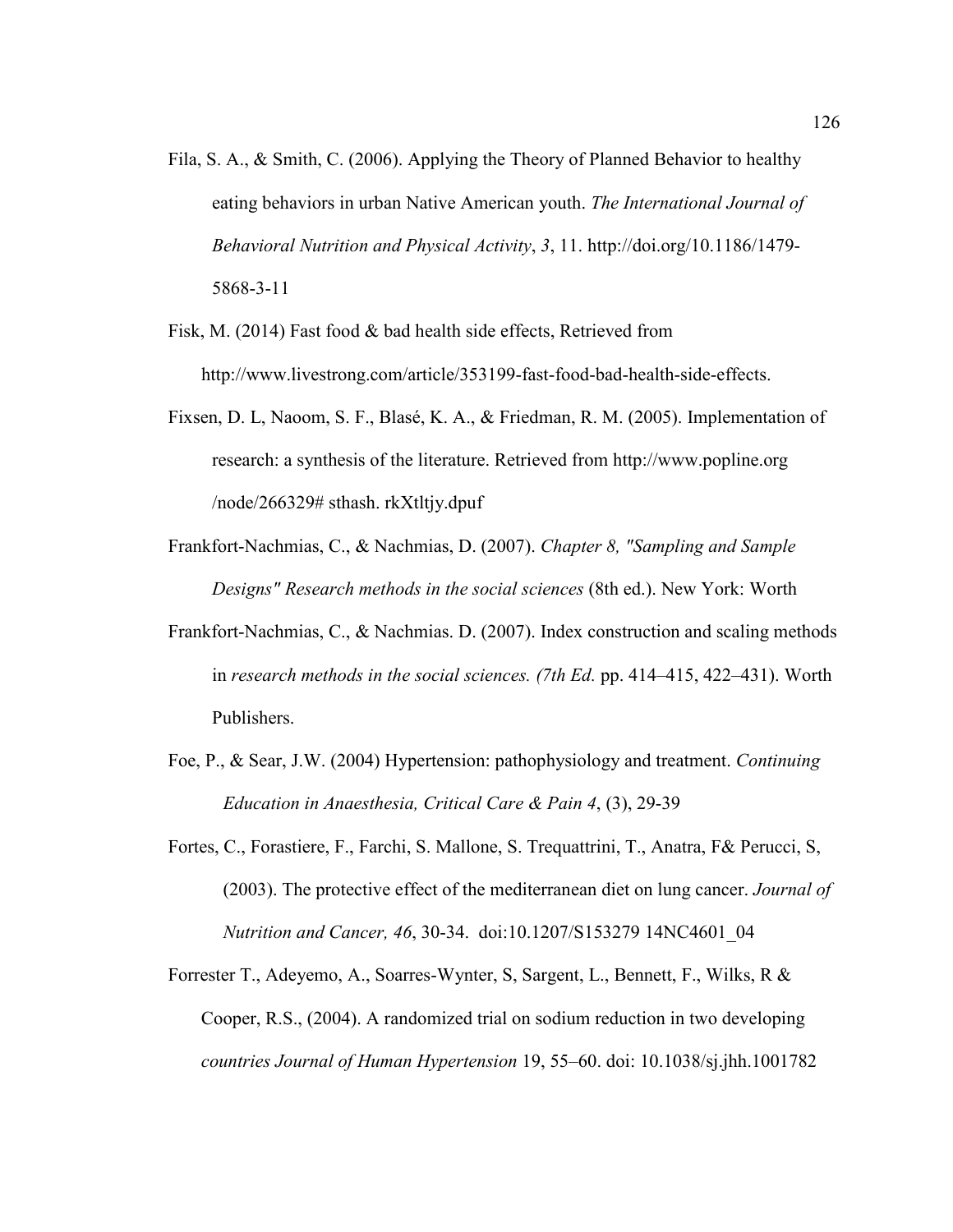- Fila, S. A., & Smith, C. (2006). Applying the Theory of Planned Behavior to healthy eating behaviors in urban Native American youth. *The International Journal of Behavioral Nutrition and Physical Activity*, *3*, 11. http://doi.org/10.1186/1479- 5868-3-11
- Fisk, M. (2014) Fast food & bad health side effects, Retrieved from http://www.livestrong.com/article/353199-fast-food-bad-health-side-effects.
- Fixsen, D. L, Naoom, S. F., Blasé, K. A., & Friedman, R. M. (2005). Implementation of research: a synthesis of the literature. Retrieved from http://www.popline.org /node/266329# sthash. rkXtltjy.dpuf
- Frankfort-Nachmias, C., & Nachmias, D. (2007). *Chapter 8, "Sampling and Sample Designs" Research methods in the social sciences* (8th ed.). New York: Worth
- Frankfort-Nachmias, C., & Nachmias. D. (2007). Index construction and scaling methods in *research methods in the social sciences. (7th Ed.* pp. 414–415, 422–431). Worth Publishers.
- Foe, P., & Sear, J.W. (2004) Hypertension: pathophysiology and treatment. *Continuing Education in Anaesthesia, Critical Care & Pain 4*, (3), 29-39
- Fortes, C., Forastiere, F., Farchi, S. Mallone, S. Trequattrini, T., Anatra, F& Perucci, S, (2003). The protective effect of the mediterranean diet on lung cancer. *Journal of Nutrition and Cancer, 46*, 30-34. doi:10.1207/S153279 14NC4601\_04
- Forrester T., Adeyemo, A., Soarres-Wynter, S, Sargent, L., Bennett, F., Wilks, R & Cooper, R.S., (2004). A randomized trial on sodium reduction in two developing *countries Journal of Human Hypertension* 19, 55–60. doi: 10.1038/sj.jhh.1001782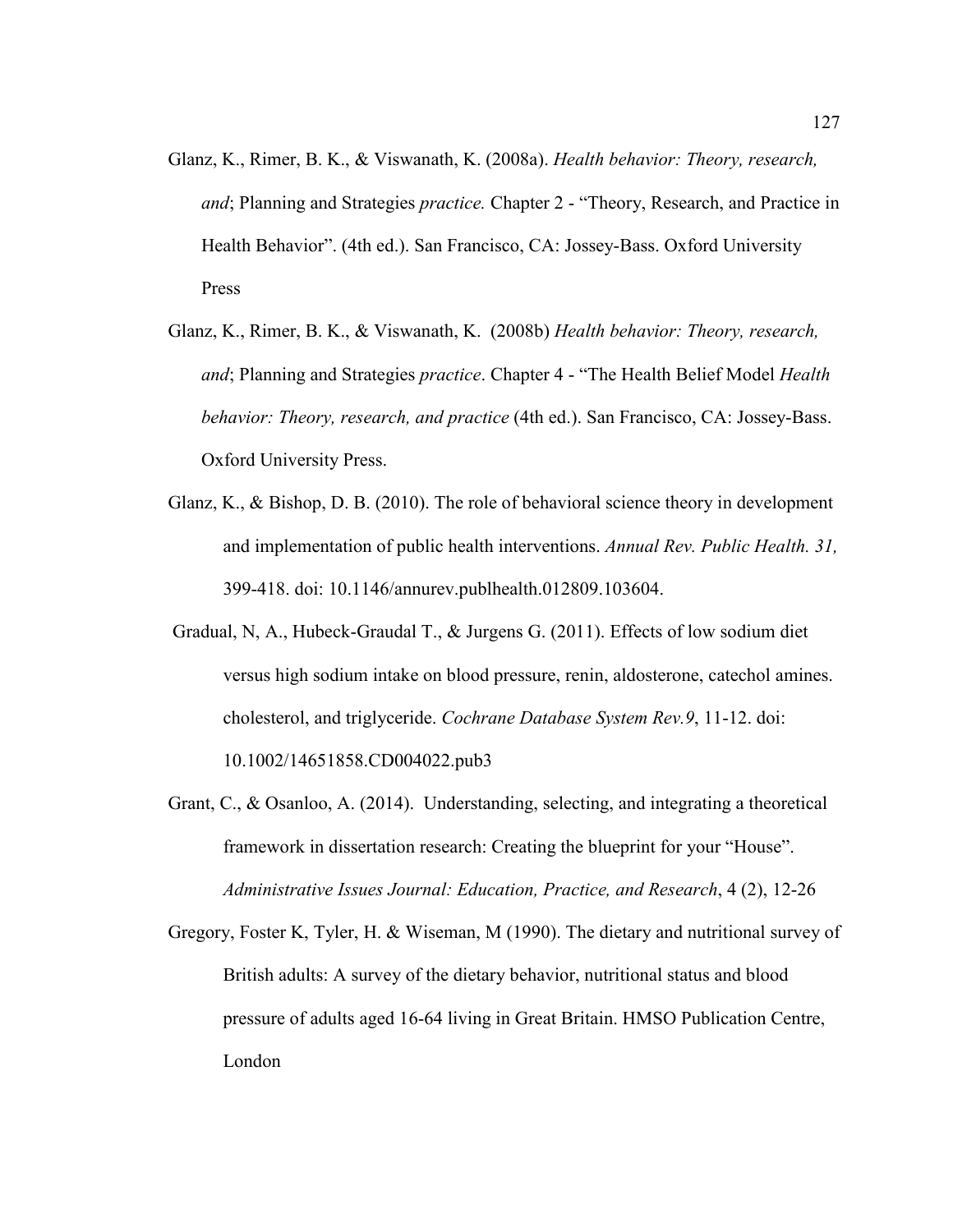- Glanz, K., Rimer, B. K., & Viswanath, K. (2008a). *Health behavior: Theory, research, and*; Planning and Strategies *practice.* Chapter 2 - "Theory, Research, and Practice in Health Behavior". (4th ed.). San Francisco, CA: Jossey-Bass. Oxford University Press
- Glanz, K., Rimer, B. K., & Viswanath, K. (2008b) *Health behavior: Theory, research, and*; Planning and Strategies *practice*. Chapter 4 - "The Health Belief Model *Health behavior: Theory, research, and practice* (4th ed.). San Francisco, CA: Jossey-Bass. Oxford University Press.
- Glanz, K., & Bishop, D. B. (2010). The role of behavioral science theory in development and implementation of public health interventions. *Annual Rev. Public Health. 31,*  399-418. doi: 10.1146/annurev.publhealth.012809.103604.
- Gradual, N, A., Hubeck-Graudal T., & Jurgens G. (2011). Effects of low sodium diet versus high sodium intake on blood pressure, renin, aldosterone, catechol amines. cholesterol, and triglyceride. *Cochrane Database System Rev.9*, 11-12. doi: 10.1002/14651858.CD004022.pub3
- Grant, C., & Osanloo, A. (2014). Understanding, selecting, and integrating a theoretical framework in dissertation research: Creating the blueprint for your "House". *Administrative Issues Journal: Education, Practice, and Research*, 4 (2), 12-26
- Gregory, Foster K, Tyler, H. & Wiseman, M (1990). The dietary and nutritional survey of British adults: A survey of the dietary behavior, nutritional status and blood pressure of adults aged 16-64 living in Great Britain. HMSO Publication Centre, London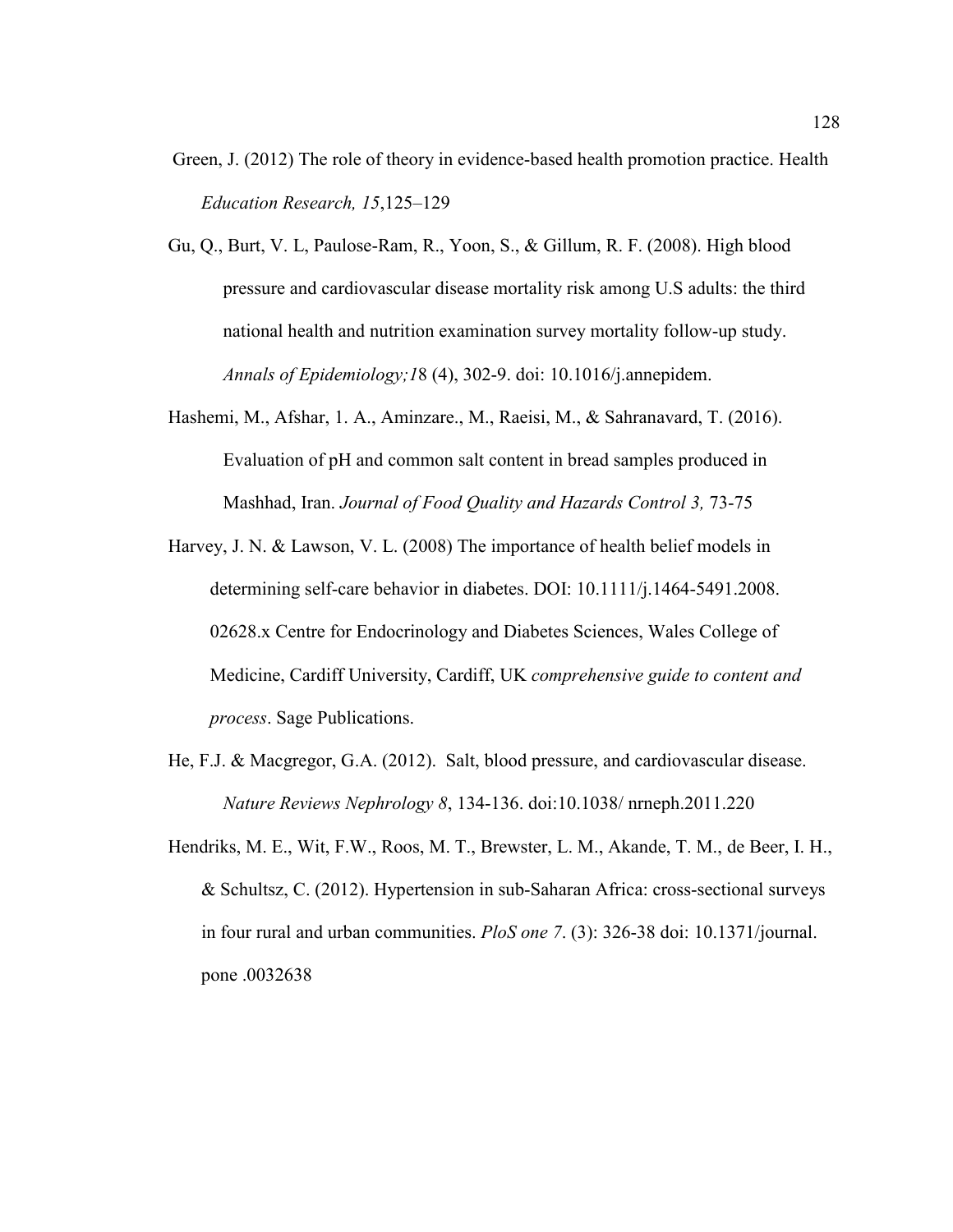- Green, J. (2012) The role of theory in evidence-based health promotion practice. Health *Education Research, 15*,125–129
- Gu, Q., Burt, V. L, Paulose-Ram, R., Yoon, S., & Gillum, R. F. (2008). High blood pressure and cardiovascular disease mortality risk among U.S adults: the third national health and nutrition examination survey mortality follow-up study. *Annals of Epidemiology;1*8 (4), 302-9. doi: 10.1016/j.annepidem.
- Hashemi, M., Afshar, 1. A., Aminzare., M., Raeisi, M., & Sahranavard, T. (2016). Evaluation of pH and common salt content in bread samples produced in Mashhad, Iran. *Journal of Food Quality and Hazards Control 3,* 73-75
- Harvey, J. N. & Lawson, V. L. (2008) The importance of health belief models in determining self-care behavior in diabetes. DOI: 10.1111/j.1464-5491.2008. 02628.x Centre for Endocrinology and Diabetes Sciences, Wales College of Medicine, Cardiff University, Cardiff, UK *comprehensive guide to content and process*. Sage Publications.
- He, F.J. & Macgregor, G.A. (2012). Salt, blood pressure, and cardiovascular disease. *Nature Reviews Nephrology 8*, 134-136. doi:10.1038/ nrneph.2011.220
- Hendriks, M. E., Wit, F.W., Roos, M. T., Brewster, L. M., Akande, T. M., de Beer, I. H., & Schultsz, C. (2012). Hypertension in sub-Saharan Africa: cross-sectional surveys in four rural and urban communities. *PloS one 7*. (3): 326-38 doi: 10.1371/journal. pone .0032638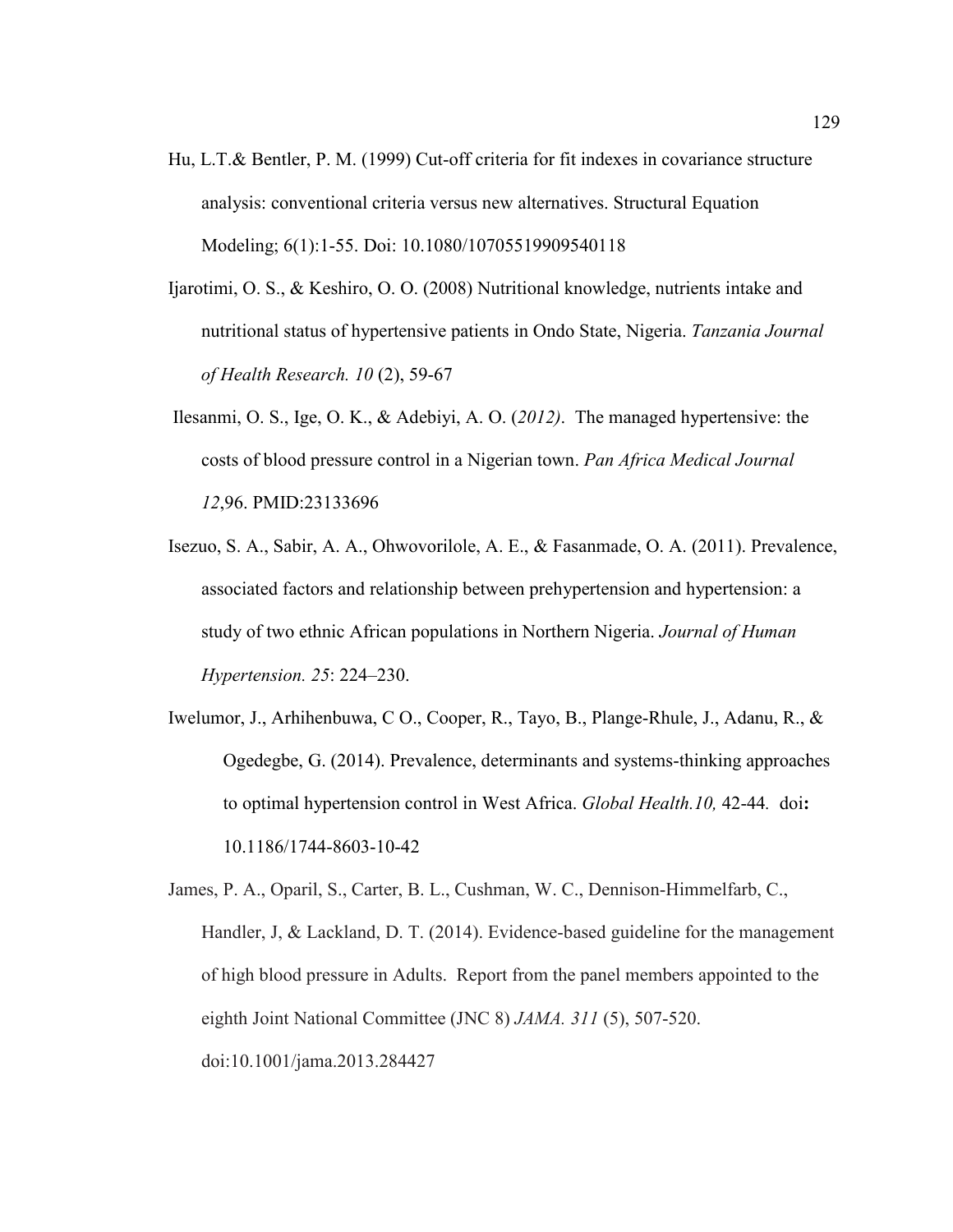- Hu, L.T.& Bentler, P. M. (1999) Cut-off criteria for fit indexes in covariance structure analysis: conventional criteria versus new alternatives. Structural Equation Modeling; 6(1):1-55. Doi: 10.1080/10705519909540118
- Ijarotimi, O. S., & Keshiro, O. O. (2008) Nutritional knowledge, nutrients intake and nutritional status of hypertensive patients in Ondo State, Nigeria. *Tanzania Journal of Health Research. 10* (2), 59-67
- Ilesanmi, O. S., Ige, O. K., & Adebiyi, A. O. (*2012)*. The managed hypertensive: the costs of blood pressure control in a Nigerian town. *Pan Africa Medical Journal 12*,96. PMID:23133696
- Isezuo, S. A., Sabir, A. A., Ohwovorilole, A. E., & Fasanmade, O. A. (2011). Prevalence, associated factors and relationship between prehypertension and hypertension: a study of two ethnic African populations in Northern Nigeria. *Journal of Human Hypertension. 25*: 224–230.
- Iwelumor, J., Arhihenbuwa, C O., Cooper, R., Tayo, B., Plange-Rhule, J., Adanu, R., & Ogedegbe, G. (2014). Prevalence, determinants and systems-thinking approaches to optimal hypertension control in West Africa. *Global Health.10,* 42-44*.* doi**:**  10.1186/1744-8603-10-42

James, P. A., Oparil, S., Carter, B. L., Cushman, W. C., Dennison-Himmelfarb, C., Handler, J, & Lackland, D. T. (2014). Evidence-based guideline for the management of high blood pressure in Adults. Report from the panel members appointed to the eighth Joint National Committee (JNC 8) *JAMA. 311* (5), 507-520. doi:10.1001/jama.2013.284427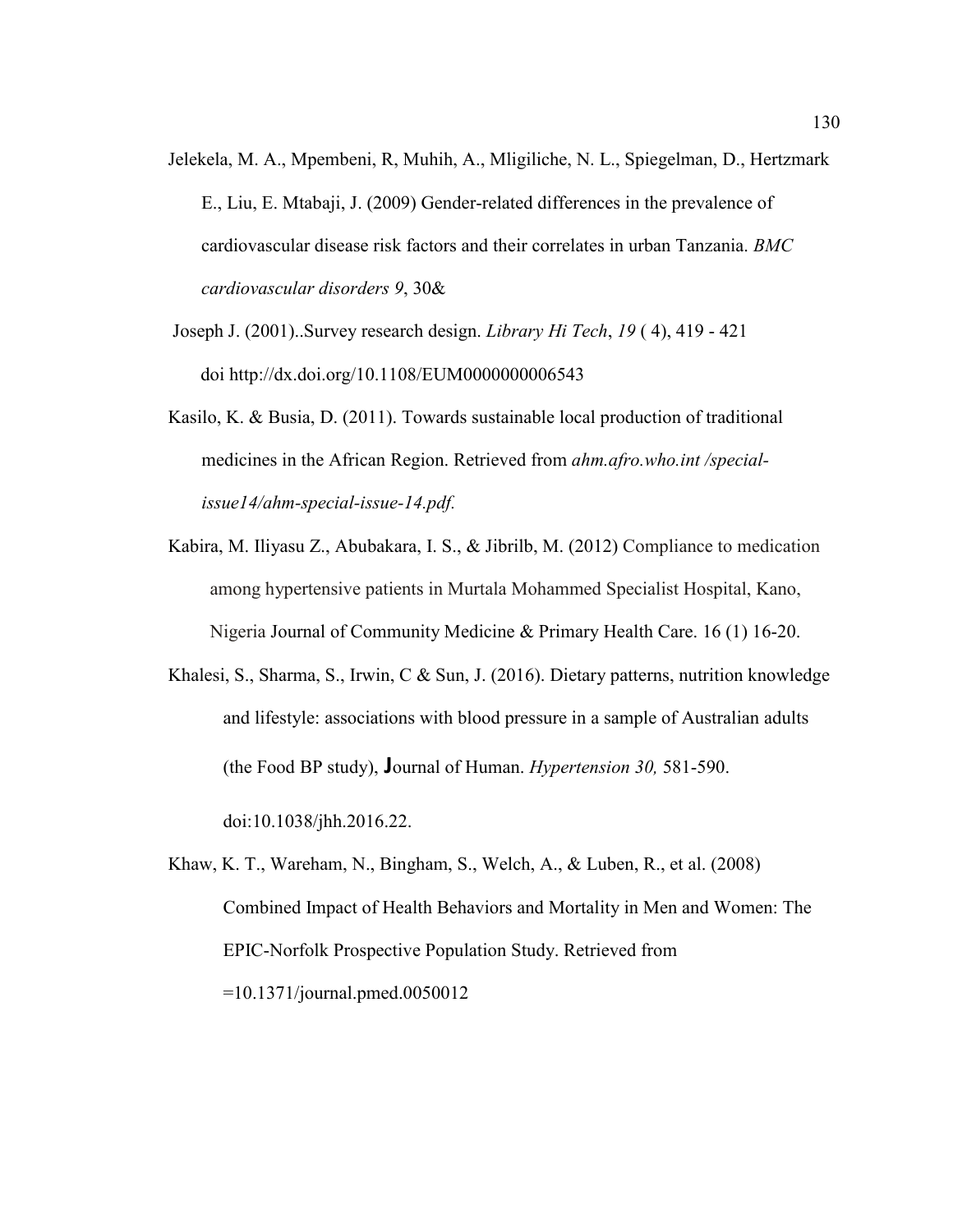- Jelekela, M. A., Mpembeni, R, Muhih, A., Mligiliche, N. L., Spiegelman, D., Hertzmark E., Liu, E. Mtabaji, J. (2009) Gender-related differences in the prevalence of cardiovascular disease risk factors and their correlates in urban Tanzania. *BMC cardiovascular disorders 9*, 30&
- Joseph J. (2001)..Survey research design. *Library Hi Tech*, *19* ( 4), 419 421 doi http://dx.doi.org/10.1108/EUM0000000006543
- Kasilo, K. & Busia, D. (2011). Towards sustainable local production of traditional medicines in the African Region. Retrieved from *ahm.afro.who.int /specialissue14/ahm-special-issue-14.pdf.*
- Kabira, M. Iliyasu Z., Abubakara, I. S., & Jibrilb, M. (2012) Compliance to medication among hypertensive patients in Murtala Mohammed Specialist Hospital, Kano, Nigeria Journal of Community Medicine & Primary Health Care. 16 (1) 16-20.
- Khalesi, S., Sharma, S., Irwin, C & Sun, J. (2016). Dietary patterns, nutrition knowledge and lifestyle: associations with blood pressure in a sample of Australian adults (the Food BP study), **J**ournal of Human. *Hypertension 30,* 581-590.

doi:10.1038/jhh.2016.22.

Khaw, K. T., Wareham, N., Bingham, S., Welch, A., & Luben, R., et al. (2008) Combined Impact of Health Behaviors and Mortality in Men and Women: The EPIC-Norfolk Prospective Population Study. Retrieved from =10.1371/journal.pmed.0050012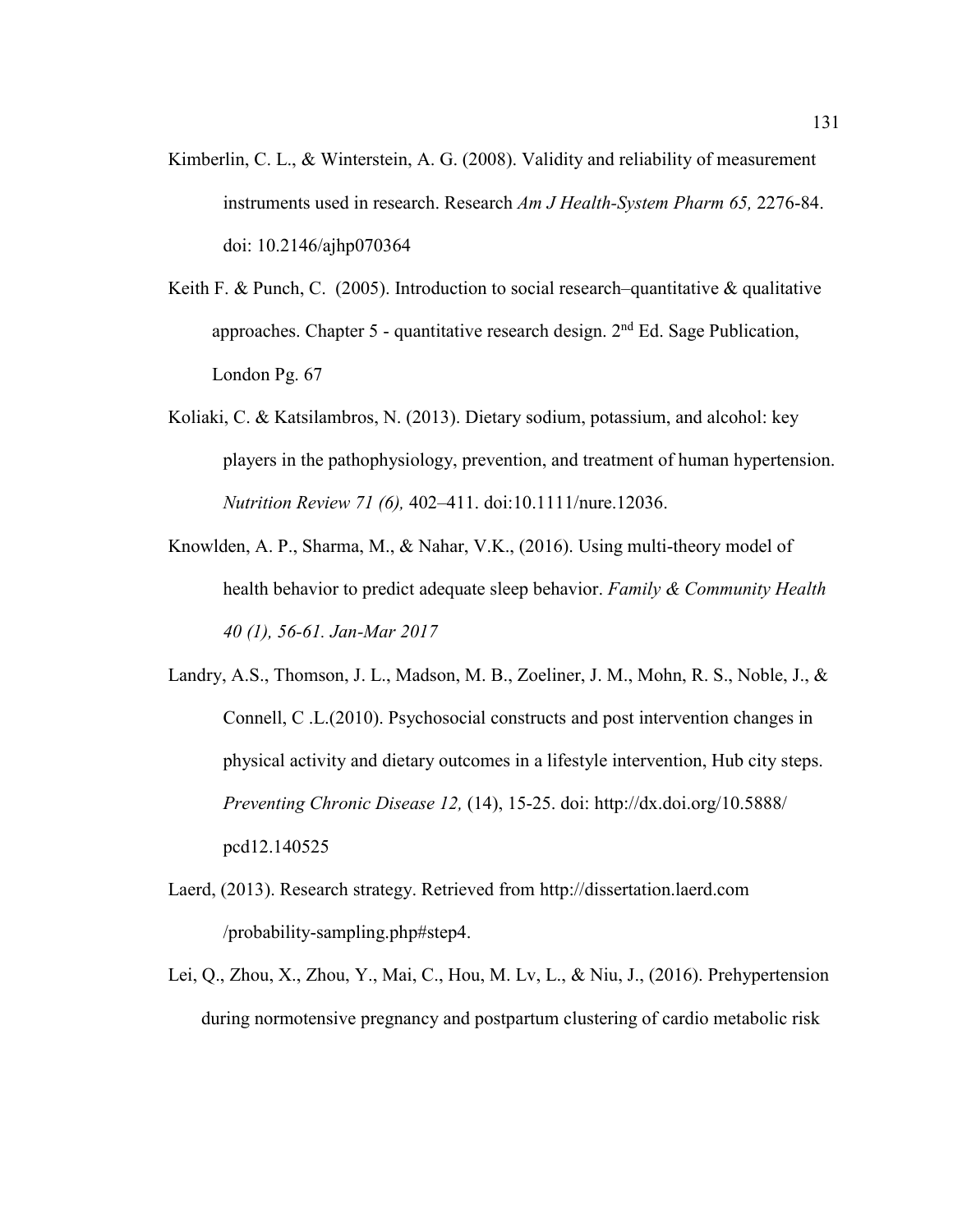- Kimberlin, C. L., & Winterstein, A. G. (2008). Validity and reliability of measurement instruments used in research. Research *Am J Health-System Pharm 65,* 2276-84. doi: 10.2146/ajhp070364
- Keith F. & Punch, C. (2005). Introduction to social research–quantitative & qualitative approaches. Chapter 5 - quantitative research design.  $2<sup>nd</sup>$  Ed. Sage Publication, London Pg. 67
- Koliaki, C. & Katsilambros, N. (2013). Dietary sodium, potassium, and alcohol: key players in the pathophysiology, prevention, and treatment of human hypertension. *Nutrition Review 71 (6),* 402–411. doi:10.1111/nure.12036.
- Knowlden, A. P., Sharma, M., & Nahar, V.K., (2016). Using multi-theory model of health behavior to predict adequate sleep behavior. *Family & Community Health 40 (1), 56-61. Jan-Mar 2017*
- Landry, A.S., Thomson, J. L., Madson, M. B., Zoeliner, J. M., Mohn, R. S., Noble, J., & Connell, C .L.(2010). Psychosocial constructs and post intervention changes in physical activity and dietary outcomes in a lifestyle intervention, Hub city steps. *Preventing Chronic Disease 12,* (14), 15-25. doi: http://dx.doi.org/10.5888/ pcd12.140525
- Laerd, (2013). Research strategy. Retrieved from http://dissertation.laerd.com /probability-sampling.php#step4.
- Lei, Q., Zhou, X., Zhou, Y., Mai, C., Hou, M. Lv, L., & Niu, J., (2016). Prehypertension during normotensive pregnancy and postpartum clustering of cardio metabolic risk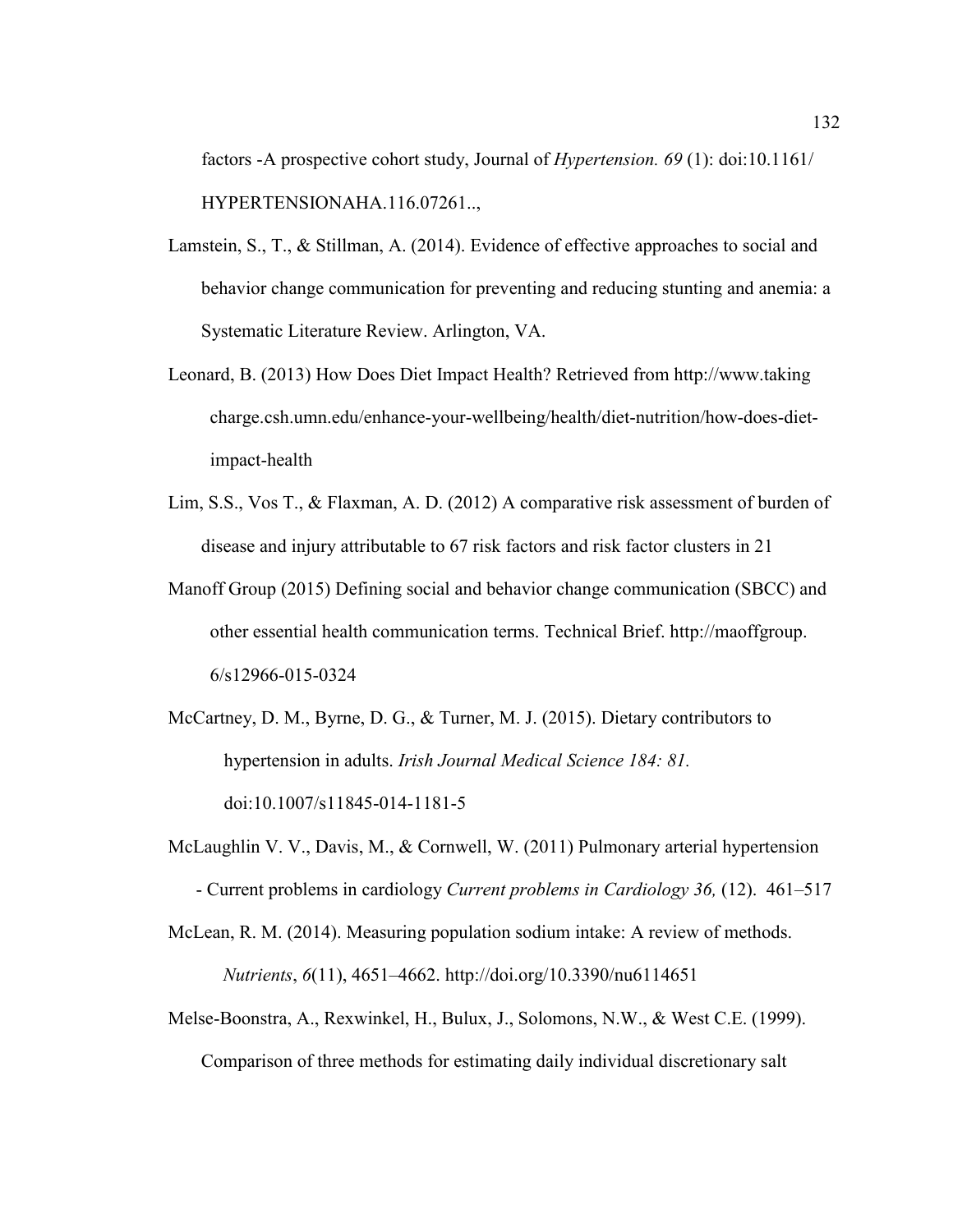factors -A prospective cohort study, Journal of *Hypertension. 69* (1): doi:10.1161/ HYPERTENSIONAHA.116.07261..,

- Lamstein, S., T., & Stillman, A. (2014). Evidence of effective approaches to social and behavior change communication for preventing and reducing stunting and anemia: a Systematic Literature Review. Arlington, VA.
- Leonard, B. (2013) How Does Diet Impact Health? Retrieved from http://www.taking charge.csh.umn.edu/enhance-your-wellbeing/health/diet-nutrition/how-does-dietimpact-health
- Lim, S.S., Vos T., & Flaxman, A. D. (2012) A comparative risk assessment of burden of disease and injury attributable to 67 risk factors and risk factor clusters in 21
- Manoff Group (2015) Defining social and behavior change communication (SBCC) and other essential health communication terms. Technical Brief. http://maoffgroup. 6/s12966-015-0324
- McCartney, D. M., Byrne, D. G., & Turner, M. J. (2015). Dietary contributors to hypertension in adults. *Irish Journal Medical Science 184: 81.* doi:10.1007/s11845-014-1181-5
- McLaughlin V. V., Davis, M., & Cornwell, W. (2011) Pulmonary arterial hypertension - Current problems in cardiology *Current problems in Cardiology 36,* (12). 461–517
- McLean, R. M. (2014). Measuring population sodium intake: A review of methods. *Nutrients*, *6*(11), 4651–4662. http://doi.org/10.3390/nu6114651
- Melse-Boonstra, A., Rexwinkel, H., Bulux, J., Solomons, N.W., & West C.E. (1999). Comparison of three methods for estimating daily individual discretionary salt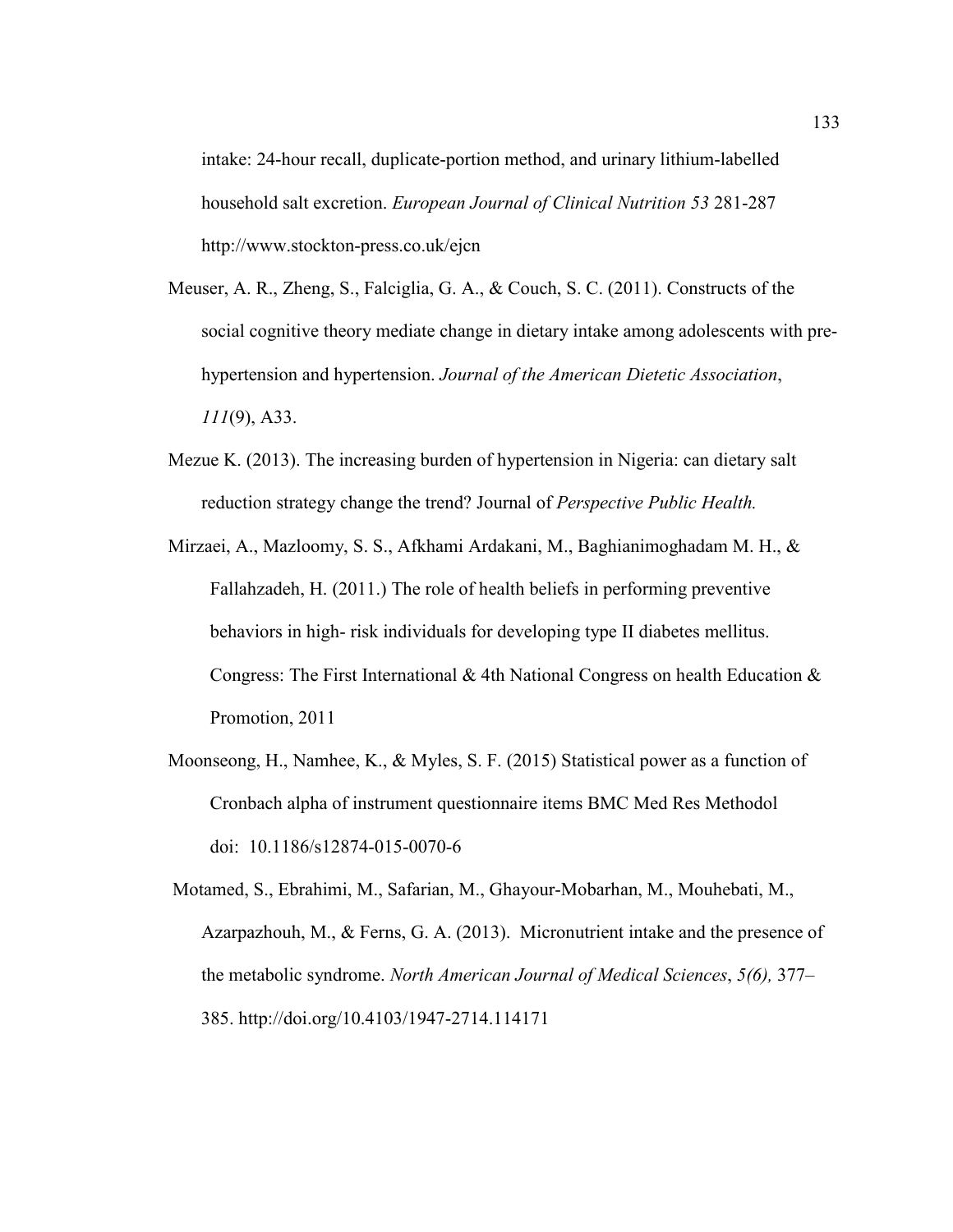intake: 24-hour recall, duplicate-portion method, and urinary lithium-labelled household salt excretion. *European Journal of Clinical Nutrition 53* 281-287 http://www.stockton-press.co.uk/ejcn

- Meuser, A. R., Zheng, S., Falciglia, G. A., & Couch, S. C. (2011). Constructs of the social cognitive theory mediate change in dietary intake among adolescents with prehypertension and hypertension. *Journal of the American Dietetic Association*, *111*(9), A33.
- Mezue K. (2013). The increasing burden of hypertension in Nigeria: can dietary salt reduction strategy change the trend? Journal of *Perspective Public Health.*
- Mirzaei, A., Mazloomy, S. S., Afkhami Ardakani, M., Baghianimoghadam M. H., & Fallahzadeh, H. (2011.) The role of health beliefs in performing preventive behaviors in high- risk individuals for developing type II diabetes mellitus. Congress: The First International & 4th National Congress on health Education & Promotion, 2011
- Moonseong, H., Namhee, K., & Myles, S. F. (2015) Statistical power as a function of Cronbach alpha of instrument questionnaire items BMC Med Res Methodol doi: 10.1186/s12874-015-0070-6
- Motamed, S., Ebrahimi, M., Safarian, M., Ghayour-Mobarhan, M., Mouhebati, M., Azarpazhouh, M., & Ferns, G. A. (2013). Micronutrient intake and the presence of the metabolic syndrome. *North American Journal of Medical Sciences*, *5(6),* 377– 385. http://doi.org/10.4103/1947-2714.114171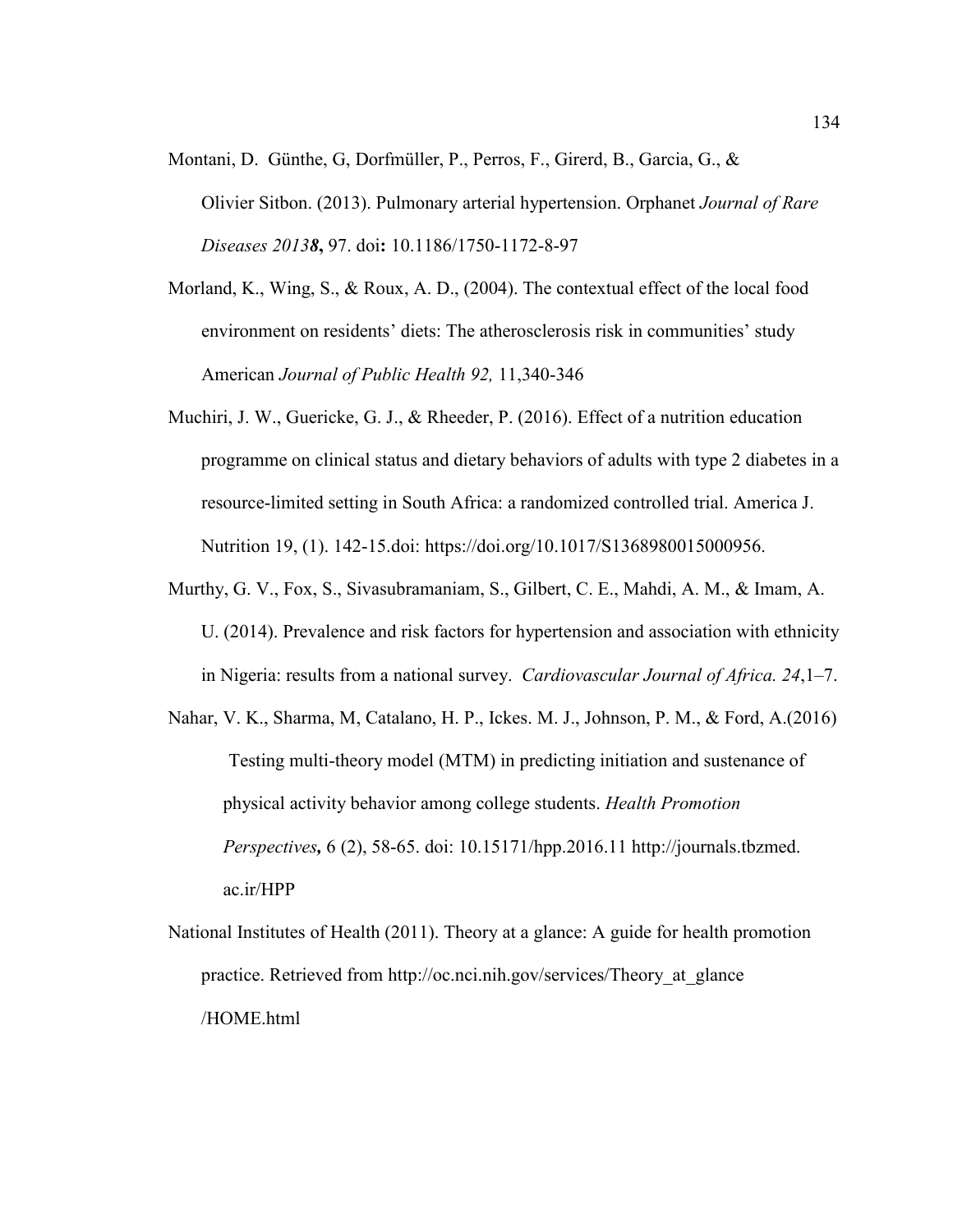- Montani, D. Günthe, G, Dorfmüller, P., Perros, F., Girerd, B., Garcia, G., & Olivier Sitbon. (2013). Pulmonary arterial hypertension. Orphanet *Journal of Rare Diseases 20138***,** 97. doi**:** 10.1186/1750-1172-8-97
- Morland, K., Wing, S., & Roux, A. D., (2004). The contextual effect of the local food environment on residents' diets: The atherosclerosis risk in communities' study American *Journal of Public Health 92,* 11,340-346
- Muchiri, J. W., Guericke, G. J., & Rheeder, P. (2016). Effect of a nutrition education programme on clinical status and dietary behaviors of adults with type 2 diabetes in a resource-limited setting in South Africa: a randomized controlled trial. America J. Nutrition 19, (1). 142-15.doi: https://doi.org/10.1017/S1368980015000956.
- Murthy, G. V., Fox, S., Sivasubramaniam, S., Gilbert, C. E., Mahdi, A. M., & Imam, A. U. (2014). Prevalence and risk factors for hypertension and association with ethnicity in Nigeria: results from a national survey. *Cardiovascular Journal of Africa. 24*,1–7.
- Nahar, V. K., Sharma, M, Catalano, H. P., Ickes. M. J., Johnson, P. M., & Ford, A.(2016) Testing multi-theory model (MTM) in predicting initiation and sustenance of physical activity behavior among college students. *Health Promotion Perspectives,* 6 (2), 58-65. doi: 10.15171/hpp.2016.11 http://journals.tbzmed. ac.ir/HPP
- National Institutes of Health (2011). Theory at a glance: A guide for health promotion practice. Retrieved from http://oc.nci.nih.gov/services/Theory\_at\_glance /HOME.html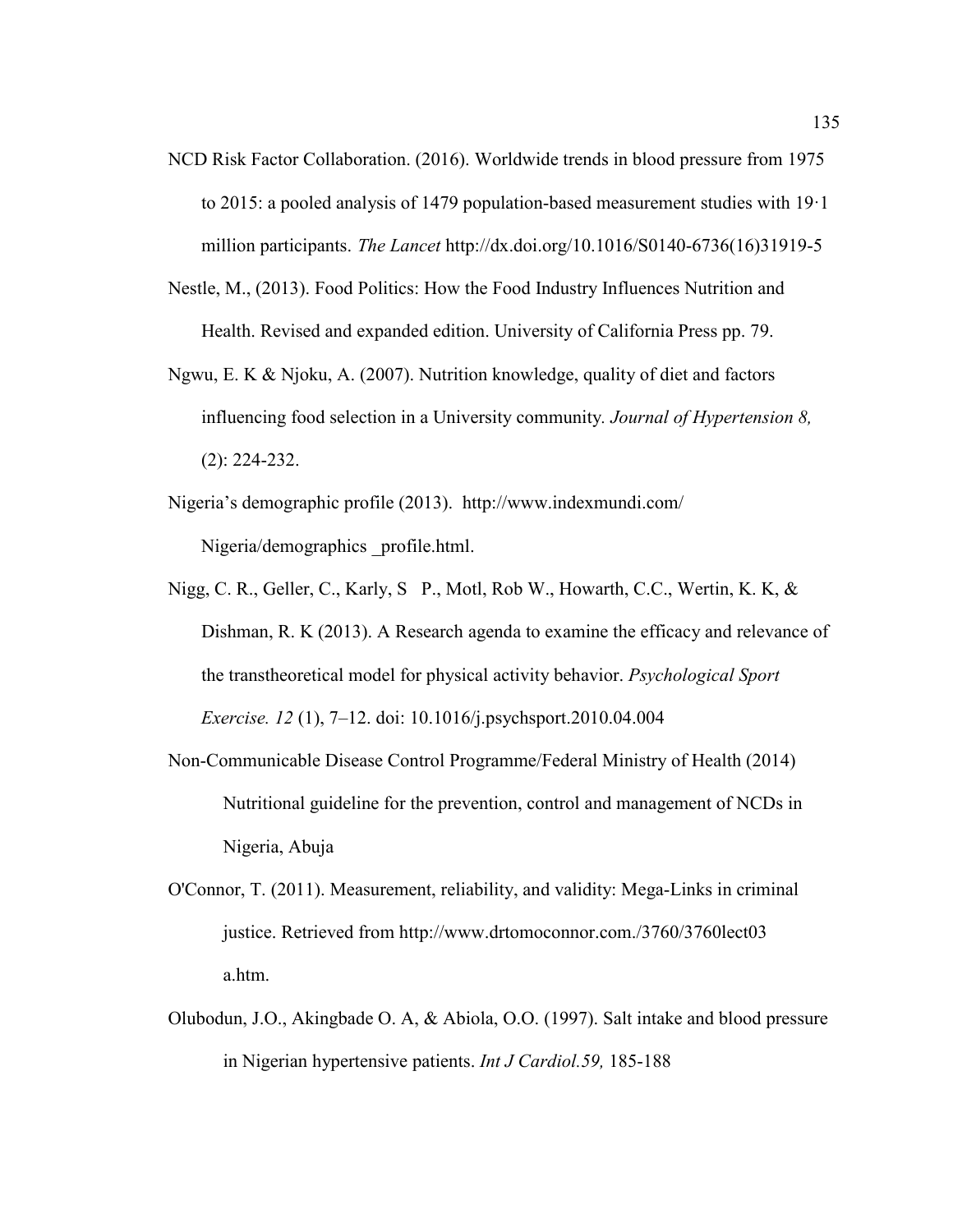- NCD Risk Factor Collaboration. (2016). Worldwide trends in blood pressure from 1975 to 2015: a pooled analysis of 1479 population-based measurement studies with 19·1 million participants. *The Lancet* http://dx.doi.org/10.1016/S0140-6736(16)31919-5
- Nestle, M., (2013). Food Politics: How the Food Industry Influences Nutrition and Health. Revised and expanded edition. University of California Press pp. 79.
- Ngwu, E. K & Njoku, A. (2007). Nutrition knowledge, quality of diet and factors influencing food selection in a University community*. Journal of Hypertension 8,*  (2): 224-232.
- Nigeria's demographic profile (2013). http://www.indexmundi.com/ Nigeria/demographics \_profile.html.
- Nigg, C. R., Geller, C., Karly, S P., Motl, Rob W., Howarth, C.C., Wertin, K. K, & Dishman, R. K (2013). A Research agenda to examine the efficacy and relevance of the transtheoretical model for physical activity behavior. *Psychological Sport Exercise. 12* (1), 7–12. doi: 10.1016/j.psychsport.2010.04.004
- Non-Communicable Disease Control Programme/Federal Ministry of Health (2014) Nutritional guideline for the prevention, control and management of NCDs in Nigeria, Abuja
- O'Connor, T. (2011). Measurement, reliability, and validity: Mega-Links in criminal justice. Retrieved from http://www.drtomoconnor.com./3760/3760lect03 a.htm.
- Olubodun, J.O., Akingbade O. A, & Abiola, O.O. (1997). Salt intake and blood pressure in Nigerian hypertensive patients. *Int J Cardiol.59,* 185-188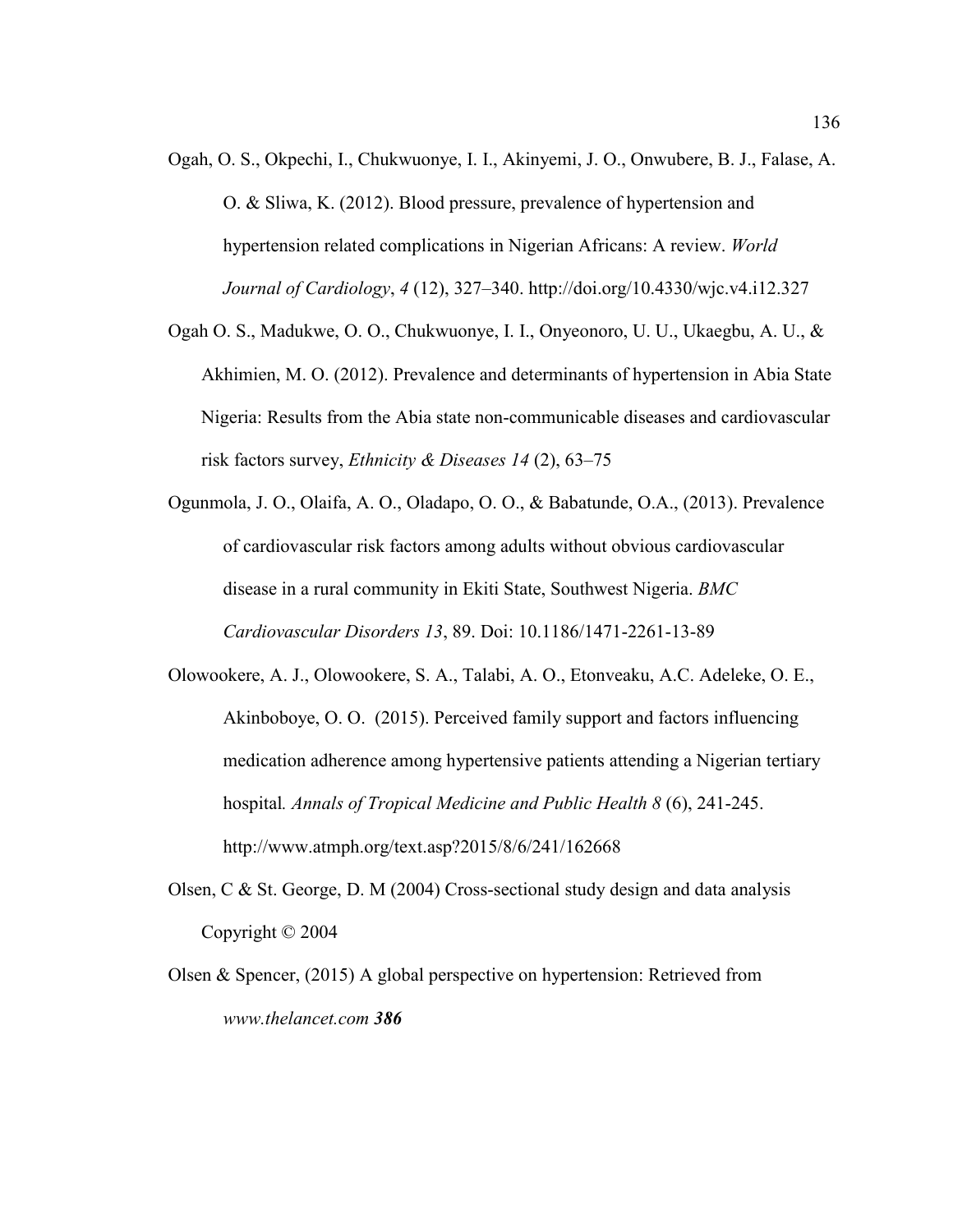- Ogah, O. S., Okpechi, I., Chukwuonye, I. I., Akinyemi, J. O., Onwubere, B. J., Falase, A. O. & Sliwa, K. (2012). Blood pressure, prevalence of hypertension and hypertension related complications in Nigerian Africans: A review. *World Journal of Cardiology*, *4* (12), 327–340. http://doi.org/10.4330/wjc.v4.i12.327
- Ogah O. S., Madukwe, O. O., Chukwuonye, I. I., Onyeonoro, U. U., Ukaegbu, A. U., & Akhimien, M. O. (2012). Prevalence and determinants of hypertension in Abia State Nigeria: Results from the Abia state non-communicable diseases and cardiovascular risk factors survey, *Ethnicity & Diseases 14* (2), 63–75
- Ogunmola, J. O., Olaifa, A. O., Oladapo, O. O., & Babatunde, O.A., (2013). Prevalence of cardiovascular risk factors among adults without obvious cardiovascular disease in a rural community in Ekiti State, Southwest Nigeria. *BMC Cardiovascular Disorders 13*, 89. Doi: 10.1186/1471-2261-13-89
- Olowookere, A. J., Olowookere, S. A., Talabi, A. O., Etonveaku, A.C. Adeleke, O. E., Akinboboye, O. O. (2015). Perceived family support and factors influencing medication adherence among hypertensive patients attending a Nigerian tertiary hospital*. Annals of Tropical Medicine and Public Health 8* (6), 241-245. http://www.atmph.org/text.asp?2015/8/6/241/162668
- Olsen, C & St. George, D. M (2004) Cross-sectional study design and data analysis Copyright © 2004
- Olsen & Spencer, (2015) A global perspective on hypertension: Retrieved from *www.thelancet.com 386*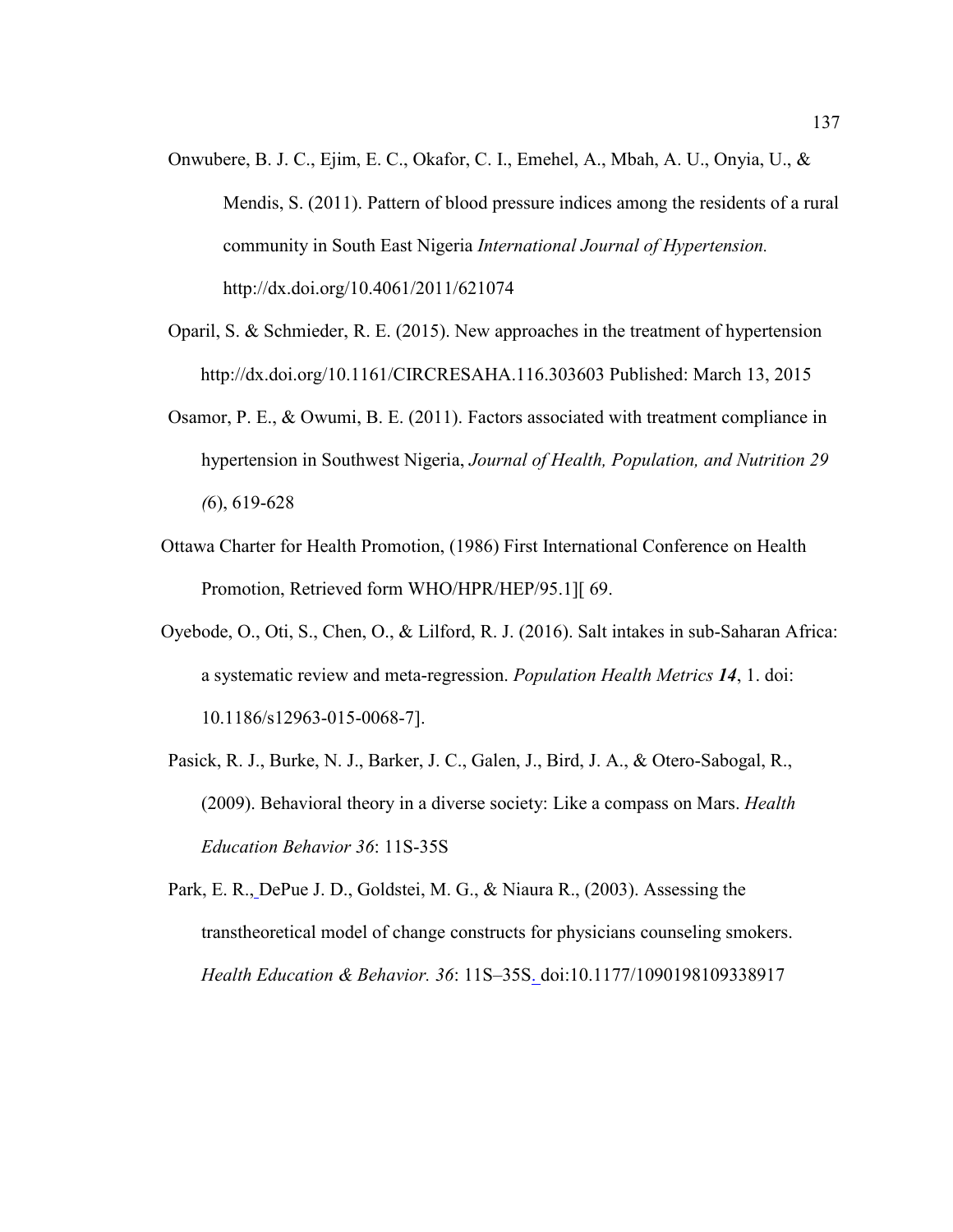- Onwubere, B. J. C., Ejim, E. C., Okafor, C. I., Emehel, A., Mbah, A. U., Onyia, U., & Mendis, S. (2011). Pattern of blood pressure indices among the residents of a rural community in South East Nigeria *International Journal of Hypertension.* http://dx.doi.org/10.4061/2011/621074
- Oparil, S. & Schmieder, R. E. (2015). New approaches in the treatment of hypertension http://dx.doi.org/10.1161/CIRCRESAHA.116.303603 Published: March 13, 2015
- Osamor, P. E., & Owumi, B. E. (2011). Factors associated with treatment compliance in hypertension in Southwest Nigeria, *Journal of Health, Population, and Nutrition 29 (*6), 619-628
- Ottawa Charter for Health Promotion, (1986) First International Conference on Health Promotion, Retrieved form WHO/HPR/HEP/95.1][ 69.
- Oyebode, O., Oti, S., Chen, O., & Lilford, R. J. (2016). Salt intakes in sub-Saharan Africa: a systematic review and meta-regression. *Population Health Metrics 14*, 1. doi: 10.1186/s12963-015-0068-7].
- Pasick, R. J., Burke, N. J., Barker, J. C., Galen, J., Bird, J. A., & Otero-Sabogal, R., (2009). Behavioral theory in a diverse society: Like a compass on Mars. *Health Education Behavior 36*: 11S-35S
- Park, E. R., DePue J. D., Goldstei, M. G., & Niaura R., (2003). Assessing the transtheoretical model of change constructs for physicians counseling smokers. *Health Education & Behavior. 36*: 11S–35S. doi:10.1177/1090198109338917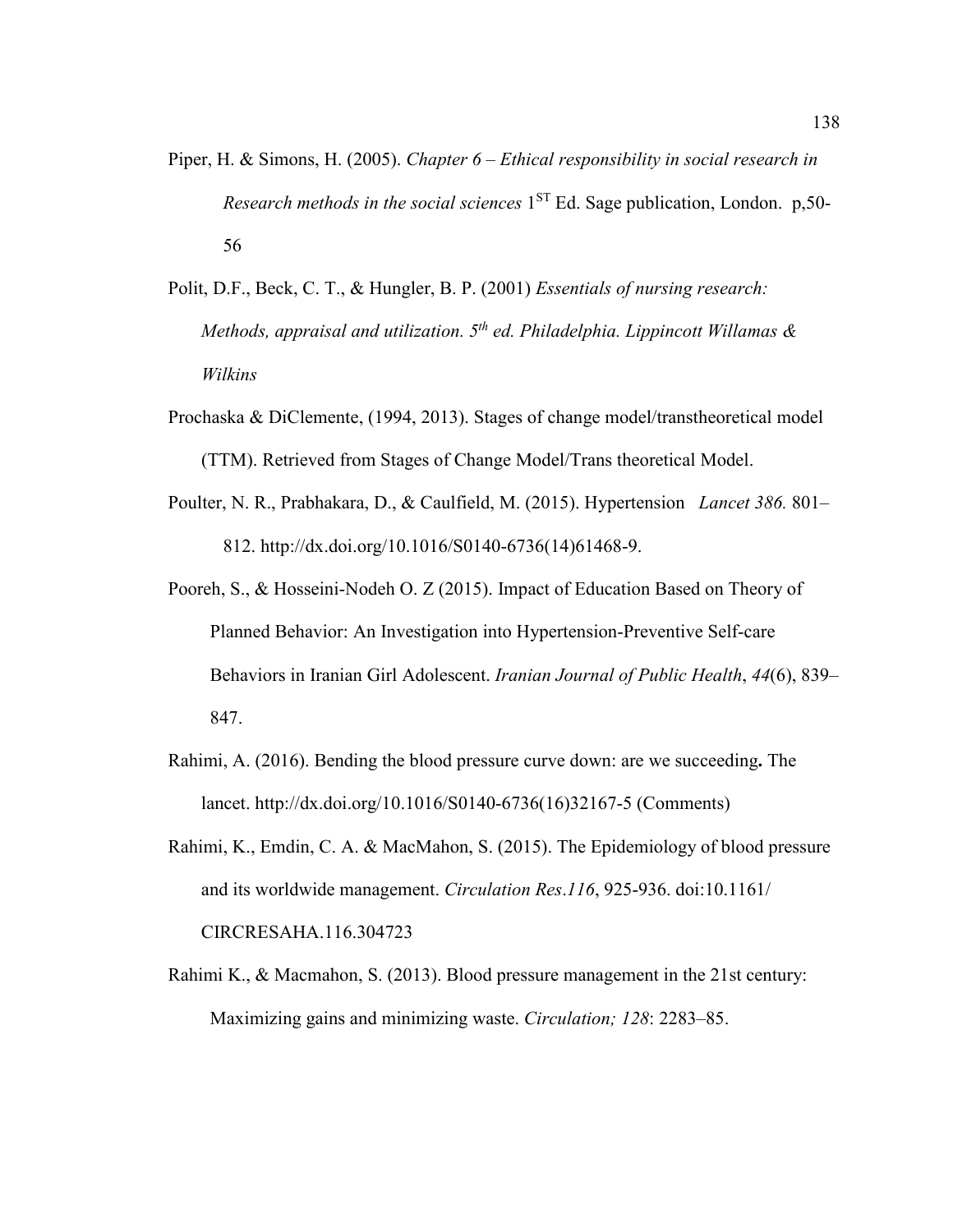- Piper, H. & Simons, H. (2005). *Chapter 6 Ethical responsibility in social research in Research methods in the social sciences* 1<sup>ST</sup> Ed. Sage publication, London. p,50-56
- Polit, D.F., Beck, C. T., & Hungler, B. P. (2001) *Essentials of nursing research: Methods, appraisal and utilization. 5th ed. Philadelphia. Lippincott Willamas & Wilkins*
- Prochaska & DiClemente, (1994, 2013). Stages of change model/transtheoretical model (TTM). Retrieved from Stages of Change Model/Trans theoretical Model.
- Poulter, N. R., Prabhakara, D., & Caulfield, M. (2015). Hypertension *Lancet 386.* 801– 812. http://dx.doi.org/10.1016/S0140-6736(14)61468-9.
- Pooreh, S., & Hosseini-Nodeh O. Z (2015). Impact of Education Based on Theory of Planned Behavior: An Investigation into Hypertension-Preventive Self-care Behaviors in Iranian Girl Adolescent. *Iranian Journal of Public Health*, *44*(6), 839– 847.
- Rahimi, A. (2016). Bending the blood pressure curve down: are we succeeding**.** The lancet. http://dx.doi.org/10.1016/S0140-6736(16)32167-5 (Comments)
- Rahimi, K., Emdin, C. A. & MacMahon, S. (2015). The Epidemiology of blood pressure and its worldwide management. *Circulation Res*.*116*, 925-936. doi:10.1161/ CIRCRESAHA.116.304723
- Rahimi K., & Macmahon, S. (2013). Blood pressure management in the 21st century: Maximizing gains and minimizing waste. *Circulation; 128*: 2283–85.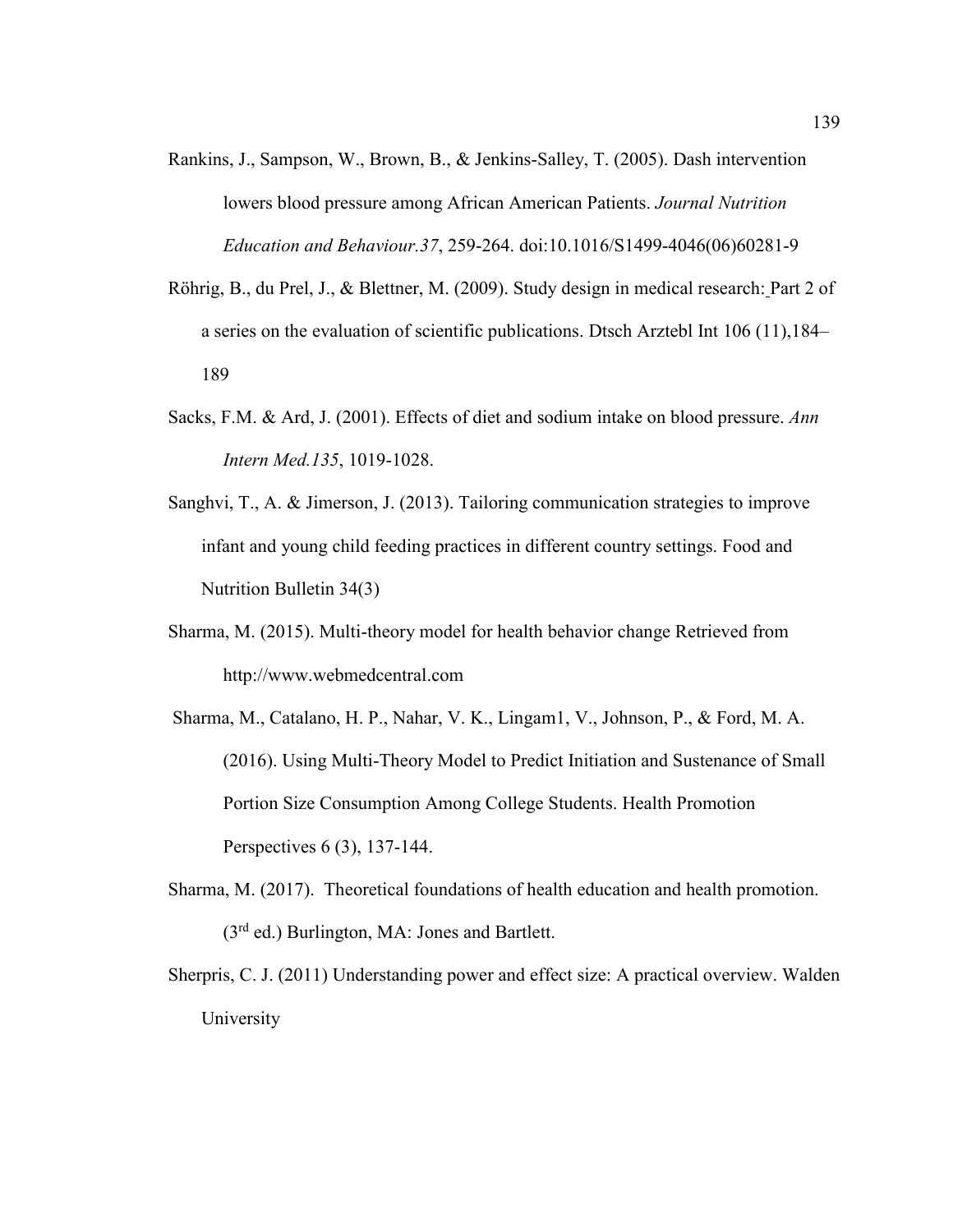- Rankins, J., Sampson, W., Brown, B., & Jenkins-Salley, T. (2005). Dash intervention lowers blood pressure among African American Patients. *Journal Nutrition Education and Behaviour.37*, 259-264. doi:10.1016/S1499-4046(06)60281-9
- Röhrig, B., du Prel, J., & Blettner, M. (2009). Study design in medical research: Part 2 of a series on the evaluation of scientific publications. Dtsch Arztebl Int 106 (11),184– 189
- Sacks, F.M. & Ard, J. (2001). Effects of diet and sodium intake on blood pressure. *Ann Intern Med.135*, 1019-1028.
- Sanghvi, T., A. & Jimerson, J. (2013). Tailoring communication strategies to improve infant and young child feeding practices in different country settings. Food and Nutrition Bulletin 34(3)
- Sharma, M. (2015). Multi-theory model for health behavior change Retrieved from http://www.webmedcentral.com
- Sharma, M., Catalano, H. P., Nahar, V. K., Lingam1, V., Johnson, P., & Ford, M. A. (2016). Using Multi-Theory Model to Predict Initiation and Sustenance of Small Portion Size Consumption Among College Students. Health Promotion Perspectives 6 (3), 137-144.
- Sharma, M. (2017). Theoretical foundations of health education and health promotion. (3rd ed.) Burlington, MA: Jones and Bartlett.
- Sherpris, C. J. (2011) Understanding power and effect size: A practical overview. Walden University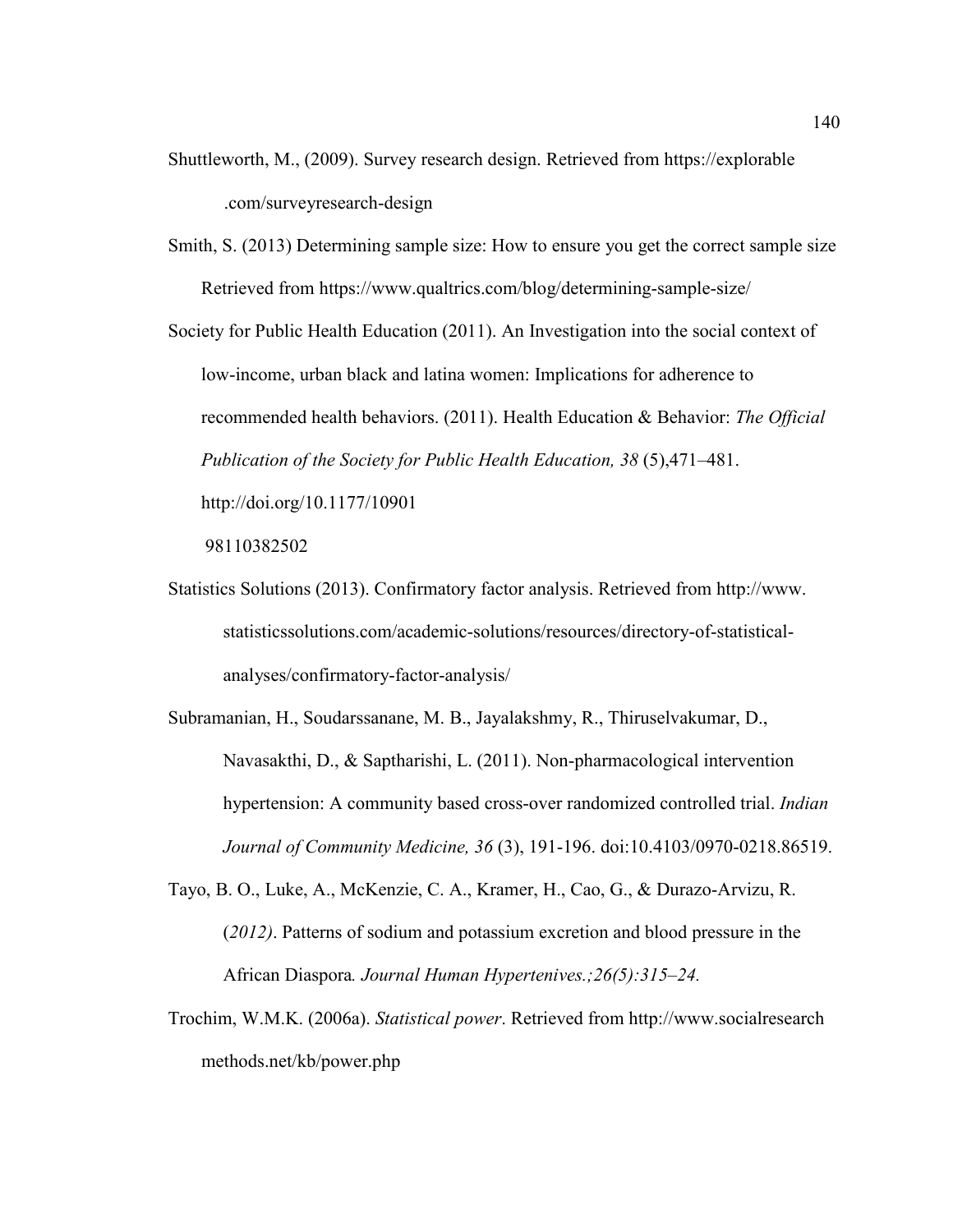- Shuttleworth, M., (2009). Survey research design. Retrieved from https://explorable .com/surveyresearch-design
- Smith, S. (2013) Determining sample size: How to ensure you get the correct sample size Retrieved from https://www.qualtrics.com/blog/determining-sample-size/

Society for Public Health Education (2011). An Investigation into the social context of low-income, urban black and latina women: Implications for adherence to recommended health behaviors. (2011). Health Education & Behavior: *The Official Publication of the Society for Public Health Education, 38* (5),471–481. http://doi.org/10.1177/10901

98110382502

- Statistics Solutions (2013). Confirmatory factor analysis. Retrieved from http://www. statisticssolutions.com/academic-solutions/resources/directory-of-statisticalanalyses/confirmatory-factor-analysis/
- Subramanian, H., Soudarssanane, M. B., Jayalakshmy, R., Thiruselvakumar, D., Navasakthi, D., & Saptharishi, L. (2011). Non-pharmacological intervention hypertension: A community based cross-over randomized controlled trial. *Indian Journal of Community Medicine, 36* (3), 191-196. doi:10.4103/0970-0218.86519.
- Tayo, B. O., Luke, A., McKenzie, C. A., Kramer, H., Cao, G., & Durazo-Arvizu, R. (*2012)*. Patterns of sodium and potassium excretion and blood pressure in the African Diaspora*. Journal Human Hypertenives.;26(5):315–24.*
- Trochim, W.M.K. (2006a). *Statistical power*. Retrieved from http://www.socialresearch methods.net/kb/power.php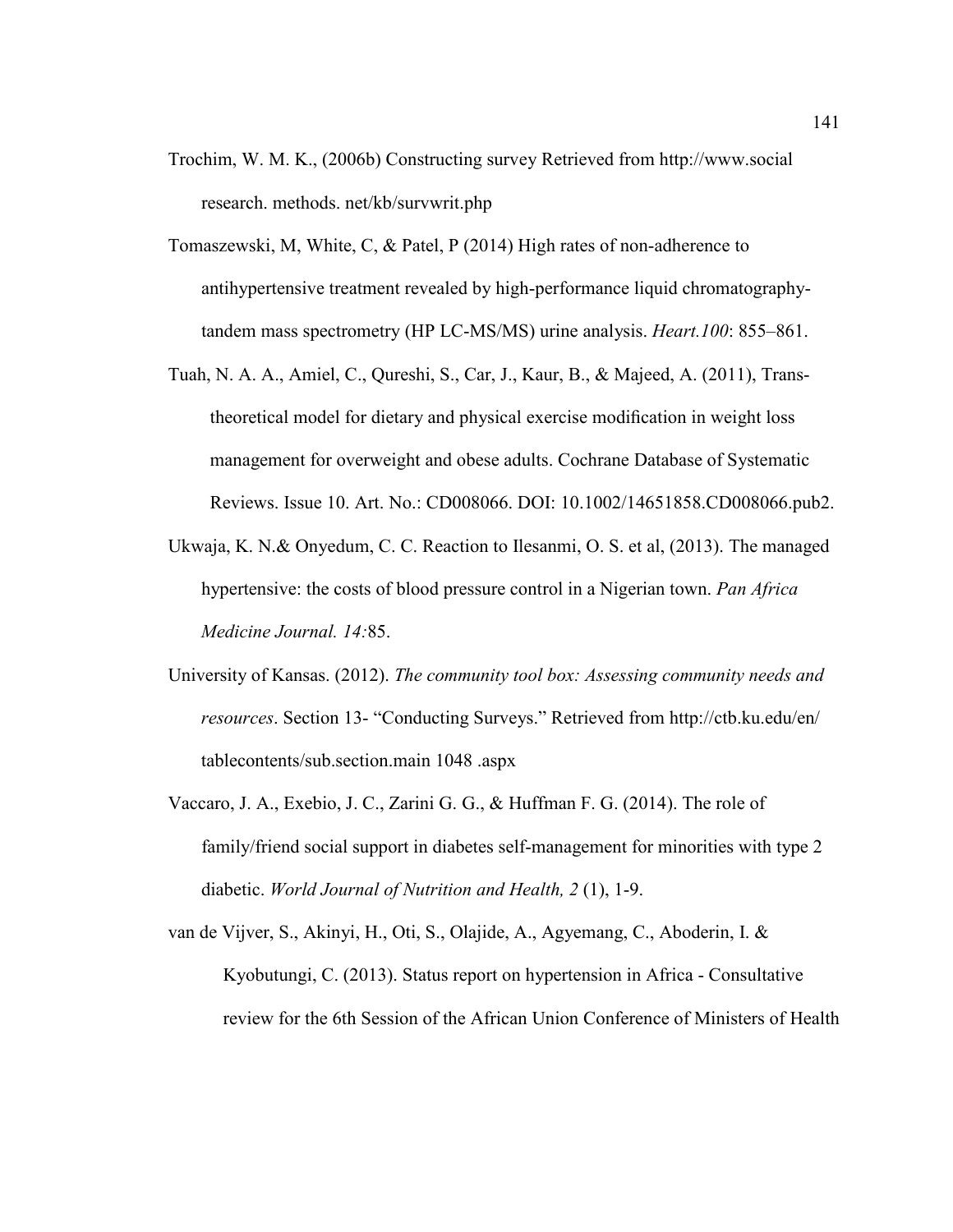- Trochim, W. M. K., (2006b) Constructing survey Retrieved from http://www.social research. methods. net/kb/survwrit.php
- Tomaszewski, M, White, C, & Patel, P (2014) High rates of non-adherence to antihypertensive treatment revealed by high-performance liquid chromatographytandem mass spectrometry (HP LC-MS/MS) urine analysis. *Heart.100*: 855–861.
- Tuah, N. A. A., Amiel, C., Qureshi, S., Car, J., Kaur, B., & Majeed, A. (2011), Transtheoretical model for dietary and physical exercise modification in weight loss management for overweight and obese adults. Cochrane Database of Systematic Reviews. Issue 10. Art. No.: CD008066. DOI: 10.1002/14651858.CD008066.pub2.
- Ukwaja, K. N.& Onyedum, C. C. Reaction to Ilesanmi, O. S. et al, (2013). The managed hypertensive: the costs of blood pressure control in a Nigerian town. *Pan Africa Medicine Journal. 14:*85.
- University of Kansas. (2012). *The community tool box: Assessing community needs and resources*. Section 13- "Conducting Surveys." Retrieved from http://ctb.ku.edu/en/ tablecontents/sub.section.main 1048 .aspx
- Vaccaro, J. A., Exebio, J. C., Zarini G. G., & Huffman F. G. (2014). The role of family/friend social support in diabetes self-management for minorities with type 2 diabetic. *World Journal of Nutrition and Health, 2* (1), 1-9.
- van de Vijver, S., Akinyi, H., Oti, S., Olajide, A., Agyemang, C., Aboderin, I. & Kyobutungi, C. (2013). Status report on hypertension in Africa - Consultative review for the 6th Session of the African Union Conference of Ministers of Health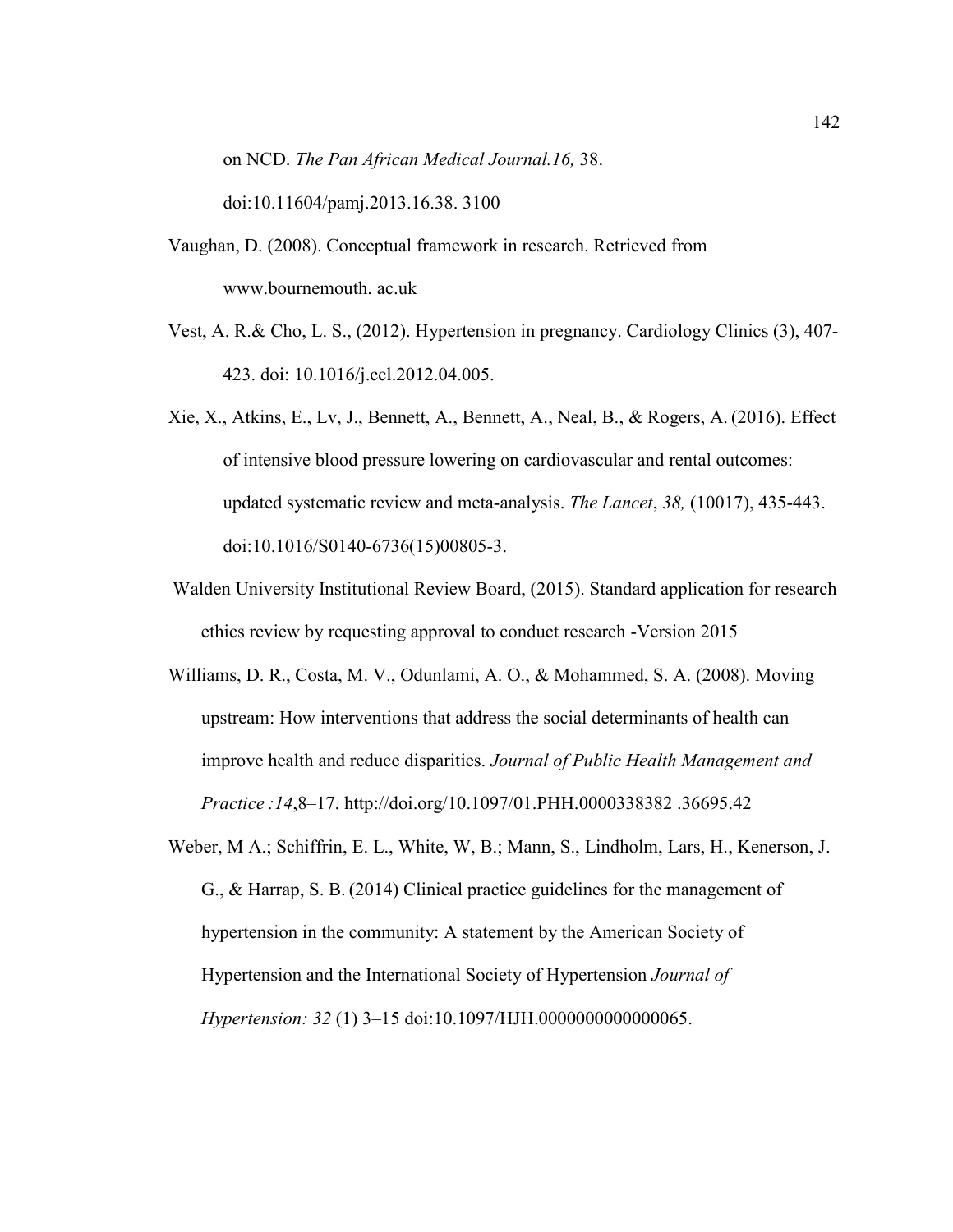on NCD. *The Pan African Medical Journal.16,* 38.

doi:10.11604/pamj.2013.16.38. 3100

- Vaughan, D. (2008). Conceptual framework in research. Retrieved from www.bournemouth. ac.uk
- Vest, A. R.& Cho, L. S., (2012). Hypertension in pregnancy. Cardiology Clinics (3), 407- 423. doi: 10.1016/j.ccl.2012.04.005.
- Xie, X., Atkins, E., Lv, J., Bennett, A., Bennett, A., Neal, B., & Rogers, A. (2016). Effect of intensive blood pressure lowering on cardiovascular and rental outcomes: updated systematic review and meta-analysis. *The Lancet*, *38,* (10017), 435-443. doi:10.1016/S0140-6736(15)00805-3.
- Walden University Institutional Review Board, (2015). Standard application for research ethics review by requesting approval to conduct research -Version 2015
- Williams, D. R., Costa, M. V., Odunlami, A. O., & Mohammed, S. A. (2008). Moving upstream: How interventions that address the social determinants of health can improve health and reduce disparities. *Journal of Public Health Management and Practice :14*,8–17. http://doi.org/10.1097/01.PHH.0000338382 .36695.42
- Weber, M A.; Schiffrin, E. L., White, W, B.; Mann, S., Lindholm, Lars, H., Kenerson, J. G., & Harrap, S. B. (2014) Clinical practice guidelines for the management of hypertension in the community: A statement by the American Society of Hypertension and the International Society of Hypertension *Journal of Hypertension: 32* (1) 3–15 doi:10.1097/HJH.0000000000000065.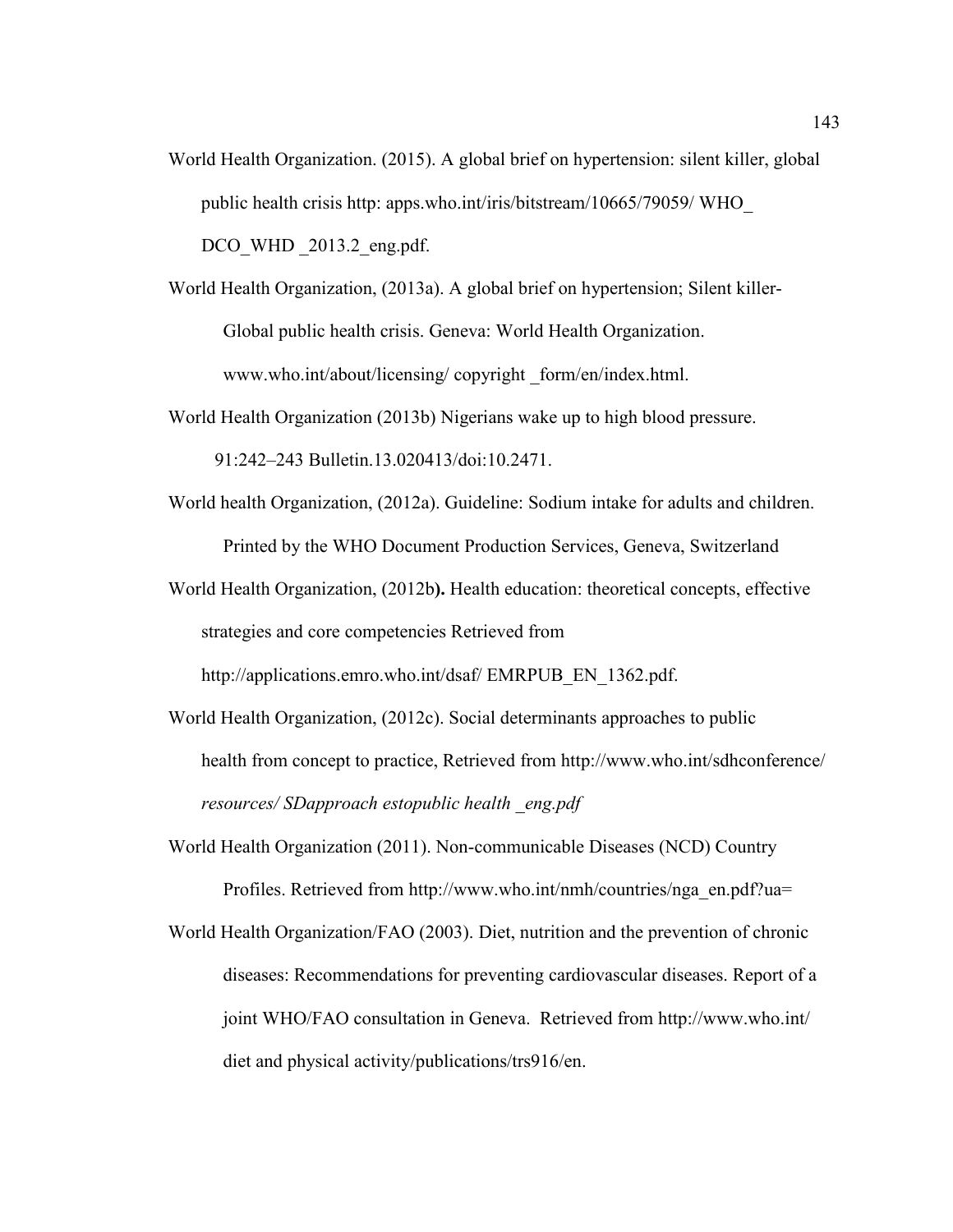- World Health Organization. (2015). A global brief on hypertension: silent killer, global public health crisis http: apps.who.int/iris/bitstream/10665/79059/ WHO\_ DCO WHD 2013.2 eng.pdf.
- World Health Organization, (2013a). A global brief on hypertension; Silent killer-Global public health crisis. Geneva: World Health Organization. www.who.int/about/licensing/ copyright \_form/en/index.html.
- World Health Organization (2013b) Nigerians wake up to high blood pressure.

91:242–243 Bulletin.13.020413/doi:10.2471.

- World health Organization, (2012a). Guideline: Sodium intake for adults and children. Printed by the WHO Document Production Services, Geneva, Switzerland
- World Health Organization, (2012b**).** Health education: theoretical concepts, effective strategies and core competencies Retrieved from

http://applications.emro.who.int/dsaf/ EMRPUB\_EN\_1362.pdf.

- World Health Organization, (2012c). Social determinants approaches to public health from concept to practice, Retrieved from http://www.who.int/sdhconference/ *resources/ SDapproach estopublic health \_eng.pdf*
- World Health Organization (2011). Non-communicable Diseases (NCD) Country Profiles. Retrieved from http://www.who.int/nmh/countries/nga\_en.pdf?ua=
- World Health Organization/FAO (2003). Diet, nutrition and the prevention of chronic diseases: Recommendations for preventing cardiovascular diseases. Report of a joint WHO/FAO consultation in Geneva. Retrieved from http://www.who.int/ diet and physical activity/publications/trs916/en.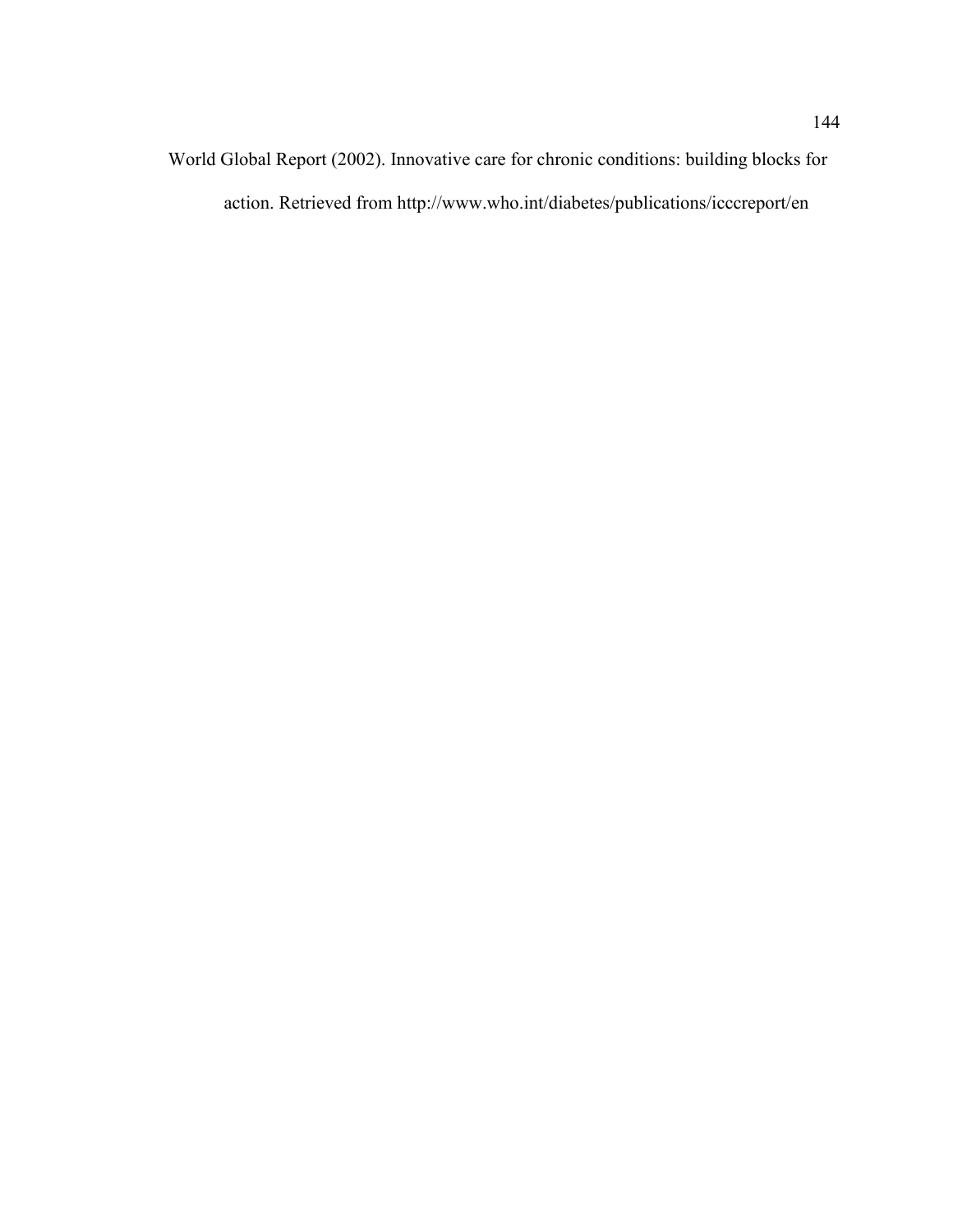World Global Report (2002). Innovative care for chronic conditions: building blocks for action. Retrieved from http://www.who.int/diabetes/publications/icccreport/en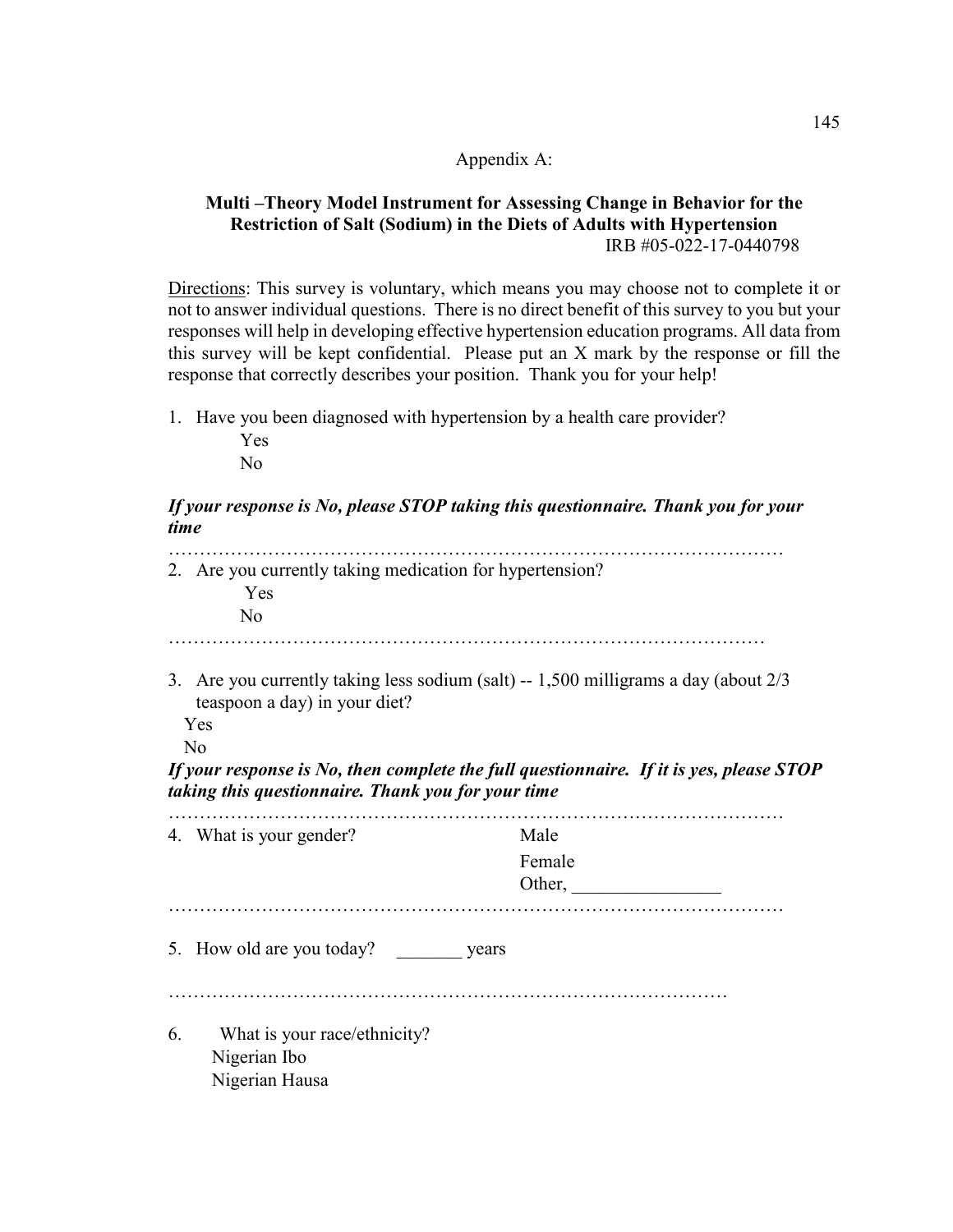## Appendix A:

## **Multi –Theory Model Instrument for Assessing Change in Behavior for the Restriction of Salt (Sodium) in the Diets of Adults with Hypertension**  IRB #05-022-17-0440798

Directions: This survey is voluntary, which means you may choose not to complete it or not to answer individual questions. There is no direct benefit of this survey to you but your responses will help in developing effective hypertension education programs. All data from this survey will be kept confidential. Please put an X mark by the response or fill the response that correctly describes your position. Thank you for your help!

1. Have you been diagnosed with hypertension by a health care provider? Yes

No

## *If your response is No, please STOP taking this questionnaire. Thank you for your time*

|    | 2. Are you currently taking medication for hypertension?<br>Yes<br>No                                                                                                                     |                                                                                         |
|----|-------------------------------------------------------------------------------------------------------------------------------------------------------------------------------------------|-----------------------------------------------------------------------------------------|
|    | 3. Are you currently taking less sodium (salt) $-1,500$ milligrams a day (about $2/3$<br>teaspoon a day) in your diet?<br>Yes<br>No<br>taking this questionnaire. Thank you for your time | If your response is No, then complete the full questionnaire. If it is yes, please STOP |
|    | 4. What is your gender?                                                                                                                                                                   | Male<br>Female<br>Other,                                                                |
|    | 5. How old are you today? years                                                                                                                                                           |                                                                                         |
| 6. | What is your race/ethnicity?<br>Nigerian Ibo<br>Nigerian Hausa                                                                                                                            |                                                                                         |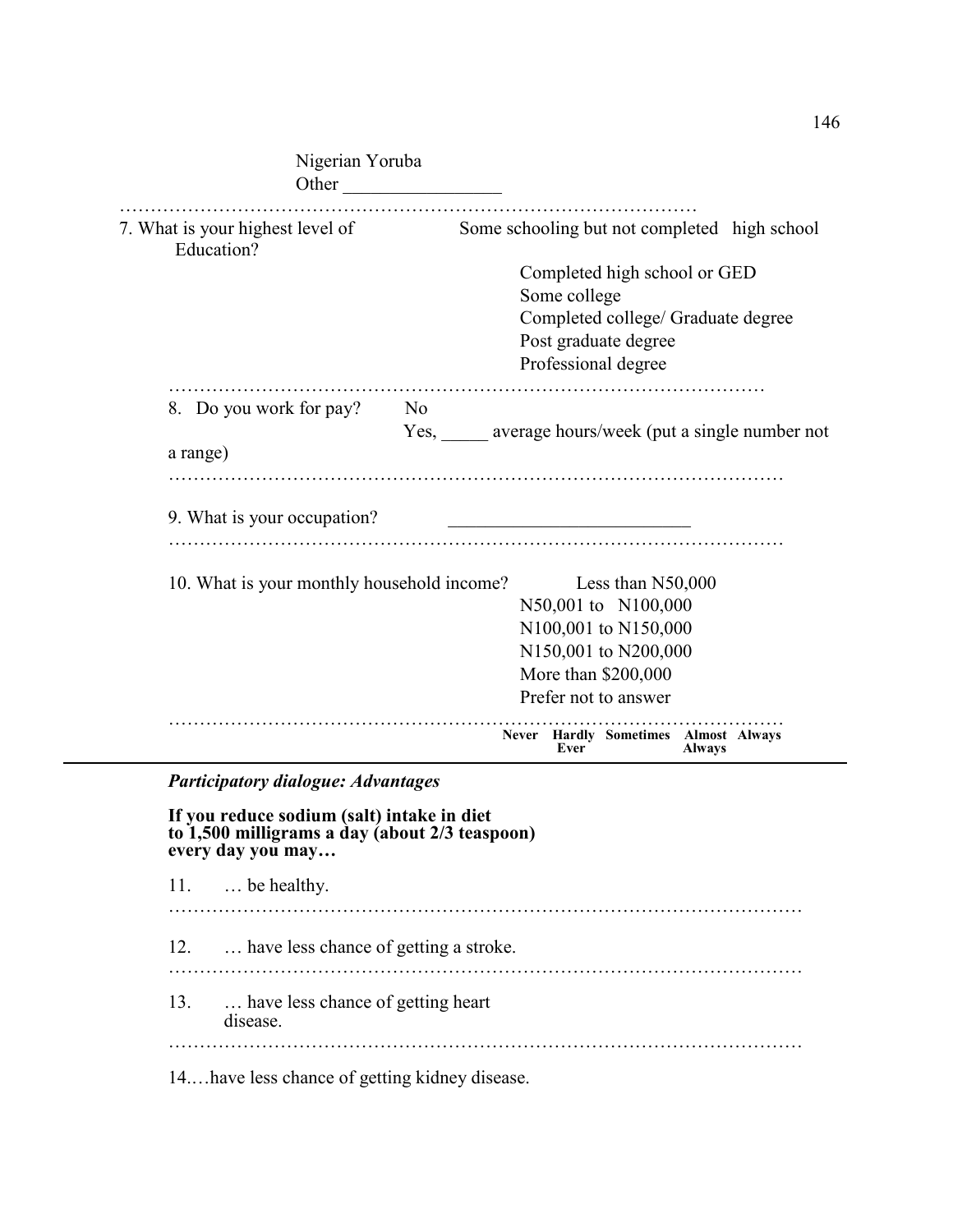| Nigerian Yoruba<br>Other                                                                     |                |                                              |                                                  |  |  |
|----------------------------------------------------------------------------------------------|----------------|----------------------------------------------|--------------------------------------------------|--|--|
| 7. What is your highest level of<br>Education?                                               |                | Some schooling but not completed high school |                                                  |  |  |
|                                                                                              |                | Completed high school or GED                 |                                                  |  |  |
|                                                                                              |                | Some college                                 |                                                  |  |  |
|                                                                                              |                | Completed college/ Graduate degree           |                                                  |  |  |
|                                                                                              |                | Post graduate degree                         |                                                  |  |  |
|                                                                                              |                | Professional degree                          |                                                  |  |  |
| 8. Do you work for pay?                                                                      | N <sub>0</sub> |                                              |                                                  |  |  |
|                                                                                              |                |                                              | Yes, average hours/week (put a single number not |  |  |
| a range)                                                                                     |                |                                              |                                                  |  |  |
| 9. What is your occupation?                                                                  |                |                                              |                                                  |  |  |
| 10. What is your monthly household income?                                                   |                | Less than N50,000                            |                                                  |  |  |
|                                                                                              |                | N50,001 to N100,000                          |                                                  |  |  |
|                                                                                              |                | N100,001 to N150,000                         |                                                  |  |  |
|                                                                                              |                | N150,001 to N200,000<br>More than \$200,000  |                                                  |  |  |
|                                                                                              |                |                                              |                                                  |  |  |
|                                                                                              |                | Prefer not to answer                         |                                                  |  |  |
|                                                                                              |                | Never Hardly Sometimes Almost Always<br>Ever | <b>Always</b>                                    |  |  |
| <b>Participatory dialogue: Advantages</b>                                                    |                |                                              |                                                  |  |  |
|                                                                                              |                |                                              |                                                  |  |  |
| If you reduce sodium (salt) intake in diet<br>to 1,500 milligrams a day (about 2/3 teaspoon) |                |                                              |                                                  |  |  |
| every day you may                                                                            |                |                                              |                                                  |  |  |

146

11. … be healthy. ………………………………………………………………………………………… 12. … have less chance of getting a stroke. ………………………………………………………………………………………… 13. … have less chance of getting heart disease. ………………………………………………………………………………………… 14.…have less chance of getting kidney disease.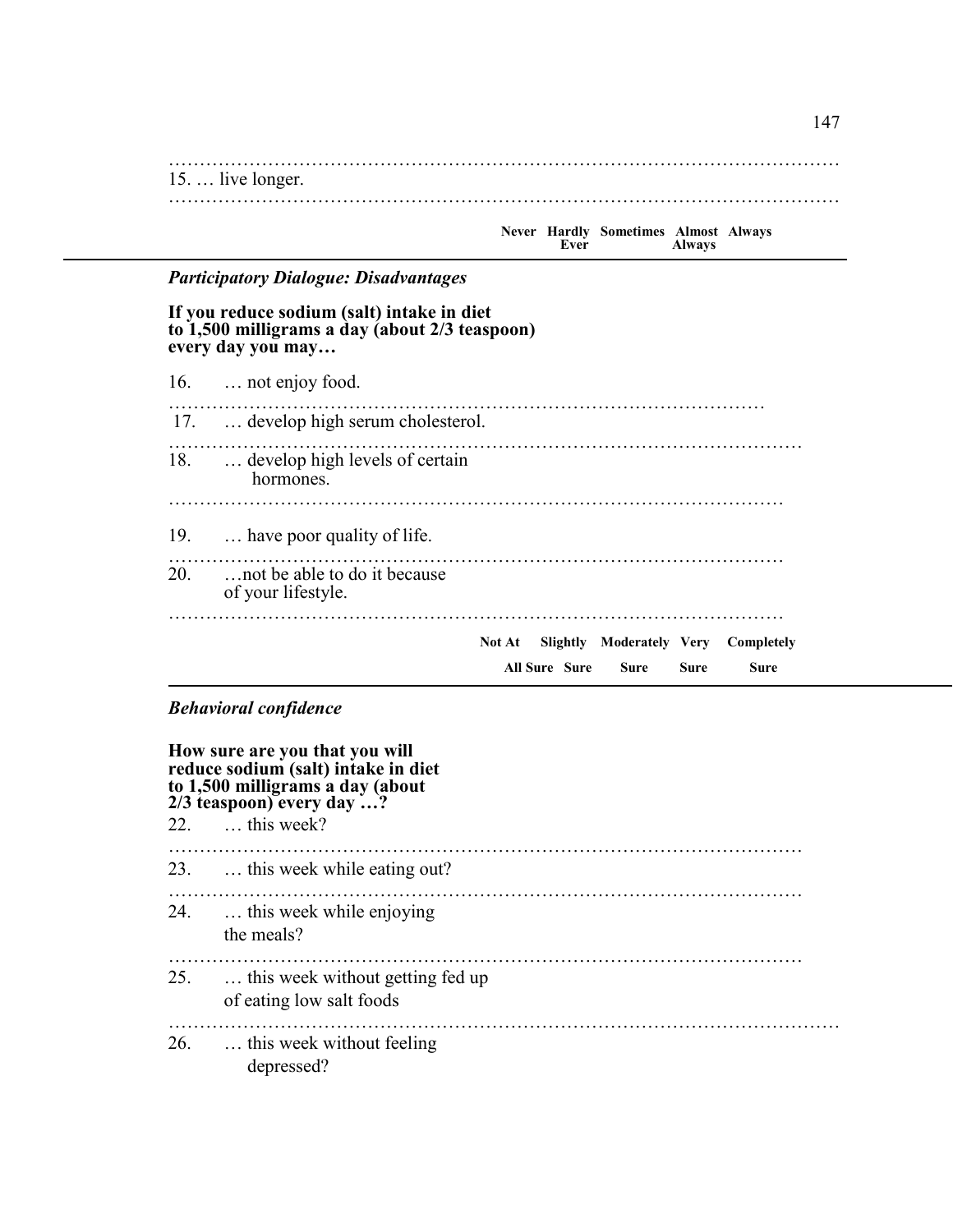……………………………………………………………………………………………… 15. … live longer. ………………………………………………………………………………………………

|  | Ever | Never Hardly Sometimes Almost Always | <b>Always</b> |  |
|--|------|--------------------------------------|---------------|--|
|  |      |                                      |               |  |

# *Participatory Dialogue: Disadvantages*

#### **If you reduce sodium (salt) intake in diet to 1,500 milligrams a day (about 2/3 teaspoon) every day you may…**

| 16.  not enjoy food.                                    |
|---------------------------------------------------------|
| 17.  develop high serum cholesterol.                    |
| 18.  develop high levels of certain<br>hormones.        |
| 19.  have poor quality of life.                         |
| 20.  not be able to do it because<br>of your lifestyle. |
| Slightly Moderately Very Completely<br>Not At           |
| <b>All Sure Sure</b><br>Sure<br>Sure<br>Sure            |

## *Behavioral confidence*

| How sure are you that you will<br>reduce sodium (salt) intake in diet<br>to 1,500 milligrams a day (about<br>$2/3$ teaspoon) every day ? |                                                                   |  |
|------------------------------------------------------------------------------------------------------------------------------------------|-------------------------------------------------------------------|--|
|                                                                                                                                          | 22.  this week?                                                   |  |
|                                                                                                                                          | 23.  this week while eating out?                                  |  |
|                                                                                                                                          | 24.  this week while enjoying<br>the meals?                       |  |
|                                                                                                                                          | 25.  this week without getting fed up<br>of eating low salt foods |  |
|                                                                                                                                          | 26.  this week without feeling<br>depressed?                      |  |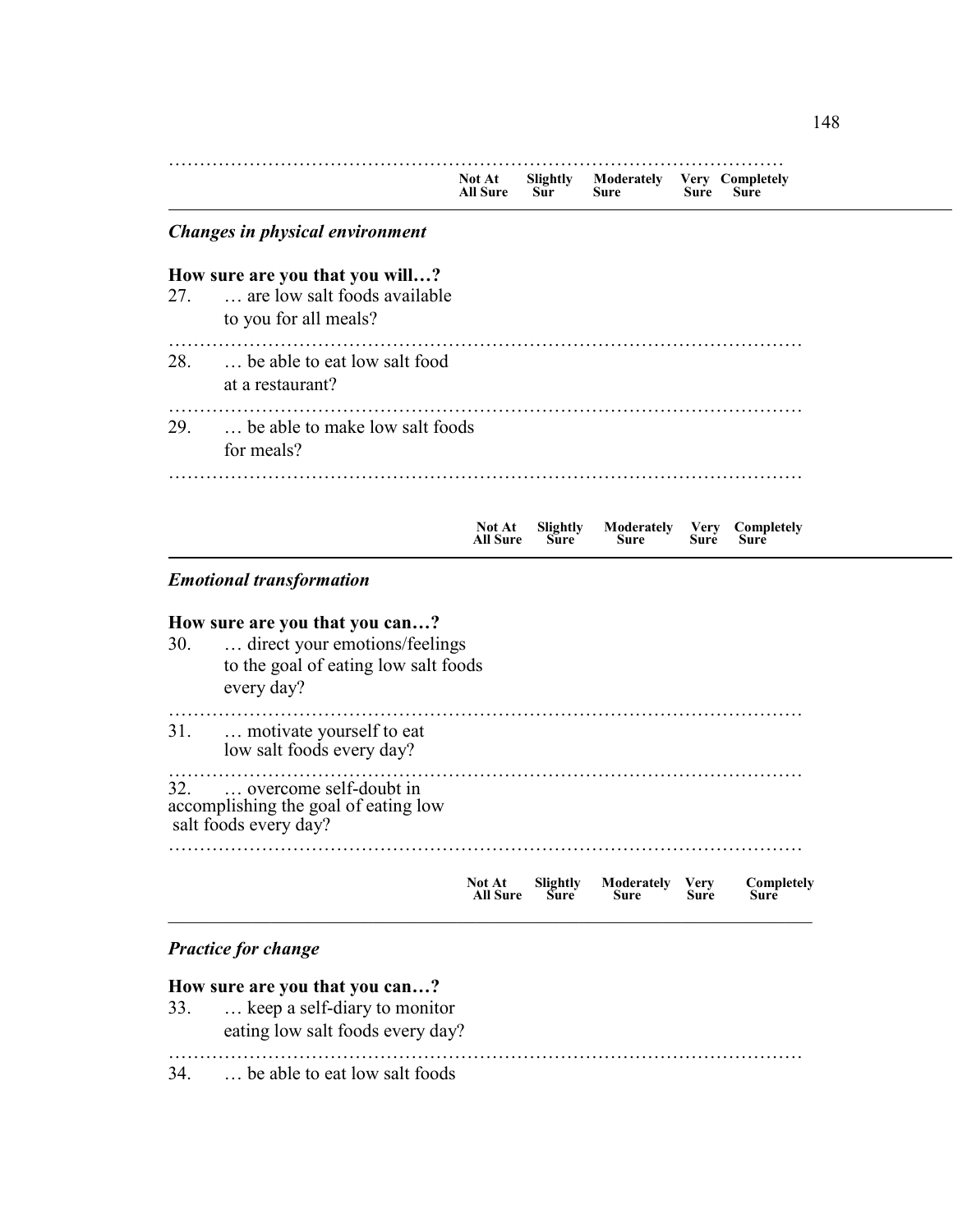|     |                                                                                                                       | Not At<br><b>All Sure</b> | Slightly<br>$S\bar{u}r$ | Moderately Very Completely<br>Sure | Sure                | Sure               |
|-----|-----------------------------------------------------------------------------------------------------------------------|---------------------------|-------------------------|------------------------------------|---------------------|--------------------|
|     | Changes in physical environment                                                                                       |                           |                         |                                    |                     |                    |
| 27. | How sure are you that you will?<br>are low salt foods available<br>to you for all meals?                              |                           |                         |                                    |                     |                    |
| 28. | be able to eat low salt food<br>at a restaurant?                                                                      |                           |                         |                                    |                     |                    |
| 29. | be able to make low salt foods<br>for meals?                                                                          |                           |                         |                                    |                     |                    |
|     |                                                                                                                       | Not At<br><b>All Sure</b> | Slightly<br><b>Sure</b> | Moderately Very<br><b>Sure</b>     | Sure                | Completely<br>Sure |
|     | <b>Emotional transformation</b>                                                                                       |                           |                         |                                    |                     |                    |
| 30. | How sure are you that you can?<br>direct your emotions/feelings<br>to the goal of eating low salt foods<br>every day? |                           |                         |                                    |                     |                    |
| 31. | motivate yourself to eat<br>low salt foods every day?                                                                 |                           |                         |                                    |                     |                    |
| 32. | overcome self-doubt in<br>accomplishing the goal of eating low<br>salt foods every day?                               |                           |                         |                                    |                     |                    |
|     |                                                                                                                       | Not At<br>All Sure        | Slightly<br>Sure        | Moderately<br>Sure                 | <b>Very</b><br>Sure | Completely<br>Sure |
|     | <b>Practice for change</b>                                                                                            |                           |                         |                                    |                     |                    |
|     |                                                                                                                       |                           |                         |                                    |                     |                    |

34. … be able to eat low salt foods